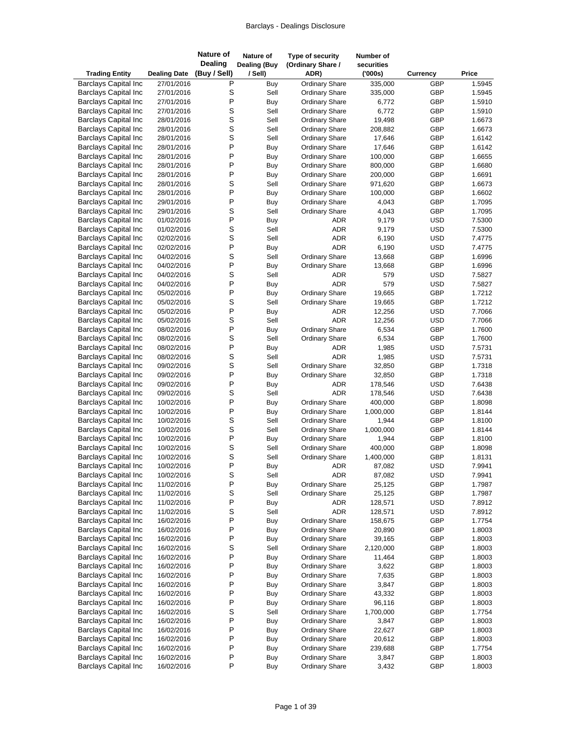| <b>Trading Entity</b>                                      | <b>Dealing Date</b>      | <b>Nature of</b><br><b>Dealing</b><br>(Buy / Sell) | Nature of<br><b>Dealing (Buy</b><br>/ Sell) | Type of security<br>(Ordinary Share /<br>ADR)  | Number of<br>securities<br>(000s) | <b>Currency</b> | Price            |
|------------------------------------------------------------|--------------------------|----------------------------------------------------|---------------------------------------------|------------------------------------------------|-----------------------------------|-----------------|------------------|
| <b>Barclays Capital Inc</b>                                | 27/01/2016               | P                                                  | Buy                                         | <b>Ordinary Share</b>                          | 335,000                           | <b>GBP</b>      | 1.5945           |
| <b>Barclays Capital Inc</b>                                | 27/01/2016               | S                                                  | Sell                                        | <b>Ordinary Share</b>                          | 335,000                           | GBP             | 1.5945           |
| <b>Barclays Capital Inc</b>                                | 27/01/2016               | P                                                  | Buy                                         | <b>Ordinary Share</b>                          | 6,772                             | GBP             | 1.5910           |
| <b>Barclays Capital Inc</b>                                | 27/01/2016               | S                                                  | Sell                                        | <b>Ordinary Share</b>                          | 6,772                             | GBP             | 1.5910           |
| <b>Barclays Capital Inc</b>                                | 28/01/2016               | S                                                  | Sell                                        | <b>Ordinary Share</b>                          | 19,498                            | GBP             | 1.6673           |
| <b>Barclays Capital Inc</b>                                | 28/01/2016               | $\mathsf{s}$                                       | Sell                                        | <b>Ordinary Share</b>                          | 208,882                           | <b>GBP</b>      | 1.6673           |
| <b>Barclays Capital Inc</b>                                | 28/01/2016               | S                                                  | Sell                                        | <b>Ordinary Share</b>                          | 17,646                            | GBP             | 1.6142           |
| <b>Barclays Capital Inc</b>                                | 28/01/2016               | P                                                  | Buy                                         | <b>Ordinary Share</b>                          | 17,646                            | GBP             | 1.6142           |
| <b>Barclays Capital Inc</b>                                | 28/01/2016               | P                                                  | Buy                                         | <b>Ordinary Share</b>                          | 100,000                           | GBP             | 1.6655           |
| <b>Barclays Capital Inc</b>                                | 28/01/2016               | P                                                  | Buy                                         | <b>Ordinary Share</b>                          | 800,000                           | GBP             | 1.6680           |
| <b>Barclays Capital Inc</b>                                | 28/01/2016               | P                                                  | Buy                                         | <b>Ordinary Share</b>                          | 200,000                           | GBP             | 1.6691           |
| <b>Barclays Capital Inc</b>                                | 28/01/2016               | S                                                  | Sell                                        | <b>Ordinary Share</b>                          | 971,620                           | GBP             | 1.6673           |
| <b>Barclays Capital Inc</b>                                | 28/01/2016               | P                                                  | Buy                                         | <b>Ordinary Share</b>                          | 100,000                           | GBP             | 1.6602           |
| <b>Barclays Capital Inc</b>                                | 29/01/2016               | P                                                  | Buy                                         | <b>Ordinary Share</b>                          | 4,043                             | GBP             | 1.7095           |
| <b>Barclays Capital Inc</b>                                | 29/01/2016               | S                                                  | Sell                                        | <b>Ordinary Share</b>                          | 4,043                             | GBP             | 1.7095           |
| <b>Barclays Capital Inc</b>                                | 01/02/2016               | P                                                  | Buy                                         | <b>ADR</b>                                     | 9,179                             | <b>USD</b>      | 7.5300           |
| <b>Barclays Capital Inc</b>                                | 01/02/2016               | S                                                  | Sell                                        | <b>ADR</b>                                     | 9,179                             | <b>USD</b>      | 7.5300           |
| <b>Barclays Capital Inc</b>                                | 02/02/2016               | S                                                  | Sell                                        | <b>ADR</b>                                     | 6,190                             | <b>USD</b>      | 7.4775           |
| <b>Barclays Capital Inc</b>                                | 02/02/2016               | P                                                  | Buy                                         | <b>ADR</b>                                     | 6,190                             | <b>USD</b>      | 7.4775           |
| <b>Barclays Capital Inc</b>                                | 04/02/2016               | $\mathsf S$                                        | Sell                                        | <b>Ordinary Share</b>                          | 13,668                            | GBP             | 1.6996           |
| <b>Barclays Capital Inc</b>                                | 04/02/2016               | P                                                  | Buy                                         | <b>Ordinary Share</b>                          | 13,668                            | GBP             | 1.6996           |
| <b>Barclays Capital Inc</b>                                | 04/02/2016               | S                                                  | Sell                                        | <b>ADR</b>                                     | 579                               | <b>USD</b>      | 7.5827           |
| <b>Barclays Capital Inc</b>                                | 04/02/2016               | P                                                  | Buy                                         | <b>ADR</b>                                     | 579                               | <b>USD</b>      | 7.5827           |
| <b>Barclays Capital Inc</b>                                | 05/02/2016               | P                                                  | Buy                                         | <b>Ordinary Share</b>                          | 19,665                            | GBP             | 1.7212           |
| <b>Barclays Capital Inc</b>                                | 05/02/2016               | S                                                  | Sell                                        | <b>Ordinary Share</b>                          | 19,665                            | GBP             | 1.7212           |
| <b>Barclays Capital Inc</b>                                | 05/02/2016               | P                                                  | Buy                                         | <b>ADR</b>                                     | 12,256                            | <b>USD</b>      | 7.7066           |
| <b>Barclays Capital Inc</b>                                | 05/02/2016               | S                                                  | Sell                                        | <b>ADR</b>                                     | 12,256                            | <b>USD</b>      | 7.7066           |
| <b>Barclays Capital Inc</b>                                | 08/02/2016               | P                                                  | Buy                                         | <b>Ordinary Share</b>                          | 6,534                             | GBP             | 1.7600           |
| <b>Barclays Capital Inc</b>                                | 08/02/2016               | S                                                  | Sell                                        | <b>Ordinary Share</b>                          | 6,534                             | GBP             | 1.7600           |
| <b>Barclays Capital Inc</b>                                | 08/02/2016               | P                                                  | Buy                                         | <b>ADR</b>                                     | 1,985                             | <b>USD</b>      | 7.5731           |
| <b>Barclays Capital Inc</b>                                | 08/02/2016               | $\mathsf S$                                        | Sell                                        | <b>ADR</b>                                     | 1,985                             | <b>USD</b>      | 7.5731           |
| <b>Barclays Capital Inc</b>                                | 09/02/2016               | S                                                  | Sell                                        | <b>Ordinary Share</b>                          | 32,850                            | <b>GBP</b>      | 1.7318           |
| <b>Barclays Capital Inc</b>                                | 09/02/2016               | P                                                  | Buy                                         | <b>Ordinary Share</b>                          | 32,850                            | GBP             | 1.7318           |
| <b>Barclays Capital Inc</b>                                | 09/02/2016               | P                                                  | Buy                                         | <b>ADR</b>                                     | 178,546                           | <b>USD</b>      | 7.6438           |
| <b>Barclays Capital Inc</b>                                | 09/02/2016               | S                                                  | Sell                                        | <b>ADR</b>                                     | 178,546                           | <b>USD</b>      | 7.6438           |
| <b>Barclays Capital Inc</b>                                | 10/02/2016               | P                                                  | Buy                                         | <b>Ordinary Share</b>                          | 400,000                           | GBP             | 1.8098           |
| <b>Barclays Capital Inc</b>                                | 10/02/2016               | P                                                  | Buy                                         | <b>Ordinary Share</b>                          | 1,000,000                         | <b>GBP</b>      | 1.8144           |
| <b>Barclays Capital Inc</b>                                | 10/02/2016               | S                                                  | Sell                                        | <b>Ordinary Share</b>                          | 1,944                             | GBP             | 1.8100           |
| <b>Barclays Capital Inc</b>                                | 10/02/2016               | S                                                  | Sell                                        | <b>Ordinary Share</b>                          | 1,000,000                         | GBP             | 1.8144           |
| <b>Barclays Capital Inc</b>                                | 10/02/2016               | P                                                  | Buy                                         | <b>Ordinary Share</b>                          | 1,944                             | GBP             | 1.8100           |
| <b>Barclays Capital Inc</b>                                | 10/02/2016               | S                                                  | Sell                                        | <b>Ordinary Share</b>                          | 400,000                           | <b>GBP</b>      | 1.8098           |
| <b>Barclays Capital Inc</b>                                | 10/02/2016               | S                                                  | Sell                                        | <b>Ordinary Share</b>                          | 1,400,000                         | <b>GBP</b>      | 1.8131           |
| <b>Barclays Capital Inc</b>                                | 10/02/2016               | $\sf P$                                            | Buy                                         | <b>ADR</b>                                     | 87,082                            | <b>USD</b>      | 7.9941           |
| <b>Barclays Capital Inc</b>                                | 10/02/2016               | S                                                  | Sell                                        | ADR                                            | 87,082                            | <b>USD</b>      | 7.9941           |
| <b>Barclays Capital Inc</b>                                | 11/02/2016               | P                                                  | Buy                                         | <b>Ordinary Share</b>                          | 25,125                            | GBP             | 1.7987           |
| <b>Barclays Capital Inc</b>                                | 11/02/2016               | $\mbox{\bf S}$                                     | Sell                                        | Ordinary Share                                 | 25,125                            | GBP             | 1.7987           |
| <b>Barclays Capital Inc</b>                                | 11/02/2016               | P                                                  | Buy                                         | ADR                                            | 128,571                           | <b>USD</b>      | 7.8912           |
| <b>Barclays Capital Inc</b>                                | 11/02/2016               | S                                                  | Sell                                        | <b>ADR</b>                                     | 128,571                           | <b>USD</b>      | 7.8912           |
| <b>Barclays Capital Inc</b>                                | 16/02/2016               | P                                                  | Buy                                         | <b>Ordinary Share</b>                          | 158,675                           | GBP             | 1.7754           |
| <b>Barclays Capital Inc</b>                                | 16/02/2016               | $\sf P$                                            | Buy                                         | <b>Ordinary Share</b>                          | 20,890                            | GBP             | 1.8003           |
| <b>Barclays Capital Inc</b>                                | 16/02/2016               | P                                                  | Buy                                         | <b>Ordinary Share</b>                          | 39,165                            | GBP             | 1.8003           |
| <b>Barclays Capital Inc</b>                                | 16/02/2016               | S                                                  | Sell                                        | <b>Ordinary Share</b>                          | 2,120,000                         | GBP             | 1.8003           |
| <b>Barclays Capital Inc</b>                                | 16/02/2016               | P                                                  | Buy                                         | <b>Ordinary Share</b>                          | 11,464                            | GBP             | 1.8003           |
| <b>Barclays Capital Inc</b><br><b>Barclays Capital Inc</b> | 16/02/2016               | P<br>P                                             | Buy                                         | <b>Ordinary Share</b><br><b>Ordinary Share</b> | 3,622                             | GBP             | 1.8003           |
|                                                            | 16/02/2016               | P                                                  | Buy                                         |                                                | 7,635                             | GBP             | 1.8003           |
| <b>Barclays Capital Inc</b>                                | 16/02/2016               |                                                    | Buy                                         | <b>Ordinary Share</b>                          | 3,847                             | GBP             | 1.8003           |
| <b>Barclays Capital Inc</b><br><b>Barclays Capital Inc</b> | 16/02/2016               | P<br>P                                             | Buy                                         | <b>Ordinary Share</b>                          | 43,332                            | GBP             | 1.8003           |
| <b>Barclays Capital Inc</b>                                | 16/02/2016<br>16/02/2016 | S                                                  | Buy<br>Sell                                 | <b>Ordinary Share</b><br><b>Ordinary Share</b> | 96,116<br>1,700,000               | GBP<br>GBP      | 1.8003<br>1.7754 |
| <b>Barclays Capital Inc</b>                                | 16/02/2016               | P                                                  | Buy                                         | <b>Ordinary Share</b>                          | 3,847                             | GBP             | 1.8003           |
| <b>Barclays Capital Inc</b>                                | 16/02/2016               | $\sf P$                                            | Buy                                         | <b>Ordinary Share</b>                          | 22,627                            | GBP             | 1.8003           |
| <b>Barclays Capital Inc</b>                                | 16/02/2016               | P                                                  | Buy                                         | <b>Ordinary Share</b>                          | 20,612                            | GBP             | 1.8003           |
| <b>Barclays Capital Inc</b>                                | 16/02/2016               | P                                                  | Buy                                         | <b>Ordinary Share</b>                          | 239,688                           | GBP             | 1.7754           |
| <b>Barclays Capital Inc</b>                                | 16/02/2016               | P                                                  | Buy                                         | <b>Ordinary Share</b>                          | 3,847                             | GBP             | 1.8003           |
| <b>Barclays Capital Inc</b>                                | 16/02/2016               | P                                                  | Buy                                         | <b>Ordinary Share</b>                          | 3,432                             | GBP             | 1.8003           |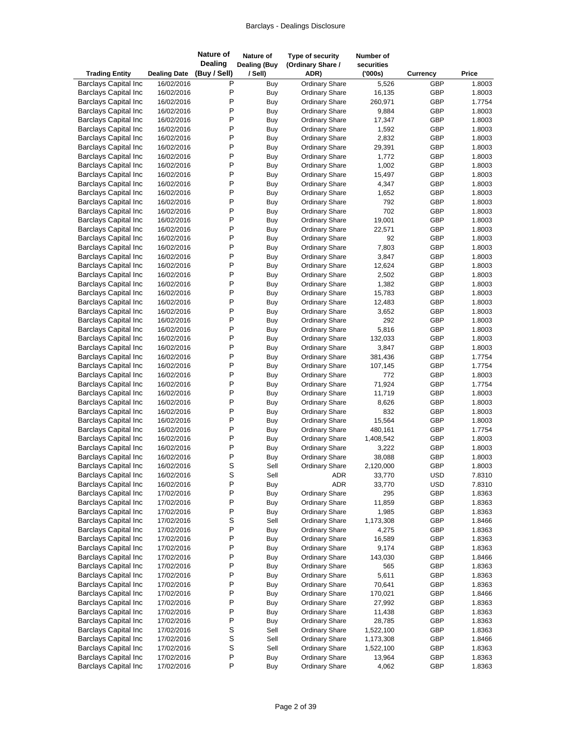| <b>Trading Entity</b>                                      | <b>Dealing Date</b>      | <b>Nature of</b><br><b>Dealing</b><br>(Buy / Sell) | Nature of<br><b>Dealing (Buy</b><br>/ Sell) | Type of security<br>(Ordinary Share /<br>ADR)  | Number of<br>securities<br>(000s) | Currency   | Price            |
|------------------------------------------------------------|--------------------------|----------------------------------------------------|---------------------------------------------|------------------------------------------------|-----------------------------------|------------|------------------|
| <b>Barclays Capital Inc</b>                                | 16/02/2016               | Ρ                                                  | Buy                                         | <b>Ordinary Share</b>                          | 5,526                             | GBP        | 1.8003           |
| <b>Barclays Capital Inc</b>                                | 16/02/2016               | P                                                  | Buy                                         | <b>Ordinary Share</b>                          | 16,135                            | GBP        | 1.8003           |
| <b>Barclays Capital Inc</b>                                | 16/02/2016               | P                                                  | Buy                                         | <b>Ordinary Share</b>                          | 260,971                           | GBP        | 1.7754           |
| <b>Barclays Capital Inc</b>                                | 16/02/2016               | P                                                  | Buy                                         | <b>Ordinary Share</b>                          | 9,884                             | GBP        | 1.8003           |
| <b>Barclays Capital Inc</b>                                | 16/02/2016               | P                                                  | Buy                                         | <b>Ordinary Share</b>                          | 17,347                            | GBP        | 1.8003           |
| <b>Barclays Capital Inc</b>                                | 16/02/2016               | P                                                  | Buy                                         | <b>Ordinary Share</b>                          | 1,592                             | GBP        | 1.8003           |
| <b>Barclays Capital Inc</b>                                | 16/02/2016               | P                                                  | Buy                                         | <b>Ordinary Share</b>                          | 2,832                             | GBP        | 1.8003           |
| <b>Barclays Capital Inc</b>                                | 16/02/2016               | P                                                  | Buy                                         | <b>Ordinary Share</b>                          | 29,391                            | GBP        | 1.8003           |
| <b>Barclays Capital Inc</b>                                | 16/02/2016               | P                                                  | Buy                                         | <b>Ordinary Share</b>                          | 1,772                             | GBP        | 1.8003           |
| <b>Barclays Capital Inc</b>                                | 16/02/2016               | P                                                  | Buy                                         | <b>Ordinary Share</b>                          | 1,002                             | GBP        | 1.8003           |
| <b>Barclays Capital Inc</b>                                | 16/02/2016               | P                                                  | Buy                                         | <b>Ordinary Share</b>                          | 15,497                            | GBP        | 1.8003           |
| <b>Barclays Capital Inc</b>                                | 16/02/2016               | P                                                  | Buy                                         | <b>Ordinary Share</b>                          | 4,347                             | GBP        | 1.8003           |
| <b>Barclays Capital Inc</b>                                | 16/02/2016               | P                                                  | Buy                                         | <b>Ordinary Share</b>                          | 1,652                             | GBP        | 1.8003           |
| <b>Barclays Capital Inc</b>                                | 16/02/2016               | P                                                  | Buy                                         | <b>Ordinary Share</b>                          | 792                               | GBP        | 1.8003           |
| <b>Barclays Capital Inc</b>                                | 16/02/2016               | P                                                  | Buy                                         | <b>Ordinary Share</b>                          | 702                               | GBP        | 1.8003           |
| <b>Barclays Capital Inc</b>                                | 16/02/2016               | P                                                  | Buy                                         | <b>Ordinary Share</b>                          | 19,001                            | GBP        | 1.8003           |
| <b>Barclays Capital Inc</b>                                | 16/02/2016               | P                                                  | <b>Buy</b>                                  | <b>Ordinary Share</b>                          | 22,571                            | GBP        | 1.8003           |
| <b>Barclays Capital Inc</b>                                | 16/02/2016               | P                                                  | Buy                                         | <b>Ordinary Share</b>                          | 92                                | GBP        | 1.8003           |
| <b>Barclays Capital Inc</b>                                | 16/02/2016               | P                                                  | Buy                                         | Ordinary Share                                 | 7,803                             | GBP        | 1.8003           |
| <b>Barclays Capital Inc</b>                                | 16/02/2016               | P                                                  | Buy                                         | <b>Ordinary Share</b>                          | 3,847                             | GBP        | 1.8003           |
| <b>Barclays Capital Inc</b>                                | 16/02/2016               | P                                                  | Buy                                         | <b>Ordinary Share</b>                          | 12,624                            | GBP        | 1.8003           |
| <b>Barclays Capital Inc</b>                                | 16/02/2016               | P                                                  | Buy                                         | <b>Ordinary Share</b>                          | 2,502                             | GBP        | 1.8003           |
| <b>Barclays Capital Inc</b>                                | 16/02/2016               | P                                                  | Buy                                         | <b>Ordinary Share</b>                          | 1,382                             | GBP        | 1.8003           |
| <b>Barclays Capital Inc</b>                                | 16/02/2016               | P                                                  | Buy                                         | <b>Ordinary Share</b>                          | 15,783                            | GBP        | 1.8003           |
| <b>Barclays Capital Inc</b>                                | 16/02/2016               | P                                                  | Buy                                         | <b>Ordinary Share</b>                          | 12,483                            | GBP        | 1.8003           |
| <b>Barclays Capital Inc</b>                                | 16/02/2016               | P                                                  | Buy                                         | <b>Ordinary Share</b>                          | 3,652                             | GBP        | 1.8003           |
| <b>Barclays Capital Inc</b>                                | 16/02/2016               | P                                                  | Buy                                         | <b>Ordinary Share</b>                          | 292                               | GBP        | 1.8003           |
| <b>Barclays Capital Inc</b>                                | 16/02/2016               | P                                                  | Buy                                         | <b>Ordinary Share</b>                          | 5,816                             | GBP        | 1.8003           |
| <b>Barclays Capital Inc</b>                                | 16/02/2016               | P                                                  | <b>Buy</b>                                  | <b>Ordinary Share</b>                          | 132,033                           | GBP        | 1.8003           |
| <b>Barclays Capital Inc</b>                                | 16/02/2016               | P                                                  | Buy                                         | <b>Ordinary Share</b>                          | 3,847                             | GBP        | 1.8003           |
| <b>Barclays Capital Inc</b>                                | 16/02/2016               | P                                                  | Buy                                         | <b>Ordinary Share</b>                          | 381,436                           | GBP        | 1.7754           |
| <b>Barclays Capital Inc</b>                                | 16/02/2016               | P                                                  | Buy                                         | <b>Ordinary Share</b>                          | 107,145                           | GBP        | 1.7754           |
| <b>Barclays Capital Inc</b>                                | 16/02/2016               | P                                                  | Buy                                         | <b>Ordinary Share</b>                          | 772                               | GBP        | 1.8003           |
| <b>Barclays Capital Inc</b>                                | 16/02/2016               | P                                                  | Buy                                         | <b>Ordinary Share</b>                          | 71,924                            | GBP        | 1.7754           |
| <b>Barclays Capital Inc</b>                                | 16/02/2016               | P                                                  | Buy                                         | <b>Ordinary Share</b>                          | 11,719                            | GBP        | 1.8003           |
| <b>Barclays Capital Inc</b>                                | 16/02/2016               | P                                                  | Buy                                         | <b>Ordinary Share</b>                          | 8,626                             | GBP        | 1.8003           |
| <b>Barclays Capital Inc</b>                                | 16/02/2016               | P                                                  | Buy                                         | <b>Ordinary Share</b>                          | 832                               | GBP        | 1.8003           |
| <b>Barclays Capital Inc</b>                                | 16/02/2016               | P                                                  | Buy                                         | <b>Ordinary Share</b>                          | 15,564                            | GBP        | 1.8003           |
| <b>Barclays Capital Inc</b>                                | 16/02/2016               | P<br>P                                             | Buy                                         | Ordinary Share                                 | 480,161                           | GBP        | 1.7754           |
| <b>Barclays Capital Inc</b><br><b>Barclays Capital Inc</b> | 16/02/2016               | P                                                  | Buy                                         | <b>Ordinary Share</b>                          | 1,408,542                         | GBP        | 1.8003<br>1.8003 |
| <b>Barclays Capital Inc</b>                                | 16/02/2016<br>16/02/2016 | P                                                  | Buy                                         | <b>Ordinary Share</b><br><b>Ordinary Share</b> | 3,222<br>38,088                   | GBP<br>GBP | 1.8003           |
| <b>Barclays Capital Inc</b>                                |                          |                                                    | Buy<br>Sell                                 |                                                |                                   | GBP        | 1.8003           |
| <b>Barclays Capital Inc</b>                                | 16/02/2016<br>16/02/2016 | S<br>S                                             | Sell                                        | <b>Ordinary Share</b><br>ADR                   | 2,120,000<br>33,770               | <b>USD</b> | 7.8310           |
| <b>Barclays Capital Inc</b>                                | 16/02/2016               | P                                                  | Buy                                         | <b>ADR</b>                                     | 33,770                            | USD        | 7.8310           |
| <b>Barclays Capital Inc</b>                                | 17/02/2016               | P                                                  | Buy                                         | <b>Ordinary Share</b>                          | 295                               | GBP        | 1.8363           |
| <b>Barclays Capital Inc</b>                                | 17/02/2016               | P                                                  | Buy                                         | <b>Ordinary Share</b>                          | 11,859                            | GBP        | 1.8363           |
| <b>Barclays Capital Inc</b>                                | 17/02/2016               | P                                                  | Buy                                         | <b>Ordinary Share</b>                          | 1,985                             | GBP        | 1.8363           |
| <b>Barclays Capital Inc</b>                                | 17/02/2016               | S                                                  | Sell                                        | <b>Ordinary Share</b>                          | 1,173,308                         | GBP        | 1.8466           |
| <b>Barclays Capital Inc</b>                                | 17/02/2016               | P                                                  | Buy                                         | <b>Ordinary Share</b>                          | 4,275                             | GBP        | 1.8363           |
| <b>Barclays Capital Inc</b>                                | 17/02/2016               | P                                                  | Buy                                         | <b>Ordinary Share</b>                          | 16,589                            | GBP        | 1.8363           |
| <b>Barclays Capital Inc</b>                                | 17/02/2016               | P                                                  | Buy                                         | <b>Ordinary Share</b>                          | 9,174                             | GBP        | 1.8363           |
| <b>Barclays Capital Inc</b>                                | 17/02/2016               | P                                                  | Buy                                         | <b>Ordinary Share</b>                          | 143,030                           | GBP        | 1.8466           |
| <b>Barclays Capital Inc</b>                                | 17/02/2016               | P                                                  | Buy                                         | <b>Ordinary Share</b>                          | 565                               | GBP        | 1.8363           |
| <b>Barclays Capital Inc</b>                                | 17/02/2016               | P                                                  | Buy                                         | <b>Ordinary Share</b>                          | 5,611                             | GBP        | 1.8363           |
| <b>Barclays Capital Inc</b>                                | 17/02/2016               | P                                                  | Buy                                         | <b>Ordinary Share</b>                          | 70,641                            | GBP        | 1.8363           |
| <b>Barclays Capital Inc</b>                                | 17/02/2016               | P                                                  | Buy                                         | <b>Ordinary Share</b>                          | 170,021                           | GBP        | 1.8466           |
| <b>Barclays Capital Inc</b>                                | 17/02/2016               | P                                                  | Buy                                         | <b>Ordinary Share</b>                          | 27,992                            | GBP        | 1.8363           |
| <b>Barclays Capital Inc</b>                                | 17/02/2016               | P                                                  | Buy                                         | <b>Ordinary Share</b>                          | 11,438                            | GBP        | 1.8363           |
| <b>Barclays Capital Inc</b>                                | 17/02/2016               | P                                                  | Buy                                         | <b>Ordinary Share</b>                          | 28,785                            | GBP        | 1.8363           |
| <b>Barclays Capital Inc</b>                                | 17/02/2016               | S                                                  | Sell                                        | <b>Ordinary Share</b>                          | 1,522,100                         | GBP        | 1.8363           |
| <b>Barclays Capital Inc</b>                                | 17/02/2016               | S                                                  | Sell                                        | <b>Ordinary Share</b>                          | 1,173,308                         | GBP        | 1.8466           |
| <b>Barclays Capital Inc</b>                                | 17/02/2016               | S                                                  | Sell                                        | <b>Ordinary Share</b>                          | 1,522,100                         | GBP        | 1.8363           |
| <b>Barclays Capital Inc</b>                                | 17/02/2016               | $\sf P$                                            | Buy                                         | <b>Ordinary Share</b>                          | 13,964                            | GBP        | 1.8363           |
| <b>Barclays Capital Inc</b>                                | 17/02/2016               | P                                                  | Buy                                         | <b>Ordinary Share</b>                          | 4,062                             | GBP        | 1.8363           |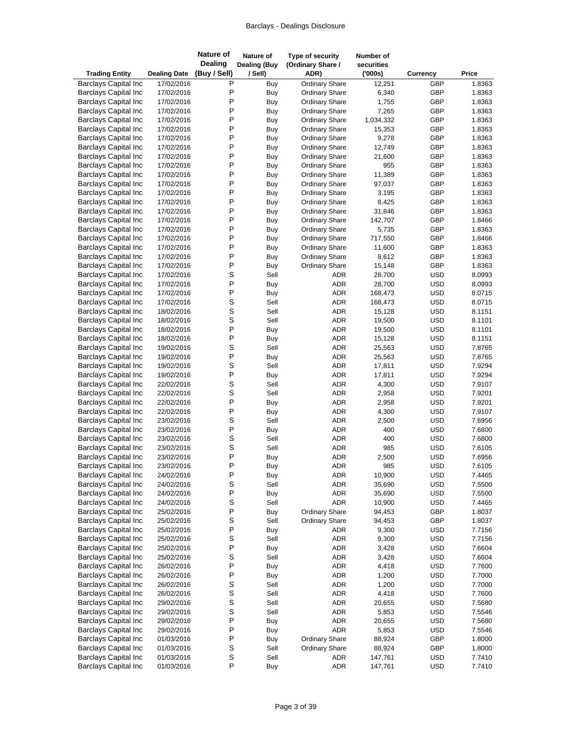| <b>Trading Entity</b>                                      | <b>Dealing Date</b>      | <b>Nature of</b><br><b>Dealing</b><br>(Buy / Sell) | Nature of<br><b>Dealing (Buy</b><br>/ Sell) | Type of security<br>(Ordinary Share /<br>ADR)  | Number of<br>securities<br>(000s) | <b>Currency</b>          | Price            |
|------------------------------------------------------------|--------------------------|----------------------------------------------------|---------------------------------------------|------------------------------------------------|-----------------------------------|--------------------------|------------------|
| <b>Barclays Capital Inc</b>                                | 17/02/2016               | Ρ                                                  | Buy                                         | <b>Ordinary Share</b>                          | 12,251                            | GBP                      | 1.8363           |
| <b>Barclays Capital Inc</b>                                | 17/02/2016               | P                                                  | Buy                                         | <b>Ordinary Share</b>                          | 6,340                             | GBP                      | 1.8363           |
| <b>Barclays Capital Inc</b>                                | 17/02/2016               | P                                                  | Buy                                         | <b>Ordinary Share</b>                          | 1,755                             | GBP                      | 1.8363           |
| <b>Barclays Capital Inc</b>                                | 17/02/2016               | P                                                  | Buy                                         | <b>Ordinary Share</b>                          | 7,265                             | GBP                      | 1.8363           |
| <b>Barclays Capital Inc</b>                                | 17/02/2016               | P                                                  | Buy                                         | <b>Ordinary Share</b>                          | 1,034,332                         | GBP                      | 1.8363           |
| <b>Barclays Capital Inc</b>                                | 17/02/2016               | P                                                  | Buy                                         | <b>Ordinary Share</b>                          | 15,353                            | GBP                      | 1.8363           |
| <b>Barclays Capital Inc</b>                                | 17/02/2016               | P                                                  | Buy                                         | <b>Ordinary Share</b>                          | 9,278                             | GBP                      | 1.8363           |
| <b>Barclays Capital Inc</b>                                | 17/02/2016               | P                                                  | Buy                                         | <b>Ordinary Share</b>                          | 12,749                            | GBP                      | 1.8363           |
| <b>Barclays Capital Inc</b>                                | 17/02/2016               | P                                                  | Buy                                         | <b>Ordinary Share</b>                          | 21,600                            | GBP                      | 1.8363           |
| <b>Barclays Capital Inc</b>                                | 17/02/2016               | P<br>P                                             | Buy                                         | <b>Ordinary Share</b>                          | 955                               | GBP                      | 1.8363           |
| <b>Barclays Capital Inc</b>                                | 17/02/2016               | P                                                  | <b>Buy</b>                                  | <b>Ordinary Share</b>                          | 11,389                            | GBP                      | 1.8363           |
| <b>Barclays Capital Inc</b><br><b>Barclays Capital Inc</b> | 17/02/2016<br>17/02/2016 | P                                                  | Buy<br>Buy                                  | <b>Ordinary Share</b><br><b>Ordinary Share</b> | 97,037<br>3,195                   | GBP<br>GBP               | 1.8363<br>1.8363 |
| <b>Barclays Capital Inc</b>                                | 17/02/2016               | P                                                  | Buy                                         | <b>Ordinary Share</b>                          | 8,425                             | GBP                      | 1.8363           |
| <b>Barclays Capital Inc</b>                                | 17/02/2016               | P                                                  | Buy                                         | <b>Ordinary Share</b>                          | 31,846                            | GBP                      | 1.8363           |
| <b>Barclays Capital Inc</b>                                | 17/02/2016               | P                                                  | Buy                                         | <b>Ordinary Share</b>                          | 142,707                           | GBP                      | 1.8466           |
| <b>Barclays Capital Inc</b>                                | 17/02/2016               | P                                                  | <b>Buy</b>                                  | <b>Ordinary Share</b>                          | 5,735                             | GBP                      | 1.8363           |
| <b>Barclays Capital Inc</b>                                | 17/02/2016               | P                                                  | Buy                                         | <b>Ordinary Share</b>                          | 717,550                           | GBP                      | 1.8466           |
| <b>Barclays Capital Inc</b>                                | 17/02/2016               | P                                                  | Buy                                         | <b>Ordinary Share</b>                          | 11,600                            | GBP                      | 1.8363           |
| <b>Barclays Capital Inc</b>                                | 17/02/2016               | P                                                  | Buy                                         | <b>Ordinary Share</b>                          | 8,612                             | GBP                      | 1.8363           |
| <b>Barclays Capital Inc</b>                                | 17/02/2016               | P                                                  | Buy                                         | <b>Ordinary Share</b>                          | 15,148                            | GBP                      | 1.8363           |
| <b>Barclays Capital Inc</b>                                | 17/02/2016               | S                                                  | Sell                                        | ADR                                            | 28,700                            | <b>USD</b>               | 8.0993           |
| <b>Barclays Capital Inc</b>                                | 17/02/2016               | P                                                  | Buy                                         | ADR                                            | 28,700                            | <b>USD</b>               | 8.0993           |
| <b>Barclays Capital Inc</b>                                | 17/02/2016               | P                                                  | Buy                                         | <b>ADR</b>                                     | 168,473                           | <b>USD</b>               | 8.0715           |
| <b>Barclays Capital Inc</b>                                | 17/02/2016               | S                                                  | Sell                                        | ADR                                            | 168,473                           | <b>USD</b>               | 8.0715           |
| <b>Barclays Capital Inc</b>                                | 18/02/2016               | S                                                  | Sell                                        | ADR                                            | 15,128                            | <b>USD</b>               | 8.1151           |
| <b>Barclays Capital Inc</b>                                | 18/02/2016               | S                                                  | Sell                                        | ADR                                            | 19,500                            | <b>USD</b>               | 8.1101           |
| <b>Barclays Capital Inc</b>                                | 18/02/2016               | P                                                  | Buy                                         | <b>ADR</b>                                     | 19,500                            | <b>USD</b>               | 8.1101           |
| <b>Barclays Capital Inc</b>                                | 18/02/2016               | P                                                  | <b>Buy</b>                                  | <b>ADR</b>                                     | 15,128                            | <b>USD</b>               | 8.1151           |
| <b>Barclays Capital Inc</b>                                | 19/02/2016               | S                                                  | Sell                                        | <b>ADR</b>                                     | 25,563                            | <b>USD</b>               | 7.8765           |
| <b>Barclays Capital Inc</b>                                | 19/02/2016               | P                                                  | Buy                                         | ADR                                            | 25,563                            | <b>USD</b>               | 7.8765           |
| <b>Barclays Capital Inc</b>                                | 19/02/2016               | S<br>P                                             | Sell                                        | ADR                                            | 17,811                            | <b>USD</b>               | 7.9294           |
| <b>Barclays Capital Inc</b><br><b>Barclays Capital Inc</b> | 19/02/2016<br>22/02/2016 | S                                                  | Buy<br>Sell                                 | <b>ADR</b><br>ADR                              | 17,811<br>4,300                   | <b>USD</b><br><b>USD</b> | 7.9294<br>7.9107 |
| <b>Barclays Capital Inc</b>                                | 22/02/2016               | S                                                  | Sell                                        | <b>ADR</b>                                     | 2,958                             | <b>USD</b>               | 7.9201           |
| <b>Barclays Capital Inc</b>                                | 22/02/2016               | P                                                  | Buy                                         | <b>ADR</b>                                     | 2,958                             | <b>USD</b>               | 7.9201           |
| <b>Barclays Capital Inc</b>                                | 22/02/2016               | P                                                  | Buy                                         | <b>ADR</b>                                     | 4,300                             | <b>USD</b>               | 7.9107           |
| <b>Barclays Capital Inc</b>                                | 23/02/2016               | S                                                  | Sell                                        | <b>ADR</b>                                     | 2,500                             | <b>USD</b>               | 7.6956           |
| <b>Barclays Capital Inc</b>                                | 23/02/2016               | P                                                  | Buy                                         | <b>ADR</b>                                     | 400                               | <b>USD</b>               | 7.6800           |
| <b>Barclays Capital Inc</b>                                | 23/02/2016               | S                                                  | Sell                                        | <b>ADR</b>                                     | 400                               | <b>USD</b>               | 7.6800           |
| <b>Barclays Capital Inc</b>                                | 23/02/2016               | S                                                  | Sell                                        | <b>ADR</b>                                     | 985                               | <b>USD</b>               | 7.6105           |
| <b>Barclays Capital Inc</b>                                | 23/02/2016               | P                                                  | Buy                                         | <b>ADR</b>                                     | 2,500                             | <b>USD</b>               | 7.6956           |
| <b>Barclays Capital Inc</b>                                | 23/02/2016               | $\mathsf{P}$                                       | Buy                                         | ADR                                            | 985                               | <b>USD</b>               | 7.6105           |
| <b>Barclays Capital Inc</b>                                | 24/02/2016               | P                                                  | <b>Buy</b>                                  | ADR                                            | 10,900                            | <b>USD</b>               | 7.4465           |
| <b>Barclays Capital Inc</b>                                | 24/02/2016               | S                                                  | Sell                                        | ADR                                            | 35,690                            | <b>USD</b>               | 7.5500           |
| <b>Barclays Capital Inc</b>                                | 24/02/2016               | P                                                  | <b>Buy</b>                                  | ADR                                            | 35,690                            | <b>USD</b>               | 7.5500           |
| <b>Barclays Capital Inc</b>                                | 24/02/2016               | S                                                  | Sell                                        | ADR                                            | 10,900                            | <b>USD</b>               | 7.4465           |
| <b>Barclays Capital Inc</b>                                | 25/02/2016               | P                                                  | Buy                                         | <b>Ordinary Share</b>                          | 94,453                            | GBP                      | 1.8037           |
| <b>Barclays Capital Inc</b>                                | 25/02/2016               | S                                                  | Sell                                        | <b>Ordinary Share</b>                          | 94,453                            | GBP                      | 1.8037           |
| <b>Barclays Capital Inc</b>                                | 25/02/2016               | P                                                  | Buy                                         | ADR                                            | 9,300                             | <b>USD</b>               | 7.7156           |
| <b>Barclays Capital Inc</b>                                | 25/02/2016               | S                                                  | Sell                                        | ADR                                            | 9,300                             | <b>USD</b>               | 7.7156           |
| <b>Barclays Capital Inc</b><br><b>Barclays Capital Inc</b> | 25/02/2016               | P<br>S                                             | Buy<br>Sell                                 | ADR                                            | 3,428                             | <b>USD</b>               | 7.6604           |
| <b>Barclays Capital Inc</b>                                | 25/02/2016<br>26/02/2016 | P                                                  | <b>Buy</b>                                  | ADR<br>ADR                                     | 3,428<br>4,418                    | <b>USD</b><br><b>USD</b> | 7.6604<br>7.7600 |
| <b>Barclays Capital Inc</b>                                | 26/02/2016               | P                                                  | Buy                                         | ADR                                            | 1,200                             | <b>USD</b>               | 7.7000           |
| <b>Barclays Capital Inc</b>                                | 26/02/2016               | S                                                  | Sell                                        | ADR                                            | 1,200                             | <b>USD</b>               | 7.7000           |
| <b>Barclays Capital Inc</b>                                | 26/02/2016               | S                                                  | Sell                                        | ADR                                            | 4,418                             | <b>USD</b>               | 7.7600           |
| <b>Barclays Capital Inc</b>                                | 29/02/2016               | S                                                  | Sell                                        | ADR                                            | 20,655                            | <b>USD</b>               | 7.5680           |
| <b>Barclays Capital Inc</b>                                | 29/02/2016               | S                                                  | Sell                                        | ADR                                            | 5,853                             | <b>USD</b>               | 7.5546           |
| <b>Barclays Capital Inc</b>                                | 29/02/2016               | P                                                  | Buy                                         | ADR                                            | 20,655                            | <b>USD</b>               | 7.5680           |
| <b>Barclays Capital Inc</b>                                | 29/02/2016               | P                                                  | Buy                                         | ADR                                            | 5,853                             | <b>USD</b>               | 7.5546           |
| <b>Barclays Capital Inc</b>                                | 01/03/2016               | P                                                  | Buy                                         | <b>Ordinary Share</b>                          | 88,924                            | GBP                      | 1.8000           |
| <b>Barclays Capital Inc</b>                                | 01/03/2016               | S                                                  | Sell                                        | <b>Ordinary Share</b>                          | 88,924                            | GBP                      | 1.8000           |
| <b>Barclays Capital Inc</b>                                | 01/03/2016               | S                                                  | Sell                                        | ADR                                            | 147,761                           | <b>USD</b>               | 7.7410           |
| <b>Barclays Capital Inc</b>                                | 01/03/2016               | P                                                  | Buy                                         | <b>ADR</b>                                     | 147,761                           | <b>USD</b>               | 7.7410           |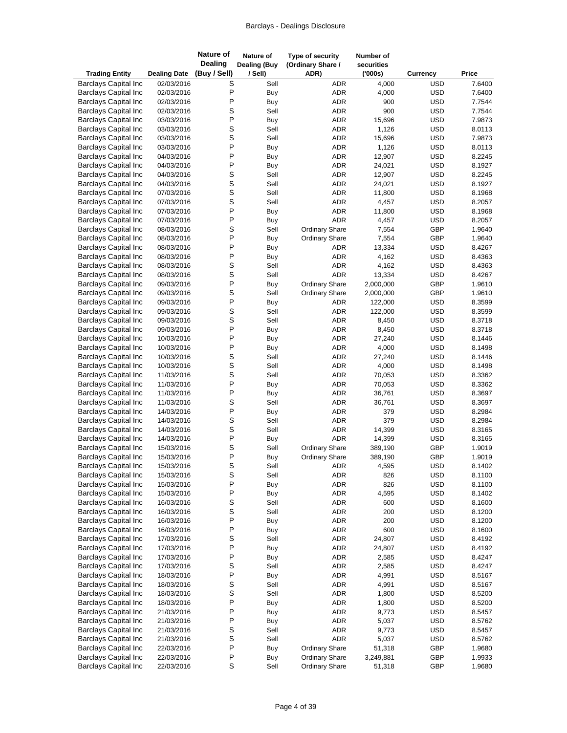| <b>Trading Entity</b>                                      | <b>Dealing Date</b>      | <b>Nature of</b><br><b>Dealing</b><br>(Buy / Sell) | Nature of<br><b>Dealing (Buy</b><br>/ Sell) | Type of security<br>(Ordinary Share /<br>ADR) | Number of<br>securities<br>(000s) | Currency                 | Price            |
|------------------------------------------------------------|--------------------------|----------------------------------------------------|---------------------------------------------|-----------------------------------------------|-----------------------------------|--------------------------|------------------|
| <b>Barclays Capital Inc</b>                                | 02/03/2016               | S                                                  | Sell                                        | <b>ADR</b>                                    | 4,000                             | <b>USD</b>               | 7.6400           |
| <b>Barclays Capital Inc</b>                                | 02/03/2016               | P                                                  | <b>Buy</b>                                  | <b>ADR</b>                                    | 4,000                             | <b>USD</b>               | 7.6400           |
| <b>Barclays Capital Inc</b>                                | 02/03/2016               | P                                                  | Buy                                         | <b>ADR</b>                                    | 900                               | <b>USD</b>               | 7.7544           |
| <b>Barclays Capital Inc</b>                                | 02/03/2016               | S                                                  | Sell                                        | <b>ADR</b>                                    | 900                               | <b>USD</b>               | 7.7544           |
| <b>Barclays Capital Inc</b>                                | 03/03/2016               | P                                                  | Buy                                         | <b>ADR</b>                                    | 15,696                            | <b>USD</b>               | 7.9873           |
| <b>Barclays Capital Inc</b>                                | 03/03/2016               | S                                                  | Sell                                        | <b>ADR</b>                                    | 1,126                             | <b>USD</b>               | 8.0113           |
| <b>Barclays Capital Inc</b>                                | 03/03/2016               | S                                                  | Sell                                        | <b>ADR</b>                                    | 15,696                            | <b>USD</b>               | 7.9873           |
| <b>Barclays Capital Inc</b>                                | 03/03/2016               | P                                                  | Buy                                         | <b>ADR</b>                                    | 1,126                             | <b>USD</b>               | 8.0113           |
| <b>Barclays Capital Inc</b>                                | 04/03/2016               | P                                                  | Buy                                         | <b>ADR</b>                                    | 12,907                            | <b>USD</b>               | 8.2245           |
| <b>Barclays Capital Inc</b>                                | 04/03/2016               | P                                                  | Buy                                         | ADR                                           | 24,021                            | <b>USD</b>               | 8.1927           |
| <b>Barclays Capital Inc</b>                                | 04/03/2016               | S                                                  | Sell                                        | <b>ADR</b>                                    | 12,907                            | <b>USD</b>               | 8.2245           |
| <b>Barclays Capital Inc</b>                                | 04/03/2016               | S                                                  | Sell                                        | <b>ADR</b>                                    | 24,021                            | <b>USD</b>               | 8.1927           |
| <b>Barclays Capital Inc</b>                                | 07/03/2016               | S                                                  | Sell                                        | ADR                                           | 11,800                            | <b>USD</b>               | 8.1968           |
| <b>Barclays Capital Inc</b>                                | 07/03/2016               | S                                                  | Sell                                        | <b>ADR</b>                                    | 4,457                             | <b>USD</b>               | 8.2057           |
| <b>Barclays Capital Inc</b>                                | 07/03/2016               | P                                                  | <b>Buy</b>                                  | <b>ADR</b>                                    | 11,800                            | <b>USD</b>               | 8.1968           |
| <b>Barclays Capital Inc</b>                                | 07/03/2016               | P                                                  | Buy                                         | <b>ADR</b>                                    | 4,457                             | <b>USD</b>               | 8.2057           |
| <b>Barclays Capital Inc</b>                                | 08/03/2016<br>08/03/2016 | S<br>P                                             | Sell                                        | <b>Ordinary Share</b>                         | 7,554                             | GBP<br>GBP               | 1.9640<br>1.9640 |
| <b>Barclays Capital Inc</b><br><b>Barclays Capital Inc</b> | 08/03/2016               | P                                                  | Buy                                         | <b>Ordinary Share</b>                         | 7,554<br>13,334                   | <b>USD</b>               | 8.4267           |
| <b>Barclays Capital Inc</b>                                |                          | P                                                  | Buy                                         | ADR<br><b>ADR</b>                             |                                   | <b>USD</b>               |                  |
| <b>Barclays Capital Inc</b>                                | 08/03/2016<br>08/03/2016 | S                                                  | Buy<br>Sell                                 | <b>ADR</b>                                    | 4,162<br>4,162                    | <b>USD</b>               | 8.4363<br>8.4363 |
| <b>Barclays Capital Inc</b>                                | 08/03/2016               | S                                                  | Sell                                        | <b>ADR</b>                                    | 13,334                            | <b>USD</b>               | 8.4267           |
| <b>Barclays Capital Inc</b>                                | 09/03/2016               | P                                                  | Buy                                         | <b>Ordinary Share</b>                         | 2,000,000                         | GBP                      | 1.9610           |
| <b>Barclays Capital Inc</b>                                | 09/03/2016               | S                                                  | Sell                                        | <b>Ordinary Share</b>                         | 2,000,000                         | GBP                      | 1.9610           |
| <b>Barclays Capital Inc</b>                                | 09/03/2016               | P                                                  | Buy                                         | ADR                                           | 122,000                           | <b>USD</b>               | 8.3599           |
| <b>Barclays Capital Inc</b>                                | 09/03/2016               | S                                                  | Sell                                        | ADR                                           | 122,000                           | <b>USD</b>               | 8.3599           |
| <b>Barclays Capital Inc</b>                                | 09/03/2016               | S                                                  | Sell                                        | ADR                                           | 8,450                             | <b>USD</b>               | 8.3718           |
| <b>Barclays Capital Inc</b>                                | 09/03/2016               | P                                                  | Buy                                         | ADR                                           | 8,450                             | <b>USD</b>               | 8.3718           |
| <b>Barclays Capital Inc</b>                                | 10/03/2016               | P                                                  | <b>Buy</b>                                  | <b>ADR</b>                                    | 27,240                            | <b>USD</b>               | 8.1446           |
| <b>Barclays Capital Inc</b>                                | 10/03/2016               | P                                                  | Buy                                         | ADR                                           | 4,000                             | <b>USD</b>               | 8.1498           |
| <b>Barclays Capital Inc</b>                                | 10/03/2016               | S                                                  | Sell                                        | ADR                                           | 27,240                            | <b>USD</b>               | 8.1446           |
| <b>Barclays Capital Inc</b>                                | 10/03/2016               | S                                                  | Sell                                        | <b>ADR</b>                                    | 4,000                             | <b>USD</b>               | 8.1498           |
| <b>Barclays Capital Inc</b>                                | 11/03/2016               | S                                                  | Sell                                        | ADR                                           | 70,053                            | <b>USD</b>               | 8.3362           |
| <b>Barclays Capital Inc</b>                                | 11/03/2016               | P                                                  | Buy                                         | ADR                                           | 70,053                            | <b>USD</b>               | 8.3362           |
| <b>Barclays Capital Inc</b>                                | 11/03/2016               | P                                                  | Buy                                         | <b>ADR</b>                                    | 36,761                            | <b>USD</b>               | 8.3697           |
| <b>Barclays Capital Inc</b>                                | 11/03/2016               | S                                                  | Sell                                        | <b>ADR</b>                                    | 36,761                            | <b>USD</b>               | 8.3697           |
| <b>Barclays Capital Inc</b>                                | 14/03/2016               | P                                                  | Buy                                         | ADR                                           | 379                               | <b>USD</b>               | 8.2984           |
| <b>Barclays Capital Inc</b>                                | 14/03/2016               | S                                                  | Sell                                        | <b>ADR</b>                                    | 379                               | <b>USD</b>               | 8.2984           |
| <b>Barclays Capital Inc</b>                                | 14/03/2016               | S                                                  | Sell                                        | <b>ADR</b>                                    | 14,399                            | <b>USD</b>               | 8.3165           |
| <b>Barclays Capital Inc</b>                                | 14/03/2016               | P                                                  | Buy                                         | <b>ADR</b>                                    | 14,399                            | <b>USD</b>               | 8.3165           |
| <b>Barclays Capital Inc</b>                                | 15/03/2016               | S                                                  | Sell                                        | <b>Ordinary Share</b>                         | 389,190                           | GBP                      | 1.9019           |
| <b>Barclays Capital Inc</b>                                | 15/03/2016               | P                                                  | Buy                                         | <b>Ordinary Share</b>                         | 389,190                           | GBP                      | 1.9019           |
| <b>Barclays Capital Inc</b>                                | 15/03/2016               | S                                                  | Sell                                        | ADR                                           | 4,595                             | <b>USD</b>               | 8.1402           |
| <b>Barclays Capital Inc</b>                                | 15/03/2016               | S                                                  | Sell                                        | ADR                                           | 826                               | <b>USD</b>               | 8.1100           |
| <b>Barclays Capital Inc</b>                                | 15/03/2016               | P                                                  | Buy                                         | ADR                                           | 826                               | <b>USD</b>               | 8.1100           |
| <b>Barclays Capital Inc</b>                                | 15/03/2016               | P                                                  | Buy                                         | ADR                                           | 4,595                             | <b>USD</b>               | 8.1402           |
| <b>Barclays Capital Inc</b>                                | 16/03/2016               | S                                                  | Sell                                        | ADR                                           | 600                               | <b>USD</b>               | 8.1600           |
| <b>Barclays Capital Inc</b>                                | 16/03/2016               | S                                                  | Sell                                        | ADR                                           | 200                               | <b>USD</b>               | 8.1200           |
| <b>Barclays Capital Inc</b>                                | 16/03/2016               | P                                                  | Buy                                         | ADR                                           | 200                               | <b>USD</b>               | 8.1200           |
| <b>Barclays Capital Inc</b>                                | 16/03/2016               | P                                                  | Buy                                         | ADR                                           | 600                               | <b>USD</b>               | 8.1600           |
| <b>Barclays Capital Inc</b><br><b>Barclays Capital Inc</b> | 17/03/2016<br>17/03/2016 | S<br>P                                             | Sell<br>Buy                                 | ADR<br>ADR                                    | 24,807<br>24,807                  | <b>USD</b><br><b>USD</b> | 8.4192<br>8.4192 |
| <b>Barclays Capital Inc</b>                                | 17/03/2016               | P                                                  | Buy                                         | ADR                                           | 2,585                             | <b>USD</b>               | 8.4247           |
| <b>Barclays Capital Inc</b>                                | 17/03/2016               | S                                                  | Sell                                        | ADR                                           | 2,585                             | <b>USD</b>               | 8.4247           |
| <b>Barclays Capital Inc</b>                                | 18/03/2016               | P                                                  | Buy                                         | ADR                                           | 4,991                             | <b>USD</b>               | 8.5167           |
| <b>Barclays Capital Inc</b>                                | 18/03/2016               | S                                                  | Sell                                        | ADR                                           | 4,991                             | <b>USD</b>               | 8.5167           |
| <b>Barclays Capital Inc</b>                                | 18/03/2016               | S                                                  | Sell                                        | ADR                                           | 1,800                             | <b>USD</b>               | 8.5200           |
| <b>Barclays Capital Inc</b>                                | 18/03/2016               | $\mathsf{P}$                                       | Buy                                         | ADR                                           | 1,800                             | <b>USD</b>               | 8.5200           |
| <b>Barclays Capital Inc</b>                                | 21/03/2016               | P                                                  | Buy                                         | ADR                                           | 9,773                             | <b>USD</b>               | 8.5457           |
| <b>Barclays Capital Inc</b>                                | 21/03/2016               | P                                                  | Buy                                         | ADR                                           | 5,037                             | <b>USD</b>               | 8.5762           |
| <b>Barclays Capital Inc</b>                                | 21/03/2016               | S                                                  | Sell                                        | ADR                                           | 9,773                             | <b>USD</b>               | 8.5457           |
| <b>Barclays Capital Inc</b>                                | 21/03/2016               | S                                                  | Sell                                        | <b>ADR</b>                                    | 5,037                             | <b>USD</b>               | 8.5762           |
| <b>Barclays Capital Inc</b>                                | 22/03/2016               | P                                                  | Buy                                         | <b>Ordinary Share</b>                         | 51,318                            | GBP                      | 1.9680           |
| <b>Barclays Capital Inc</b>                                | 22/03/2016               | $\sf P$                                            | Buy                                         | <b>Ordinary Share</b>                         | 3,249,881                         | GBP                      | 1.9933           |
| <b>Barclays Capital Inc</b>                                | 22/03/2016               | $\mathbf S$                                        | Sell                                        | <b>Ordinary Share</b>                         | 51,318                            | GBP                      | 1.9680           |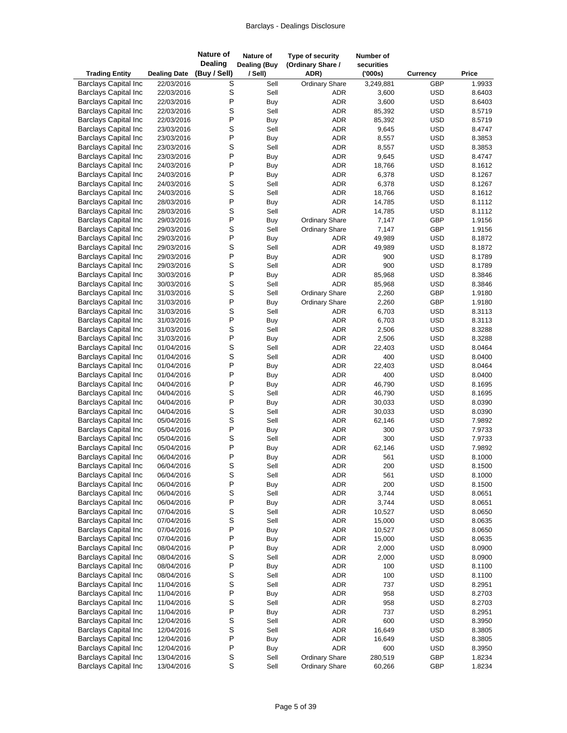| <b>Trading Entity</b>                                      | <b>Dealing Date</b>      | <b>Nature of</b><br><b>Dealing</b><br>(Buy / Sell) | Nature of<br><b>Dealing (Buy</b><br>/ Sell) | Type of security<br>(Ordinary Share /<br>ADR) | Number of<br>securities<br>(000s) | Currency                 | Price            |
|------------------------------------------------------------|--------------------------|----------------------------------------------------|---------------------------------------------|-----------------------------------------------|-----------------------------------|--------------------------|------------------|
| <b>Barclays Capital Inc</b>                                | 22/03/2016               | S                                                  | Sell                                        | <b>Ordinary Share</b>                         | 3,249,881                         | GBP                      | 1.9933           |
| <b>Barclays Capital Inc</b>                                | 22/03/2016               | S                                                  | Sell                                        | ADR                                           | 3,600                             | <b>USD</b>               | 8.6403           |
| <b>Barclays Capital Inc</b>                                | 22/03/2016               | P                                                  | Buy                                         | <b>ADR</b>                                    | 3,600                             | <b>USD</b>               | 8.6403           |
| <b>Barclays Capital Inc</b>                                | 22/03/2016               | S                                                  | Sell                                        | <b>ADR</b>                                    | 85,392                            | <b>USD</b>               | 8.5719           |
| <b>Barclays Capital Inc</b>                                | 22/03/2016               | P                                                  | Buy                                         | ADR                                           | 85,392                            | <b>USD</b>               | 8.5719           |
| <b>Barclays Capital Inc</b>                                | 23/03/2016               | S                                                  | Sell                                        | ADR                                           | 9,645                             | <b>USD</b>               | 8.4747           |
| <b>Barclays Capital Inc</b>                                | 23/03/2016               | P                                                  | Buy                                         | <b>ADR</b>                                    | 8,557                             | <b>USD</b>               | 8.3853           |
| <b>Barclays Capital Inc</b>                                | 23/03/2016               | S                                                  | Sell                                        | <b>ADR</b>                                    | 8,557                             | <b>USD</b>               | 8.3853           |
| <b>Barclays Capital Inc</b>                                | 23/03/2016               | P<br>P                                             | Buy                                         | <b>ADR</b>                                    | 9,645                             | <b>USD</b>               | 8.4747           |
| <b>Barclays Capital Inc</b><br><b>Barclays Capital Inc</b> | 24/03/2016               | P                                                  | Buy                                         | ADR<br><b>ADR</b>                             | 18,766                            | <b>USD</b>               | 8.1612           |
| <b>Barclays Capital Inc</b>                                | 24/03/2016<br>24/03/2016 | S                                                  | Buy<br>Sell                                 | <b>ADR</b>                                    | 6,378<br>6,378                    | <b>USD</b><br><b>USD</b> | 8.1267<br>8.1267 |
| <b>Barclays Capital Inc</b>                                | 24/03/2016               | S                                                  | Sell                                        | ADR                                           | 18,766                            | <b>USD</b>               | 8.1612           |
| <b>Barclays Capital Inc</b>                                | 28/03/2016               | P                                                  | Buy                                         | <b>ADR</b>                                    | 14,785                            | <b>USD</b>               | 8.1112           |
| <b>Barclays Capital Inc</b>                                | 28/03/2016               | S                                                  | Sell                                        | <b>ADR</b>                                    | 14,785                            | <b>USD</b>               | 8.1112           |
| <b>Barclays Capital Inc</b>                                | 29/03/2016               | P                                                  | Buy                                         | Ordinary Share                                | 7,147                             | GBP                      | 1.9156           |
| <b>Barclays Capital Inc</b>                                | 29/03/2016               | S                                                  | Sell                                        | <b>Ordinary Share</b>                         | 7,147                             | GBP                      | 1.9156           |
| <b>Barclays Capital Inc</b>                                | 29/03/2016               | P                                                  | Buy                                         | <b>ADR</b>                                    | 49,989                            | <b>USD</b>               | 8.1872           |
| <b>Barclays Capital Inc</b>                                | 29/03/2016               | S                                                  | Sell                                        | ADR                                           | 49,989                            | <b>USD</b>               | 8.1872           |
| <b>Barclays Capital Inc</b>                                | 29/03/2016               | P                                                  | Buy                                         | <b>ADR</b>                                    | 900                               | <b>USD</b>               | 8.1789           |
| <b>Barclays Capital Inc</b>                                | 29/03/2016               | S                                                  | Sell                                        | <b>ADR</b>                                    | 900                               | <b>USD</b>               | 8.1789           |
| <b>Barclays Capital Inc</b>                                | 30/03/2016               | P                                                  | Buy                                         | <b>ADR</b>                                    | 85,968                            | <b>USD</b>               | 8.3846           |
| <b>Barclays Capital Inc</b>                                | 30/03/2016               | S                                                  | Sell                                        | <b>ADR</b>                                    | 85,968                            | <b>USD</b>               | 8.3846           |
| <b>Barclays Capital Inc</b>                                | 31/03/2016               | S                                                  | Sell                                        | <b>Ordinary Share</b>                         | 2,260                             | GBP                      | 1.9180           |
| <b>Barclays Capital Inc</b>                                | 31/03/2016               | P                                                  | Buy                                         | <b>Ordinary Share</b>                         | 2,260                             | GBP                      | 1.9180           |
| <b>Barclays Capital Inc</b>                                | 31/03/2016               | S                                                  | Sell                                        | ADR                                           | 6,703                             | <b>USD</b>               | 8.3113           |
| <b>Barclays Capital Inc</b>                                | 31/03/2016               | P                                                  | Buy                                         | ADR                                           | 6,703                             | <b>USD</b>               | 8.3113           |
| <b>Barclays Capital Inc</b>                                | 31/03/2016               | S                                                  | Sell                                        | ADR                                           | 2,506                             | <b>USD</b>               | 8.3288           |
| <b>Barclays Capital Inc</b><br><b>Barclays Capital Inc</b> | 31/03/2016               | P<br>S                                             | Buy<br>Sell                                 | <b>ADR</b>                                    | 2,506                             | <b>USD</b><br><b>USD</b> | 8.3288<br>8.0464 |
| <b>Barclays Capital Inc</b>                                | 01/04/2016<br>01/04/2016 | S                                                  | Sell                                        | ADR<br>ADR                                    | 22,403<br>400                     | <b>USD</b>               | 8.0400           |
| <b>Barclays Capital Inc</b>                                | 01/04/2016               | Ρ                                                  | <b>Buy</b>                                  | <b>ADR</b>                                    | 22,403                            | <b>USD</b>               | 8.0464           |
| <b>Barclays Capital Inc</b>                                | 01/04/2016               | P                                                  | Buy                                         | ADR                                           | 400                               | <b>USD</b>               | 8.0400           |
| <b>Barclays Capital Inc</b>                                | 04/04/2016               | P                                                  | Buy                                         | ADR                                           | 46,790                            | <b>USD</b>               | 8.1695           |
| <b>Barclays Capital Inc</b>                                | 04/04/2016               | S                                                  | Sell                                        | <b>ADR</b>                                    | 46,790                            | <b>USD</b>               | 8.1695           |
| <b>Barclays Capital Inc</b>                                | 04/04/2016               | P                                                  | Buy                                         | <b>ADR</b>                                    | 30,033                            | <b>USD</b>               | 8.0390           |
| <b>Barclays Capital Inc</b>                                | 04/04/2016               | S                                                  | Sell                                        | ADR                                           | 30,033                            | <b>USD</b>               | 8.0390           |
| <b>Barclays Capital Inc</b>                                | 05/04/2016               | S                                                  | Sell                                        | ADR                                           | 62,146                            | <b>USD</b>               | 7.9892           |
| <b>Barclays Capital Inc</b>                                | 05/04/2016               | P                                                  | Buy                                         | <b>ADR</b>                                    | 300                               | <b>USD</b>               | 7.9733           |
| <b>Barclays Capital Inc</b>                                | 05/04/2016               | S                                                  | Sell                                        | <b>ADR</b>                                    | 300                               | <b>USD</b>               | 7.9733           |
| <b>Barclays Capital Inc</b>                                | 05/04/2016               | P                                                  | <b>Buy</b>                                  | <b>ADR</b>                                    | 62,146                            | <b>USD</b>               | 7.9892           |
| <b>Barclays Capital Inc</b>                                | 06/04/2016               | P                                                  | Buy                                         | <b>ADR</b>                                    | 561                               | <b>USD</b>               | 8.1000           |
| <b>Barclays Capital Inc</b>                                | 06/04/2016               | S                                                  | Sell                                        | ADR                                           | 200                               | <b>USD</b>               | 8.1500           |
| <b>Barclays Capital Inc</b>                                | 06/04/2016               | S<br>P                                             | Sell                                        | ADR                                           | 561<br>200                        | <b>USD</b>               | 8.1000           |
| <b>Barclays Capital Inc</b><br><b>Barclays Capital Inc</b> | 06/04/2016<br>06/04/2016 | S                                                  | Buy<br>Sell                                 | ADR<br>ADR                                    | 3,744                             | <b>USD</b><br><b>USD</b> | 8.1500<br>8.0651 |
| <b>Barclays Capital Inc</b>                                | 06/04/2016               | P                                                  | Buy                                         | ADR                                           | 3,744                             | <b>USD</b>               | 8.0651           |
| <b>Barclays Capital Inc</b>                                | 07/04/2016               | S                                                  | Sell                                        | ADR                                           | 10,527                            | <b>USD</b>               | 8.0650           |
| <b>Barclays Capital Inc</b>                                | 07/04/2016               | S                                                  | Sell                                        | ADR                                           | 15,000                            | <b>USD</b>               | 8.0635           |
| <b>Barclays Capital Inc</b>                                | 07/04/2016               | P                                                  | Buy                                         | ADR                                           | 10,527                            | <b>USD</b>               | 8.0650           |
| <b>Barclays Capital Inc</b>                                | 07/04/2016               | P                                                  | <b>Buy</b>                                  | ADR                                           | 15,000                            | <b>USD</b>               | 8.0635           |
| <b>Barclays Capital Inc</b>                                | 08/04/2016               | P                                                  | Buy                                         | ADR                                           | 2,000                             | <b>USD</b>               | 8.0900           |
| <b>Barclays Capital Inc</b>                                | 08/04/2016               | S                                                  | Sell                                        | ADR                                           | 2,000                             | <b>USD</b>               | 8.0900           |
| <b>Barclays Capital Inc</b>                                | 08/04/2016               | P                                                  | Buy                                         | ADR                                           | 100                               | <b>USD</b>               | 8.1100           |
| <b>Barclays Capital Inc</b>                                | 08/04/2016               | S                                                  | Sell                                        | ADR                                           | 100                               | <b>USD</b>               | 8.1100           |
| <b>Barclays Capital Inc</b>                                | 11/04/2016               | S                                                  | Sell                                        | ADR                                           | 737                               | <b>USD</b>               | 8.2951           |
| <b>Barclays Capital Inc</b>                                | 11/04/2016               | P                                                  | Buy                                         | ADR                                           | 958                               | <b>USD</b>               | 8.2703           |
| <b>Barclays Capital Inc</b>                                | 11/04/2016               | S                                                  | Sell                                        | ADR                                           | 958                               | <b>USD</b>               | 8.2703           |
| <b>Barclays Capital Inc</b>                                | 11/04/2016               | P                                                  | Buy                                         | ADR                                           | 737                               | <b>USD</b>               | 8.2951           |
| <b>Barclays Capital Inc</b>                                | 12/04/2016               | S                                                  | Sell                                        | ADR                                           | 600                               | <b>USD</b>               | 8.3950           |
| <b>Barclays Capital Inc</b>                                | 12/04/2016               | S                                                  | Sell                                        | ADR                                           | 16,649                            | <b>USD</b>               | 8.3805           |
| <b>Barclays Capital Inc</b>                                | 12/04/2016               | P                                                  | Buy                                         | ADR                                           | 16,649                            | <b>USD</b>               | 8.3805           |
| <b>Barclays Capital Inc</b><br><b>Barclays Capital Inc</b> | 12/04/2016<br>13/04/2016 | P<br>S                                             | Buy<br>Sell                                 | ADR<br><b>Ordinary Share</b>                  | 600<br>280,519                    | <b>USD</b><br>GBP        | 8.3950<br>1.8234 |
| <b>Barclays Capital Inc</b>                                | 13/04/2016               | $\mathbf S$                                        | Sell                                        | <b>Ordinary Share</b>                         | 60,266                            | GBP                      | 1.8234           |
|                                                            |                          |                                                    |                                             |                                               |                                   |                          |                  |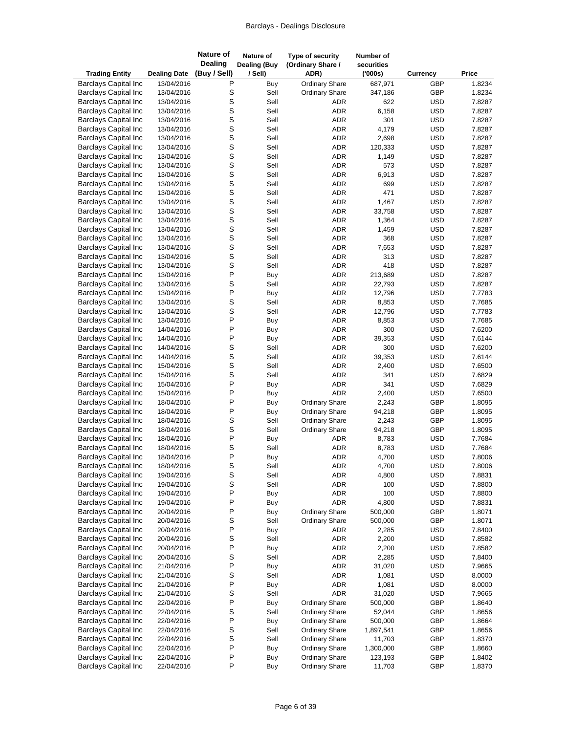| <b>Trading Entity</b>                                      | <b>Dealing Date</b>      | <b>Nature of</b><br><b>Dealing</b><br>(Buy / Sell) | Nature of<br><b>Dealing (Buy</b><br>/ Sell) | Type of security<br>(Ordinary Share /<br>ADR) | Number of<br>securities<br>(000s) | <b>Currency</b>          | Price            |
|------------------------------------------------------------|--------------------------|----------------------------------------------------|---------------------------------------------|-----------------------------------------------|-----------------------------------|--------------------------|------------------|
| <b>Barclays Capital Inc</b>                                | 13/04/2016               | P                                                  | Buy                                         | <b>Ordinary Share</b>                         | 687,971                           | GBP                      | 1.8234           |
| <b>Barclays Capital Inc</b>                                | 13/04/2016               | S                                                  | Sell                                        | <b>Ordinary Share</b>                         | 347,186                           | GBP                      | 1.8234           |
| <b>Barclays Capital Inc</b>                                | 13/04/2016               | S                                                  | Sell                                        | ADR                                           | 622                               | <b>USD</b>               | 7.8287           |
| <b>Barclays Capital Inc</b>                                | 13/04/2016               | S                                                  | Sell                                        | <b>ADR</b>                                    | 6,158                             | <b>USD</b>               | 7.8287           |
| <b>Barclays Capital Inc</b>                                | 13/04/2016               | S                                                  | Sell                                        | ADR                                           | 301                               | <b>USD</b>               | 7.8287           |
| <b>Barclays Capital Inc</b>                                | 13/04/2016               | S                                                  | Sell                                        | <b>ADR</b>                                    | 4,179                             | <b>USD</b>               | 7.8287           |
| <b>Barclays Capital Inc</b>                                | 13/04/2016               | S                                                  | Sell                                        | <b>ADR</b>                                    | 2,698                             | <b>USD</b>               | 7.8287           |
| <b>Barclays Capital Inc</b>                                | 13/04/2016               | S                                                  | Sell                                        | <b>ADR</b>                                    | 120,333                           | <b>USD</b>               | 7.8287           |
| <b>Barclays Capital Inc</b>                                | 13/04/2016               | S                                                  | Sell                                        | <b>ADR</b>                                    | 1,149                             | <b>USD</b>               | 7.8287           |
| <b>Barclays Capital Inc</b>                                | 13/04/2016               | S                                                  | Sell                                        | ADR                                           | 573                               | <b>USD</b>               | 7.8287           |
| <b>Barclays Capital Inc</b>                                | 13/04/2016               | S                                                  | Sell                                        | ADR<br><b>ADR</b>                             | 6,913                             | <b>USD</b>               | 7.8287           |
| <b>Barclays Capital Inc</b><br><b>Barclays Capital Inc</b> | 13/04/2016<br>13/04/2016 | S<br>S                                             | Sell<br>Sell                                | ADR                                           | 699<br>471                        | <b>USD</b><br><b>USD</b> | 7.8287<br>7.8287 |
| <b>Barclays Capital Inc</b>                                | 13/04/2016               | S                                                  | Sell                                        | ADR                                           | 1,467                             | <b>USD</b>               | 7.8287           |
| <b>Barclays Capital Inc</b>                                | 13/04/2016               | S                                                  | Sell                                        | ADR                                           | 33,758                            | <b>USD</b>               | 7.8287           |
| <b>Barclays Capital Inc</b>                                | 13/04/2016               | S                                                  | Sell                                        | ADR                                           | 1,364                             | <b>USD</b>               | 7.8287           |
| <b>Barclays Capital Inc</b>                                | 13/04/2016               | S                                                  | Sell                                        | ADR                                           | 1,459                             | <b>USD</b>               | 7.8287           |
| <b>Barclays Capital Inc</b>                                | 13/04/2016               | S                                                  | Sell                                        | <b>ADR</b>                                    | 368                               | <b>USD</b>               | 7.8287           |
| <b>Barclays Capital Inc</b>                                | 13/04/2016               | S                                                  | Sell                                        | ADR                                           | 7,653                             | <b>USD</b>               | 7.8287           |
| <b>Barclays Capital Inc</b>                                | 13/04/2016               | S                                                  | Sell                                        | ADR                                           | 313                               | <b>USD</b>               | 7.8287           |
| <b>Barclays Capital Inc</b>                                | 13/04/2016               | S                                                  | Sell                                        | ADR                                           | 418                               | <b>USD</b>               | 7.8287           |
| <b>Barclays Capital Inc</b>                                | 13/04/2016               | P                                                  | Buy                                         | ADR                                           | 213,689                           | <b>USD</b>               | 7.8287           |
| <b>Barclays Capital Inc</b>                                | 13/04/2016               | S                                                  | Sell                                        | ADR                                           | 22,793                            | <b>USD</b>               | 7.8287           |
| <b>Barclays Capital Inc</b>                                | 13/04/2016               | P                                                  | Buy                                         | <b>ADR</b>                                    | 12,796                            | <b>USD</b>               | 7.7783           |
| <b>Barclays Capital Inc</b>                                | 13/04/2016               | S                                                  | Sell                                        | ADR                                           | 8,853                             | <b>USD</b>               | 7.7685           |
| <b>Barclays Capital Inc</b>                                | 13/04/2016               | S                                                  | Sell                                        | ADR                                           | 12,796                            | <b>USD</b>               | 7.7783           |
| <b>Barclays Capital Inc</b>                                | 13/04/2016               | P                                                  | Buy                                         | ADR                                           | 8,853                             | <b>USD</b>               | 7.7685           |
| <b>Barclays Capital Inc</b>                                | 14/04/2016               | P                                                  | Buy                                         | ADR                                           | 300                               | <b>USD</b>               | 7.6200           |
| <b>Barclays Capital Inc</b>                                | 14/04/2016               | P                                                  | Buy                                         | ADR                                           | 39,353                            | <b>USD</b>               | 7.6144           |
| <b>Barclays Capital Inc</b>                                | 14/04/2016               | S                                                  | Sell                                        | ADR                                           | 300                               | <b>USD</b>               | 7.6200           |
| <b>Barclays Capital Inc</b>                                | 14/04/2016               | S                                                  | Sell                                        | ADR                                           | 39,353                            | <b>USD</b>               | 7.6144           |
| <b>Barclays Capital Inc</b>                                | 15/04/2016               | S                                                  | Sell                                        | ADR                                           | 2,400                             | <b>USD</b>               | 7.6500           |
| <b>Barclays Capital Inc</b><br><b>Barclays Capital Inc</b> | 15/04/2016<br>15/04/2016 | S<br>P                                             | Sell                                        | <b>ADR</b><br><b>ADR</b>                      | 341<br>341                        | <b>USD</b><br><b>USD</b> | 7.6829<br>7.6829 |
| <b>Barclays Capital Inc</b>                                | 15/04/2016               | P                                                  | Buy<br>Buy                                  | <b>ADR</b>                                    | 2,400                             | <b>USD</b>               | 7.6500           |
| <b>Barclays Capital Inc</b>                                | 18/04/2016               | P                                                  | Buy                                         | <b>Ordinary Share</b>                         | 2,243                             | GBP                      | 1.8095           |
| <b>Barclays Capital Inc</b>                                | 18/04/2016               | P                                                  | Buy                                         | <b>Ordinary Share</b>                         | 94,218                            | GBP                      | 1.8095           |
| <b>Barclays Capital Inc</b>                                | 18/04/2016               | S                                                  | Sell                                        | <b>Ordinary Share</b>                         | 2,243                             | GBP                      | 1.8095           |
| <b>Barclays Capital Inc</b>                                | 18/04/2016               | S                                                  | Sell                                        | <b>Ordinary Share</b>                         | 94,218                            | GBP                      | 1.8095           |
| <b>Barclays Capital Inc</b>                                | 18/04/2016               | P                                                  | Buy                                         | <b>ADR</b>                                    | 8,783                             | <b>USD</b>               | 7.7684           |
| <b>Barclays Capital Inc</b>                                | 18/04/2016               | S                                                  | Sell                                        | ADR                                           | 8,783                             | <b>USD</b>               | 7.7684           |
| <b>Barclays Capital Inc</b>                                | 18/04/2016               | P                                                  | Buy                                         | <b>ADR</b>                                    | 4,700                             | <b>USD</b>               | 7.8006           |
| <b>Barclays Capital Inc</b>                                | 18/04/2016               | S                                                  | Sell                                        | ADR                                           | 4,700                             | <b>USD</b>               | 7.8006           |
| <b>Barclays Capital Inc</b>                                | 19/04/2016               | S                                                  | Sell                                        | ADR                                           | 4,800                             | <b>USD</b>               | 7.8831           |
| <b>Barclays Capital Inc</b>                                | 19/04/2016               | S                                                  | Sell                                        | ADR                                           | 100                               | <b>USD</b>               | 7.8800           |
| <b>Barclays Capital Inc</b>                                | 19/04/2016               | P                                                  | Buy                                         | ADR                                           | 100                               | <b>USD</b>               | 7.8800           |
| <b>Barclays Capital Inc</b>                                | 19/04/2016               | P                                                  | Buy                                         | ADR                                           | 4,800                             | <b>USD</b>               | 7.8831           |
| <b>Barclays Capital Inc</b>                                | 20/04/2016               | P                                                  | Buy                                         | <b>Ordinary Share</b>                         | 500,000                           | GBP                      | 1.8071           |
| <b>Barclays Capital Inc</b>                                | 20/04/2016               | S                                                  | Sell                                        | <b>Ordinary Share</b>                         | 500,000                           | GBP                      | 1.8071           |
| <b>Barclays Capital Inc</b>                                | 20/04/2016               | P                                                  | Buy                                         | ADR                                           | 2,285                             | <b>USD</b>               | 7.8400           |
| <b>Barclays Capital Inc</b>                                | 20/04/2016               | S                                                  | Sell                                        | ADR                                           | 2,200                             | <b>USD</b>               | 7.8582           |
| <b>Barclays Capital Inc</b><br><b>Barclays Capital Inc</b> | 20/04/2016               | P<br>S                                             | Buy<br>Sell                                 | ADR<br>ADR                                    | 2,200<br>2,285                    | <b>USD</b><br><b>USD</b> | 7.8582<br>7.8400 |
| <b>Barclays Capital Inc</b>                                | 20/04/2016<br>21/04/2016 | P                                                  |                                             | <b>ADR</b>                                    | 31,020                            | <b>USD</b>               | 7.9665           |
| <b>Barclays Capital Inc</b>                                | 21/04/2016               | S                                                  | Buy<br>Sell                                 | ADR                                           | 1,081                             | <b>USD</b>               | 8.0000           |
| <b>Barclays Capital Inc</b>                                | 21/04/2016               | P                                                  | Buy                                         | ADR                                           | 1,081                             | <b>USD</b>               | 8.0000           |
| <b>Barclays Capital Inc</b>                                | 21/04/2016               | S                                                  | Sell                                        | <b>ADR</b>                                    | 31,020                            | <b>USD</b>               | 7.9665           |
| <b>Barclays Capital Inc</b>                                | 22/04/2016               | $\mathsf{P}$                                       | Buy                                         | <b>Ordinary Share</b>                         | 500,000                           | GBP                      | 1.8640           |
| <b>Barclays Capital Inc</b>                                | 22/04/2016               | S                                                  | Sell                                        | <b>Ordinary Share</b>                         | 52,044                            | GBP                      | 1.8656           |
| <b>Barclays Capital Inc</b>                                | 22/04/2016               | P                                                  | Buy                                         | <b>Ordinary Share</b>                         | 500,000                           | GBP                      | 1.8664           |
| <b>Barclays Capital Inc</b>                                | 22/04/2016               | S                                                  | Sell                                        | <b>Ordinary Share</b>                         | 1,897,541                         | GBP                      | 1.8656           |
| <b>Barclays Capital Inc</b>                                | 22/04/2016               | S                                                  | Sell                                        | <b>Ordinary Share</b>                         | 11,703                            | GBP                      | 1.8370           |
| <b>Barclays Capital Inc</b>                                | 22/04/2016               | P                                                  | Buy                                         | <b>Ordinary Share</b>                         | 1,300,000                         | GBP                      | 1.8660           |
| <b>Barclays Capital Inc</b>                                | 22/04/2016               | P                                                  | Buy                                         | <b>Ordinary Share</b>                         | 123,193                           | GBP                      | 1.8402           |
| <b>Barclays Capital Inc</b>                                | 22/04/2016               | P                                                  | Buy                                         | <b>Ordinary Share</b>                         | 11,703                            | GBP                      | 1.8370           |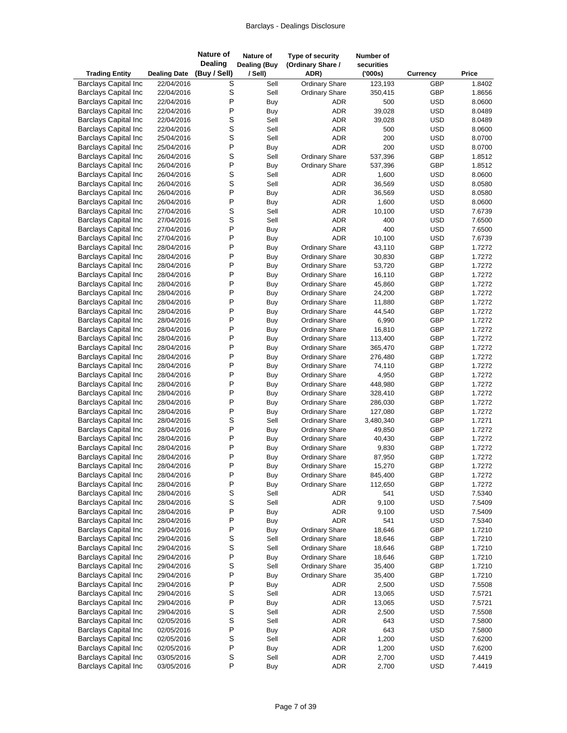| <b>Trading Entity</b>       | <b>Dealing Date</b> | <b>Nature of</b><br><b>Dealing</b><br>(Buy / Sell) | Nature of<br><b>Dealing (Buy</b><br>/ Sell) | Type of security<br>(Ordinary Share /<br>ADR) | Number of<br>securities<br>(000s) | <b>Currency</b> | Price  |
|-----------------------------|---------------------|----------------------------------------------------|---------------------------------------------|-----------------------------------------------|-----------------------------------|-----------------|--------|
| <b>Barclays Capital Inc</b> | 22/04/2016          | S                                                  | Sell                                        | Ordinary Share                                | 123,193                           | GBP             | 1.8402 |
| <b>Barclays Capital Inc</b> | 22/04/2016          | S                                                  | Sell                                        | <b>Ordinary Share</b>                         | 350,415                           | GBP             | 1.8656 |
| <b>Barclays Capital Inc</b> | 22/04/2016          | P                                                  | Buy                                         | ADR                                           | 500                               | <b>USD</b>      | 8.0600 |
| <b>Barclays Capital Inc</b> | 22/04/2016          | P                                                  | Buy                                         | <b>ADR</b>                                    | 39,028                            | <b>USD</b>      | 8.0489 |
| <b>Barclays Capital Inc</b> | 22/04/2016          | S                                                  | Sell                                        | <b>ADR</b>                                    | 39,028                            | <b>USD</b>      | 8.0489 |
| <b>Barclays Capital Inc</b> | 22/04/2016          | $\mathsf S$                                        | Sell                                        | <b>ADR</b>                                    | 500                               | <b>USD</b>      | 8.0600 |
| <b>Barclays Capital Inc</b> | 25/04/2016          | S                                                  | Sell                                        | <b>ADR</b>                                    | 200                               | <b>USD</b>      | 8.0700 |
| <b>Barclays Capital Inc</b> | 25/04/2016          | P                                                  | Buy                                         | <b>ADR</b>                                    | 200                               | <b>USD</b>      | 8.0700 |
| <b>Barclays Capital Inc</b> | 26/04/2016          | S                                                  | Sell                                        | <b>Ordinary Share</b>                         | 537,396                           | GBP             | 1.8512 |
| <b>Barclays Capital Inc</b> | 26/04/2016          | P                                                  | Buy                                         | <b>Ordinary Share</b>                         | 537,396                           | GBP             | 1.8512 |
| <b>Barclays Capital Inc</b> | 26/04/2016          | S                                                  | Sell                                        | <b>ADR</b>                                    | 1,600                             | <b>USD</b>      | 8.0600 |
| <b>Barclays Capital Inc</b> | 26/04/2016          | S                                                  | Sell                                        | <b>ADR</b>                                    | 36,569                            | <b>USD</b>      | 8.0580 |
| <b>Barclays Capital Inc</b> | 26/04/2016          | P                                                  | Buy                                         | <b>ADR</b>                                    | 36,569                            | <b>USD</b>      | 8.0580 |
| <b>Barclays Capital Inc</b> | 26/04/2016          | P                                                  | Buy                                         | ADR                                           | 1,600                             | <b>USD</b>      | 8.0600 |
| <b>Barclays Capital Inc</b> | 27/04/2016          | S                                                  | Sell                                        | <b>ADR</b>                                    | 10,100                            | <b>USD</b>      | 7.6739 |
| <b>Barclays Capital Inc</b> | 27/04/2016          | S                                                  | Sell                                        | ADR                                           | 400                               | <b>USD</b>      | 7.6500 |
| <b>Barclays Capital Inc</b> | 27/04/2016          | P                                                  | Buy                                         | ADR                                           | 400                               | <b>USD</b>      | 7.6500 |
| <b>Barclays Capital Inc</b> | 27/04/2016          | P                                                  | Buy                                         | <b>ADR</b>                                    | 10,100                            | <b>USD</b>      | 7.6739 |
| <b>Barclays Capital Inc</b> | 28/04/2016          | P                                                  | Buy                                         | Ordinary Share                                | 43,110                            | GBP             | 1.7272 |
| <b>Barclays Capital Inc</b> | 28/04/2016          | P                                                  | Buy                                         | <b>Ordinary Share</b>                         | 30,830                            | GBP             | 1.7272 |
| <b>Barclays Capital Inc</b> | 28/04/2016          | P                                                  | Buy                                         | <b>Ordinary Share</b>                         | 53,720                            | GBP             | 1.7272 |
| <b>Barclays Capital Inc</b> | 28/04/2016          | P                                                  | Buy                                         | <b>Ordinary Share</b>                         | 16,110                            | GBP             | 1.7272 |
| <b>Barclays Capital Inc</b> | 28/04/2016          | P                                                  | Buy                                         | <b>Ordinary Share</b>                         | 45,860                            | GBP             | 1.7272 |
| <b>Barclays Capital Inc</b> | 28/04/2016          | P                                                  | Buy                                         | <b>Ordinary Share</b>                         | 24,200                            | GBP             | 1.7272 |
| <b>Barclays Capital Inc</b> | 28/04/2016          | P                                                  | Buy                                         | <b>Ordinary Share</b>                         | 11,880                            | GBP             | 1.7272 |
| <b>Barclays Capital Inc</b> | 28/04/2016          | P                                                  | Buy                                         | <b>Ordinary Share</b>                         | 44,540                            | GBP             | 1.7272 |
| <b>Barclays Capital Inc</b> | 28/04/2016          | P                                                  | Buy                                         | <b>Ordinary Share</b>                         | 6,990                             | GBP             | 1.7272 |
| <b>Barclays Capital Inc</b> | 28/04/2016          | P                                                  | Buy                                         | <b>Ordinary Share</b>                         | 16,810                            | GBP             | 1.7272 |
| <b>Barclays Capital Inc</b> | 28/04/2016          | P                                                  | Buy                                         | <b>Ordinary Share</b>                         | 113,400                           | GBP             | 1.7272 |
| <b>Barclays Capital Inc</b> | 28/04/2016          | P                                                  | Buy                                         | <b>Ordinary Share</b>                         | 365,470                           | GBP             | 1.7272 |
| <b>Barclays Capital Inc</b> | 28/04/2016          | P                                                  | Buy                                         | <b>Ordinary Share</b>                         | 276,480                           | GBP             | 1.7272 |
| <b>Barclays Capital Inc</b> | 28/04/2016          | P                                                  | Buy                                         | <b>Ordinary Share</b>                         | 74,110                            | GBP             | 1.7272 |
| <b>Barclays Capital Inc</b> | 28/04/2016          | P                                                  | Buy                                         | <b>Ordinary Share</b>                         | 4,950                             | GBP             | 1.7272 |
| <b>Barclays Capital Inc</b> | 28/04/2016          | P                                                  | Buy                                         | <b>Ordinary Share</b>                         | 448,980                           | GBP             | 1.7272 |
| <b>Barclays Capital Inc</b> | 28/04/2016          | P                                                  | Buy                                         | <b>Ordinary Share</b>                         | 328,410                           | GBP             | 1.7272 |
| <b>Barclays Capital Inc</b> | 28/04/2016          | P                                                  | Buy                                         | <b>Ordinary Share</b>                         | 286,030                           | GBP             | 1.7272 |
| <b>Barclays Capital Inc</b> | 28/04/2016          | P                                                  | Buy                                         | <b>Ordinary Share</b>                         | 127,080                           | GBP             | 1.7272 |
| <b>Barclays Capital Inc</b> | 28/04/2016          | S                                                  | Sell                                        | <b>Ordinary Share</b>                         | 3,480,340                         | GBP             | 1.7271 |
| <b>Barclays Capital Inc</b> | 28/04/2016          | P                                                  | Buy                                         | <b>Ordinary Share</b>                         | 49,850                            | GBP             | 1.7272 |
| <b>Barclays Capital Inc</b> | 28/04/2016          | P                                                  | Buy                                         | <b>Ordinary Share</b>                         | 40,430                            | GBP             | 1.7272 |
| <b>Barclays Capital Inc</b> | 28/04/2016          | P                                                  | Buy                                         | <b>Ordinary Share</b>                         | 9,830                             | GBP             | 1.7272 |
| <b>Barclays Capital Inc</b> | 28/04/2016          | P                                                  | Buy                                         | <b>Ordinary Share</b>                         | 87,950                            | GBP             | 1.7272 |
| <b>Barclays Capital Inc</b> | 28/04/2016          | $\sf P$                                            | Buy                                         | <b>Ordinary Share</b>                         | 15,270                            | GBP             | 1.7272 |
| <b>Barclays Capital Inc</b> | 28/04/2016          | P                                                  | Buy                                         | <b>Ordinary Share</b>                         | 845,400                           | GBP             | 1.7272 |
| <b>Barclays Capital Inc</b> | 28/04/2016          | P                                                  | Buy                                         | <b>Ordinary Share</b>                         | 112,650                           | GBP             | 1.7272 |
| <b>Barclays Capital Inc</b> | 28/04/2016          | S                                                  | Sell                                        | ADR                                           | 541                               | <b>USD</b>      | 7.5340 |
| <b>Barclays Capital Inc</b> | 28/04/2016          | $\mbox{\bf S}$                                     | Sell                                        | ADR                                           | 9,100                             | <b>USD</b>      | 7.5409 |
| <b>Barclays Capital Inc</b> | 28/04/2016          | P                                                  | Buy                                         | ADR                                           | 9,100                             | <b>USD</b>      | 7.5409 |
| <b>Barclays Capital Inc</b> | 28/04/2016          | P                                                  | Buy                                         | <b>ADR</b>                                    | 541                               | <b>USD</b>      | 7.5340 |
| <b>Barclays Capital Inc</b> | 29/04/2016          | $\sf P$                                            | Buy                                         | <b>Ordinary Share</b>                         | 18,646                            | GBP             | 1.7210 |
| <b>Barclays Capital Inc</b> | 29/04/2016          | $\mbox{\bf S}$                                     | Sell                                        | <b>Ordinary Share</b>                         | 18,646                            | GBP             | 1.7210 |
| <b>Barclays Capital Inc</b> | 29/04/2016          | $\mbox{\bf S}$                                     | Sell                                        | <b>Ordinary Share</b>                         | 18,646                            | GBP             | 1.7210 |
| <b>Barclays Capital Inc</b> | 29/04/2016          | P                                                  | Buy                                         | <b>Ordinary Share</b>                         | 18,646                            | GBP             | 1.7210 |
| <b>Barclays Capital Inc</b> | 29/04/2016          | $\mbox{\bf S}$                                     | Sell                                        | <b>Ordinary Share</b>                         | 35,400                            | GBP             | 1.7210 |
| <b>Barclays Capital Inc</b> | 29/04/2016          | P                                                  | Buy                                         | <b>Ordinary Share</b>                         | 35,400                            | GBP             | 1.7210 |
| <b>Barclays Capital Inc</b> | 29/04/2016          | $\sf P$                                            | Buy                                         | <b>ADR</b>                                    | 2,500                             | <b>USD</b>      | 7.5508 |
| <b>Barclays Capital Inc</b> | 29/04/2016          | $\mbox{\bf S}$                                     | Sell                                        | ADR                                           | 13,065                            | <b>USD</b>      | 7.5721 |
| <b>Barclays Capital Inc</b> | 29/04/2016          | P                                                  | Buy                                         | ADR                                           | 13,065                            | <b>USD</b>      | 7.5721 |
| <b>Barclays Capital Inc</b> | 29/04/2016          | $\mbox{\bf S}$                                     | Sell                                        | ADR                                           | 2,500                             | <b>USD</b>      | 7.5508 |
| <b>Barclays Capital Inc</b> | 02/05/2016          | S                                                  | Sell                                        | ADR                                           | 643                               | <b>USD</b>      | 7.5800 |
| <b>Barclays Capital Inc</b> | 02/05/2016          | $\sf P$                                            | Buy                                         | ADR                                           | 643                               | <b>USD</b>      | 7.5800 |
| <b>Barclays Capital Inc</b> | 02/05/2016          | $\mbox{\bf S}$                                     | Sell                                        | ADR                                           | 1,200                             | <b>USD</b>      | 7.6200 |
| <b>Barclays Capital Inc</b> | 02/05/2016          | $\sf P$                                            | Buy                                         | ADR                                           | 1,200                             | <b>USD</b>      | 7.6200 |
| <b>Barclays Capital Inc</b> | 03/05/2016          | $\mbox{\bf S}$<br>P                                | Sell                                        | ADR                                           | 2,700                             | <b>USD</b>      | 7.4419 |
| <b>Barclays Capital Inc</b> | 03/05/2016          |                                                    | Buy                                         | ADR                                           | 2,700                             | <b>USD</b>      | 7.4419 |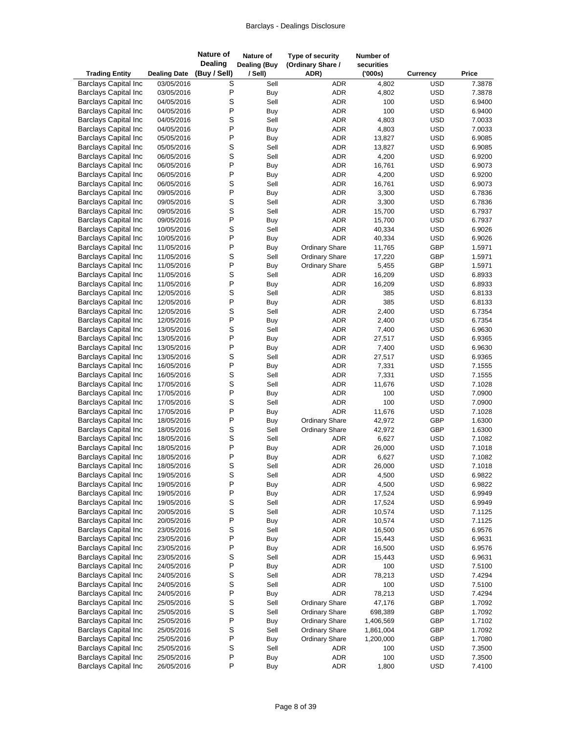| <b>Trading Entity</b>                                      | <b>Dealing Date</b>      | <b>Nature of</b><br><b>Dealing</b><br>(Buy / Sell) | Nature of<br><b>Dealing (Buy</b><br>/ Sell) | Type of security<br>(Ordinary Share /<br>ADR) | Number of<br>securities<br>(000s) | <b>Currency</b>          | Price            |
|------------------------------------------------------------|--------------------------|----------------------------------------------------|---------------------------------------------|-----------------------------------------------|-----------------------------------|--------------------------|------------------|
| <b>Barclays Capital Inc</b>                                | 03/05/2016               | S                                                  | Sell                                        | <b>ADR</b>                                    | 4,802                             | <b>USD</b>               | 7.3878           |
| <b>Barclays Capital Inc</b>                                | 03/05/2016               | P                                                  | <b>Buy</b>                                  | <b>ADR</b>                                    | 4,802                             | <b>USD</b>               | 7.3878           |
| <b>Barclays Capital Inc</b>                                | 04/05/2016               | S                                                  | Sell                                        | <b>ADR</b>                                    | 100                               | <b>USD</b>               | 6.9400           |
| <b>Barclays Capital Inc</b>                                | 04/05/2016               | P                                                  | <b>Buy</b>                                  | <b>ADR</b>                                    | 100                               | <b>USD</b>               | 6.9400           |
| <b>Barclays Capital Inc</b>                                | 04/05/2016               | S                                                  | Sell                                        | <b>ADR</b>                                    | 4,803                             | <b>USD</b>               | 7.0033           |
| <b>Barclays Capital Inc</b>                                | 04/05/2016               | P                                                  | Buy                                         | ADR                                           | 4,803                             | <b>USD</b>               | 7.0033           |
| <b>Barclays Capital Inc</b>                                | 05/05/2016               | Ρ                                                  | Buy                                         | <b>ADR</b>                                    | 13,827                            | <b>USD</b>               | 6.9085           |
| <b>Barclays Capital Inc</b>                                | 05/05/2016               | S                                                  | Sell                                        | <b>ADR</b>                                    | 13,827                            | <b>USD</b>               | 6.9085           |
| <b>Barclays Capital Inc</b>                                | 06/05/2016               | S                                                  | Sell                                        | <b>ADR</b>                                    | 4,200                             | <b>USD</b>               | 6.9200           |
| <b>Barclays Capital Inc</b>                                | 06/05/2016               | P                                                  | <b>Buy</b>                                  | ADR                                           | 16,761                            | <b>USD</b>               | 6.9073           |
| <b>Barclays Capital Inc</b>                                | 06/05/2016               | P                                                  | Buy                                         | <b>ADR</b>                                    | 4,200                             | <b>USD</b>               | 6.9200           |
| <b>Barclays Capital Inc</b>                                | 06/05/2016               | S                                                  | Sell                                        | <b>ADR</b>                                    | 16,761                            | <b>USD</b>               | 6.9073           |
| <b>Barclays Capital Inc</b>                                | 09/05/2016               | P                                                  | Buy                                         | ADR                                           | 3,300                             | <b>USD</b>               | 6.7836           |
| <b>Barclays Capital Inc</b>                                | 09/05/2016               | S                                                  | Sell                                        | <b>ADR</b>                                    | 3,300                             | <b>USD</b>               | 6.7836           |
| <b>Barclays Capital Inc</b>                                | 09/05/2016               | S                                                  | Sell                                        | <b>ADR</b>                                    | 15,700                            | <b>USD</b>               | 6.7937           |
| <b>Barclays Capital Inc</b>                                | 09/05/2016               | P                                                  | <b>Buy</b>                                  | <b>ADR</b>                                    | 15,700                            | <b>USD</b>               | 6.7937           |
| <b>Barclays Capital Inc</b>                                | 10/05/2016               | S<br>P                                             | Sell                                        | <b>ADR</b><br><b>ADR</b>                      | 40,334                            | <b>USD</b>               | 6.9026           |
| <b>Barclays Capital Inc</b><br><b>Barclays Capital Inc</b> | 10/05/2016               | P                                                  | Buy                                         | <b>Ordinary Share</b>                         | 40,334<br>11,765                  | <b>USD</b><br>GBP        | 6.9026<br>1.5971 |
| <b>Barclays Capital Inc</b>                                | 11/05/2016<br>11/05/2016 | S                                                  | Buy<br>Sell                                 | <b>Ordinary Share</b>                         | 17,220                            | GBP                      | 1.5971           |
| <b>Barclays Capital Inc</b>                                | 11/05/2016               | P                                                  | <b>Buy</b>                                  | <b>Ordinary Share</b>                         | 5,455                             | GBP                      | 1.5971           |
| <b>Barclays Capital Inc</b>                                | 11/05/2016               | S                                                  | Sell                                        | ADR                                           | 16,209                            | <b>USD</b>               | 6.8933           |
| <b>Barclays Capital Inc</b>                                | 11/05/2016               | P                                                  | Buy                                         | ADR                                           | 16,209                            | <b>USD</b>               | 6.8933           |
| <b>Barclays Capital Inc</b>                                | 12/05/2016               | S                                                  | Sell                                        | <b>ADR</b>                                    | 385                               | <b>USD</b>               | 6.8133           |
| <b>Barclays Capital Inc</b>                                | 12/05/2016               | P                                                  | Buy                                         | <b>ADR</b>                                    | 385                               | <b>USD</b>               | 6.8133           |
| <b>Barclays Capital Inc</b>                                | 12/05/2016               | S                                                  | Sell                                        | <b>ADR</b>                                    | 2,400                             | <b>USD</b>               | 6.7354           |
| <b>Barclays Capital Inc</b>                                | 12/05/2016               | P                                                  | Buy                                         | <b>ADR</b>                                    | 2,400                             | <b>USD</b>               | 6.7354           |
| <b>Barclays Capital Inc</b>                                | 13/05/2016               | S                                                  | Sell                                        | ADR                                           | 7,400                             | <b>USD</b>               | 6.9630           |
| <b>Barclays Capital Inc</b>                                | 13/05/2016               | P                                                  | <b>Buy</b>                                  | <b>ADR</b>                                    | 27,517                            | <b>USD</b>               | 6.9365           |
| <b>Barclays Capital Inc</b>                                | 13/05/2016               | P                                                  | Buy                                         | ADR                                           | 7,400                             | <b>USD</b>               | 6.9630           |
| <b>Barclays Capital Inc</b>                                | 13/05/2016               | S                                                  | Sell                                        | ADR                                           | 27,517                            | <b>USD</b>               | 6.9365           |
| <b>Barclays Capital Inc</b>                                | 16/05/2016               | Ρ                                                  | <b>Buy</b>                                  | <b>ADR</b>                                    | 7,331                             | <b>USD</b>               | 7.1555           |
| <b>Barclays Capital Inc</b>                                | 16/05/2016               | S                                                  | Sell                                        | ADR                                           | 7,331                             | <b>USD</b>               | 7.1555           |
| <b>Barclays Capital Inc</b>                                | 17/05/2016               | S                                                  | Sell                                        | <b>ADR</b>                                    | 11,676                            | <b>USD</b>               | 7.1028           |
| <b>Barclays Capital Inc</b>                                | 17/05/2016               | P                                                  | Buy                                         | <b>ADR</b>                                    | 100                               | <b>USD</b>               | 7.0900           |
| <b>Barclays Capital Inc</b>                                | 17/05/2016               | S                                                  | Sell                                        | ADR                                           | 100                               | <b>USD</b>               | 7.0900           |
| <b>Barclays Capital Inc</b>                                | 17/05/2016               | P                                                  | Buy                                         | <b>ADR</b>                                    | 11,676                            | <b>USD</b>               | 7.1028           |
| <b>Barclays Capital Inc</b>                                | 18/05/2016               | P                                                  | Buy                                         | <b>Ordinary Share</b>                         | 42,972                            | GBP                      | 1.6300           |
| <b>Barclays Capital Inc</b>                                | 18/05/2016               | S                                                  | Sell                                        | <b>Ordinary Share</b>                         | 42,972                            | GBP                      | 1.6300           |
| <b>Barclays Capital Inc</b>                                | 18/05/2016               | S                                                  | Sell                                        | <b>ADR</b>                                    | 6,627                             | <b>USD</b>               | 7.1082           |
| <b>Barclays Capital Inc</b>                                | 18/05/2016               | P                                                  | <b>Buy</b>                                  | ADR                                           | 26,000                            | <b>USD</b>               | 7.1018           |
| <b>Barclays Capital Inc</b>                                | 18/05/2016               | P                                                  | Buy                                         | <b>ADR</b>                                    | 6,627                             | <b>USD</b>               | 7.1082           |
| <b>Barclays Capital Inc</b>                                | 18/05/2016               | S                                                  | Sell                                        | ADR                                           | 26,000                            | <b>USD</b>               | 7.1018           |
| <b>Barclays Capital Inc</b>                                | 19/05/2016               | S                                                  | Sell                                        | ADR                                           | 4,500                             | <b>USD</b>               | 6.9822           |
| <b>Barclays Capital Inc</b>                                | 19/05/2016               | P                                                  | Buy                                         | ADR                                           | 4,500                             | <b>USD</b>               | 6.9822           |
| <b>Barclays Capital Inc</b>                                | 19/05/2016               | P                                                  | Buy                                         | ADR                                           | 17,524                            | <b>USD</b>               | 6.9949           |
| <b>Barclays Capital Inc</b>                                | 19/05/2016               | S<br>S                                             | Sell                                        | ADR                                           | 17,524                            | <b>USD</b>               | 6.9949           |
| <b>Barclays Capital Inc</b><br><b>Barclays Capital Inc</b> | 20/05/2016<br>20/05/2016 | P                                                  | Sell                                        | ADR                                           | 10,574                            | <b>USD</b>               | 7.1125           |
| <b>Barclays Capital Inc</b>                                | 23/05/2016               | S                                                  | Buy<br>Sell                                 | ADR<br>ADR                                    | 10,574<br>16,500                  | <b>USD</b><br><b>USD</b> | 7.1125<br>6.9576 |
| <b>Barclays Capital Inc</b>                                | 23/05/2016               | P                                                  | Buy                                         | ADR                                           | 15,443                            | <b>USD</b>               | 6.9631           |
| <b>Barclays Capital Inc</b>                                | 23/05/2016               | P                                                  | Buy                                         | ADR                                           | 16,500                            | <b>USD</b>               | 6.9576           |
| <b>Barclays Capital Inc</b>                                | 23/05/2016               | S                                                  | Sell                                        | ADR                                           | 15,443                            | <b>USD</b>               | 6.9631           |
| <b>Barclays Capital Inc</b>                                | 24/05/2016               | P                                                  | Buy                                         | ADR                                           | 100                               | <b>USD</b>               | 7.5100           |
| <b>Barclays Capital Inc</b>                                | 24/05/2016               | S                                                  | Sell                                        | ADR                                           | 78,213                            | <b>USD</b>               | 7.4294           |
| <b>Barclays Capital Inc</b>                                | 24/05/2016               | S                                                  | Sell                                        | ADR                                           | 100                               | <b>USD</b>               | 7.5100           |
| <b>Barclays Capital Inc</b>                                | 24/05/2016               | P                                                  | Buy                                         | ADR                                           | 78,213                            | <b>USD</b>               | 7.4294           |
| <b>Barclays Capital Inc</b>                                | 25/05/2016               | S                                                  | Sell                                        | <b>Ordinary Share</b>                         | 47,176                            | GBP                      | 1.7092           |
| <b>Barclays Capital Inc</b>                                | 25/05/2016               | S                                                  | Sell                                        | <b>Ordinary Share</b>                         | 698,389                           | GBP                      | 1.7092           |
| <b>Barclays Capital Inc</b>                                | 25/05/2016               | P                                                  | Buy                                         | <b>Ordinary Share</b>                         | 1,406,569                         | GBP                      | 1.7102           |
| <b>Barclays Capital Inc</b>                                | 25/05/2016               | S                                                  | Sell                                        | <b>Ordinary Share</b>                         | 1,861,004                         | GBP                      | 1.7092           |
| <b>Barclays Capital Inc</b>                                | 25/05/2016               | P                                                  | Buy                                         | <b>Ordinary Share</b>                         | 1,200,000                         | GBP                      | 1.7080           |
| <b>Barclays Capital Inc</b>                                | 25/05/2016               | S                                                  | Sell                                        | ADR                                           | 100                               | <b>USD</b>               | 7.3500           |
| <b>Barclays Capital Inc</b>                                | 25/05/2016               | $\sf P$                                            | Buy                                         | <b>ADR</b>                                    | 100                               | <b>USD</b>               | 7.3500           |
| Barclays Capital Inc                                       | 26/05/2016               | P                                                  | Buy                                         | ADR                                           | 1,800                             | <b>USD</b>               | 7.4100           |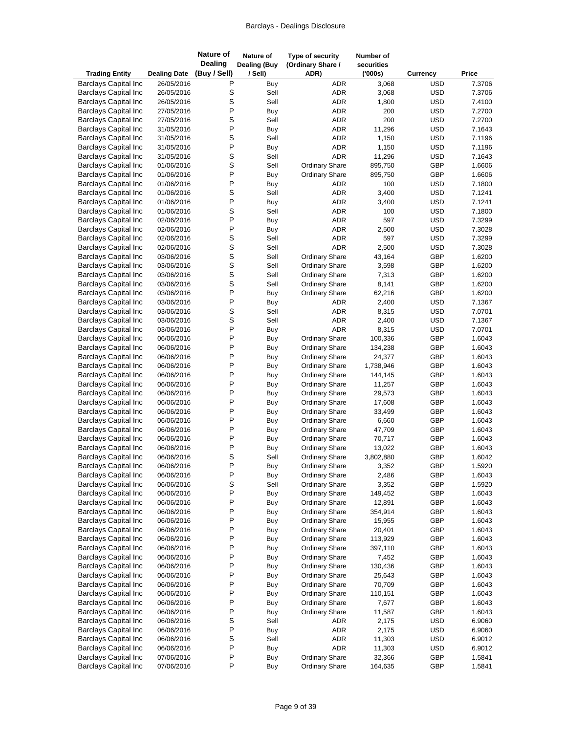| <b>Trading Entity</b>                                      | <b>Dealing Date</b>      | <b>Nature of</b><br><b>Dealing</b><br>(Buy / Sell) | Nature of<br><b>Dealing (Buy</b><br>/ Sell) | Type of security<br>(Ordinary Share /<br>ADR)  | Number of<br>securities<br>(000s) | Currency                 | Price            |
|------------------------------------------------------------|--------------------------|----------------------------------------------------|---------------------------------------------|------------------------------------------------|-----------------------------------|--------------------------|------------------|
| <b>Barclays Capital Inc</b>                                | 26/05/2016               | Ρ                                                  | Buy                                         | ADR                                            | 3,068                             | <b>USD</b>               | 7.3706           |
| <b>Barclays Capital Inc</b>                                | 26/05/2016               | S                                                  | Sell                                        | ADR                                            | 3,068                             | <b>USD</b>               | 7.3706           |
| <b>Barclays Capital Inc</b>                                | 26/05/2016               | S                                                  | Sell                                        | <b>ADR</b>                                     | 1,800                             | <b>USD</b>               | 7.4100           |
| <b>Barclays Capital Inc</b>                                | 27/05/2016               | P                                                  | <b>Buy</b>                                  | <b>ADR</b>                                     | 200                               | <b>USD</b>               | 7.2700           |
| <b>Barclays Capital Inc</b>                                | 27/05/2016               | S                                                  | Sell                                        | <b>ADR</b>                                     | 200                               | <b>USD</b>               | 7.2700           |
| <b>Barclays Capital Inc</b>                                | 31/05/2016               | P                                                  | Buy                                         | <b>ADR</b>                                     | 11,296                            | <b>USD</b>               | 7.1643           |
| <b>Barclays Capital Inc</b>                                | 31/05/2016               | S                                                  | Sell                                        | <b>ADR</b>                                     | 1,150                             | <b>USD</b>               | 7.1196           |
| <b>Barclays Capital Inc</b>                                | 31/05/2016               | P                                                  | Buy                                         | <b>ADR</b>                                     | 1,150                             | <b>USD</b>               | 7.1196           |
| <b>Barclays Capital Inc</b>                                | 31/05/2016               | S                                                  | Sell                                        | <b>ADR</b>                                     | 11,296                            | <b>USD</b>               | 7.1643           |
| <b>Barclays Capital Inc</b>                                | 01/06/2016               | S                                                  | Sell                                        | <b>Ordinary Share</b>                          | 895,750                           | GBP                      | 1.6606           |
| <b>Barclays Capital Inc</b>                                | 01/06/2016               | P                                                  | Buy                                         | <b>Ordinary Share</b>                          | 895,750                           | GBP                      | 1.6606           |
| <b>Barclays Capital Inc</b>                                | 01/06/2016               | P                                                  | Buy                                         | <b>ADR</b>                                     | 100                               | <b>USD</b>               | 7.1800           |
| <b>Barclays Capital Inc</b>                                | 01/06/2016               | S                                                  | Sell                                        | <b>ADR</b>                                     | 3,400                             | <b>USD</b>               | 7.1241           |
| <b>Barclays Capital Inc</b>                                | 01/06/2016               | P                                                  | Buy                                         | <b>ADR</b>                                     | 3,400                             | <b>USD</b>               | 7.1241           |
| <b>Barclays Capital Inc</b>                                | 01/06/2016               | S                                                  | Sell                                        | <b>ADR</b>                                     | 100                               | <b>USD</b>               | 7.1800           |
| <b>Barclays Capital Inc</b>                                | 02/06/2016               | P                                                  | Buy                                         | <b>ADR</b>                                     | 597                               | <b>USD</b>               | 7.3299           |
| <b>Barclays Capital Inc</b>                                | 02/06/2016<br>02/06/2016 | P                                                  | <b>Buy</b>                                  | <b>ADR</b>                                     | 2,500                             | <b>USD</b>               | 7.3028           |
| <b>Barclays Capital Inc</b><br><b>Barclays Capital Inc</b> |                          | S<br>S                                             | Sell<br>Sell                                | <b>ADR</b><br><b>ADR</b>                       | 597<br>2,500                      | <b>USD</b><br><b>USD</b> | 7.3299<br>7.3028 |
| <b>Barclays Capital Inc</b>                                | 02/06/2016<br>03/06/2016 | S                                                  | Sell                                        | <b>Ordinary Share</b>                          | 43,164                            | GBP                      | 1.6200           |
| <b>Barclays Capital Inc</b>                                | 03/06/2016               | S                                                  | Sell                                        | <b>Ordinary Share</b>                          | 3,598                             | GBP                      | 1.6200           |
| <b>Barclays Capital Inc</b>                                | 03/06/2016               | S                                                  | Sell                                        | <b>Ordinary Share</b>                          | 7,313                             | GBP                      | 1.6200           |
| <b>Barclays Capital Inc</b>                                | 03/06/2016               | S                                                  | Sell                                        | <b>Ordinary Share</b>                          | 8,141                             | GBP                      | 1.6200           |
| <b>Barclays Capital Inc</b>                                | 03/06/2016               | P                                                  | Buy                                         | <b>Ordinary Share</b>                          | 62,216                            | GBP                      | 1.6200           |
| <b>Barclays Capital Inc</b>                                | 03/06/2016               | $\mathsf{P}$                                       | Buy                                         | ADR                                            | 2,400                             | <b>USD</b>               | 7.1367           |
| <b>Barclays Capital Inc</b>                                | 03/06/2016               | S                                                  | Sell                                        | <b>ADR</b>                                     | 8,315                             | <b>USD</b>               | 7.0701           |
| <b>Barclays Capital Inc</b>                                | 03/06/2016               | S                                                  | Sell                                        | <b>ADR</b>                                     | 2,400                             | <b>USD</b>               | 7.1367           |
| <b>Barclays Capital Inc</b>                                | 03/06/2016               | P                                                  | Buy                                         | <b>ADR</b>                                     | 8,315                             | <b>USD</b>               | 7.0701           |
| <b>Barclays Capital Inc</b>                                | 06/06/2016               | P                                                  | <b>Buy</b>                                  | <b>Ordinary Share</b>                          | 100,336                           | GBP                      | 1.6043           |
| <b>Barclays Capital Inc</b>                                | 06/06/2016               | P                                                  | Buy                                         | <b>Ordinary Share</b>                          | 134,238                           | GBP                      | 1.6043           |
| <b>Barclays Capital Inc</b>                                | 06/06/2016               | P                                                  | Buy                                         | <b>Ordinary Share</b>                          | 24,377                            | GBP                      | 1.6043           |
| <b>Barclays Capital Inc</b>                                | 06/06/2016               | P                                                  | Buy                                         | <b>Ordinary Share</b>                          | 1,738,946                         | GBP                      | 1.6043           |
| <b>Barclays Capital Inc</b>                                | 06/06/2016               | P                                                  | Buy                                         | <b>Ordinary Share</b>                          | 144,145                           | GBP                      | 1.6043           |
| <b>Barclays Capital Inc</b>                                | 06/06/2016               | P                                                  | Buy                                         | <b>Ordinary Share</b>                          | 11,257                            | GBP                      | 1.6043           |
| <b>Barclays Capital Inc</b>                                | 06/06/2016               | P                                                  | Buy                                         | <b>Ordinary Share</b>                          | 29,573                            | GBP                      | 1.6043           |
| <b>Barclays Capital Inc</b>                                | 06/06/2016               | P                                                  | Buy                                         | <b>Ordinary Share</b>                          | 17,608                            | GBP                      | 1.6043           |
| <b>Barclays Capital Inc</b>                                | 06/06/2016               | P                                                  | Buy                                         | <b>Ordinary Share</b>                          | 33,499                            | GBP                      | 1.6043           |
| <b>Barclays Capital Inc</b>                                | 06/06/2016               | P                                                  | Buy                                         | <b>Ordinary Share</b>                          | 6,660                             | GBP                      | 1.6043           |
| <b>Barclays Capital Inc</b>                                | 06/06/2016               | P                                                  | Buy                                         | <b>Ordinary Share</b>                          | 47,709                            | GBP                      | 1.6043           |
| <b>Barclays Capital Inc</b>                                | 06/06/2016               | P                                                  | Buy                                         | <b>Ordinary Share</b>                          | 70,717                            | GBP                      | 1.6043           |
| <b>Barclays Capital Inc</b>                                | 06/06/2016               | P                                                  | Buy                                         | <b>Ordinary Share</b>                          | 13,022                            | GBP                      | 1.6043           |
| <b>Barclays Capital Inc</b>                                | 06/06/2016               | S                                                  | Sell                                        | <b>Ordinary Share</b>                          | 3,802,880                         | GBP                      | 1.6042           |
| <b>Barclays Capital Inc</b>                                | 06/06/2016               | $\mathsf{P}$                                       | <b>Buy</b>                                  | <b>Ordinary Share</b>                          | 3,352                             | GBP                      | 1.5920           |
| <b>Barclays Capital Inc</b>                                | 06/06/2016               | P                                                  | Buy                                         | <b>Ordinary Share</b>                          | 2,486                             | GBP                      | 1.6043           |
| <b>Barclays Capital Inc</b>                                | 06/06/2016               | S                                                  | Sell                                        | <b>Ordinary Share</b>                          | 3,352                             | GBP                      | 1.5920           |
| <b>Barclays Capital Inc</b>                                | 06/06/2016               | P                                                  | Buy                                         | <b>Ordinary Share</b>                          | 149,452                           | GBP                      | 1.6043           |
| <b>Barclays Capital Inc</b>                                | 06/06/2016               | P<br>P                                             | Buy                                         | <b>Ordinary Share</b>                          | 12,891                            | GBP                      | 1.6043           |
| <b>Barclays Capital Inc</b><br><b>Barclays Capital Inc</b> | 06/06/2016<br>06/06/2016 | P                                                  | Buy                                         | <b>Ordinary Share</b><br><b>Ordinary Share</b> | 354,914<br>15,955                 | GBP<br>GBP               | 1.6043<br>1.6043 |
| <b>Barclays Capital Inc</b>                                | 06/06/2016               | P                                                  | Buy<br>Buy                                  | <b>Ordinary Share</b>                          | 20,401                            | GBP                      | 1.6043           |
| <b>Barclays Capital Inc</b>                                | 06/06/2016               | P                                                  | Buy                                         | <b>Ordinary Share</b>                          | 113,929                           | GBP                      | 1.6043           |
| <b>Barclays Capital Inc</b>                                | 06/06/2016               | P                                                  | Buy                                         | <b>Ordinary Share</b>                          | 397,110                           | GBP                      | 1.6043           |
| <b>Barclays Capital Inc</b>                                | 06/06/2016               | P                                                  | Buy                                         | <b>Ordinary Share</b>                          | 7,452                             | GBP                      | 1.6043           |
| <b>Barclays Capital Inc</b>                                | 06/06/2016               | P                                                  | Buy                                         | <b>Ordinary Share</b>                          | 130,436                           | GBP                      | 1.6043           |
| <b>Barclays Capital Inc</b>                                | 06/06/2016               | P                                                  | Buy                                         | <b>Ordinary Share</b>                          | 25,643                            | GBP                      | 1.6043           |
| <b>Barclays Capital Inc</b>                                | 06/06/2016               | P                                                  | Buy                                         | <b>Ordinary Share</b>                          | 70,709                            | GBP                      | 1.6043           |
| <b>Barclays Capital Inc</b>                                | 06/06/2016               | P                                                  | Buy                                         | <b>Ordinary Share</b>                          | 110,151                           | GBP                      | 1.6043           |
| <b>Barclays Capital Inc</b>                                | 06/06/2016               | P                                                  | Buy                                         | <b>Ordinary Share</b>                          | 7,677                             | GBP                      | 1.6043           |
| <b>Barclays Capital Inc</b>                                | 06/06/2016               | P                                                  | Buy                                         | <b>Ordinary Share</b>                          | 11,587                            | GBP                      | 1.6043           |
| <b>Barclays Capital Inc</b>                                | 06/06/2016               | S                                                  | Sell                                        | ADR                                            | 2,175                             | <b>USD</b>               | 6.9060           |
| <b>Barclays Capital Inc</b>                                | 06/06/2016               | $\mathsf{P}$                                       | Buy                                         | <b>ADR</b>                                     | 2,175                             | <b>USD</b>               | 6.9060           |
| <b>Barclays Capital Inc</b>                                | 06/06/2016               | S                                                  | Sell                                        | ADR                                            | 11,303                            | <b>USD</b>               | 6.9012           |
| <b>Barclays Capital Inc</b>                                | 06/06/2016               | P                                                  | Buy                                         | <b>ADR</b>                                     | 11,303                            | <b>USD</b>               | 6.9012           |
| <b>Barclays Capital Inc</b>                                | 07/06/2016               | P                                                  | Buy                                         | <b>Ordinary Share</b>                          | 32,366                            | GBP                      | 1.5841           |
| <b>Barclays Capital Inc</b>                                | 07/06/2016               | P                                                  | Buy                                         | <b>Ordinary Share</b>                          | 164,635                           | GBP                      | 1.5841           |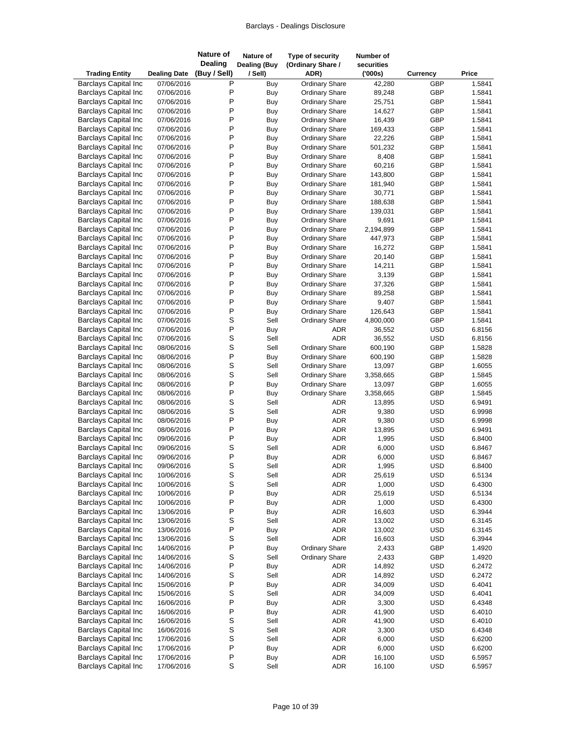| <b>Trading Entity</b>       | <b>Dealing Date</b> | <b>Nature of</b><br><b>Dealing</b><br>(Buy / Sell) | Nature of<br><b>Dealing (Buy</b><br>/ Sell) | Type of security<br>(Ordinary Share /<br>ADR) | Number of<br>securities<br>(000s) | Currency   | Price  |
|-----------------------------|---------------------|----------------------------------------------------|---------------------------------------------|-----------------------------------------------|-----------------------------------|------------|--------|
| <b>Barclays Capital Inc</b> | 07/06/2016          | Ρ                                                  | Buy                                         | <b>Ordinary Share</b>                         | 42,280                            | GBP        | 1.5841 |
| <b>Barclays Capital Inc</b> | 07/06/2016          | P                                                  | Buy                                         | <b>Ordinary Share</b>                         | 89,248                            | GBP        | 1.5841 |
| <b>Barclays Capital Inc</b> | 07/06/2016          | P                                                  | Buy                                         | <b>Ordinary Share</b>                         | 25,751                            | GBP        | 1.5841 |
| <b>Barclays Capital Inc</b> | 07/06/2016          | P                                                  | Buy                                         | <b>Ordinary Share</b>                         | 14,627                            | GBP        | 1.5841 |
| <b>Barclays Capital Inc</b> | 07/06/2016          | P                                                  | Buy                                         | <b>Ordinary Share</b>                         | 16,439                            | GBP        | 1.5841 |
| <b>Barclays Capital Inc</b> | 07/06/2016          | P                                                  | Buy                                         | <b>Ordinary Share</b>                         | 169,433                           | GBP        | 1.5841 |
| <b>Barclays Capital Inc</b> | 07/06/2016          | P                                                  | Buy                                         | <b>Ordinary Share</b>                         | 22,226                            | GBP        | 1.5841 |
| <b>Barclays Capital Inc</b> | 07/06/2016          | P                                                  | Buy                                         | <b>Ordinary Share</b>                         | 501,232                           | GBP        | 1.5841 |
| <b>Barclays Capital Inc</b> | 07/06/2016          | P                                                  | Buy                                         | <b>Ordinary Share</b>                         | 8,408                             | GBP        | 1.5841 |
| <b>Barclays Capital Inc</b> | 07/06/2016          | P                                                  | Buy                                         | <b>Ordinary Share</b>                         | 60,216                            | GBP        | 1.5841 |
| <b>Barclays Capital Inc</b> | 07/06/2016          | P                                                  | <b>Buy</b>                                  | <b>Ordinary Share</b>                         | 143,800                           | GBP        | 1.5841 |
| <b>Barclays Capital Inc</b> | 07/06/2016          | P                                                  | Buy                                         | <b>Ordinary Share</b>                         | 181,940                           | GBP        | 1.5841 |
| <b>Barclays Capital Inc</b> | 07/06/2016          | P                                                  | Buy                                         | <b>Ordinary Share</b>                         | 30,771                            | GBP        | 1.5841 |
| <b>Barclays Capital Inc</b> | 07/06/2016          | P                                                  | Buy                                         | <b>Ordinary Share</b>                         | 188,638                           | GBP        | 1.5841 |
| <b>Barclays Capital Inc</b> | 07/06/2016          | P                                                  | Buy                                         | <b>Ordinary Share</b>                         | 139,031                           | GBP        | 1.5841 |
| <b>Barclays Capital Inc</b> | 07/06/2016          | P                                                  | Buy                                         | <b>Ordinary Share</b>                         | 9,691                             | GBP        | 1.5841 |
| <b>Barclays Capital Inc</b> | 07/06/2016          | P                                                  | <b>Buy</b>                                  | <b>Ordinary Share</b>                         | 2,194,899                         | GBP        | 1.5841 |
| <b>Barclays Capital Inc</b> | 07/06/2016          | P                                                  | Buy                                         | <b>Ordinary Share</b>                         | 447,973                           | GBP        | 1.5841 |
| <b>Barclays Capital Inc</b> | 07/06/2016          | P                                                  | Buy                                         | Ordinary Share                                | 16,272                            | GBP        | 1.5841 |
| <b>Barclays Capital Inc</b> | 07/06/2016          | P                                                  | Buy                                         | <b>Ordinary Share</b>                         | 20,140                            | GBP        | 1.5841 |
| <b>Barclays Capital Inc</b> | 07/06/2016          | P                                                  | Buy                                         | <b>Ordinary Share</b>                         | 14,211                            | GBP        | 1.5841 |
| <b>Barclays Capital Inc</b> | 07/06/2016          | P                                                  | Buy                                         | <b>Ordinary Share</b>                         | 3,139                             | GBP        | 1.5841 |
| <b>Barclays Capital Inc</b> | 07/06/2016          | P                                                  | Buy                                         | <b>Ordinary Share</b>                         | 37,326                            | GBP        | 1.5841 |
| <b>Barclays Capital Inc</b> | 07/06/2016          | P                                                  | Buy                                         | <b>Ordinary Share</b>                         | 89,258                            | GBP        | 1.5841 |
| <b>Barclays Capital Inc</b> | 07/06/2016          | P                                                  | Buy                                         | <b>Ordinary Share</b>                         | 9,407                             | GBP        | 1.5841 |
| <b>Barclays Capital Inc</b> | 07/06/2016          | P                                                  | Buy                                         | <b>Ordinary Share</b>                         | 126,643                           | GBP        | 1.5841 |
| <b>Barclays Capital Inc</b> | 07/06/2016          | S                                                  | Sell                                        | <b>Ordinary Share</b>                         | 4,800,000                         | GBP        | 1.5841 |
| <b>Barclays Capital Inc</b> | 07/06/2016          | P                                                  | Buy                                         | ADR                                           | 36,552                            | <b>USD</b> | 6.8156 |
| <b>Barclays Capital Inc</b> | 07/06/2016          | S                                                  | Sell                                        | <b>ADR</b>                                    | 36,552                            | <b>USD</b> | 6.8156 |
| <b>Barclays Capital Inc</b> | 08/06/2016          | S                                                  | Sell                                        | <b>Ordinary Share</b>                         | 600,190                           | GBP        | 1.5828 |
| <b>Barclays Capital Inc</b> | 08/06/2016          | P                                                  | Buy                                         | <b>Ordinary Share</b>                         | 600,190                           | GBP        | 1.5828 |
| <b>Barclays Capital Inc</b> | 08/06/2016          | S                                                  | Sell                                        | <b>Ordinary Share</b>                         | 13,097                            | GBP        | 1.6055 |
| <b>Barclays Capital Inc</b> | 08/06/2016          | S                                                  | Sell                                        | <b>Ordinary Share</b>                         | 3,358,665                         | GBP        | 1.5845 |
| <b>Barclays Capital Inc</b> | 08/06/2016          | P                                                  | Buy                                         | <b>Ordinary Share</b>                         | 13,097                            | GBP        | 1.6055 |
| <b>Barclays Capital Inc</b> | 08/06/2016          | P                                                  | Buy                                         | <b>Ordinary Share</b>                         | 3,358,665                         | GBP        | 1.5845 |
| <b>Barclays Capital Inc</b> | 08/06/2016          | S                                                  | Sell                                        | ADR                                           | 13,895                            | <b>USD</b> | 6.9491 |
| <b>Barclays Capital Inc</b> | 08/06/2016          | S                                                  | Sell                                        | <b>ADR</b>                                    | 9,380                             | <b>USD</b> | 6.9998 |
| <b>Barclays Capital Inc</b> | 08/06/2016          | P                                                  | Buy                                         | <b>ADR</b>                                    | 9,380                             | <b>USD</b> | 6.9998 |
| <b>Barclays Capital Inc</b> | 08/06/2016          | P                                                  | Buy                                         | <b>ADR</b>                                    | 13,895                            | <b>USD</b> | 6.9491 |
| <b>Barclays Capital Inc</b> | 09/06/2016          | P                                                  | Buy                                         | <b>ADR</b>                                    | 1,995                             | <b>USD</b> | 6.8400 |
| <b>Barclays Capital Inc</b> | 09/06/2016          | S                                                  | Sell                                        | <b>ADR</b>                                    | 6,000                             | <b>USD</b> | 6.8467 |
| <b>Barclays Capital Inc</b> | 09/06/2016          | P                                                  | Buy                                         | <b>ADR</b>                                    | 6,000                             | <b>USD</b> | 6.8467 |
| <b>Barclays Capital Inc</b> | 09/06/2016          | S                                                  | Sell                                        | ADR                                           | 1,995                             | <b>USD</b> | 6.8400 |
| <b>Barclays Capital Inc</b> | 10/06/2016          | S                                                  | Sell                                        | ADR                                           | 25,619                            | <b>USD</b> | 6.5134 |
| <b>Barclays Capital Inc</b> | 10/06/2016          | S                                                  | Sell                                        | ADR                                           | 1,000                             | <b>USD</b> | 6.4300 |
| <b>Barclays Capital Inc</b> | 10/06/2016          | P                                                  | Buy                                         | ADR                                           | 25,619                            | <b>USD</b> | 6.5134 |
| <b>Barclays Capital Inc</b> | 10/06/2016          | P                                                  | Buy                                         | ADR                                           | 1,000                             | <b>USD</b> | 6.4300 |
| <b>Barclays Capital Inc</b> | 13/06/2016          | P                                                  | Buy                                         | ADR                                           | 16,603                            | <b>USD</b> | 6.3944 |
| <b>Barclays Capital Inc</b> | 13/06/2016          | S                                                  | Sell                                        | ADR                                           | 13,002                            | <b>USD</b> | 6.3145 |
| <b>Barclays Capital Inc</b> | 13/06/2016          | P                                                  | Buy                                         | ADR                                           | 13,002                            | <b>USD</b> | 6.3145 |
| <b>Barclays Capital Inc</b> | 13/06/2016          | S                                                  | Sell                                        | <b>ADR</b>                                    | 16,603                            | <b>USD</b> | 6.3944 |
| <b>Barclays Capital Inc</b> | 14/06/2016          | P                                                  | Buy                                         | <b>Ordinary Share</b>                         | 2,433                             | GBP        | 1.4920 |
| <b>Barclays Capital Inc</b> | 14/06/2016          | S                                                  | Sell                                        | <b>Ordinary Share</b>                         | 2,433                             | GBP        | 1.4920 |
| <b>Barclays Capital Inc</b> | 14/06/2016          | P                                                  | Buy                                         | <b>ADR</b>                                    | 14,892                            | <b>USD</b> | 6.2472 |
| <b>Barclays Capital Inc</b> | 14/06/2016          | S                                                  | Sell                                        | ADR                                           | 14,892                            | <b>USD</b> | 6.2472 |
| <b>Barclays Capital Inc</b> | 15/06/2016          | P                                                  | Buy                                         | ADR                                           | 34,009                            | <b>USD</b> | 6.4041 |
| <b>Barclays Capital Inc</b> | 15/06/2016          | S                                                  | Sell                                        | ADR                                           | 34,009                            | <b>USD</b> | 6.4041 |
| <b>Barclays Capital Inc</b> | 16/06/2016          | $\mathsf{P}$                                       | <b>Buy</b>                                  | ADR                                           | 3,300                             | <b>USD</b> | 6.4348 |
| <b>Barclays Capital Inc</b> | 16/06/2016          | P                                                  | Buy                                         | ADR                                           | 41,900                            | <b>USD</b> | 6.4010 |
| <b>Barclays Capital Inc</b> | 16/06/2016          | S                                                  | Sell                                        | ADR                                           | 41,900                            | <b>USD</b> | 6.4010 |
| <b>Barclays Capital Inc</b> | 16/06/2016          | S                                                  | Sell                                        | ADR                                           | 3,300                             | <b>USD</b> | 6.4348 |
| <b>Barclays Capital Inc</b> | 17/06/2016          | S                                                  | Sell                                        | ADR                                           | 6,000                             | <b>USD</b> | 6.6200 |
| <b>Barclays Capital Inc</b> | 17/06/2016          | P                                                  | Buy                                         | ADR                                           | 6,000                             | <b>USD</b> | 6.6200 |
| <b>Barclays Capital Inc</b> | 17/06/2016          | $\sf P$                                            | Buy                                         | ADR                                           | 16,100                            | <b>USD</b> | 6.5957 |
| <b>Barclays Capital Inc</b> | 17/06/2016          | $\mathsf S$                                        | Sell                                        | ADR                                           | 16,100                            | <b>USD</b> | 6.5957 |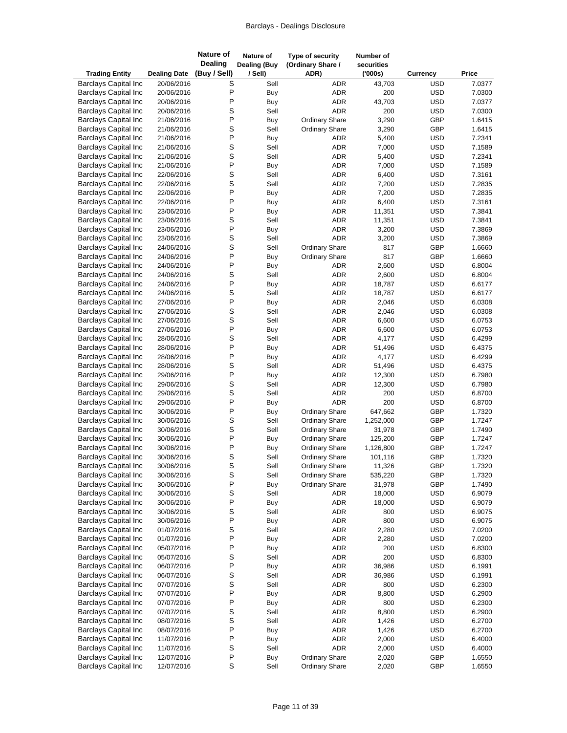| <b>Trading Entity</b>                                      | <b>Dealing Date</b>      | <b>Nature of</b><br><b>Dealing</b><br>(Buy / Sell) | Nature of<br><b>Dealing (Buy</b><br>/ Sell) | Type of security<br>(Ordinary Share /<br>ADR) | Number of<br>securities<br>(000s) | <b>Currency</b>          | Price            |
|------------------------------------------------------------|--------------------------|----------------------------------------------------|---------------------------------------------|-----------------------------------------------|-----------------------------------|--------------------------|------------------|
| <b>Barclays Capital Inc</b>                                | 20/06/2016               | S                                                  | Sell                                        |                                               | <b>ADR</b><br>43,703              | <b>USD</b>               | 7.0377           |
| <b>Barclays Capital Inc</b>                                | 20/06/2016               | P                                                  | <b>Buy</b>                                  |                                               | <b>ADR</b><br>200                 | <b>USD</b>               | 7.0300           |
| <b>Barclays Capital Inc</b>                                | 20/06/2016               | P                                                  | <b>Buy</b>                                  |                                               | <b>ADR</b><br>43,703              | <b>USD</b>               | 7.0377           |
| <b>Barclays Capital Inc</b>                                | 20/06/2016               | S                                                  | Sell                                        |                                               | <b>ADR</b><br>200                 | <b>USD</b>               | 7.0300           |
| <b>Barclays Capital Inc</b>                                | 21/06/2016               | P                                                  | Buy                                         | <b>Ordinary Share</b>                         | 3,290                             | GBP                      | 1.6415           |
| <b>Barclays Capital Inc</b>                                | 21/06/2016               | S                                                  | Sell                                        | <b>Ordinary Share</b>                         | 3,290                             | GBP                      | 1.6415           |
| <b>Barclays Capital Inc</b>                                | 21/06/2016               | P                                                  | Buy                                         |                                               | <b>ADR</b><br>5,400               | <b>USD</b>               | 7.2341           |
| <b>Barclays Capital Inc</b>                                | 21/06/2016               | S                                                  | Sell                                        |                                               | <b>ADR</b><br>7,000               | <b>USD</b>               | 7.1589           |
| <b>Barclays Capital Inc</b>                                | 21/06/2016               | S                                                  | Sell                                        |                                               | <b>ADR</b><br>5,400               | <b>USD</b>               | 7.2341           |
| <b>Barclays Capital Inc</b>                                | 21/06/2016               | P                                                  | Buy                                         |                                               | ADR<br>7,000                      | <b>USD</b>               | 7.1589           |
| <b>Barclays Capital Inc</b>                                | 22/06/2016               | S                                                  | Sell                                        |                                               | <b>ADR</b><br>6,400               | <b>USD</b>               | 7.3161           |
| <b>Barclays Capital Inc</b>                                | 22/06/2016               | S                                                  | Sell                                        |                                               | <b>ADR</b><br>7,200               | <b>USD</b>               | 7.2835           |
| <b>Barclays Capital Inc</b>                                | 22/06/2016               | P                                                  | Buy                                         |                                               | ADR<br>7,200                      | <b>USD</b>               | 7.2835           |
| <b>Barclays Capital Inc</b>                                | 22/06/2016               | P                                                  | <b>Buy</b>                                  |                                               | <b>ADR</b><br>6,400               | <b>USD</b>               | 7.3161           |
| <b>Barclays Capital Inc</b>                                | 23/06/2016               | P                                                  | Buy                                         |                                               | <b>ADR</b><br>11,351              | <b>USD</b>               | 7.3841           |
| <b>Barclays Capital Inc</b><br><b>Barclays Capital Inc</b> | 23/06/2016               | S<br>P                                             | Sell                                        |                                               | ADR<br>11,351<br><b>ADR</b>       | <b>USD</b><br><b>USD</b> | 7.3841           |
| <b>Barclays Capital Inc</b>                                | 23/06/2016<br>23/06/2016 | S                                                  | Buy<br>Sell                                 |                                               | 3,200<br><b>ADR</b><br>3,200      | <b>USD</b>               | 7.3869<br>7.3869 |
| <b>Barclays Capital Inc</b>                                | 24/06/2016               | S                                                  | Sell                                        | <b>Ordinary Share</b>                         | 817                               | GBP                      | 1.6660           |
| <b>Barclays Capital Inc</b>                                | 24/06/2016               | P                                                  | Buy                                         | <b>Ordinary Share</b>                         | 817                               | GBP                      | 1.6660           |
| <b>Barclays Capital Inc</b>                                | 24/06/2016               | P                                                  | Buy                                         |                                               | <b>ADR</b><br>2,600               | <b>USD</b>               | 6.8004           |
| <b>Barclays Capital Inc</b>                                | 24/06/2016               | S                                                  | Sell                                        |                                               | ADR<br>2,600                      | <b>USD</b>               | 6.8004           |
| <b>Barclays Capital Inc</b>                                | 24/06/2016               | P                                                  | Buy                                         |                                               | <b>ADR</b><br>18,787              | <b>USD</b>               | 6.6177           |
| <b>Barclays Capital Inc</b>                                | 24/06/2016               | S                                                  | Sell                                        |                                               | <b>ADR</b><br>18,787              | <b>USD</b>               | 6.6177           |
| <b>Barclays Capital Inc</b>                                | 27/06/2016               | P                                                  | Buy                                         |                                               | <b>ADR</b><br>2,046               | <b>USD</b>               | 6.0308           |
| <b>Barclays Capital Inc</b>                                | 27/06/2016               | S                                                  | Sell                                        |                                               | ADR<br>2,046                      | <b>USD</b>               | 6.0308           |
| <b>Barclays Capital Inc</b>                                | 27/06/2016               | S                                                  | Sell                                        |                                               | ADR<br>6,600                      | <b>USD</b>               | 6.0753           |
| <b>Barclays Capital Inc</b>                                | 27/06/2016               | P                                                  | Buy                                         |                                               | <b>ADR</b><br>6,600               | <b>USD</b>               | 6.0753           |
| <b>Barclays Capital Inc</b>                                | 28/06/2016               | S                                                  | Sell                                        |                                               | <b>ADR</b><br>4,177               | <b>USD</b>               | 6.4299           |
| <b>Barclays Capital Inc</b>                                | 28/06/2016               | P                                                  | Buy                                         |                                               | ADR<br>51,496                     | <b>USD</b>               | 6.4375           |
| <b>Barclays Capital Inc</b>                                | 28/06/2016               | P                                                  | Buy                                         |                                               | ADR<br>4,177                      | <b>USD</b>               | 6.4299           |
| <b>Barclays Capital Inc</b>                                | 28/06/2016               | S                                                  | Sell                                        |                                               | <b>ADR</b><br>51,496              | <b>USD</b>               | 6.4375           |
| <b>Barclays Capital Inc</b>                                | 29/06/2016               | P                                                  | Buy                                         |                                               | ADR<br>12,300                     | <b>USD</b>               | 6.7980           |
| <b>Barclays Capital Inc</b>                                | 29/06/2016               | S                                                  | Sell                                        |                                               | ADR<br>12,300                     | <b>USD</b>               | 6.7980           |
| <b>Barclays Capital Inc</b>                                | 29/06/2016               | S                                                  | Sell                                        |                                               | ADR<br>200                        | <b>USD</b>               | 6.8700           |
| <b>Barclays Capital Inc</b>                                | 29/06/2016               | P                                                  | Buy                                         |                                               | <b>ADR</b><br>200                 | <b>USD</b>               | 6.8700           |
| <b>Barclays Capital Inc</b>                                | 30/06/2016               | P                                                  | Buy                                         | <b>Ordinary Share</b>                         | 647,662                           | GBP                      | 1.7320           |
| <b>Barclays Capital Inc</b>                                | 30/06/2016               | S                                                  | Sell                                        | <b>Ordinary Share</b>                         | 1,252,000                         | GBP                      | 1.7247           |
| <b>Barclays Capital Inc</b>                                | 30/06/2016               | S                                                  | Sell                                        | <b>Ordinary Share</b>                         | 31,978                            | GBP                      | 1.7490           |
| <b>Barclays Capital Inc</b>                                | 30/06/2016               | P                                                  | Buy                                         | <b>Ordinary Share</b>                         | 125,200                           | GBP                      | 1.7247           |
| <b>Barclays Capital Inc</b>                                | 30/06/2016               | P                                                  | Buy                                         | <b>Ordinary Share</b>                         | 1,126,800                         | GBP                      | 1.7247           |
| <b>Barclays Capital Inc</b>                                | 30/06/2016               | S                                                  | Sell                                        | <b>Ordinary Share</b>                         | 101,116                           | GBP                      | 1.7320           |
| <b>Barclays Capital Inc</b>                                | 30/06/2016               | S                                                  | Sell                                        | <b>Ordinary Share</b>                         | 11,326                            | GBP                      | 1.7320           |
| <b>Barclays Capital Inc</b>                                | 30/06/2016               | S                                                  | Sell                                        | <b>Ordinary Share</b>                         | 535,220                           | GBP                      | 1.7320           |
| <b>Barclays Capital Inc</b>                                | 30/06/2016               | P<br>S                                             | Buy                                         | <b>Ordinary Share</b>                         | 31,978                            | GBP                      | 1.7490<br>6.9079 |
| <b>Barclays Capital Inc</b><br><b>Barclays Capital Inc</b> | 30/06/2016<br>30/06/2016 | P                                                  | Sell<br>Buy                                 |                                               | ADR<br>18,000<br>ADR<br>18,000    | <b>USD</b><br><b>USD</b> | 6.9079           |
| <b>Barclays Capital Inc</b>                                | 30/06/2016               | S                                                  | Sell                                        |                                               | ADR<br>800                        | <b>USD</b>               | 6.9075           |
| <b>Barclays Capital Inc</b>                                | 30/06/2016               | P                                                  | Buy                                         |                                               | <b>ADR</b><br>800                 | <b>USD</b>               | 6.9075           |
| <b>Barclays Capital Inc</b>                                | 01/07/2016               | S                                                  | Sell                                        |                                               | ADR<br>2,280                      | <b>USD</b>               | 7.0200           |
| <b>Barclays Capital Inc</b>                                | 01/07/2016               | P                                                  | Buy                                         |                                               | ADR<br>2,280                      | <b>USD</b>               | 7.0200           |
| <b>Barclays Capital Inc</b>                                | 05/07/2016               | P                                                  | Buy                                         |                                               | ADR<br>200                        | <b>USD</b>               | 6.8300           |
| <b>Barclays Capital Inc</b>                                | 05/07/2016               | S                                                  | Sell                                        |                                               | ADR<br>200                        | <b>USD</b>               | 6.8300           |
| <b>Barclays Capital Inc</b>                                | 06/07/2016               | P                                                  | Buy                                         |                                               | ADR<br>36,986                     | <b>USD</b>               | 6.1991           |
| <b>Barclays Capital Inc</b>                                | 06/07/2016               | S                                                  | Sell                                        |                                               | ADR<br>36,986                     | <b>USD</b>               | 6.1991           |
| <b>Barclays Capital Inc</b>                                | 07/07/2016               | S                                                  | Sell                                        |                                               | ADR<br>800                        | <b>USD</b>               | 6.2300           |
| <b>Barclays Capital Inc</b>                                | 07/07/2016               | P                                                  | <b>Buy</b>                                  |                                               | ADR<br>8,800                      | <b>USD</b>               | 6.2900           |
| <b>Barclays Capital Inc</b>                                | 07/07/2016               | P                                                  | Buy                                         |                                               | ADR<br>800                        | <b>USD</b>               | 6.2300           |
| <b>Barclays Capital Inc</b>                                | 07/07/2016               | S                                                  | Sell                                        |                                               | ADR<br>8,800                      | <b>USD</b>               | 6.2900           |
| <b>Barclays Capital Inc</b>                                | 08/07/2016               | S                                                  | Sell                                        |                                               | ADR<br>1,426                      | <b>USD</b>               | 6.2700           |
| <b>Barclays Capital Inc</b>                                | 08/07/2016               | $\mathsf{P}$                                       | Buy                                         |                                               | ADR<br>1,426                      | <b>USD</b>               | 6.2700           |
| <b>Barclays Capital Inc</b>                                | 11/07/2016               | P                                                  | Buy                                         |                                               | ADR<br>2,000                      | <b>USD</b>               | 6.4000           |
| <b>Barclays Capital Inc</b>                                | 11/07/2016               | S                                                  | Sell                                        |                                               | ADR<br>2,000                      | <b>USD</b>               | 6.4000           |
| <b>Barclays Capital Inc</b>                                | 12/07/2016               | $\sf P$                                            | <b>Buy</b>                                  | <b>Ordinary Share</b>                         | 2,020                             | GBP                      | 1.6550           |
| <b>Barclays Capital Inc</b>                                | 12/07/2016               | $\mathsf S$                                        | Sell                                        | <b>Ordinary Share</b>                         | 2,020                             | GBP                      | 1.6550           |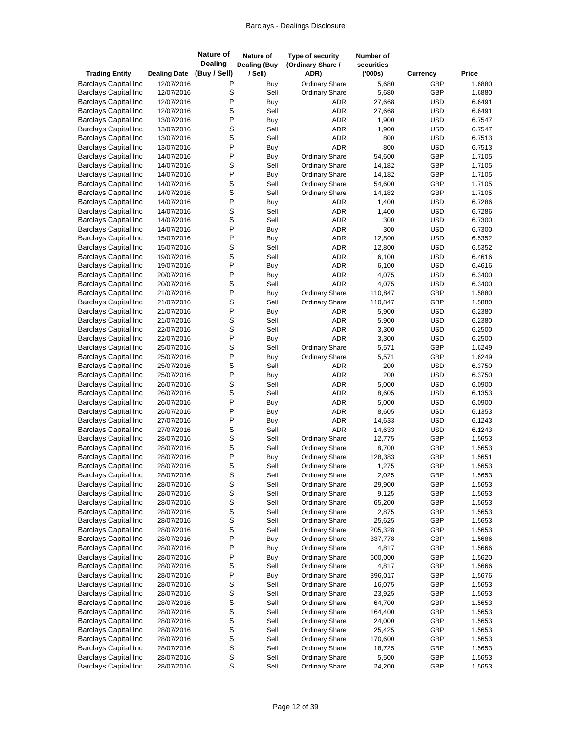| <b>Trading Entity</b>                                      | <b>Dealing Date</b>      | <b>Nature of</b><br><b>Dealing</b><br>(Buy / Sell) | <b>Nature of</b><br><b>Dealing (Buy</b><br>/ Sell) | Type of security<br>(Ordinary Share /<br>ADR) | Number of<br>securities<br>(000s) | <b>Currency</b> | Price            |
|------------------------------------------------------------|--------------------------|----------------------------------------------------|----------------------------------------------------|-----------------------------------------------|-----------------------------------|-----------------|------------------|
| <b>Barclays Capital Inc</b>                                | 12/07/2016               | P                                                  | Buy                                                | <b>Ordinary Share</b>                         | 5,680                             | GBP             | 1.6880           |
| <b>Barclays Capital Inc</b>                                | 12/07/2016               | S                                                  | Sell                                               | <b>Ordinary Share</b>                         | 5,680                             | GBP             | 1.6880           |
| <b>Barclays Capital Inc</b>                                | 12/07/2016               | P                                                  | Buy                                                | <b>ADR</b>                                    | 27,668                            | <b>USD</b>      | 6.6491           |
| <b>Barclays Capital Inc</b>                                | 12/07/2016               | S                                                  | Sell                                               | <b>ADR</b>                                    | 27,668                            | <b>USD</b>      | 6.6491           |
| <b>Barclays Capital Inc</b>                                | 13/07/2016               | P                                                  | Buy                                                | <b>ADR</b>                                    | 1,900                             | <b>USD</b>      | 6.7547           |
| <b>Barclays Capital Inc</b>                                | 13/07/2016               | S                                                  | Sell                                               | <b>ADR</b>                                    | 1,900                             | <b>USD</b>      | 6.7547           |
| <b>Barclays Capital Inc</b>                                | 13/07/2016               | $\mathsf S$                                        | Sell                                               | <b>ADR</b>                                    | 800                               | <b>USD</b>      | 6.7513           |
| <b>Barclays Capital Inc</b>                                | 13/07/2016               | P                                                  | Buy                                                | <b>ADR</b>                                    | 800                               | <b>USD</b>      | 6.7513           |
| <b>Barclays Capital Inc</b>                                | 14/07/2016               | P                                                  | Buy                                                | <b>Ordinary Share</b>                         | 54,600                            | GBP             | 1.7105           |
| <b>Barclays Capital Inc</b>                                | 14/07/2016               | S                                                  | Sell                                               | <b>Ordinary Share</b>                         | 14,182                            | GBP             | 1.7105           |
| <b>Barclays Capital Inc</b>                                | 14/07/2016               | P                                                  | Buy                                                | <b>Ordinary Share</b>                         | 14,182                            | GBP             | 1.7105           |
| <b>Barclays Capital Inc</b>                                | 14/07/2016               | S                                                  | Sell                                               | <b>Ordinary Share</b>                         | 54,600                            | GBP             | 1.7105           |
| <b>Barclays Capital Inc</b>                                | 14/07/2016               | S                                                  | Sell                                               | <b>Ordinary Share</b>                         | 14,182                            | GBP             | 1.7105           |
| <b>Barclays Capital Inc</b>                                | 14/07/2016               | P                                                  | Buy                                                | ADR                                           | 1,400                             | <b>USD</b>      | 6.7286           |
| <b>Barclays Capital Inc</b>                                | 14/07/2016               | S                                                  | Sell                                               | <b>ADR</b>                                    | 1,400                             | <b>USD</b>      | 6.7286           |
| <b>Barclays Capital Inc</b>                                | 14/07/2016               | S                                                  | Sell                                               | <b>ADR</b>                                    | 300                               | <b>USD</b>      | 6.7300           |
| <b>Barclays Capital Inc</b>                                | 14/07/2016               | P                                                  | Buy                                                | <b>ADR</b>                                    | 300                               | <b>USD</b>      | 6.7300           |
| <b>Barclays Capital Inc</b>                                | 15/07/2016               | P                                                  | Buy                                                | <b>ADR</b>                                    | 12,800                            | <b>USD</b>      | 6.5352           |
| <b>Barclays Capital Inc</b>                                | 15/07/2016               | S                                                  | Sell                                               | <b>ADR</b>                                    | 12,800                            | <b>USD</b>      | 6.5352           |
| <b>Barclays Capital Inc</b>                                | 19/07/2016               | S                                                  | Sell                                               | <b>ADR</b>                                    | 6,100                             | <b>USD</b>      | 6.4616           |
| <b>Barclays Capital Inc</b>                                | 19/07/2016               | P                                                  | Buy                                                | <b>ADR</b>                                    | 6,100                             | <b>USD</b>      | 6.4616           |
| <b>Barclays Capital Inc</b>                                | 20/07/2016               | P                                                  | Buy                                                | <b>ADR</b>                                    | 4,075                             | <b>USD</b>      | 6.3400           |
| <b>Barclays Capital Inc</b>                                | 20/07/2016               | S                                                  | Sell                                               | <b>ADR</b>                                    | 4,075                             | <b>USD</b>      | 6.3400           |
| <b>Barclays Capital Inc</b>                                | 21/07/2016               | P                                                  | Buy                                                | Ordinary Share                                | 110,847                           | GBP             | 1.5880           |
| <b>Barclays Capital Inc</b>                                | 21/07/2016               | S                                                  | Sell                                               | <b>Ordinary Share</b>                         | 110,847                           | GBP             | 1.5880           |
| <b>Barclays Capital Inc</b>                                | 21/07/2016               | P                                                  | Buy                                                | <b>ADR</b>                                    | 5,900                             | <b>USD</b>      | 6.2380           |
| <b>Barclays Capital Inc</b>                                | 21/07/2016               | S                                                  | Sell                                               | <b>ADR</b>                                    | 5,900                             | <b>USD</b>      | 6.2380           |
| <b>Barclays Capital Inc</b>                                | 22/07/2016               | S                                                  | Sell                                               | <b>ADR</b>                                    | 3,300                             | <b>USD</b>      | 6.2500           |
| <b>Barclays Capital Inc</b>                                | 22/07/2016               | P                                                  | Buy                                                | <b>ADR</b>                                    | 3,300                             | <b>USD</b>      | 6.2500           |
| <b>Barclays Capital Inc</b>                                | 25/07/2016<br>25/07/2016 | S<br>P                                             | Sell                                               | <b>Ordinary Share</b>                         | 5,571                             | GBP<br>GBP      | 1.6249<br>1.6249 |
| <b>Barclays Capital Inc</b><br><b>Barclays Capital Inc</b> | 25/07/2016               | S                                                  | Buy<br>Sell                                        | <b>Ordinary Share</b><br><b>ADR</b>           | 5,571<br>200                      | <b>USD</b>      | 6.3750           |
| <b>Barclays Capital Inc</b>                                | 25/07/2016               | P                                                  |                                                    | <b>ADR</b>                                    | 200                               | <b>USD</b>      | 6.3750           |
| <b>Barclays Capital Inc</b>                                | 26/07/2016               | S                                                  | Buy<br>Sell                                        | <b>ADR</b>                                    | 5,000                             | <b>USD</b>      | 6.0900           |
| <b>Barclays Capital Inc</b>                                | 26/07/2016               | S                                                  | Sell                                               | <b>ADR</b>                                    | 8,605                             | <b>USD</b>      | 6.1353           |
| <b>Barclays Capital Inc</b>                                | 26/07/2016               | P                                                  | Buy                                                | <b>ADR</b>                                    | 5,000                             | <b>USD</b>      | 6.0900           |
| <b>Barclays Capital Inc</b>                                | 26/07/2016               | P                                                  | Buy                                                | <b>ADR</b>                                    | 8,605                             | <b>USD</b>      | 6.1353           |
| <b>Barclays Capital Inc</b>                                | 27/07/2016               | P                                                  | Buy                                                | <b>ADR</b>                                    | 14,633                            | <b>USD</b>      | 6.1243           |
| <b>Barclays Capital Inc</b>                                | 27/07/2016               | $\mbox{\bf S}$                                     | Sell                                               | <b>ADR</b>                                    | 14,633                            | <b>USD</b>      | 6.1243           |
| <b>Barclays Capital Inc</b>                                | 28/07/2016               | S                                                  | Sell                                               | <b>Ordinary Share</b>                         | 12,775                            | <b>GBP</b>      | 1.5653           |
| <b>Barclays Capital Inc</b>                                | 28/07/2016               | S                                                  | Sell                                               | <b>Ordinary Share</b>                         | 8,700                             | GBP             | 1.5653           |
| <b>Barclays Capital Inc</b>                                | 28/07/2016               | P                                                  | Buy                                                | <b>Ordinary Share</b>                         | 128,383                           | GBP             | 1.5651           |
| <b>Barclays Capital Inc</b>                                | 28/07/2016               | S                                                  | Sell                                               | <b>Ordinary Share</b>                         | 1,275                             | <b>GBP</b>      | 1.5653           |
| <b>Barclays Capital Inc</b>                                | 28/07/2016               | S                                                  | Sell                                               | <b>Ordinary Share</b>                         | 2,025                             | GBP             | 1.5653           |
| <b>Barclays Capital Inc</b>                                | 28/07/2016               |                                                    | Sell                                               | <b>Ordinary Share</b>                         | 29,900                            | GBP             | 1.5653           |
| <b>Barclays Capital Inc</b>                                | 28/07/2016               | s<br>s<br>s                                        | Sell                                               | <b>Ordinary Share</b>                         | 9,125                             | GBP             | 1.5653           |
| <b>Barclays Capital Inc</b>                                | 28/07/2016               |                                                    | Sell                                               | <b>Ordinary Share</b>                         | 65,200                            | GBP             | 1.5653           |
| <b>Barclays Capital Inc</b>                                | 28/07/2016               | $\mathsf{s}$                                       | Sell                                               | <b>Ordinary Share</b>                         | 2,875                             | GBP             | 1.5653           |
| <b>Barclays Capital Inc</b>                                | 28/07/2016               | $\mathsf{s}$                                       | Sell                                               | <b>Ordinary Share</b>                         | 25,625                            | GBP             | 1.5653           |
| <b>Barclays Capital Inc</b>                                | 28/07/2016               | $\mbox{\bf S}$                                     | Sell                                               | <b>Ordinary Share</b>                         | 205,328                           | GBP             | 1.5653           |
| <b>Barclays Capital Inc</b>                                | 28/07/2016               | P                                                  | Buy                                                | <b>Ordinary Share</b>                         | 337,778                           | GBP             | 1.5686           |
| <b>Barclays Capital Inc</b>                                | 28/07/2016               | P                                                  | Buy                                                | <b>Ordinary Share</b>                         | 4,817                             | GBP             | 1.5666           |
| <b>Barclays Capital Inc</b>                                | 28/07/2016               | P                                                  | Buy                                                | <b>Ordinary Share</b>                         | 600,000                           | GBP             | 1.5620           |
| <b>Barclays Capital Inc</b>                                | 28/07/2016               | $\mbox{\bf S}$                                     | Sell                                               | <b>Ordinary Share</b>                         | 4,817                             | GBP             | 1.5666           |
| <b>Barclays Capital Inc</b>                                | 28/07/2016               | $\sf P$                                            | Buy                                                | <b>Ordinary Share</b>                         | 396,017                           | GBP             | 1.5676           |
| <b>Barclays Capital Inc</b>                                | 28/07/2016               | S                                                  | Sell                                               | <b>Ordinary Share</b>                         | 16,075                            | GBP             | 1.5653           |
| <b>Barclays Capital Inc</b>                                | 28/07/2016               | S                                                  | Sell                                               | <b>Ordinary Share</b>                         | 23,925                            | GBP             | 1.5653           |
| <b>Barclays Capital Inc</b>                                | 28/07/2016               | $\mathsf{s}$                                       | Sell                                               | <b>Ordinary Share</b>                         | 64,700                            | GBP             | 1.5653           |
| <b>Barclays Capital Inc</b>                                | 28/07/2016               |                                                    | Sell                                               | <b>Ordinary Share</b>                         | 164,400                           | GBP             | 1.5653           |
| <b>Barclays Capital Inc</b>                                | 28/07/2016               | s<br>s                                             | Sell                                               | <b>Ordinary Share</b>                         | 24,000                            | GBP             | 1.5653           |
| <b>Barclays Capital Inc</b>                                | 28/07/2016               | $\mathsf{s}$                                       | Sell                                               | <b>Ordinary Share</b>                         | 25,425                            | GBP             | 1.5653           |
| <b>Barclays Capital Inc</b>                                | 28/07/2016               | S                                                  | Sell                                               | <b>Ordinary Share</b>                         | 170,600                           | GBP             | 1.5653           |
| <b>Barclays Capital Inc</b>                                | 28/07/2016               | S                                                  | Sell                                               | <b>Ordinary Share</b>                         | 18,725                            | GBP             | 1.5653           |
| <b>Barclays Capital Inc</b>                                | 28/07/2016               | S                                                  | Sell                                               | <b>Ordinary Share</b>                         | 5,500                             | GBP             | 1.5653           |
| <b>Barclays Capital Inc</b>                                | 28/07/2016               | $\mathsf S$                                        | Sell                                               | <b>Ordinary Share</b>                         | 24,200                            | GBP             | 1.5653           |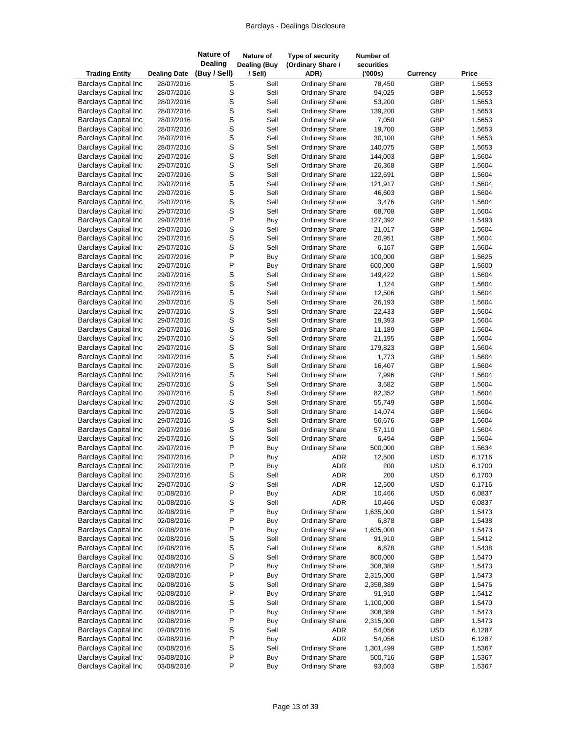| <b>Trading Entity</b>                                      | <b>Dealing Date</b>      | <b>Nature of</b><br><b>Dealing</b><br>(Buy / Sell) | Nature of<br><b>Dealing (Buy</b><br>/ Sell) | Type of security<br>(Ordinary Share /<br>ADR)  | Number of<br>securities<br>(000s) | <b>Currency</b>          | Price            |
|------------------------------------------------------------|--------------------------|----------------------------------------------------|---------------------------------------------|------------------------------------------------|-----------------------------------|--------------------------|------------------|
| <b>Barclays Capital Inc</b>                                | 28/07/2016               | S                                                  | Sell                                        | <b>Ordinary Share</b>                          | 78,450                            | GBP                      | 1.5653           |
| <b>Barclays Capital Inc</b>                                | 28/07/2016               | S                                                  | Sell                                        | <b>Ordinary Share</b>                          | 94,025                            | GBP                      | 1.5653           |
| <b>Barclays Capital Inc</b>                                | 28/07/2016               | S                                                  | Sell                                        | <b>Ordinary Share</b>                          | 53,200                            | GBP                      | 1.5653           |
| <b>Barclays Capital Inc</b>                                | 28/07/2016               | S                                                  | Sell                                        | <b>Ordinary Share</b>                          | 139,200                           | GBP                      | 1.5653           |
| <b>Barclays Capital Inc</b>                                | 28/07/2016               | S                                                  | Sell                                        | <b>Ordinary Share</b>                          | 7,050                             | GBP                      | 1.5653           |
| <b>Barclays Capital Inc</b>                                | 28/07/2016               | S                                                  | Sell                                        | <b>Ordinary Share</b>                          | 19,700                            | GBP                      | 1.5653           |
| <b>Barclays Capital Inc</b>                                | 28/07/2016               | S                                                  | Sell                                        | <b>Ordinary Share</b>                          | 30,100                            | GBP                      | 1.5653           |
| <b>Barclays Capital Inc</b>                                | 28/07/2016               | S                                                  | Sell                                        | <b>Ordinary Share</b>                          | 140,075                           | GBP                      | 1.5653           |
| <b>Barclays Capital Inc</b>                                | 29/07/2016               | S                                                  | Sell                                        | <b>Ordinary Share</b>                          | 144,003                           | GBP                      | 1.5604           |
| <b>Barclays Capital Inc</b>                                | 29/07/2016<br>29/07/2016 | S<br>S                                             | Sell                                        | <b>Ordinary Share</b>                          | 26,368                            | GBP<br>GBP               | 1.5604           |
| <b>Barclays Capital Inc</b><br><b>Barclays Capital Inc</b> | 29/07/2016               | S                                                  | Sell<br>Sell                                | <b>Ordinary Share</b><br><b>Ordinary Share</b> | 122,691<br>121,917                | GBP                      | 1.5604<br>1.5604 |
| <b>Barclays Capital Inc</b>                                | 29/07/2016               | S                                                  | Sell                                        | <b>Ordinary Share</b>                          | 46,603                            | GBP                      | 1.5604           |
| <b>Barclays Capital Inc</b>                                | 29/07/2016               | S                                                  | Sell                                        | <b>Ordinary Share</b>                          | 3,476                             | GBP                      | 1.5604           |
| <b>Barclays Capital Inc</b>                                | 29/07/2016               | S                                                  | Sell                                        | <b>Ordinary Share</b>                          | 68,708                            | GBP                      | 1.5604           |
| <b>Barclays Capital Inc</b>                                | 29/07/2016               | P                                                  | Buy                                         | <b>Ordinary Share</b>                          | 127,392                           | GBP                      | 1.5493           |
| <b>Barclays Capital Inc</b>                                | 29/07/2016               | S                                                  | Sell                                        | <b>Ordinary Share</b>                          | 21,017                            | GBP                      | 1.5604           |
| <b>Barclays Capital Inc</b>                                | 29/07/2016               | S                                                  | Sell                                        | <b>Ordinary Share</b>                          | 20,951                            | GBP                      | 1.5604           |
| <b>Barclays Capital Inc</b>                                | 29/07/2016               | S                                                  | Sell                                        | <b>Ordinary Share</b>                          | 6,167                             | GBP                      | 1.5604           |
| <b>Barclays Capital Inc</b>                                | 29/07/2016               | P                                                  | Buy                                         | <b>Ordinary Share</b>                          | 100,000                           | GBP                      | 1.5625           |
| <b>Barclays Capital Inc</b>                                | 29/07/2016               | P                                                  | Buy                                         | <b>Ordinary Share</b>                          | 600,000                           | GBP                      | 1.5600           |
| <b>Barclays Capital Inc</b>                                | 29/07/2016               | S                                                  | Sell                                        | <b>Ordinary Share</b>                          | 149,422                           | GBP                      | 1.5604           |
| <b>Barclays Capital Inc</b>                                | 29/07/2016               | S                                                  | Sell                                        | <b>Ordinary Share</b>                          | 1,124                             | GBP                      | 1.5604           |
| <b>Barclays Capital Inc</b>                                | 29/07/2016               | S                                                  | Sell                                        | <b>Ordinary Share</b>                          | 12,506                            | GBP                      | 1.5604           |
| <b>Barclays Capital Inc</b>                                | 29/07/2016               | S                                                  | Sell                                        | <b>Ordinary Share</b>                          | 26,193                            | GBP                      | 1.5604           |
| <b>Barclays Capital Inc</b>                                | 29/07/2016               | S                                                  | Sell                                        | <b>Ordinary Share</b>                          | 22,433                            | GBP                      | 1.5604           |
| <b>Barclays Capital Inc</b>                                | 29/07/2016               | S                                                  | Sell                                        | <b>Ordinary Share</b>                          | 19,393                            | GBP                      | 1.5604           |
| <b>Barclays Capital Inc</b>                                | 29/07/2016               | S                                                  | Sell                                        | <b>Ordinary Share</b>                          | 11,189                            | GBP                      | 1.5604           |
| <b>Barclays Capital Inc</b>                                | 29/07/2016<br>29/07/2016 | S<br>S                                             | Sell<br>Sell                                | <b>Ordinary Share</b>                          | 21,195                            | GBP<br>GBP               | 1.5604<br>1.5604 |
| <b>Barclays Capital Inc</b><br><b>Barclays Capital Inc</b> | 29/07/2016               | S                                                  | Sell                                        | <b>Ordinary Share</b><br><b>Ordinary Share</b> | 179,823<br>1,773                  | GBP                      | 1.5604           |
| <b>Barclays Capital Inc</b>                                | 29/07/2016               | S                                                  | Sell                                        | <b>Ordinary Share</b>                          | 16,407                            | GBP                      | 1.5604           |
| <b>Barclays Capital Inc</b>                                | 29/07/2016               | S                                                  | Sell                                        | <b>Ordinary Share</b>                          | 7,996                             | GBP                      | 1.5604           |
| <b>Barclays Capital Inc</b>                                | 29/07/2016               | S                                                  | Sell                                        | <b>Ordinary Share</b>                          | 3,582                             | GBP                      | 1.5604           |
| <b>Barclays Capital Inc</b>                                | 29/07/2016               | S                                                  | Sell                                        | <b>Ordinary Share</b>                          | 82,352                            | GBP                      | 1.5604           |
| <b>Barclays Capital Inc</b>                                | 29/07/2016               | S                                                  | Sell                                        | <b>Ordinary Share</b>                          | 55,749                            | GBP                      | 1.5604           |
| <b>Barclays Capital Inc</b>                                | 29/07/2016               | S                                                  | Sell                                        | <b>Ordinary Share</b>                          | 14,074                            | GBP                      | 1.5604           |
| <b>Barclays Capital Inc</b>                                | 29/07/2016               | S                                                  | Sell                                        | <b>Ordinary Share</b>                          | 56,676                            | GBP                      | 1.5604           |
| <b>Barclays Capital Inc</b>                                | 29/07/2016               | S                                                  | Sell                                        | <b>Ordinary Share</b>                          | 57,110                            | GBP                      | 1.5604           |
| <b>Barclays Capital Inc</b>                                | 29/07/2016               | S                                                  | Sell                                        | <b>Ordinary Share</b>                          | 6,494                             | GBP                      | 1.5604           |
| <b>Barclays Capital Inc</b>                                | 29/07/2016               | P                                                  | <b>Buy</b>                                  | <b>Ordinary Share</b>                          | 500,000                           | GBP                      | 1.5634           |
| <b>Barclays Capital Inc</b>                                | 29/07/2016               | P                                                  | Buy                                         | <b>ADR</b>                                     | 12,500                            | <b>USD</b>               | 6.1716           |
| <b>Barclays Capital Inc</b>                                | 29/07/2016               | $\mathsf{P}$                                       | Buy                                         | ADR                                            | 200                               | <b>USD</b>               | 6.1700           |
| <b>Barclays Capital Inc</b><br><b>Barclays Capital Inc</b> | 29/07/2016               | S<br>S                                             | Sell                                        | ADR                                            | 200                               | <b>USD</b>               | 6.1700<br>6.1716 |
| <b>Barclays Capital Inc</b>                                | 29/07/2016<br>01/08/2016 | P                                                  | Sell<br><b>Buy</b>                          | ADR<br>ADR                                     | 12,500<br>10,466                  | <b>USD</b><br><b>USD</b> | 6.0837           |
| <b>Barclays Capital Inc</b>                                | 01/08/2016               | S                                                  | Sell                                        | ADR                                            | 10,466                            | <b>USD</b>               | 6.0837           |
| <b>Barclays Capital Inc</b>                                | 02/08/2016               | P                                                  | Buy                                         | <b>Ordinary Share</b>                          | 1,635,000                         | GBP                      | 1.5473           |
| <b>Barclays Capital Inc</b>                                | 02/08/2016               | P                                                  | Buy                                         | <b>Ordinary Share</b>                          | 6,878                             | GBP                      | 1.5438           |
| <b>Barclays Capital Inc</b>                                | 02/08/2016               | $\mathsf{P}$                                       | Buy                                         | <b>Ordinary Share</b>                          | 1,635,000                         | GBP                      | 1.5473           |
| <b>Barclays Capital Inc</b>                                | 02/08/2016               | S                                                  | Sell                                        | <b>Ordinary Share</b>                          | 91,910                            | GBP                      | 1.5412           |
| <b>Barclays Capital Inc</b>                                | 02/08/2016               | S                                                  | Sell                                        | <b>Ordinary Share</b>                          | 6,878                             | GBP                      | 1.5438           |
| <b>Barclays Capital Inc</b>                                | 02/08/2016               | S                                                  | Sell                                        | <b>Ordinary Share</b>                          | 800,000                           | GBP                      | 1.5470           |
| <b>Barclays Capital Inc</b>                                | 02/08/2016               | P                                                  | Buy                                         | <b>Ordinary Share</b>                          | 308,389                           | GBP                      | 1.5473           |
| <b>Barclays Capital Inc</b>                                | 02/08/2016               | P                                                  | Buy                                         | <b>Ordinary Share</b>                          | 2,315,000                         | GBP                      | 1.5473           |
| <b>Barclays Capital Inc</b>                                | 02/08/2016               | S                                                  | Sell                                        | <b>Ordinary Share</b>                          | 2,358,389                         | GBP                      | 1.5476           |
| <b>Barclays Capital Inc</b>                                | 02/08/2016               | P                                                  | Buy                                         | <b>Ordinary Share</b>                          | 91,910                            | GBP                      | 1.5412           |
| <b>Barclays Capital Inc</b>                                | 02/08/2016               | S                                                  | Sell                                        | <b>Ordinary Share</b>                          | 1,100,000                         | GBP                      | 1.5470           |
| <b>Barclays Capital Inc</b>                                | 02/08/2016               | P                                                  | Buy                                         | <b>Ordinary Share</b>                          | 308,389                           | GBP                      | 1.5473           |
| <b>Barclays Capital Inc</b><br><b>Barclays Capital Inc</b> | 02/08/2016               | P<br>S                                             | Buy<br>Sell                                 | <b>Ordinary Share</b>                          | 2,315,000                         | GBP<br><b>USD</b>        | 1.5473<br>6.1287 |
| <b>Barclays Capital Inc</b>                                | 02/08/2016<br>02/08/2016 | P                                                  | Buy                                         | ADR<br>ADR                                     | 54,056<br>54,056                  | <b>USD</b>               | 6.1287           |
| <b>Barclays Capital Inc</b>                                | 03/08/2016               | S                                                  | Sell                                        | <b>Ordinary Share</b>                          | 1,301,499                         | GBP                      | 1.5367           |
| <b>Barclays Capital Inc</b>                                | 03/08/2016               | $\sf P$                                            | Buy                                         | <b>Ordinary Share</b>                          | 500,716                           | GBP                      | 1.5367           |
| <b>Barclays Capital Inc</b>                                | 03/08/2016               | P                                                  | Buy                                         | <b>Ordinary Share</b>                          | 93,603                            | GBP                      | 1.5367           |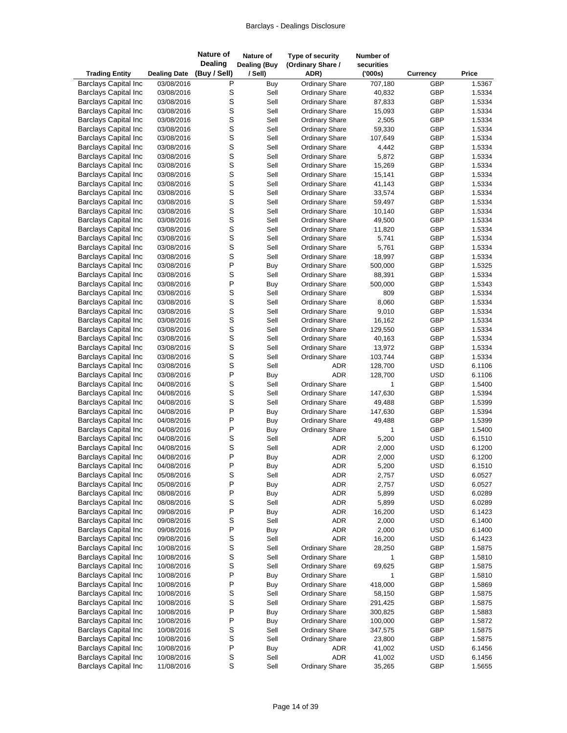| <b>Trading Entity</b>       | <b>Dealing Date</b> | <b>Nature of</b><br><b>Dealing</b><br>(Buy / Sell) | Nature of<br><b>Dealing (Buy</b><br>/ Sell) | Type of security<br>(Ordinary Share /<br>ADR) | Number of<br>securities<br>(000s) | <b>Currency</b> | Price  |
|-----------------------------|---------------------|----------------------------------------------------|---------------------------------------------|-----------------------------------------------|-----------------------------------|-----------------|--------|
| <b>Barclays Capital Inc</b> | 03/08/2016          | P                                                  | Buy                                         | <b>Ordinary Share</b>                         | 707,180                           | GBP             | 1.5367 |
| <b>Barclays Capital Inc</b> | 03/08/2016          | S                                                  | Sell                                        | <b>Ordinary Share</b>                         | 40,832                            | GBP             | 1.5334 |
| <b>Barclays Capital Inc</b> | 03/08/2016          | S                                                  | Sell                                        | <b>Ordinary Share</b>                         | 87,833                            | GBP             | 1.5334 |
| <b>Barclays Capital Inc</b> | 03/08/2016          | S                                                  | Sell                                        | <b>Ordinary Share</b>                         | 15,093                            | GBP             | 1.5334 |
| <b>Barclays Capital Inc</b> | 03/08/2016          | S                                                  | Sell                                        | <b>Ordinary Share</b>                         | 2,505                             | GBP             | 1.5334 |
| <b>Barclays Capital Inc</b> | 03/08/2016          | S                                                  | Sell                                        | <b>Ordinary Share</b>                         | 59,330                            | GBP             | 1.5334 |
| <b>Barclays Capital Inc</b> | 03/08/2016          | S                                                  | Sell                                        | <b>Ordinary Share</b>                         | 107,649                           | GBP             | 1.5334 |
| <b>Barclays Capital Inc</b> | 03/08/2016          | S                                                  | Sell                                        | <b>Ordinary Share</b>                         | 4,442                             | GBP             | 1.5334 |
| <b>Barclays Capital Inc</b> | 03/08/2016          | S                                                  | Sell                                        | <b>Ordinary Share</b>                         | 5,872                             | GBP             | 1.5334 |
| <b>Barclays Capital Inc</b> | 03/08/2016          | S                                                  | Sell                                        | <b>Ordinary Share</b>                         | 15,269                            | GBP             | 1.5334 |
| <b>Barclays Capital Inc</b> | 03/08/2016          | S                                                  | Sell                                        | <b>Ordinary Share</b>                         | 15,141                            | GBP             | 1.5334 |
| <b>Barclays Capital Inc</b> | 03/08/2016          | S                                                  | Sell                                        | <b>Ordinary Share</b>                         | 41,143                            | GBP             | 1.5334 |
| <b>Barclays Capital Inc</b> | 03/08/2016          | S                                                  | Sell                                        | <b>Ordinary Share</b>                         | 33,574                            | GBP             | 1.5334 |
| <b>Barclays Capital Inc</b> | 03/08/2016          | S                                                  | Sell                                        | <b>Ordinary Share</b>                         | 59,497                            | GBP             | 1.5334 |
| <b>Barclays Capital Inc</b> | 03/08/2016          | S                                                  | Sell                                        | <b>Ordinary Share</b>                         | 10,140                            | GBP             | 1.5334 |
| <b>Barclays Capital Inc</b> | 03/08/2016          | S                                                  | Sell                                        | <b>Ordinary Share</b>                         | 49,500                            | GBP             | 1.5334 |
| <b>Barclays Capital Inc</b> | 03/08/2016          | S                                                  | Sell                                        | <b>Ordinary Share</b>                         | 11,820                            | GBP             | 1.5334 |
| <b>Barclays Capital Inc</b> | 03/08/2016          | S                                                  | Sell                                        | <b>Ordinary Share</b>                         | 5,741                             | GBP             | 1.5334 |
| <b>Barclays Capital Inc</b> | 03/08/2016          | S                                                  | Sell                                        | Ordinary Share                                | 5,761                             | GBP             | 1.5334 |
| <b>Barclays Capital Inc</b> | 03/08/2016          | S                                                  | Sell                                        | <b>Ordinary Share</b>                         | 18,997                            | GBP             | 1.5334 |
| <b>Barclays Capital Inc</b> | 03/08/2016          | P                                                  | <b>Buy</b>                                  | <b>Ordinary Share</b>                         | 500,000                           | GBP             | 1.5325 |
| <b>Barclays Capital Inc</b> | 03/08/2016          | S                                                  | Sell                                        | <b>Ordinary Share</b>                         | 88,391                            | GBP             | 1.5334 |
| <b>Barclays Capital Inc</b> | 03/08/2016          | P                                                  | Buy                                         | <b>Ordinary Share</b>                         | 500,000                           | GBP             | 1.5343 |
| <b>Barclays Capital Inc</b> | 03/08/2016          | S                                                  | Sell                                        | <b>Ordinary Share</b>                         | 809                               | GBP             | 1.5334 |
| <b>Barclays Capital Inc</b> | 03/08/2016          | S                                                  | Sell                                        | <b>Ordinary Share</b>                         | 8,060                             | GBP             | 1.5334 |
| <b>Barclays Capital Inc</b> | 03/08/2016          | S                                                  | Sell                                        | <b>Ordinary Share</b>                         | 9,010                             | GBP             | 1.5334 |
| <b>Barclays Capital Inc</b> | 03/08/2016          | S                                                  | Sell                                        | <b>Ordinary Share</b>                         | 16,162                            | GBP             | 1.5334 |
| <b>Barclays Capital Inc</b> | 03/08/2016          | S                                                  | Sell                                        | <b>Ordinary Share</b>                         | 129,550                           | GBP             | 1.5334 |
| <b>Barclays Capital Inc</b> | 03/08/2016          | S                                                  | Sell                                        | <b>Ordinary Share</b>                         | 40,163                            | GBP             | 1.5334 |
| <b>Barclays Capital Inc</b> | 03/08/2016          | S                                                  | Sell                                        | <b>Ordinary Share</b>                         | 13,972                            | GBP             | 1.5334 |
| <b>Barclays Capital Inc</b> | 03/08/2016          | S                                                  | Sell                                        | <b>Ordinary Share</b>                         | 103,744                           | GBP             | 1.5334 |
| <b>Barclays Capital Inc</b> | 03/08/2016          | S                                                  | Sell                                        | <b>ADR</b>                                    | 128,700                           | <b>USD</b>      | 6.1106 |
| <b>Barclays Capital Inc</b> | 03/08/2016          | $\mathsf{P}$                                       | Buy                                         | <b>ADR</b>                                    | 128,700                           | <b>USD</b>      | 6.1106 |
| <b>Barclays Capital Inc</b> | 04/08/2016          | S                                                  | Sell                                        | <b>Ordinary Share</b>                         | 1                                 | GBP             | 1.5400 |
| <b>Barclays Capital Inc</b> | 04/08/2016          | S                                                  | Sell                                        | <b>Ordinary Share</b>                         | 147,630                           | GBP             | 1.5394 |
| <b>Barclays Capital Inc</b> | 04/08/2016          | S                                                  | Sell                                        | <b>Ordinary Share</b>                         | 49,488                            | GBP             | 1.5399 |
| <b>Barclays Capital Inc</b> | 04/08/2016          | P                                                  | Buy                                         | <b>Ordinary Share</b>                         | 147,630                           | GBP             | 1.5394 |
| <b>Barclays Capital Inc</b> | 04/08/2016          | P                                                  | Buy                                         | <b>Ordinary Share</b>                         | 49,488                            | GBP             | 1.5399 |
| <b>Barclays Capital Inc</b> | 04/08/2016          | P                                                  | Buy                                         | <b>Ordinary Share</b>                         | $\mathbf{1}$                      | GBP             | 1.5400 |
| <b>Barclays Capital Inc</b> | 04/08/2016          | S                                                  | Sell                                        | <b>ADR</b>                                    | 5,200                             | <b>USD</b>      | 6.1510 |
| <b>Barclays Capital Inc</b> | 04/08/2016          | S                                                  | Sell                                        | <b>ADR</b>                                    | 2,000                             | <b>USD</b>      | 6.1200 |
| <b>Barclays Capital Inc</b> | 04/08/2016          | P                                                  | Buy                                         | <b>ADR</b>                                    | 2,000                             | <b>USD</b>      | 6.1200 |
| <b>Barclays Capital Inc</b> | 04/08/2016          | $\mathsf{P}$                                       | Buy                                         | ADR                                           | 5,200                             | <b>USD</b>      | 6.1510 |
| <b>Barclays Capital Inc</b> | 05/08/2016          | S                                                  | Sell                                        | ADR                                           | 2,757                             | <b>USD</b>      | 6.0527 |
| <b>Barclays Capital Inc</b> | 05/08/2016          | P                                                  | Buy                                         | ADR                                           | 2,757                             | <b>USD</b>      | 6.0527 |
| <b>Barclays Capital Inc</b> | 08/08/2016          | P                                                  | Buy                                         | ADR                                           | 5,899                             | <b>USD</b>      | 6.0289 |
| <b>Barclays Capital Inc</b> | 08/08/2016          | S                                                  | Sell                                        | ADR                                           | 5,899                             | <b>USD</b>      | 6.0289 |
| <b>Barclays Capital Inc</b> | 09/08/2016          | P                                                  | <b>Buy</b>                                  | ADR                                           | 16,200                            | <b>USD</b>      | 6.1423 |
| <b>Barclays Capital Inc</b> | 09/08/2016          | S                                                  | Sell                                        | ADR                                           | 2,000                             | <b>USD</b>      | 6.1400 |
| <b>Barclays Capital Inc</b> | 09/08/2016          | P                                                  | Buy                                         | ADR                                           | 2,000                             | <b>USD</b>      | 6.1400 |
| <b>Barclays Capital Inc</b> | 09/08/2016          | S                                                  | Sell                                        | <b>ADR</b>                                    | 16,200                            | <b>USD</b>      | 6.1423 |
| <b>Barclays Capital Inc</b> | 10/08/2016          | S                                                  | Sell                                        | <b>Ordinary Share</b>                         | 28,250                            | GBP             | 1.5875 |
| <b>Barclays Capital Inc</b> | 10/08/2016          | S                                                  | Sell                                        | <b>Ordinary Share</b>                         | 1                                 | GBP             | 1.5810 |
| <b>Barclays Capital Inc</b> | 10/08/2016          | S                                                  | Sell                                        | <b>Ordinary Share</b>                         | 69,625                            | GBP             | 1.5875 |
| <b>Barclays Capital Inc</b> | 10/08/2016          | P                                                  | Buy                                         | <b>Ordinary Share</b>                         | 1                                 | GBP             | 1.5810 |
| <b>Barclays Capital Inc</b> | 10/08/2016          | P                                                  | Buy                                         | <b>Ordinary Share</b>                         | 418,000                           | GBP             | 1.5869 |
| <b>Barclays Capital Inc</b> | 10/08/2016          | S                                                  | Sell                                        | <b>Ordinary Share</b>                         | 58,150                            | GBP             | 1.5875 |
| <b>Barclays Capital Inc</b> | 10/08/2016          | S                                                  | Sell                                        | <b>Ordinary Share</b>                         | 291,425                           | GBP             | 1.5875 |
| <b>Barclays Capital Inc</b> | 10/08/2016          | P                                                  | Buy                                         | <b>Ordinary Share</b>                         | 300,825                           | GBP             | 1.5883 |
| <b>Barclays Capital Inc</b> | 10/08/2016          | P                                                  | Buy                                         | <b>Ordinary Share</b>                         | 100,000                           | GBP             | 1.5872 |
| <b>Barclays Capital Inc</b> | 10/08/2016          | S                                                  | Sell                                        | <b>Ordinary Share</b>                         | 347,575                           | GBP             | 1.5875 |
| <b>Barclays Capital Inc</b> | 10/08/2016          | S                                                  | Sell                                        | <b>Ordinary Share</b>                         | 23,800                            | GBP             | 1.5875 |
| <b>Barclays Capital Inc</b> | 10/08/2016          | P                                                  | Buy                                         | ADR                                           | 41,002                            | <b>USD</b>      | 6.1456 |
| <b>Barclays Capital Inc</b> | 10/08/2016          | S                                                  | Sell                                        | <b>ADR</b>                                    | 41,002                            | <b>USD</b>      | 6.1456 |
| <b>Barclays Capital Inc</b> | 11/08/2016          | $\mathbf S$                                        | Sell                                        | Ordinary Share                                | 35,265                            | GBP             | 1.5655 |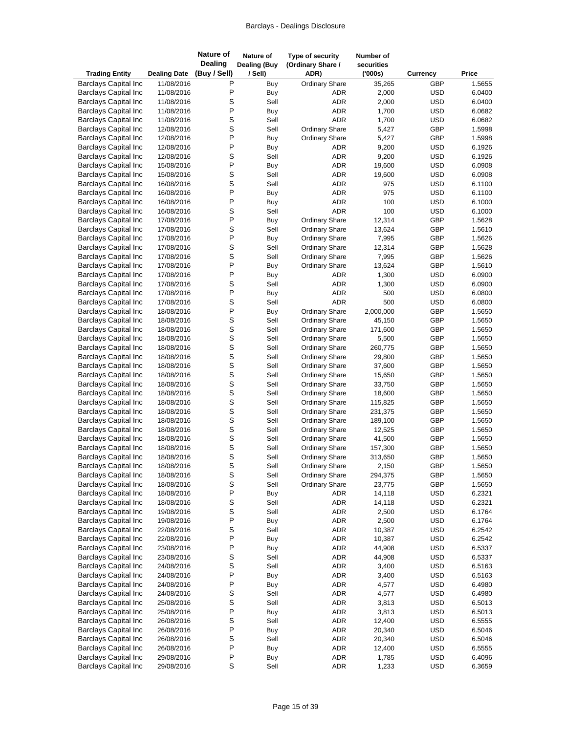| <b>Trading Entity</b>                                      | <b>Dealing Date</b>      | <b>Nature of</b><br><b>Dealing</b><br>(Buy / Sell) | Nature of<br><b>Dealing (Buy</b><br>/ Sell) | Type of security<br>(Ordinary Share /<br>ADR)  | Number of<br>securities<br>(000s) | <b>Currency</b>          | Price            |
|------------------------------------------------------------|--------------------------|----------------------------------------------------|---------------------------------------------|------------------------------------------------|-----------------------------------|--------------------------|------------------|
| <b>Barclays Capital Inc</b>                                | 11/08/2016               | Ρ                                                  | Buy                                         | <b>Ordinary Share</b>                          | 35,265                            | GBP                      | 1.5655           |
| <b>Barclays Capital Inc</b>                                | 11/08/2016               | P                                                  | Buy                                         | ADR                                            | 2,000                             | <b>USD</b>               | 6.0400           |
| <b>Barclays Capital Inc</b>                                | 11/08/2016               | S                                                  | Sell                                        | <b>ADR</b>                                     | 2,000                             | <b>USD</b>               | 6.0400           |
| <b>Barclays Capital Inc</b>                                | 11/08/2016               | P                                                  | Buy                                         | <b>ADR</b>                                     | 1,700                             | <b>USD</b>               | 6.0682           |
| <b>Barclays Capital Inc</b>                                | 11/08/2016               | S                                                  | Sell                                        | <b>ADR</b>                                     | 1,700                             | <b>USD</b>               | 6.0682           |
| <b>Barclays Capital Inc</b>                                | 12/08/2016               | S                                                  | Sell                                        | <b>Ordinary Share</b>                          | 5,427                             | GBP                      | 1.5998           |
| <b>Barclays Capital Inc</b>                                | 12/08/2016               | P                                                  | Buy                                         | <b>Ordinary Share</b>                          | 5,427                             | GBP                      | 1.5998           |
| <b>Barclays Capital Inc</b>                                | 12/08/2016               | P                                                  | Buy                                         | ADR                                            | 9,200                             | <b>USD</b>               | 6.1926           |
| <b>Barclays Capital Inc</b>                                | 12/08/2016               | S                                                  | Sell                                        | <b>ADR</b>                                     | 9,200                             | <b>USD</b>               | 6.1926           |
| <b>Barclays Capital Inc</b><br><b>Barclays Capital Inc</b> | 15/08/2016<br>15/08/2016 | P<br>S                                             | Buy<br>Sell                                 | ADR<br><b>ADR</b>                              | 19,600<br>19,600                  | <b>USD</b><br><b>USD</b> | 6.0908<br>6.0908 |
| <b>Barclays Capital Inc</b>                                | 16/08/2016               | S                                                  | Sell                                        | <b>ADR</b>                                     | 975                               | <b>USD</b>               | 6.1100           |
| <b>Barclays Capital Inc</b>                                | 16/08/2016               | P                                                  | Buy                                         | ADR                                            | 975                               | <b>USD</b>               | 6.1100           |
| <b>Barclays Capital Inc</b>                                | 16/08/2016               | P                                                  | Buy                                         | <b>ADR</b>                                     | 100                               | <b>USD</b>               | 6.1000           |
| <b>Barclays Capital Inc</b>                                | 16/08/2016               | S                                                  | Sell                                        | <b>ADR</b>                                     | 100                               | <b>USD</b>               | 6.1000           |
| <b>Barclays Capital Inc</b>                                | 17/08/2016               | P                                                  | Buy                                         | <b>Ordinary Share</b>                          | 12,314                            | GBP                      | 1.5628           |
| <b>Barclays Capital Inc</b>                                | 17/08/2016               | S                                                  | Sell                                        | <b>Ordinary Share</b>                          | 13,624                            | GBP                      | 1.5610           |
| <b>Barclays Capital Inc</b>                                | 17/08/2016               | P                                                  | Buy                                         | <b>Ordinary Share</b>                          | 7,995                             | GBP                      | 1.5626           |
| <b>Barclays Capital Inc</b>                                | 17/08/2016               | S                                                  | Sell                                        | Ordinary Share                                 | 12,314                            | GBP                      | 1.5628           |
| <b>Barclays Capital Inc</b>                                | 17/08/2016               | S                                                  | Sell                                        | <b>Ordinary Share</b>                          | 7,995                             | GBP                      | 1.5626           |
| <b>Barclays Capital Inc</b>                                | 17/08/2016               | P                                                  | Buy                                         | <b>Ordinary Share</b>                          | 13,624                            | GBP                      | 1.5610           |
| <b>Barclays Capital Inc</b>                                | 17/08/2016               | P                                                  | Buy                                         | ADR                                            | 1,300                             | <b>USD</b>               | 6.0900           |
| <b>Barclays Capital Inc</b>                                | 17/08/2016               | S                                                  | Sell                                        | ADR                                            | 1,300                             | <b>USD</b>               | 6.0900           |
| <b>Barclays Capital Inc</b>                                | 17/08/2016               | P                                                  | Buy                                         | <b>ADR</b>                                     | 500                               | <b>USD</b>               | 6.0800           |
| <b>Barclays Capital Inc</b>                                | 17/08/2016               | S                                                  | Sell                                        | <b>ADR</b>                                     | 500                               | <b>USD</b>               | 6.0800           |
| <b>Barclays Capital Inc</b>                                | 18/08/2016               | P                                                  | Buy                                         | <b>Ordinary Share</b>                          | 2,000,000                         | GBP                      | 1.5650           |
| <b>Barclays Capital Inc</b>                                | 18/08/2016               | S                                                  | Sell                                        | <b>Ordinary Share</b>                          | 45,150                            | GBP                      | 1.5650           |
| <b>Barclays Capital Inc</b><br><b>Barclays Capital Inc</b> | 18/08/2016               | S<br>S                                             | Sell<br>Sell                                | <b>Ordinary Share</b>                          | 171,600                           | GBP<br>GBP               | 1.5650           |
| <b>Barclays Capital Inc</b>                                | 18/08/2016<br>18/08/2016 | S                                                  | Sell                                        | <b>Ordinary Share</b><br><b>Ordinary Share</b> | 5,500<br>260,775                  | GBP                      | 1.5650<br>1.5650 |
| <b>Barclays Capital Inc</b>                                | 18/08/2016               | S                                                  | Sell                                        | <b>Ordinary Share</b>                          | 29,800                            | GBP                      | 1.5650           |
| <b>Barclays Capital Inc</b>                                | 18/08/2016               | S                                                  | Sell                                        | <b>Ordinary Share</b>                          | 37,600                            | GBP                      | 1.5650           |
| <b>Barclays Capital Inc</b>                                | 18/08/2016               | S                                                  | Sell                                        | <b>Ordinary Share</b>                          | 15,650                            | GBP                      | 1.5650           |
| <b>Barclays Capital Inc</b>                                | 18/08/2016               | S                                                  | Sell                                        | <b>Ordinary Share</b>                          | 33,750                            | GBP                      | 1.5650           |
| <b>Barclays Capital Inc</b>                                | 18/08/2016               | S                                                  | Sell                                        | <b>Ordinary Share</b>                          | 18,600                            | GBP                      | 1.5650           |
| <b>Barclays Capital Inc</b>                                | 18/08/2016               | S                                                  | Sell                                        | <b>Ordinary Share</b>                          | 115,825                           | GBP                      | 1.5650           |
| <b>Barclays Capital Inc</b>                                | 18/08/2016               | S                                                  | Sell                                        | <b>Ordinary Share</b>                          | 231,375                           | GBP                      | 1.5650           |
| <b>Barclays Capital Inc</b>                                | 18/08/2016               | S                                                  | Sell                                        | <b>Ordinary Share</b>                          | 189,100                           | GBP                      | 1.5650           |
| <b>Barclays Capital Inc</b>                                | 18/08/2016               | S                                                  | Sell                                        | <b>Ordinary Share</b>                          | 12,525                            | GBP                      | 1.5650           |
| <b>Barclays Capital Inc</b>                                | 18/08/2016               | S                                                  | Sell                                        | <b>Ordinary Share</b>                          | 41,500                            | GBP                      | 1.5650           |
| <b>Barclays Capital Inc</b>                                | 18/08/2016               | S                                                  | Sell                                        | <b>Ordinary Share</b>                          | 157,300                           | GBP                      | 1.5650           |
| <b>Barclays Capital Inc</b>                                | 18/08/2016               | S                                                  | Sell                                        | <b>Ordinary Share</b>                          | 313,650                           | GBP                      | 1.5650           |
| <b>Barclays Capital Inc</b>                                | 18/08/2016               | S                                                  | Sell                                        | <b>Ordinary Share</b>                          | 2,150                             | GBP                      | 1.5650           |
| <b>Barclays Capital Inc</b><br><b>Barclays Capital Inc</b> | 18/08/2016<br>18/08/2016 | S<br>S                                             | Sell<br>Sell                                | <b>Ordinary Share</b><br><b>Ordinary Share</b> | 294,375<br>23,775                 | GBP<br>GBP               | 1.5650<br>1.5650 |
| <b>Barclays Capital Inc</b>                                | 18/08/2016               | P                                                  | Buy                                         | ADR                                            | 14,118                            | <b>USD</b>               | 6.2321           |
| <b>Barclays Capital Inc</b>                                | 18/08/2016               | S                                                  | Sell                                        | ADR                                            | 14,118                            | <b>USD</b>               | 6.2321           |
| <b>Barclays Capital Inc</b>                                | 19/08/2016               | S                                                  | Sell                                        | ADR                                            | 2,500                             | <b>USD</b>               | 6.1764           |
| <b>Barclays Capital Inc</b>                                | 19/08/2016               | P                                                  | Buy                                         | <b>ADR</b>                                     | 2,500                             | <b>USD</b>               | 6.1764           |
| <b>Barclays Capital Inc</b>                                | 22/08/2016               | S                                                  | Sell                                        | ADR                                            | 10,387                            | <b>USD</b>               | 6.2542           |
| <b>Barclays Capital Inc</b>                                | 22/08/2016               | P                                                  | Buy                                         | ADR                                            | 10,387                            | <b>USD</b>               | 6.2542           |
| <b>Barclays Capital Inc</b>                                | 23/08/2016               | P                                                  | Buy                                         | ADR                                            | 44,908                            | <b>USD</b>               | 6.5337           |
| <b>Barclays Capital Inc</b>                                | 23/08/2016               | S                                                  | Sell                                        | ADR                                            | 44,908                            | <b>USD</b>               | 6.5337           |
| <b>Barclays Capital Inc</b>                                | 24/08/2016               | S                                                  | Sell                                        | ADR                                            | 3,400                             | <b>USD</b>               | 6.5163           |
| <b>Barclays Capital Inc</b>                                | 24/08/2016               | P                                                  | Buy                                         | ADR                                            | 3,400                             | <b>USD</b>               | 6.5163           |
| <b>Barclays Capital Inc</b>                                | 24/08/2016               | P                                                  | Buy                                         | ADR                                            | 4,577                             | <b>USD</b>               | 6.4980           |
| <b>Barclays Capital Inc</b>                                | 24/08/2016               | S                                                  | Sell                                        | ADR                                            | 4,577                             | <b>USD</b>               | 6.4980           |
| <b>Barclays Capital Inc</b>                                | 25/08/2016               | S                                                  | Sell                                        | ADR                                            | 3,813                             | <b>USD</b>               | 6.5013           |
| <b>Barclays Capital Inc</b>                                | 25/08/2016               | P                                                  | Buy                                         | ADR                                            | 3,813                             | <b>USD</b>               | 6.5013           |
| <b>Barclays Capital Inc</b>                                | 26/08/2016               | S<br>$\mathsf{P}$                                  | Sell                                        | ADR                                            | 12,400                            | <b>USD</b>               | 6.5555           |
| <b>Barclays Capital Inc</b>                                | 26/08/2016               | S                                                  | Buy<br>Sell                                 | ADR                                            | 20,340                            | <b>USD</b>               | 6.5046           |
| <b>Barclays Capital Inc</b><br><b>Barclays Capital Inc</b> | 26/08/2016<br>26/08/2016 | P                                                  | Buy                                         | ADR<br>ADR                                     | 20,340<br>12,400                  | <b>USD</b><br><b>USD</b> | 6.5046<br>6.5555 |
| <b>Barclays Capital Inc</b>                                | 29/08/2016               | $\sf P$                                            | Buy                                         | ADR                                            | 1,785                             | <b>USD</b>               | 6.4096           |
| <b>Barclays Capital Inc</b>                                | 29/08/2016               | $\mbox{\bf S}$                                     | Sell                                        | ADR                                            | 1,233                             | <b>USD</b>               | 6.3659           |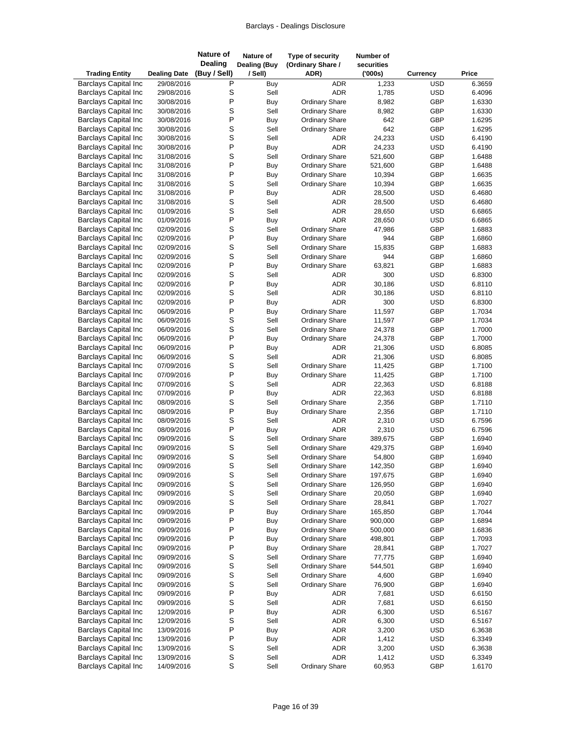| <b>Trading Entity</b>                                      | <b>Dealing Date</b>      | <b>Nature of</b><br><b>Dealing</b><br>(Buy / Sell) | Nature of<br><b>Dealing (Buy</b><br>/ Sell) | Type of security<br>(Ordinary Share /<br>ADR)  | Number of<br>securities<br>(000s) | Currency                 | Price            |
|------------------------------------------------------------|--------------------------|----------------------------------------------------|---------------------------------------------|------------------------------------------------|-----------------------------------|--------------------------|------------------|
| <b>Barclays Capital Inc</b>                                | 29/08/2016               | Ρ                                                  | Buy                                         | <b>ADR</b>                                     | 1,233                             | <b>USD</b>               | 6.3659           |
| <b>Barclays Capital Inc</b>                                | 29/08/2016               | S                                                  | Sell                                        | <b>ADR</b>                                     | 1,785                             | <b>USD</b>               | 6.4096           |
| <b>Barclays Capital Inc</b>                                | 30/08/2016               | P                                                  | Buy                                         | <b>Ordinary Share</b>                          | 8,982                             | GBP                      | 1.6330           |
| <b>Barclays Capital Inc</b>                                | 30/08/2016               | S                                                  | Sell                                        | <b>Ordinary Share</b>                          | 8,982                             | GBP                      | 1.6330           |
| <b>Barclays Capital Inc</b>                                | 30/08/2016               | P                                                  | Buy                                         | <b>Ordinary Share</b>                          | 642                               | GBP                      | 1.6295           |
| <b>Barclays Capital Inc</b>                                | 30/08/2016               | S                                                  | Sell                                        | <b>Ordinary Share</b>                          | 642                               | GBP                      | 1.6295           |
| <b>Barclays Capital Inc</b>                                | 30/08/2016               | S                                                  | Sell                                        | <b>ADR</b>                                     | 24,233                            | <b>USD</b>               | 6.4190           |
| <b>Barclays Capital Inc</b>                                | 30/08/2016               | P                                                  | Buy                                         | <b>ADR</b>                                     | 24,233                            | <b>USD</b>               | 6.4190           |
| <b>Barclays Capital Inc</b>                                | 31/08/2016               | S                                                  | Sell                                        | <b>Ordinary Share</b>                          | 521,600                           | GBP                      | 1.6488           |
| <b>Barclays Capital Inc</b>                                | 31/08/2016               | P                                                  | Buy                                         | <b>Ordinary Share</b>                          | 521,600                           | GBP                      | 1.6488           |
| <b>Barclays Capital Inc</b>                                | 31/08/2016               | P                                                  | Buy                                         | <b>Ordinary Share</b>                          | 10,394                            | GBP                      | 1.6635           |
| Barclays Capital Inc                                       | 31/08/2016               | S<br>P                                             | Sell                                        | <b>Ordinary Share</b>                          | 10,394                            | GBP                      | 1.6635           |
| <b>Barclays Capital Inc</b><br><b>Barclays Capital Inc</b> | 31/08/2016               | S                                                  | Buy<br>Sell                                 | ADR<br><b>ADR</b>                              | 28,500                            | <b>USD</b><br><b>USD</b> | 6.4680           |
| <b>Barclays Capital Inc</b>                                | 31/08/2016<br>01/09/2016 | S                                                  | Sell                                        | <b>ADR</b>                                     | 28,500                            | <b>USD</b>               | 6.4680<br>6.6865 |
| <b>Barclays Capital Inc</b>                                | 01/09/2016               | P                                                  |                                             | <b>ADR</b>                                     | 28,650<br>28,650                  | <b>USD</b>               | 6.6865           |
| <b>Barclays Capital Inc</b>                                | 02/09/2016               | S                                                  | Buy<br>Sell                                 | <b>Ordinary Share</b>                          | 47,986                            | GBP                      | 1.6883           |
| <b>Barclays Capital Inc</b>                                | 02/09/2016               | P                                                  | Buy                                         | <b>Ordinary Share</b>                          | 944                               | GBP                      | 1.6860           |
| <b>Barclays Capital Inc</b>                                | 02/09/2016               | S                                                  | Sell                                        | Ordinary Share                                 | 15,835                            | GBP                      | 1.6883           |
| <b>Barclays Capital Inc</b>                                | 02/09/2016               | S                                                  | Sell                                        | <b>Ordinary Share</b>                          | 944                               | GBP                      | 1.6860           |
| <b>Barclays Capital Inc</b>                                | 02/09/2016               | P                                                  | <b>Buy</b>                                  | <b>Ordinary Share</b>                          | 63,821                            | GBP                      | 1.6883           |
| <b>Barclays Capital Inc</b>                                | 02/09/2016               | S                                                  | Sell                                        | ADR                                            | 300                               | <b>USD</b>               | 6.8300           |
| <b>Barclays Capital Inc</b>                                | 02/09/2016               | P                                                  | Buy                                         | ADR                                            | 30,186                            | <b>USD</b>               | 6.8110           |
| <b>Barclays Capital Inc</b>                                | 02/09/2016               | S                                                  | Sell                                        | <b>ADR</b>                                     | 30,186                            | <b>USD</b>               | 6.8110           |
| <b>Barclays Capital Inc</b>                                | 02/09/2016               | P                                                  | Buy                                         | <b>ADR</b>                                     | 300                               | <b>USD</b>               | 6.8300           |
| <b>Barclays Capital Inc</b>                                | 06/09/2016               | P                                                  | Buy                                         | <b>Ordinary Share</b>                          | 11,597                            | GBP                      | 1.7034           |
| <b>Barclays Capital Inc</b>                                | 06/09/2016               | S                                                  | Sell                                        | <b>Ordinary Share</b>                          | 11,597                            | GBP                      | 1.7034           |
| <b>Barclays Capital Inc</b>                                | 06/09/2016               | S                                                  | Sell                                        | <b>Ordinary Share</b>                          | 24,378                            | GBP                      | 1.7000           |
| <b>Barclays Capital Inc</b>                                | 06/09/2016               | P                                                  | Buy                                         | <b>Ordinary Share</b>                          | 24,378                            | GBP                      | 1.7000           |
| <b>Barclays Capital Inc</b>                                | 06/09/2016               | P                                                  | Buy                                         | ADR                                            | 21,306                            | <b>USD</b>               | 6.8085           |
| <b>Barclays Capital Inc</b>                                | 06/09/2016               | S                                                  | Sell                                        | ADR                                            | 21,306                            | <b>USD</b>               | 6.8085           |
| <b>Barclays Capital Inc</b>                                | 07/09/2016               | S                                                  | Sell                                        | <b>Ordinary Share</b>                          | 11,425                            | GBP                      | 1.7100           |
| <b>Barclays Capital Inc</b>                                | 07/09/2016               | P                                                  | Buy                                         | <b>Ordinary Share</b>                          | 11,425                            | GBP                      | 1.7100           |
| <b>Barclays Capital Inc</b>                                | 07/09/2016               | S                                                  | Sell                                        | <b>ADR</b>                                     | 22,363                            | <b>USD</b>               | 6.8188           |
| <b>Barclays Capital Inc</b>                                | 07/09/2016               | P                                                  | Buy                                         | <b>ADR</b>                                     | 22,363                            | <b>USD</b>               | 6.8188           |
| <b>Barclays Capital Inc</b>                                | 08/09/2016               | S                                                  | Sell                                        | <b>Ordinary Share</b>                          | 2,356                             | GBP                      | 1.7110           |
| <b>Barclays Capital Inc</b>                                | 08/09/2016               | P                                                  | Buy                                         | <b>Ordinary Share</b>                          | 2,356                             | GBP                      | 1.7110           |
| <b>Barclays Capital Inc</b>                                | 08/09/2016               | S                                                  | Sell                                        | ADR                                            | 2,310                             | <b>USD</b>               | 6.7596           |
| <b>Barclays Capital Inc</b>                                | 08/09/2016               | P                                                  | Buy                                         | <b>ADR</b>                                     | 2,310                             | <b>USD</b>               | 6.7596           |
| <b>Barclays Capital Inc</b>                                | 09/09/2016               | S                                                  | Sell                                        | <b>Ordinary Share</b>                          | 389,675                           | GBP                      | 1.6940           |
| <b>Barclays Capital Inc</b>                                | 09/09/2016               | S                                                  | Sell                                        | <b>Ordinary Share</b>                          | 429,375                           | GBP                      | 1.6940           |
| <b>Barclays Capital Inc</b>                                | 09/09/2016               | S                                                  | Sell                                        | <b>Ordinary Share</b>                          | 54,800                            | GBP                      | 1.6940           |
| <b>Barclays Capital Inc</b><br><b>Barclays Capital Inc</b> | 09/09/2016<br>09/09/2016 | S<br>S                                             | Sell<br>Sell                                | <b>Ordinary Share</b><br><b>Ordinary Share</b> | 142,350<br>197,675                | GBP<br>GBP               | 1.6940<br>1.6940 |
| <b>Barclays Capital Inc</b>                                |                          | S                                                  | Sell                                        | <b>Ordinary Share</b>                          | 126,950                           | GBP                      | 1.6940           |
| <b>Barclays Capital Inc</b>                                | 09/09/2016<br>09/09/2016 | S                                                  | Sell                                        | <b>Ordinary Share</b>                          | 20,050                            | GBP                      | 1.6940           |
| <b>Barclays Capital Inc</b>                                | 09/09/2016               | S                                                  | Sell                                        | <b>Ordinary Share</b>                          | 28,841                            | GBP                      | 1.7027           |
| <b>Barclays Capital Inc</b>                                | 09/09/2016               | P                                                  | Buy                                         | <b>Ordinary Share</b>                          | 165,850                           | GBP                      | 1.7044           |
| <b>Barclays Capital Inc</b>                                | 09/09/2016               | P                                                  | Buy                                         | <b>Ordinary Share</b>                          | 900,000                           | GBP                      | 1.6894           |
| <b>Barclays Capital Inc</b>                                | 09/09/2016               | $\mathsf{P}$                                       | Buy                                         | <b>Ordinary Share</b>                          | 500,000                           | GBP                      | 1.6836           |
| <b>Barclays Capital Inc</b>                                | 09/09/2016               | P                                                  | Buy                                         | <b>Ordinary Share</b>                          | 498,801                           | GBP                      | 1.7093           |
| <b>Barclays Capital Inc</b>                                | 09/09/2016               | P                                                  | Buy                                         | <b>Ordinary Share</b>                          | 28,841                            | GBP                      | 1.7027           |
| <b>Barclays Capital Inc</b>                                | 09/09/2016               | S                                                  | Sell                                        | <b>Ordinary Share</b>                          | 77,775                            | GBP                      | 1.6940           |
| <b>Barclays Capital Inc</b>                                | 09/09/2016               | S                                                  | Sell                                        | <b>Ordinary Share</b>                          | 544,501                           | GBP                      | 1.6940           |
| <b>Barclays Capital Inc</b>                                | 09/09/2016               | S                                                  | Sell                                        | <b>Ordinary Share</b>                          | 4,600                             | GBP                      | 1.6940           |
| <b>Barclays Capital Inc</b>                                | 09/09/2016               | S                                                  | Sell                                        | <b>Ordinary Share</b>                          | 76,900                            | GBP                      | 1.6940           |
| <b>Barclays Capital Inc</b>                                | 09/09/2016               | P                                                  | Buy                                         | ADR                                            | 7,681                             | <b>USD</b>               | 6.6150           |
| <b>Barclays Capital Inc</b>                                | 09/09/2016               | S                                                  | Sell                                        | <b>ADR</b>                                     | 7,681                             | <b>USD</b>               | 6.6150           |
| <b>Barclays Capital Inc</b>                                | 12/09/2016               | P                                                  | Buy                                         | ADR                                            | 6,300                             | <b>USD</b>               | 6.5167           |
| <b>Barclays Capital Inc</b>                                | 12/09/2016               | S                                                  | Sell                                        | ADR                                            | 6,300                             | <b>USD</b>               | 6.5167           |
| <b>Barclays Capital Inc</b>                                | 13/09/2016               | $\mathsf{P}$                                       | Buy                                         | ADR                                            | 3,200                             | <b>USD</b>               | 6.3638           |
| <b>Barclays Capital Inc</b>                                | 13/09/2016               | P                                                  | Buy                                         | ADR                                            | 1,412                             | <b>USD</b>               | 6.3349           |
| <b>Barclays Capital Inc</b>                                | 13/09/2016               | S                                                  | Sell                                        | ADR                                            | 3,200                             | <b>USD</b>               | 6.3638           |
| <b>Barclays Capital Inc</b>                                | 13/09/2016               | $\mathbf S$                                        | Sell                                        | <b>ADR</b>                                     | 1,412                             | <b>USD</b>               | 6.3349           |
| <b>Barclays Capital Inc</b>                                | 14/09/2016               | $\mathbf S$                                        | Sell                                        | <b>Ordinary Share</b>                          | 60,953                            | GBP                      | 1.6170           |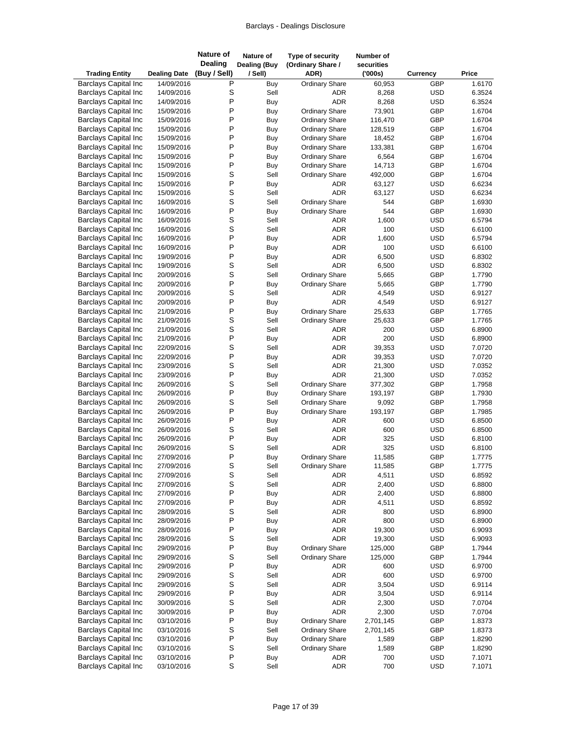| <b>Trading Entity</b>                                      | <b>Dealing Date</b>      | <b>Nature of</b><br><b>Dealing</b><br>(Buy / Sell) | Nature of<br><b>Dealing (Buy</b><br>/ Sell) | Type of security<br>(Ordinary Share /<br>ADR) | Number of<br>securities<br>(000s) | Currency                 | Price            |
|------------------------------------------------------------|--------------------------|----------------------------------------------------|---------------------------------------------|-----------------------------------------------|-----------------------------------|--------------------------|------------------|
| <b>Barclays Capital Inc</b>                                | 14/09/2016               | Ρ                                                  | Buy                                         | <b>Ordinary Share</b>                         | 60,953                            | GBP                      | 1.6170           |
| <b>Barclays Capital Inc</b>                                | 14/09/2016               | S                                                  | Sell                                        | ADR                                           | 8,268                             | <b>USD</b>               | 6.3524           |
| <b>Barclays Capital Inc</b>                                | 14/09/2016               | P                                                  | Buy                                         | <b>ADR</b>                                    | 8,268                             | <b>USD</b>               | 6.3524           |
| <b>Barclays Capital Inc</b>                                | 15/09/2016               | P                                                  | Buy                                         | <b>Ordinary Share</b>                         | 73,901                            | GBP                      | 1.6704           |
| <b>Barclays Capital Inc</b>                                | 15/09/2016               | P                                                  | Buy                                         | <b>Ordinary Share</b>                         | 116,470                           | GBP                      | 1.6704           |
| <b>Barclays Capital Inc</b>                                | 15/09/2016               | P                                                  | Buy                                         | <b>Ordinary Share</b>                         | 128,519                           | GBP                      | 1.6704           |
| <b>Barclays Capital Inc</b>                                | 15/09/2016               | P                                                  | Buy                                         | <b>Ordinary Share</b>                         | 18,452                            | GBP                      | 1.6704           |
| <b>Barclays Capital Inc</b>                                | 15/09/2016               | P                                                  | Buy                                         | <b>Ordinary Share</b>                         | 133,381                           | GBP                      | 1.6704           |
| <b>Barclays Capital Inc</b>                                | 15/09/2016               | P                                                  | Buy                                         | <b>Ordinary Share</b>                         | 6,564                             | GBP                      | 1.6704           |
| <b>Barclays Capital Inc</b>                                | 15/09/2016               | P                                                  | Buy                                         | <b>Ordinary Share</b>                         | 14,713                            | GBP                      | 1.6704           |
| <b>Barclays Capital Inc</b>                                | 15/09/2016               | S                                                  | Sell                                        | <b>Ordinary Share</b>                         | 492,000                           | GBP                      | 1.6704           |
| <b>Barclays Capital Inc</b>                                | 15/09/2016               | P                                                  | Buy                                         | <b>ADR</b>                                    | 63,127                            | <b>USD</b>               | 6.6234           |
| <b>Barclays Capital Inc</b>                                | 15/09/2016               | S                                                  | Sell                                        | <b>ADR</b>                                    | 63,127                            | <b>USD</b>               | 6.6234           |
| <b>Barclays Capital Inc</b>                                | 16/09/2016               | S                                                  | Sell                                        | <b>Ordinary Share</b>                         | 544                               | GBP                      | 1.6930           |
| <b>Barclays Capital Inc</b>                                | 16/09/2016               | P                                                  | Buy                                         | <b>Ordinary Share</b>                         | 544                               | GBP                      | 1.6930           |
| <b>Barclays Capital Inc</b>                                | 16/09/2016               | S                                                  | Sell                                        | ADR                                           | 1,600                             | <b>USD</b>               | 6.5794           |
| <b>Barclays Capital Inc</b>                                | 16/09/2016               | S<br>P                                             | Sell                                        | <b>ADR</b>                                    | 100                               | <b>USD</b>               | 6.6100           |
| <b>Barclays Capital Inc</b><br><b>Barclays Capital Inc</b> | 16/09/2016<br>16/09/2016 | P                                                  | Buy                                         | <b>ADR</b><br>ADR                             | 1,600<br>100                      | <b>USD</b><br><b>USD</b> | 6.5794<br>6.6100 |
| <b>Barclays Capital Inc</b>                                | 19/09/2016               | P                                                  | Buy                                         | <b>ADR</b>                                    | 6,500                             | <b>USD</b>               | 6.8302           |
| <b>Barclays Capital Inc</b>                                | 19/09/2016               | S                                                  | Buy<br>Sell                                 | <b>ADR</b>                                    | 6,500                             | <b>USD</b>               | 6.8302           |
| <b>Barclays Capital Inc</b>                                | 20/09/2016               | S                                                  | Sell                                        | <b>Ordinary Share</b>                         | 5,665                             | GBP                      | 1.7790           |
| <b>Barclays Capital Inc</b>                                | 20/09/2016               | P                                                  | Buy                                         | <b>Ordinary Share</b>                         | 5,665                             | GBP                      | 1.7790           |
| <b>Barclays Capital Inc</b>                                | 20/09/2016               | S                                                  | Sell                                        | ADR                                           | 4,549                             | <b>USD</b>               | 6.9127           |
| <b>Barclays Capital Inc</b>                                | 20/09/2016               | P                                                  | Buy                                         | <b>ADR</b>                                    | 4,549                             | <b>USD</b>               | 6.9127           |
| <b>Barclays Capital Inc</b>                                | 21/09/2016               | P                                                  | Buy                                         | <b>Ordinary Share</b>                         | 25,633                            | GBP                      | 1.7765           |
| <b>Barclays Capital Inc</b>                                | 21/09/2016               | S                                                  | Sell                                        | <b>Ordinary Share</b>                         | 25,633                            | GBP                      | 1.7765           |
| <b>Barclays Capital Inc</b>                                | 21/09/2016               | S                                                  | Sell                                        | ADR                                           | 200                               | <b>USD</b>               | 6.8900           |
| <b>Barclays Capital Inc</b>                                | 21/09/2016               | P                                                  | Buy                                         | <b>ADR</b>                                    | 200                               | <b>USD</b>               | 6.8900           |
| <b>Barclays Capital Inc</b>                                | 22/09/2016               | S                                                  | Sell                                        | <b>ADR</b>                                    | 39,353                            | <b>USD</b>               | 7.0720           |
| <b>Barclays Capital Inc</b>                                | 22/09/2016               | P                                                  | Buy                                         | ADR                                           | 39,353                            | <b>USD</b>               | 7.0720           |
| <b>Barclays Capital Inc</b>                                | 23/09/2016               | S                                                  | Sell                                        | <b>ADR</b>                                    | 21,300                            | <b>USD</b>               | 7.0352           |
| <b>Barclays Capital Inc</b>                                | 23/09/2016               | P                                                  | Buy                                         | <b>ADR</b>                                    | 21,300                            | <b>USD</b>               | 7.0352           |
| <b>Barclays Capital Inc</b>                                | 26/09/2016               | S                                                  | Sell                                        | <b>Ordinary Share</b>                         | 377,302                           | GBP                      | 1.7958           |
| <b>Barclays Capital Inc</b>                                | 26/09/2016               | P                                                  | Buy                                         | <b>Ordinary Share</b>                         | 193,197                           | GBP                      | 1.7930           |
| <b>Barclays Capital Inc</b>                                | 26/09/2016               | S                                                  | Sell                                        | <b>Ordinary Share</b>                         | 9,092                             | GBP                      | 1.7958           |
| <b>Barclays Capital Inc</b>                                | 26/09/2016               | P                                                  | Buy                                         | <b>Ordinary Share</b>                         | 193,197                           | GBP                      | 1.7985           |
| <b>Barclays Capital Inc</b>                                | 26/09/2016               | P                                                  | Buy                                         | ADR                                           | 600                               | <b>USD</b>               | 6.8500           |
| <b>Barclays Capital Inc</b>                                | 26/09/2016               | S                                                  | Sell                                        | <b>ADR</b>                                    | 600                               | <b>USD</b>               | 6.8500           |
| <b>Barclays Capital Inc</b>                                | 26/09/2016               | P                                                  | Buy                                         | <b>ADR</b>                                    | 325                               | <b>USD</b>               | 6.8100           |
| <b>Barclays Capital Inc</b>                                | 26/09/2016               | S                                                  | Sell                                        | <b>ADR</b>                                    | 325                               | <b>USD</b>               | 6.8100           |
| <b>Barclays Capital Inc</b>                                | 27/09/2016               | P                                                  | Buy                                         | <b>Ordinary Share</b>                         | 11,585                            | GBP                      | 1.7775           |
| <b>Barclays Capital Inc</b>                                | 27/09/2016               | S                                                  | Sell                                        | <b>Ordinary Share</b>                         | 11,585                            | GBP                      | 1.7775           |
| <b>Barclays Capital Inc</b>                                | 27/09/2016               | S                                                  | Sell                                        | ADR                                           | 4,511                             | <b>USD</b>               | 6.8592           |
| <b>Barclays Capital Inc</b>                                | 27/09/2016               | S                                                  | Sell                                        | ADR                                           | 2,400                             | <b>USD</b>               | 6.8800           |
| <b>Barclays Capital Inc</b>                                | 27/09/2016               | P                                                  | Buy                                         | ADR                                           | 2,400                             | <b>USD</b>               | 6.8800           |
| <b>Barclays Capital Inc</b>                                | 27/09/2016               | P<br>S                                             | Buy                                         | ADR                                           | 4,511                             | <b>USD</b>               | 6.8592           |
| <b>Barclays Capital Inc</b><br><b>Barclays Capital Inc</b> | 28/09/2016               | P                                                  | Sell<br><b>Buy</b>                          | ADR<br>ADR                                    | 800<br>800                        | <b>USD</b><br><b>USD</b> | 6.8900<br>6.8900 |
| <b>Barclays Capital Inc</b>                                | 28/09/2016<br>28/09/2016 | $\mathsf{P}$                                       | <b>Buy</b>                                  | ADR                                           | 19,300                            | <b>USD</b>               | 6.9093           |
| <b>Barclays Capital Inc</b>                                | 28/09/2016               | S                                                  | Sell                                        | <b>ADR</b>                                    | 19,300                            | <b>USD</b>               | 6.9093           |
| <b>Barclays Capital Inc</b>                                | 29/09/2016               | P                                                  | Buy                                         | <b>Ordinary Share</b>                         | 125,000                           | GBP                      | 1.7944           |
| <b>Barclays Capital Inc</b>                                | 29/09/2016               | S                                                  | Sell                                        | <b>Ordinary Share</b>                         | 125,000                           | GBP                      | 1.7944           |
| <b>Barclays Capital Inc</b>                                | 29/09/2016               | P                                                  | Buy                                         | ADR                                           | 600                               | <b>USD</b>               | 6.9700           |
| <b>Barclays Capital Inc</b>                                | 29/09/2016               | S                                                  | Sell                                        | ADR                                           | 600                               | <b>USD</b>               | 6.9700           |
| <b>Barclays Capital Inc</b>                                | 29/09/2016               | S                                                  | Sell                                        | ADR                                           | 3,504                             | <b>USD</b>               | 6.9114           |
| <b>Barclays Capital Inc</b>                                | 29/09/2016               | P                                                  | Buy                                         | ADR                                           | 3,504                             | <b>USD</b>               | 6.9114           |
| <b>Barclays Capital Inc</b>                                | 30/09/2016               | S                                                  | Sell                                        | ADR                                           | 2,300                             | <b>USD</b>               | 7.0704           |
| <b>Barclays Capital Inc</b>                                | 30/09/2016               | P                                                  | Buy                                         | <b>ADR</b>                                    | 2,300                             | <b>USD</b>               | 7.0704           |
| <b>Barclays Capital Inc</b>                                | 03/10/2016               | P                                                  | Buy                                         | <b>Ordinary Share</b>                         | 2,701,145                         | GBP                      | 1.8373           |
| <b>Barclays Capital Inc</b>                                | 03/10/2016               | S                                                  | Sell                                        | <b>Ordinary Share</b>                         | 2,701,145                         | GBP                      | 1.8373           |
| <b>Barclays Capital Inc</b>                                | 03/10/2016               | P                                                  | Buy                                         | <b>Ordinary Share</b>                         | 1,589                             | GBP                      | 1.8290           |
| <b>Barclays Capital Inc</b>                                | 03/10/2016               | S                                                  | Sell                                        | <b>Ordinary Share</b>                         | 1,589                             | GBP                      | 1.8290           |
| <b>Barclays Capital Inc</b>                                | 03/10/2016               | $\sf P$                                            | Buy                                         | ADR                                           | 700                               | <b>USD</b>               | 7.1071           |
| <b>Barclays Capital Inc</b>                                | 03/10/2016               | $\mathbf S$                                        | Sell                                        | <b>ADR</b>                                    | 700                               | <b>USD</b>               | 7.1071           |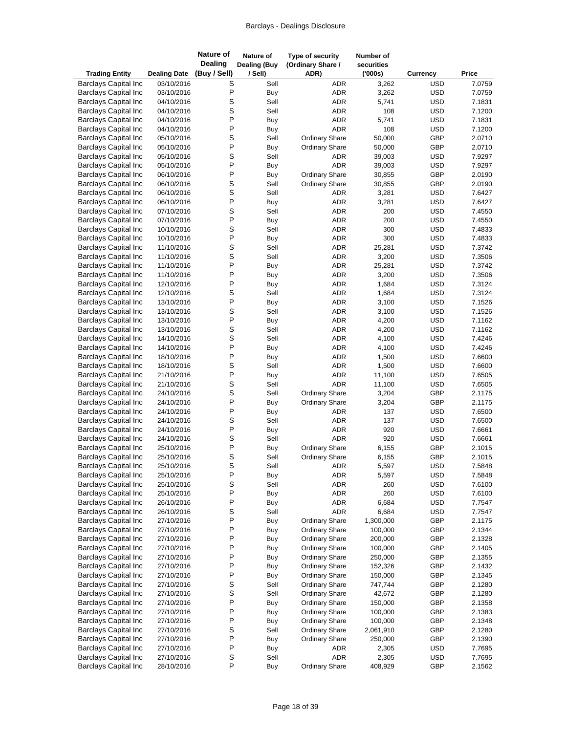| <b>Trading Entity</b>                                      | <b>Dealing Date</b>      | <b>Nature of</b><br><b>Dealing</b><br>(Buy / Sell) | Nature of<br>Dealing (Buy<br>/ Sell) | Type of security<br>(Ordinary Share /<br>ADR) | Number of<br>securities<br>(000s) | Currency                 | Price            |
|------------------------------------------------------------|--------------------------|----------------------------------------------------|--------------------------------------|-----------------------------------------------|-----------------------------------|--------------------------|------------------|
| <b>Barclays Capital Inc</b>                                | 03/10/2016               | S                                                  | Sell                                 | ADR                                           | 3,262                             | <b>USD</b>               | 7.0759           |
| <b>Barclays Capital Inc</b>                                | 03/10/2016               | P                                                  | Buy                                  | ADR                                           | 3,262                             | <b>USD</b>               | 7.0759           |
| <b>Barclays Capital Inc</b>                                | 04/10/2016               | S                                                  | Sell                                 | <b>ADR</b>                                    | 5,741                             | <b>USD</b>               | 7.1831           |
| <b>Barclays Capital Inc</b>                                | 04/10/2016               | S                                                  | Sell                                 | <b>ADR</b>                                    | 108                               | <b>USD</b>               | 7.1200           |
| <b>Barclays Capital Inc</b>                                | 04/10/2016               | P                                                  | Buy                                  | <b>ADR</b>                                    | 5,741                             | <b>USD</b>               | 7.1831           |
| <b>Barclays Capital Inc</b>                                | 04/10/2016               | P                                                  | Buy                                  | <b>ADR</b>                                    | 108                               | <b>USD</b>               | 7.1200           |
| <b>Barclays Capital Inc</b>                                | 05/10/2016               | S                                                  | Sell                                 | <b>Ordinary Share</b>                         | 50,000                            | GBP                      | 2.0710           |
| <b>Barclays Capital Inc</b>                                | 05/10/2016               | P                                                  | Buy                                  | <b>Ordinary Share</b>                         | 50,000                            | GBP                      | 2.0710           |
| <b>Barclays Capital Inc</b>                                | 05/10/2016               | S                                                  | Sell                                 | ADR                                           | 39,003                            | <b>USD</b>               | 7.9297           |
| <b>Barclays Capital Inc</b>                                | 05/10/2016               | P                                                  | Buy                                  | ADR                                           | 39,003                            | <b>USD</b>               | 7.9297           |
| <b>Barclays Capital Inc</b>                                | 06/10/2016               | P                                                  | Buy                                  | <b>Ordinary Share</b>                         | 30,855                            | GBP                      | 2.0190           |
| <b>Barclays Capital Inc</b>                                | 06/10/2016               | S                                                  | Sell                                 | <b>Ordinary Share</b>                         | 30,855                            | GBP                      | 2.0190           |
| <b>Barclays Capital Inc</b>                                | 06/10/2016               | S                                                  | Sell                                 | ADR                                           | 3,281                             | <b>USD</b>               | 7.6427           |
| <b>Barclays Capital Inc</b>                                | 06/10/2016               | P                                                  | Buy                                  | <b>ADR</b>                                    | 3,281                             | <b>USD</b>               | 7.6427           |
| <b>Barclays Capital Inc</b>                                | 07/10/2016               | S                                                  | Sell                                 | ADR                                           | 200                               | <b>USD</b>               | 7.4550           |
| <b>Barclays Capital Inc</b>                                | 07/10/2016               | P                                                  | <b>Buy</b>                           | <b>ADR</b>                                    | 200                               | <b>USD</b>               | 7.4550           |
| <b>Barclays Capital Inc</b>                                | 10/10/2016               | S<br>P                                             | Sell                                 | <b>ADR</b>                                    | 300                               | <b>USD</b>               | 7.4833           |
| <b>Barclays Capital Inc</b><br><b>Barclays Capital Inc</b> | 10/10/2016               | S                                                  | Buy                                  | <b>ADR</b>                                    | 300                               | <b>USD</b>               | 7.4833           |
| <b>Barclays Capital Inc</b>                                | 11/10/2016               | S                                                  | Sell<br>Sell                         | ADR<br><b>ADR</b>                             | 25,281<br>3,200                   | <b>USD</b><br><b>USD</b> | 7.3742           |
| <b>Barclays Capital Inc</b>                                | 11/10/2016<br>11/10/2016 | P                                                  | Buy                                  | <b>ADR</b>                                    | 25,281                            | <b>USD</b>               | 7.3506<br>7.3742 |
| <b>Barclays Capital Inc</b>                                | 11/10/2016               | P                                                  | Buy                                  | ADR                                           | 3,200                             | <b>USD</b>               | 7.3506           |
| <b>Barclays Capital Inc</b>                                | 12/10/2016               | P                                                  | Buy                                  | ADR                                           | 1,684                             | <b>USD</b>               | 7.3124           |
| <b>Barclays Capital Inc</b>                                | 12/10/2016               | S                                                  | Sell                                 | <b>ADR</b>                                    | 1,684                             | <b>USD</b>               | 7.3124           |
| <b>Barclays Capital Inc</b>                                | 13/10/2016               | P                                                  | Buy                                  | <b>ADR</b>                                    | 3,100                             | <b>USD</b>               | 7.1526           |
| <b>Barclays Capital Inc</b>                                | 13/10/2016               | S                                                  | Sell                                 | ADR                                           | 3,100                             | <b>USD</b>               | 7.1526           |
| <b>Barclays Capital Inc</b>                                | 13/10/2016               | P                                                  | Buy                                  | ADR                                           | 4,200                             | <b>USD</b>               | 7.1162           |
| <b>Barclays Capital Inc</b>                                | 13/10/2016               | S                                                  | Sell                                 | ADR                                           | 4,200                             | <b>USD</b>               | 7.1162           |
| <b>Barclays Capital Inc</b>                                | 14/10/2016               | S                                                  | Sell                                 | <b>ADR</b>                                    | 4,100                             | <b>USD</b>               | 7.4246           |
| <b>Barclays Capital Inc</b>                                | 14/10/2016               | P                                                  | Buy                                  | ADR                                           | 4,100                             | <b>USD</b>               | 7.4246           |
| <b>Barclays Capital Inc</b>                                | 18/10/2016               | P                                                  | Buy                                  | ADR                                           | 1,500                             | <b>USD</b>               | 7.6600           |
| <b>Barclays Capital Inc</b>                                | 18/10/2016               | S                                                  | Sell                                 | <b>ADR</b>                                    | 1,500                             | <b>USD</b>               | 7.6600           |
| <b>Barclays Capital Inc</b>                                | 21/10/2016               | P                                                  | Buy                                  | <b>ADR</b>                                    | 11,100                            | <b>USD</b>               | 7.6505           |
| <b>Barclays Capital Inc</b>                                | 21/10/2016               | S                                                  | Sell                                 | <b>ADR</b>                                    | 11,100                            | <b>USD</b>               | 7.6505           |
| <b>Barclays Capital Inc</b>                                | 24/10/2016               | S                                                  | Sell                                 | <b>Ordinary Share</b>                         | 3,204                             | GBP                      | 2.1175           |
| <b>Barclays Capital Inc</b>                                | 24/10/2016               | P                                                  | Buy                                  | <b>Ordinary Share</b>                         | 3,204                             | GBP                      | 2.1175           |
| <b>Barclays Capital Inc</b>                                | 24/10/2016               | P                                                  | Buy                                  | ADR                                           | 137                               | <b>USD</b>               | 7.6500           |
| <b>Barclays Capital Inc</b>                                | 24/10/2016               | S                                                  | Sell                                 | ADR                                           | 137                               | <b>USD</b>               | 7.6500           |
| <b>Barclays Capital Inc</b>                                | 24/10/2016               | P                                                  | Buy                                  | ADR                                           | 920                               | <b>USD</b>               | 7.6661           |
| <b>Barclays Capital Inc</b>                                | 24/10/2016               | S                                                  | Sell                                 | <b>ADR</b>                                    | 920                               | <b>USD</b>               | 7.6661           |
| <b>Barclays Capital Inc</b>                                | 25/10/2016               | P                                                  | <b>Buy</b>                           | <b>Ordinary Share</b>                         | 6,155                             | GBP                      | 2.1015           |
| <b>Barclays Capital Inc</b>                                | 25/10/2016               | S                                                  | Sell                                 | <b>Ordinary Share</b>                         | 6,155                             | GBP                      | 2.1015           |
| <b>Barclays Capital Inc</b>                                | 25/10/2016               | S                                                  | Sell                                 | ADR                                           | 5,597                             | <b>USD</b>               | 7.5848           |
| <b>Barclays Capital Inc</b>                                | 25/10/2016               | P                                                  | Buy                                  | ADR                                           | 5,597                             | <b>USD</b>               | 7.5848           |
| <b>Barclays Capital Inc</b>                                | 25/10/2016               | S                                                  | Sell                                 | ADR                                           | 260                               | <b>USD</b>               | 7.6100           |
| <b>Barclays Capital Inc</b>                                | 25/10/2016               | P                                                  | <b>Buy</b>                           | ADR                                           | 260                               | <b>USD</b>               | 7.6100           |
| <b>Barclays Capital Inc</b>                                | 26/10/2016               | P<br>S                                             | Buy                                  | ADR<br>ADR                                    | 6,684                             | <b>USD</b>               | 7.7547           |
| <b>Barclays Capital Inc</b><br><b>Barclays Capital Inc</b> | 26/10/2016               | P                                                  | Sell                                 | <b>Ordinary Share</b>                         | 6,684<br>1,300,000                | <b>USD</b><br>GBP        | 7.7547<br>2.1175 |
| <b>Barclays Capital Inc</b>                                | 27/10/2016<br>27/10/2016 | P                                                  | Buy<br>Buy                           | <b>Ordinary Share</b>                         | 100,000                           | GBP                      | 2.1344           |
| <b>Barclays Capital Inc</b>                                | 27/10/2016               | P                                                  | Buy                                  | <b>Ordinary Share</b>                         | 200,000                           | GBP                      | 2.1328           |
| <b>Barclays Capital Inc</b>                                | 27/10/2016               | P                                                  | Buy                                  | <b>Ordinary Share</b>                         | 100,000                           | GBP                      | 2.1405           |
| <b>Barclays Capital Inc</b>                                | 27/10/2016               | P                                                  | Buy                                  | <b>Ordinary Share</b>                         | 250,000                           | GBP                      | 2.1355           |
| <b>Barclays Capital Inc</b>                                | 27/10/2016               | P                                                  | Buy                                  | <b>Ordinary Share</b>                         | 152,326                           | GBP                      | 2.1432           |
| <b>Barclays Capital Inc</b>                                | 27/10/2016               | P                                                  | Buy                                  | <b>Ordinary Share</b>                         | 150,000                           | GBP                      | 2.1345           |
| <b>Barclays Capital Inc</b>                                | 27/10/2016               | S                                                  | Sell                                 | <b>Ordinary Share</b>                         | 747,744                           | GBP                      | 2.1280           |
| <b>Barclays Capital Inc</b>                                | 27/10/2016               | S                                                  | Sell                                 | <b>Ordinary Share</b>                         | 42,672                            | GBP                      | 2.1280           |
| <b>Barclays Capital Inc</b>                                | 27/10/2016               | $\mathsf{P}$                                       | Buy                                  | <b>Ordinary Share</b>                         | 150,000                           | GBP                      | 2.1358           |
| <b>Barclays Capital Inc</b>                                | 27/10/2016               | P                                                  | Buy                                  | <b>Ordinary Share</b>                         | 100,000                           | GBP                      | 2.1383           |
| <b>Barclays Capital Inc</b>                                | 27/10/2016               | P                                                  | Buy                                  | <b>Ordinary Share</b>                         | 100,000                           | GBP                      | 2.1348           |
| <b>Barclays Capital Inc</b>                                | 27/10/2016               | S                                                  | Sell                                 | <b>Ordinary Share</b>                         | 2,061,910                         | GBP                      | 2.1280           |
| <b>Barclays Capital Inc</b>                                | 27/10/2016               | P                                                  | Buy                                  | <b>Ordinary Share</b>                         | 250,000                           | GBP                      | 2.1390           |
| <b>Barclays Capital Inc</b>                                | 27/10/2016               | P                                                  | Buy                                  | ADR                                           | 2,305                             | <b>USD</b>               | 7.7695           |
| <b>Barclays Capital Inc</b>                                | 27/10/2016               | S                                                  | Sell                                 | <b>ADR</b>                                    | 2,305                             | <b>USD</b>               | 7.7695           |
| <b>Barclays Capital Inc</b>                                | 28/10/2016               | P                                                  | Buy                                  | <b>Ordinary Share</b>                         | 408,929                           | GBP                      | 2.1562           |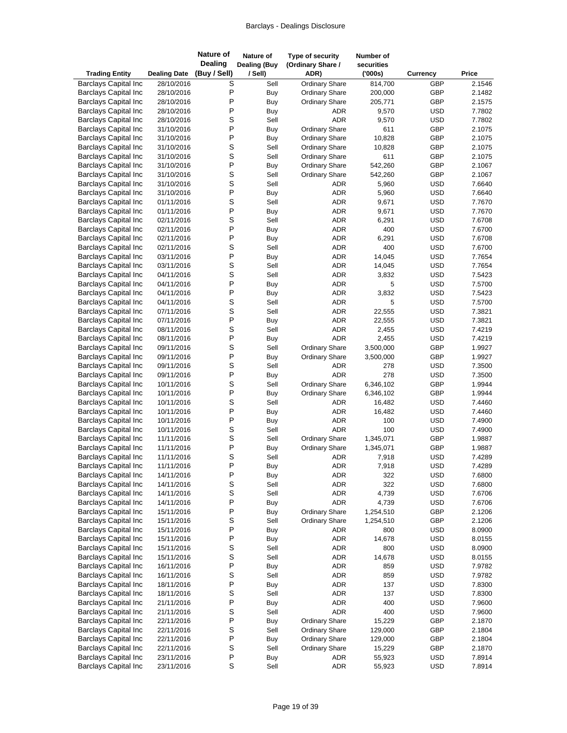| <b>Trading Entity</b>                                      | <b>Dealing Date</b>      | <b>Nature of</b><br><b>Dealing</b><br>(Buy / Sell) | Nature of<br><b>Dealing (Buy</b><br>/ Sell) | Type of security<br>(Ordinary Share /<br>ADR) | Number of<br>securities<br>(000s) | <b>Currency</b>          | Price            |
|------------------------------------------------------------|--------------------------|----------------------------------------------------|---------------------------------------------|-----------------------------------------------|-----------------------------------|--------------------------|------------------|
| <b>Barclays Capital Inc</b>                                | 28/10/2016               | S                                                  | Sell                                        | Ordinary Share                                | 814,700                           | GBP                      | 2.1546           |
| <b>Barclays Capital Inc</b>                                | 28/10/2016               | P                                                  | Buy                                         | <b>Ordinary Share</b>                         | 200,000                           | GBP                      | 2.1482           |
| <b>Barclays Capital Inc</b>                                | 28/10/2016               | P                                                  | Buy                                         | <b>Ordinary Share</b>                         | 205,771                           | GBP                      | 2.1575           |
| <b>Barclays Capital Inc</b>                                | 28/10/2016               | P                                                  | Buy                                         | <b>ADR</b>                                    | 9,570                             | <b>USD</b>               | 7.7802           |
| <b>Barclays Capital Inc</b>                                | 28/10/2016               | S                                                  | Sell                                        | <b>ADR</b>                                    | 9,570                             | <b>USD</b>               | 7.7802           |
| <b>Barclays Capital Inc</b>                                | 31/10/2016               | P                                                  | Buy                                         | <b>Ordinary Share</b>                         | 611                               | GBP                      | 2.1075           |
| <b>Barclays Capital Inc</b>                                | 31/10/2016               | P                                                  | Buy                                         | <b>Ordinary Share</b>                         | 10,828                            | GBP                      | 2.1075           |
| <b>Barclays Capital Inc</b>                                | 31/10/2016               | $\mathbb S$                                        | Sell                                        | <b>Ordinary Share</b>                         | 10,828                            | GBP                      | 2.1075           |
| <b>Barclays Capital Inc</b>                                | 31/10/2016               | S                                                  | Sell                                        | <b>Ordinary Share</b>                         | 611                               | GBP                      | 2.1075           |
| <b>Barclays Capital Inc</b>                                | 31/10/2016               | P                                                  | Buy                                         | <b>Ordinary Share</b>                         | 542,260                           | GBP                      | 2.1067           |
| <b>Barclays Capital Inc</b>                                | 31/10/2016               | $\mathbb S$                                        | Sell                                        | <b>Ordinary Share</b>                         | 542,260                           | GBP                      | 2.1067           |
| <b>Barclays Capital Inc</b>                                | 31/10/2016               | S                                                  | Sell                                        | <b>ADR</b>                                    | 5,960                             | <b>USD</b>               | 7.6640           |
| <b>Barclays Capital Inc</b>                                | 31/10/2016               | P                                                  | Buy                                         | <b>ADR</b>                                    | 5,960                             | <b>USD</b>               | 7.6640           |
| <b>Barclays Capital Inc</b>                                | 01/11/2016               | $\mathbb S$                                        | Sell                                        | <b>ADR</b>                                    | 9,671                             | <b>USD</b>               | 7.7670           |
| <b>Barclays Capital Inc</b>                                | 01/11/2016               | P                                                  | Buy                                         | <b>ADR</b>                                    | 9,671                             | <b>USD</b>               | 7.7670           |
| <b>Barclays Capital Inc</b>                                | 02/11/2016               | S                                                  | Sell                                        | <b>ADR</b>                                    | 6,291                             | <b>USD</b>               | 7.6708           |
| <b>Barclays Capital Inc</b>                                | 02/11/2016               | P<br>P                                             | Buy                                         | <b>ADR</b>                                    | 400                               | <b>USD</b>               | 7.6700<br>7.6708 |
| <b>Barclays Capital Inc</b>                                | 02/11/2016               | S                                                  | Buy<br>Sell                                 | <b>ADR</b>                                    | 6,291<br>400                      | <b>USD</b>               |                  |
| <b>Barclays Capital Inc</b><br><b>Barclays Capital Inc</b> | 02/11/2016               | P                                                  |                                             | <b>ADR</b>                                    |                                   | <b>USD</b><br><b>USD</b> | 7.6700<br>7.7654 |
| <b>Barclays Capital Inc</b>                                | 03/11/2016<br>03/11/2016 | S                                                  | Buy<br>Sell                                 | <b>ADR</b><br><b>ADR</b>                      | 14,045<br>14,045                  | <b>USD</b>               | 7.7654           |
| <b>Barclays Capital Inc</b>                                | 04/11/2016               | S                                                  | Sell                                        | <b>ADR</b>                                    | 3,832                             | <b>USD</b>               | 7.5423           |
| <b>Barclays Capital Inc</b>                                | 04/11/2016               | P                                                  | Buy                                         | <b>ADR</b>                                    | 5                                 | <b>USD</b>               | 7.5700           |
| <b>Barclays Capital Inc</b>                                | 04/11/2016               | P                                                  | Buy                                         | <b>ADR</b>                                    | 3,832                             | <b>USD</b>               | 7.5423           |
| <b>Barclays Capital Inc</b>                                | 04/11/2016               | S                                                  | Sell                                        | <b>ADR</b>                                    | 5                                 | <b>USD</b>               | 7.5700           |
| <b>Barclays Capital Inc</b>                                | 07/11/2016               | S                                                  | Sell                                        | <b>ADR</b>                                    | 22,555                            | <b>USD</b>               | 7.3821           |
| <b>Barclays Capital Inc</b>                                | 07/11/2016               | P                                                  | Buy                                         | <b>ADR</b>                                    | 22,555                            | <b>USD</b>               | 7.3821           |
| <b>Barclays Capital Inc</b>                                | 08/11/2016               | S                                                  | Sell                                        | <b>ADR</b>                                    | 2,455                             | <b>USD</b>               | 7.4219           |
| <b>Barclays Capital Inc</b>                                | 08/11/2016               | P                                                  | Buy                                         | <b>ADR</b>                                    | 2,455                             | <b>USD</b>               | 7.4219           |
| <b>Barclays Capital Inc</b>                                | 09/11/2016               | S                                                  | Sell                                        | <b>Ordinary Share</b>                         | 3,500,000                         | GBP                      | 1.9927           |
| <b>Barclays Capital Inc</b>                                | 09/11/2016               | P                                                  | Buy                                         | <b>Ordinary Share</b>                         | 3,500,000                         | GBP                      | 1.9927           |
| <b>Barclays Capital Inc</b>                                | 09/11/2016               | S                                                  | Sell                                        | <b>ADR</b>                                    | 278                               | <b>USD</b>               | 7.3500           |
| <b>Barclays Capital Inc</b>                                | 09/11/2016               | P                                                  | Buy                                         | <b>ADR</b>                                    | 278                               | <b>USD</b>               | 7.3500           |
| <b>Barclays Capital Inc</b>                                | 10/11/2016               | S                                                  | Sell                                        | <b>Ordinary Share</b>                         | 6,346,102                         | GBP                      | 1.9944           |
| <b>Barclays Capital Inc</b>                                | 10/11/2016               | P                                                  | Buy                                         | <b>Ordinary Share</b>                         | 6,346,102                         | GBP                      | 1.9944           |
| <b>Barclays Capital Inc</b>                                | 10/11/2016               | S                                                  | Sell                                        | ADR                                           | 16,482                            | <b>USD</b>               | 7.4460           |
| <b>Barclays Capital Inc</b>                                | 10/11/2016               | P                                                  | Buy                                         | <b>ADR</b>                                    | 16,482                            | <b>USD</b>               | 7.4460           |
| <b>Barclays Capital Inc</b>                                | 10/11/2016               | P                                                  | Buy                                         | <b>ADR</b>                                    | 100                               | <b>USD</b>               | 7.4900           |
| <b>Barclays Capital Inc</b>                                | 10/11/2016               | $\mathbb S$                                        | Sell                                        | <b>ADR</b>                                    | 100                               | <b>USD</b>               | 7.4900           |
| <b>Barclays Capital Inc</b>                                | 11/11/2016               | S                                                  | Sell                                        | <b>Ordinary Share</b>                         | 1,345,071                         | GBP                      | 1.9887           |
| <b>Barclays Capital Inc</b>                                | 11/11/2016               | P                                                  | Buy                                         | <b>Ordinary Share</b>                         | 1,345,071                         | GBP                      | 1.9887           |
| <b>Barclays Capital Inc</b>                                | 11/11/2016               | S                                                  | Sell                                        | <b>ADR</b>                                    | 7,918                             | <b>USD</b>               | 7.4289           |
| <b>Barclays Capital Inc</b>                                | 11/11/2016               | $\sf P$                                            | Buy                                         | ADR                                           | 7,918                             | <b>USD</b>               | 7.4289           |
| <b>Barclays Capital Inc</b>                                | 14/11/2016               | P                                                  | Buy                                         | <b>ADR</b>                                    | 322                               | <b>USD</b>               | 7.6800           |
| <b>Barclays Capital Inc</b>                                | 14/11/2016               | S                                                  | Sell                                        | <b>ADR</b>                                    | 322                               | <b>USD</b>               | 7.6800           |
| <b>Barclays Capital Inc</b>                                | 14/11/2016               | S                                                  | Sell                                        | ADR                                           | 4,739                             | <b>USD</b>               | 7.6706           |
| <b>Barclays Capital Inc</b>                                | 14/11/2016               | $\sf P$<br>P                                       | Buy                                         | <b>ADR</b>                                    | 4,739                             | <b>USD</b>               | 7.6706           |
| <b>Barclays Capital Inc</b><br><b>Barclays Capital Inc</b> | 15/11/2016               |                                                    | Buy                                         | <b>Ordinary Share</b>                         | 1,254,510                         | GBP                      | 2.1206           |
| <b>Barclays Capital Inc</b>                                | 15/11/2016<br>15/11/2016 | S<br>$\sf P$                                       | Sell                                        | <b>Ordinary Share</b>                         | 1,254,510<br>800                  | GBP<br><b>USD</b>        | 2.1206<br>8.0900 |
| <b>Barclays Capital Inc</b>                                | 15/11/2016               | $\sf P$                                            | Buy<br>Buy                                  | ADR<br>ADR                                    | 14,678                            | <b>USD</b>               | 8.0155           |
| <b>Barclays Capital Inc</b>                                | 15/11/2016               | $\mbox{\bf S}$                                     | Sell                                        | ADR                                           | 800                               | <b>USD</b>               | 8.0900           |
| <b>Barclays Capital Inc</b>                                | 15/11/2016               | S                                                  | Sell                                        | ADR                                           | 14,678                            | <b>USD</b>               | 8.0155           |
| <b>Barclays Capital Inc</b>                                | 16/11/2016               | P                                                  | Buy                                         | <b>ADR</b>                                    | 859                               | <b>USD</b>               | 7.9782           |
| <b>Barclays Capital Inc</b>                                | 16/11/2016               | S                                                  | Sell                                        | ADR                                           | 859                               | <b>USD</b>               | 7.9782           |
| <b>Barclays Capital Inc</b>                                | 18/11/2016               | P                                                  | Buy                                         | ADR                                           | 137                               | <b>USD</b>               | 7.8300           |
| <b>Barclays Capital Inc</b>                                | 18/11/2016               | $\mbox{\bf S}$                                     | Sell                                        | ADR                                           | 137                               | <b>USD</b>               | 7.8300           |
| <b>Barclays Capital Inc</b>                                | 21/11/2016               | P                                                  | Buy                                         | ADR                                           | 400                               | <b>USD</b>               | 7.9600           |
| <b>Barclays Capital Inc</b>                                | 21/11/2016               | $\mbox{\bf S}$                                     | Sell                                        | <b>ADR</b>                                    | 400                               | <b>USD</b>               | 7.9600           |
| <b>Barclays Capital Inc</b>                                | 22/11/2016               | P                                                  | Buy                                         | <b>Ordinary Share</b>                         | 15,229                            | GBP                      | 2.1870           |
| <b>Barclays Capital Inc</b>                                | 22/11/2016               | $\mathbb S$                                        | Sell                                        | <b>Ordinary Share</b>                         | 129,000                           | GBP                      | 2.1804           |
| <b>Barclays Capital Inc</b>                                | 22/11/2016               | P                                                  | Buy                                         | <b>Ordinary Share</b>                         | 129,000                           | GBP                      | 2.1804           |
| <b>Barclays Capital Inc</b>                                | 22/11/2016               | $\mbox{\bf S}$                                     | Sell                                        | <b>Ordinary Share</b>                         | 15,229                            | GBP                      | 2.1870           |
| <b>Barclays Capital Inc</b>                                | 23/11/2016               | $\sf P$                                            | Buy                                         | ADR                                           | 55,923                            | <b>USD</b>               | 7.8914           |
| <b>Barclays Capital Inc</b>                                | 23/11/2016               | $\mathbb S$                                        | Sell                                        | ADR                                           | 55,923                            | <b>USD</b>               | 7.8914           |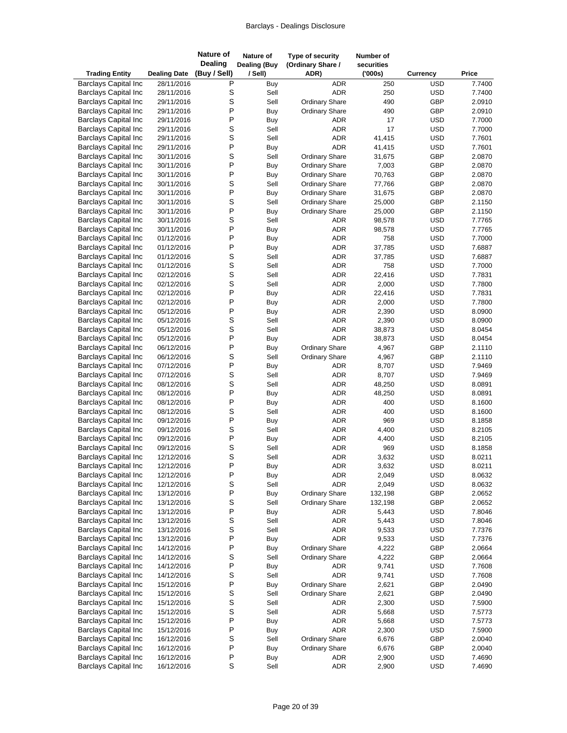| <b>Trading Entity</b>                                      | <b>Dealing Date</b>      | <b>Nature of</b><br><b>Dealing</b><br>(Buy / Sell) | Nature of<br><b>Dealing (Buy</b><br>/ Sell) | Type of security<br>(Ordinary Share /<br>ADR)  | <b>Number of</b><br>securities<br>(000s) | <b>Currency</b>          | Price            |
|------------------------------------------------------------|--------------------------|----------------------------------------------------|---------------------------------------------|------------------------------------------------|------------------------------------------|--------------------------|------------------|
| <b>Barclays Capital Inc</b>                                | 28/11/2016               | P                                                  | Buy                                         | <b>ADR</b>                                     | 250                                      | <b>USD</b>               | 7.7400           |
| <b>Barclays Capital Inc</b>                                | 28/11/2016               | S                                                  | Sell                                        | <b>ADR</b>                                     | 250                                      | <b>USD</b>               | 7.7400           |
| <b>Barclays Capital Inc</b>                                | 29/11/2016               | S                                                  | Sell                                        | <b>Ordinary Share</b>                          | 490                                      | GBP                      | 2.0910           |
| <b>Barclays Capital Inc</b>                                | 29/11/2016               | P                                                  | Buy                                         | <b>Ordinary Share</b>                          | 490                                      | GBP                      | 2.0910           |
| <b>Barclays Capital Inc</b>                                | 29/11/2016               | P                                                  | Buy                                         | <b>ADR</b>                                     | 17                                       | <b>USD</b>               | 7.7000           |
| <b>Barclays Capital Inc</b>                                | 29/11/2016               | $\mathsf S$                                        | Sell                                        | <b>ADR</b>                                     | 17                                       | <b>USD</b>               | 7.7000           |
| <b>Barclays Capital Inc</b>                                | 29/11/2016               | S                                                  | Sell                                        | <b>ADR</b>                                     | 41,415                                   | <b>USD</b>               | 7.7601           |
| <b>Barclays Capital Inc</b>                                | 29/11/2016               | P                                                  | Buy                                         | <b>ADR</b>                                     | 41,415                                   | <b>USD</b>               | 7.7601           |
| <b>Barclays Capital Inc</b>                                | 30/11/2016               | S                                                  | Sell                                        | <b>Ordinary Share</b>                          | 31,675                                   | GBP                      | 2.0870           |
| <b>Barclays Capital Inc</b>                                | 30/11/2016               | P                                                  | <b>Buy</b>                                  | <b>Ordinary Share</b>                          | 7,003                                    | GBP                      | 2.0870           |
| <b>Barclays Capital Inc</b>                                | 30/11/2016               | P                                                  | Buy                                         | <b>Ordinary Share</b>                          | 70,763                                   | GBP                      | 2.0870           |
| <b>Barclays Capital Inc</b><br><b>Barclays Capital Inc</b> | 30/11/2016               | S<br>P                                             | Sell                                        | <b>Ordinary Share</b>                          | 77,766                                   | GBP<br>GBP               | 2.0870           |
| <b>Barclays Capital Inc</b>                                | 30/11/2016<br>30/11/2016 | S                                                  | Buy<br>Sell                                 | <b>Ordinary Share</b><br><b>Ordinary Share</b> | 31,675<br>25,000                         | GBP                      | 2.0870<br>2.1150 |
| <b>Barclays Capital Inc</b>                                | 30/11/2016               | P                                                  | Buy                                         | <b>Ordinary Share</b>                          | 25,000                                   | GBP                      | 2.1150           |
| <b>Barclays Capital Inc</b>                                | 30/11/2016               | S                                                  | Sell                                        | <b>ADR</b>                                     | 98,578                                   | <b>USD</b>               | 7.7765           |
| <b>Barclays Capital Inc</b>                                | 30/11/2016               | P                                                  | Buy                                         | <b>ADR</b>                                     | 98,578                                   | <b>USD</b>               | 7.7765           |
| <b>Barclays Capital Inc</b>                                | 01/12/2016               | P                                                  | Buy                                         | <b>ADR</b>                                     | 758                                      | <b>USD</b>               | 7.7000           |
| <b>Barclays Capital Inc</b>                                | 01/12/2016               | P                                                  | Buy                                         | <b>ADR</b>                                     | 37,785                                   | <b>USD</b>               | 7.6887           |
| <b>Barclays Capital Inc</b>                                | 01/12/2016               | $\mathsf S$                                        | Sell                                        | <b>ADR</b>                                     | 37,785                                   | <b>USD</b>               | 7.6887           |
| <b>Barclays Capital Inc</b>                                | 01/12/2016               | S                                                  | Sell                                        | <b>ADR</b>                                     | 758                                      | <b>USD</b>               | 7.7000           |
| <b>Barclays Capital Inc</b>                                | 02/12/2016               | $\mathsf S$                                        | Sell                                        | <b>ADR</b>                                     | 22,416                                   | <b>USD</b>               | 7.7831           |
| <b>Barclays Capital Inc</b>                                | 02/12/2016               | S                                                  | Sell                                        | <b>ADR</b>                                     | 2,000                                    | <b>USD</b>               | 7.7800           |
| <b>Barclays Capital Inc</b>                                | 02/12/2016               | P                                                  | Buy                                         | <b>ADR</b>                                     | 22,416                                   | <b>USD</b>               | 7.7831           |
| <b>Barclays Capital Inc</b>                                | 02/12/2016               | P                                                  | Buy                                         | <b>ADR</b>                                     | 2,000                                    | <b>USD</b>               | 7.7800           |
| <b>Barclays Capital Inc</b>                                | 05/12/2016               | P                                                  | Buy                                         | <b>ADR</b>                                     | 2,390                                    | <b>USD</b>               | 8.0900           |
| <b>Barclays Capital Inc</b>                                | 05/12/2016               | S                                                  | Sell                                        | <b>ADR</b>                                     | 2,390                                    | <b>USD</b>               | 8.0900           |
| <b>Barclays Capital Inc</b>                                | 05/12/2016               | S                                                  | Sell                                        | <b>ADR</b>                                     | 38,873                                   | <b>USD</b>               | 8.0454           |
| <b>Barclays Capital Inc</b>                                | 05/12/2016               | P                                                  | Buy                                         | <b>ADR</b>                                     | 38,873                                   | <b>USD</b>               | 8.0454           |
| <b>Barclays Capital Inc</b>                                | 06/12/2016               | P                                                  | Buy                                         | <b>Ordinary Share</b>                          | 4,967                                    | GBP                      | 2.1110           |
| <b>Barclays Capital Inc</b>                                | 06/12/2016               | $\mathsf S$                                        | Sell                                        | <b>Ordinary Share</b>                          | 4,967                                    | GBP                      | 2.1110           |
| <b>Barclays Capital Inc</b>                                | 07/12/2016               | P                                                  | Buy                                         | <b>ADR</b>                                     | 8,707                                    | <b>USD</b>               | 7.9469           |
| <b>Barclays Capital Inc</b>                                | 07/12/2016               | S                                                  | Sell                                        | <b>ADR</b>                                     | 8,707                                    | <b>USD</b>               | 7.9469           |
| <b>Barclays Capital Inc</b>                                | 08/12/2016               | S<br>P                                             | Sell                                        | <b>ADR</b>                                     | 48,250                                   | <b>USD</b>               | 8.0891           |
| <b>Barclays Capital Inc</b><br><b>Barclays Capital Inc</b> | 08/12/2016<br>08/12/2016 | P                                                  | Buy<br>Buy                                  | <b>ADR</b><br><b>ADR</b>                       | 48,250<br>400                            | <b>USD</b><br><b>USD</b> | 8.0891<br>8.1600 |
| <b>Barclays Capital Inc</b>                                | 08/12/2016               | S                                                  | Sell                                        | <b>ADR</b>                                     | 400                                      | <b>USD</b>               | 8.1600           |
| <b>Barclays Capital Inc</b>                                | 09/12/2016               | P                                                  | Buy                                         | <b>ADR</b>                                     | 969                                      | <b>USD</b>               | 8.1858           |
| <b>Barclays Capital Inc</b>                                | 09/12/2016               | S                                                  | Sell                                        | <b>ADR</b>                                     | 4,400                                    | <b>USD</b>               | 8.2105           |
| <b>Barclays Capital Inc</b>                                | 09/12/2016               | P                                                  | Buy                                         | <b>ADR</b>                                     | 4,400                                    | <b>USD</b>               | 8.2105           |
| <b>Barclays Capital Inc</b>                                | 09/12/2016               | S                                                  | Sell                                        | <b>ADR</b>                                     | 969                                      | <b>USD</b>               | 8.1858           |
| <b>Barclays Capital Inc</b>                                | 12/12/2016               | S                                                  | Sell                                        | <b>ADR</b>                                     | 3,632                                    | <b>USD</b>               | 8.0211           |
| <b>Barclays Capital Inc</b>                                | 12/12/2016               | $\sf P$                                            | Buy                                         | <b>ADR</b>                                     | 3,632                                    | <b>USD</b>               | 8.0211           |
| <b>Barclays Capital Inc</b>                                | 12/12/2016               | P                                                  | Buy                                         | <b>ADR</b>                                     | 2,049                                    | <b>USD</b>               | 8.0632           |
| <b>Barclays Capital Inc</b>                                | 12/12/2016               | $\mbox{\bf S}$                                     | Sell                                        | <b>ADR</b>                                     | 2,049                                    | <b>USD</b>               | 8.0632           |
| <b>Barclays Capital Inc</b>                                | 13/12/2016               | P                                                  | Buy                                         | <b>Ordinary Share</b>                          | 132,198                                  | GBP                      | 2.0652           |
| <b>Barclays Capital Inc</b>                                | 13/12/2016               | $\mbox{\bf S}$                                     | Sell                                        | <b>Ordinary Share</b>                          | 132,198                                  | GBP                      | 2.0652           |
| <b>Barclays Capital Inc</b>                                | 13/12/2016               | P                                                  | Buy                                         | ADR                                            | 5,443                                    | <b>USD</b>               | 7.8046           |
| <b>Barclays Capital Inc</b>                                | 13/12/2016               | S                                                  | Sell                                        | ADR                                            | 5,443                                    | <b>USD</b>               | 7.8046           |
| <b>Barclays Capital Inc</b>                                | 13/12/2016               | $\mathsf S$                                        | Sell                                        | ADR                                            | 9,533                                    | <b>USD</b>               | 7.7376           |
| <b>Barclays Capital Inc</b>                                | 13/12/2016               | P                                                  | Buy                                         | <b>ADR</b>                                     | 9,533                                    | <b>USD</b>               | 7.7376           |
| <b>Barclays Capital Inc</b>                                | 14/12/2016               | P                                                  | Buy                                         | <b>Ordinary Share</b>                          | 4,222                                    | GBP                      | 2.0664           |
| <b>Barclays Capital Inc</b>                                | 14/12/2016               | S                                                  | Sell                                        | <b>Ordinary Share</b>                          | 4,222                                    | GBP                      | 2.0664           |
| <b>Barclays Capital Inc</b><br><b>Barclays Capital Inc</b> | 14/12/2016               | P<br>$\mbox{\bf S}$                                | Buy                                         | <b>ADR</b>                                     | 9,741                                    | <b>USD</b>               | 7.7608           |
| <b>Barclays Capital Inc</b>                                | 14/12/2016               | $\sf P$                                            | Sell                                        | <b>ADR</b><br><b>Ordinary Share</b>            | 9,741<br>2,621                           | <b>USD</b><br>GBP        | 7.7608<br>2.0490 |
| <b>Barclays Capital Inc</b>                                | 15/12/2016<br>15/12/2016 | S                                                  | Buy<br>Sell                                 | <b>Ordinary Share</b>                          | 2,621                                    | GBP                      | 2.0490           |
| <b>Barclays Capital Inc</b>                                | 15/12/2016               | $\mbox{\bf S}$                                     | Sell                                        | ADR                                            | 2,300                                    | <b>USD</b>               | 7.5900           |
| <b>Barclays Capital Inc</b>                                | 15/12/2016               | $\mbox{\bf S}$                                     | Sell                                        | ADR                                            | 5,668                                    | <b>USD</b>               | 7.5773           |
| <b>Barclays Capital Inc</b>                                | 15/12/2016               | P                                                  | Buy                                         | ADR                                            | 5,668                                    | <b>USD</b>               | 7.5773           |
| <b>Barclays Capital Inc</b>                                | 15/12/2016               | $\sf P$                                            | Buy                                         | ADR                                            | 2,300                                    | <b>USD</b>               | 7.5900           |
| <b>Barclays Capital Inc</b>                                | 16/12/2016               | $\mathbb S$                                        | Sell                                        | <b>Ordinary Share</b>                          | 6,676                                    | GBP                      | 2.0040           |
| <b>Barclays Capital Inc</b>                                | 16/12/2016               | P                                                  | Buy                                         | <b>Ordinary Share</b>                          | 6,676                                    | GBP                      | 2.0040           |
| <b>Barclays Capital Inc</b>                                | 16/12/2016               | $\sf P$                                            | Buy                                         | ADR                                            | 2,900                                    | <b>USD</b>               | 7.4690           |
| <b>Barclays Capital Inc</b>                                | 16/12/2016               | $\mathbb S$                                        | Sell                                        | <b>ADR</b>                                     | 2,900                                    | <b>USD</b>               | 7.4690           |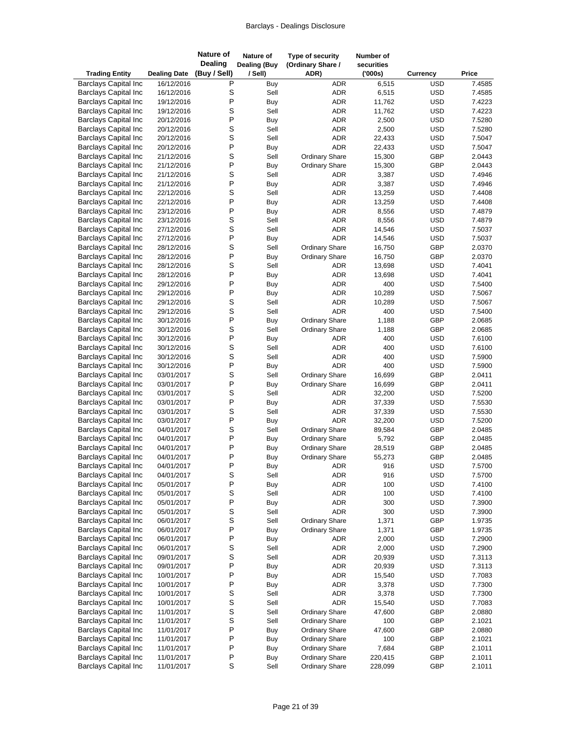| <b>Trading Entity</b>                                      | <b>Dealing Date</b>      | <b>Nature of</b><br><b>Dealing</b><br>(Buy / Sell) | Nature of<br><b>Dealing (Buy</b><br>/ Sell) | Type of security<br>(Ordinary Share /<br>ADR) | Number of<br>securities<br>(000s) | <b>Currency</b>          | Price            |
|------------------------------------------------------------|--------------------------|----------------------------------------------------|---------------------------------------------|-----------------------------------------------|-----------------------------------|--------------------------|------------------|
| <b>Barclays Capital Inc</b>                                | 16/12/2016               | P                                                  | Buy                                         | <b>ADR</b>                                    | 6,515                             | <b>USD</b>               | 7.4585           |
| <b>Barclays Capital Inc</b>                                | 16/12/2016               | S                                                  | Sell                                        | <b>ADR</b>                                    | 6,515                             | <b>USD</b>               | 7.4585           |
| <b>Barclays Capital Inc</b>                                | 19/12/2016               | P                                                  | Buy                                         | ADR                                           | 11,762                            | <b>USD</b>               | 7.4223           |
| <b>Barclays Capital Inc</b>                                | 19/12/2016               | S                                                  | Sell                                        | <b>ADR</b>                                    | 11,762                            | <b>USD</b>               | 7.4223           |
| <b>Barclays Capital Inc</b>                                | 20/12/2016               | P                                                  | Buy                                         | <b>ADR</b>                                    | 2,500                             | <b>USD</b>               | 7.5280           |
| <b>Barclays Capital Inc</b>                                | 20/12/2016               | S                                                  | Sell                                        | <b>ADR</b>                                    | 2,500                             | <b>USD</b>               | 7.5280           |
| <b>Barclays Capital Inc</b>                                | 20/12/2016               | S                                                  | Sell                                        | ADR                                           | 22,433                            | <b>USD</b>               | 7.5047           |
| <b>Barclays Capital Inc</b>                                | 20/12/2016               | $\mathsf{P}$                                       | Buy                                         | <b>ADR</b>                                    | 22,433                            | <b>USD</b>               | 7.5047           |
| <b>Barclays Capital Inc</b>                                | 21/12/2016               | S                                                  | Sell                                        | <b>Ordinary Share</b>                         | 15,300                            | GBP                      | 2.0443           |
| <b>Barclays Capital Inc</b>                                | 21/12/2016               | P                                                  | Buy                                         | <b>Ordinary Share</b>                         | 15,300                            | GBP                      | 2.0443           |
| <b>Barclays Capital Inc</b>                                | 21/12/2016               | S                                                  | Sell                                        | ADR                                           | 3,387                             | <b>USD</b>               | 7.4946           |
| <b>Barclays Capital Inc</b>                                | 21/12/2016               | P                                                  | Buy                                         | <b>ADR</b>                                    | 3,387                             | <b>USD</b>               | 7.4946           |
| <b>Barclays Capital Inc</b>                                | 22/12/2016               | S<br>P                                             | Sell                                        | ADR                                           | 13,259                            | <b>USD</b>               | 7.4408           |
| <b>Barclays Capital Inc</b>                                | 22/12/2016               | P                                                  | Buy                                         | <b>ADR</b><br><b>ADR</b>                      | 13,259                            | <b>USD</b><br><b>USD</b> | 7.4408<br>7.4879 |
| <b>Barclays Capital Inc</b><br><b>Barclays Capital Inc</b> | 23/12/2016<br>23/12/2016 | S                                                  | Buy<br>Sell                                 | ADR                                           | 8,556<br>8,556                    | <b>USD</b>               | 7.4879           |
| <b>Barclays Capital Inc</b>                                | 27/12/2016               | S                                                  | Sell                                        | <b>ADR</b>                                    | 14,546                            | <b>USD</b>               | 7.5037           |
| <b>Barclays Capital Inc</b>                                | 27/12/2016               | P                                                  | Buy                                         | <b>ADR</b>                                    | 14,546                            | <b>USD</b>               | 7.5037           |
| <b>Barclays Capital Inc</b>                                | 28/12/2016               | S                                                  | Sell                                        | <b>Ordinary Share</b>                         | 16,750                            | GBP                      | 2.0370           |
| <b>Barclays Capital Inc</b>                                | 28/12/2016               | P                                                  | Buy                                         | <b>Ordinary Share</b>                         | 16,750                            | GBP                      | 2.0370           |
| <b>Barclays Capital Inc</b>                                | 28/12/2016               | S                                                  | Sell                                        | ADR                                           | 13,698                            | <b>USD</b>               | 7.4041           |
| <b>Barclays Capital Inc</b>                                | 28/12/2016               | P                                                  | Buy                                         | ADR                                           | 13,698                            | <b>USD</b>               | 7.4041           |
| <b>Barclays Capital Inc</b>                                | 29/12/2016               | P                                                  | Buy                                         | <b>ADR</b>                                    | 400                               | <b>USD</b>               | 7.5400           |
| <b>Barclays Capital Inc</b>                                | 29/12/2016               | P                                                  | Buy                                         | <b>ADR</b>                                    | 10,289                            | <b>USD</b>               | 7.5067           |
| <b>Barclays Capital Inc</b>                                | 29/12/2016               | S                                                  | Sell                                        | ADR                                           | 10,289                            | <b>USD</b>               | 7.5067           |
| <b>Barclays Capital Inc</b>                                | 29/12/2016               | S                                                  | Sell                                        | <b>ADR</b>                                    | 400                               | <b>USD</b>               | 7.5400           |
| <b>Barclays Capital Inc</b>                                | 30/12/2016               | P                                                  | Buy                                         | <b>Ordinary Share</b>                         | 1,188                             | GBP                      | 2.0685           |
| <b>Barclays Capital Inc</b>                                | 30/12/2016               | S                                                  | Sell                                        | <b>Ordinary Share</b>                         | 1,188                             | GBP                      | 2.0685           |
| <b>Barclays Capital Inc</b>                                | 30/12/2016               | P                                                  | Buy                                         | <b>ADR</b>                                    | 400                               | <b>USD</b>               | 7.6100           |
| <b>Barclays Capital Inc</b>                                | 30/12/2016               | S                                                  | Sell                                        | <b>ADR</b>                                    | 400                               | <b>USD</b>               | 7.6100           |
| <b>Barclays Capital Inc</b>                                | 30/12/2016               | S                                                  | Sell                                        | <b>ADR</b>                                    | 400                               | <b>USD</b>               | 7.5900           |
| <b>Barclays Capital Inc</b>                                | 30/12/2016               | P                                                  | Buy                                         | <b>ADR</b>                                    | 400                               | <b>USD</b>               | 7.5900           |
| <b>Barclays Capital Inc</b>                                | 03/01/2017               | S                                                  | Sell                                        | <b>Ordinary Share</b>                         | 16,699                            | GBP                      | 2.0411           |
| <b>Barclays Capital Inc</b>                                | 03/01/2017               | P                                                  | Buy                                         | <b>Ordinary Share</b>                         | 16,699                            | GBP                      | 2.0411           |
| <b>Barclays Capital Inc</b>                                | 03/01/2017               | S                                                  | Sell                                        | ADR                                           | 32,200                            | <b>USD</b>               | 7.5200           |
| <b>Barclays Capital Inc</b>                                | 03/01/2017               | P                                                  | Buy                                         | ADR                                           | 37,339                            | <b>USD</b>               | 7.5530           |
| <b>Barclays Capital Inc</b>                                | 03/01/2017               | S                                                  | Sell                                        | <b>ADR</b>                                    | 37,339                            | <b>USD</b>               | 7.5530           |
| <b>Barclays Capital Inc</b>                                | 03/01/2017               | P                                                  | Buy                                         | <b>ADR</b>                                    | 32,200                            | <b>USD</b>               | 7.5200           |
| <b>Barclays Capital Inc</b>                                | 04/01/2017               | S                                                  | Sell                                        | <b>Ordinary Share</b>                         | 89,584                            | GBP                      | 2.0485           |
| <b>Barclays Capital Inc</b>                                | 04/01/2017               | P                                                  | Buy                                         | <b>Ordinary Share</b>                         | 5,792                             | GBP                      | 2.0485           |
| <b>Barclays Capital Inc</b>                                | 04/01/2017               | P                                                  | Buy                                         | <b>Ordinary Share</b>                         | 28,519                            | GBP                      | 2.0485           |
| <b>Barclays Capital Inc</b>                                | 04/01/2017               | P                                                  | Buy                                         | <b>Ordinary Share</b>                         | 55,273                            | GBP                      | 2.0485           |
| <b>Barclays Capital Inc</b>                                | 04/01/2017               | P<br>S                                             | <b>Buy</b><br>Sell                          | ADR                                           | 916                               | <b>USD</b>               | 7.5700           |
| <b>Barclays Capital Inc</b>                                | 04/01/2017               | P                                                  |                                             | ADR                                           | 916                               | <b>USD</b>               | 7.5700           |
| <b>Barclays Capital Inc</b><br><b>Barclays Capital Inc</b> | 05/01/2017<br>05/01/2017 | S                                                  | Buy<br>Sell                                 | ADR<br>ADR                                    | 100<br>100                        | <b>USD</b><br><b>USD</b> | 7.4100<br>7.4100 |
| <b>Barclays Capital Inc</b>                                | 05/01/2017               | P                                                  | Buy                                         | ADR                                           | 300                               | <b>USD</b>               | 7.3900           |
| <b>Barclays Capital Inc</b>                                | 05/01/2017               | S                                                  | Sell                                        | ADR                                           | 300                               | <b>USD</b>               | 7.3900           |
| <b>Barclays Capital Inc</b>                                | 06/01/2017               | S                                                  | Sell                                        | <b>Ordinary Share</b>                         | 1,371                             | GBP                      | 1.9735           |
| <b>Barclays Capital Inc</b>                                | 06/01/2017               | P                                                  | Buy                                         | <b>Ordinary Share</b>                         | 1,371                             | GBP                      | 1.9735           |
| <b>Barclays Capital Inc</b>                                | 06/01/2017               | P                                                  | Buy                                         | ADR                                           | 2,000                             | <b>USD</b>               | 7.2900           |
| <b>Barclays Capital Inc</b>                                | 06/01/2017               | S                                                  | Sell                                        | ADR                                           | 2,000                             | <b>USD</b>               | 7.2900           |
| <b>Barclays Capital Inc</b>                                | 09/01/2017               | S                                                  | Sell                                        | ADR                                           | 20,939                            | <b>USD</b>               | 7.3113           |
| <b>Barclays Capital Inc</b>                                | 09/01/2017               | P                                                  | Buy                                         | ADR                                           | 20,939                            | <b>USD</b>               | 7.3113           |
| <b>Barclays Capital Inc</b>                                | 10/01/2017               | P                                                  | Buy                                         | ADR                                           | 15,540                            | <b>USD</b>               | 7.7083           |
| <b>Barclays Capital Inc</b>                                | 10/01/2017               | P                                                  | <b>Buy</b>                                  | ADR                                           | 3,378                             | <b>USD</b>               | 7.7300           |
| <b>Barclays Capital Inc</b>                                | 10/01/2017               | S                                                  | Sell                                        | ADR                                           | 3,378                             | <b>USD</b>               | 7.7300           |
| <b>Barclays Capital Inc</b>                                | 10/01/2017               | S                                                  | Sell                                        | <b>ADR</b>                                    | 15,540                            | <b>USD</b>               | 7.7083           |
| <b>Barclays Capital Inc</b>                                | 11/01/2017               | S                                                  | Sell                                        | <b>Ordinary Share</b>                         | 47,600                            | GBP                      | 2.0880           |
| <b>Barclays Capital Inc</b>                                | 11/01/2017               | S                                                  | Sell                                        | <b>Ordinary Share</b>                         | 100                               | GBP                      | 2.1021           |
| <b>Barclays Capital Inc</b>                                | 11/01/2017               | $\mathsf{P}$                                       | Buy                                         | <b>Ordinary Share</b>                         | 47,600                            | GBP                      | 2.0880           |
| <b>Barclays Capital Inc</b>                                | 11/01/2017               | P                                                  | Buy                                         | <b>Ordinary Share</b>                         | 100                               | GBP                      | 2.1021           |
| <b>Barclays Capital Inc</b>                                | 11/01/2017               | P                                                  | Buy                                         | <b>Ordinary Share</b>                         | 7,684                             | GBP                      | 2.1011           |
| <b>Barclays Capital Inc</b>                                | 11/01/2017               | $\mathsf{P}$                                       | Buy                                         | <b>Ordinary Share</b>                         | 220,415                           | GBP                      | 2.1011           |
| <b>Barclays Capital Inc</b>                                | 11/01/2017               | S                                                  | Sell                                        | <b>Ordinary Share</b>                         | 228,099                           | GBP                      | 2.1011           |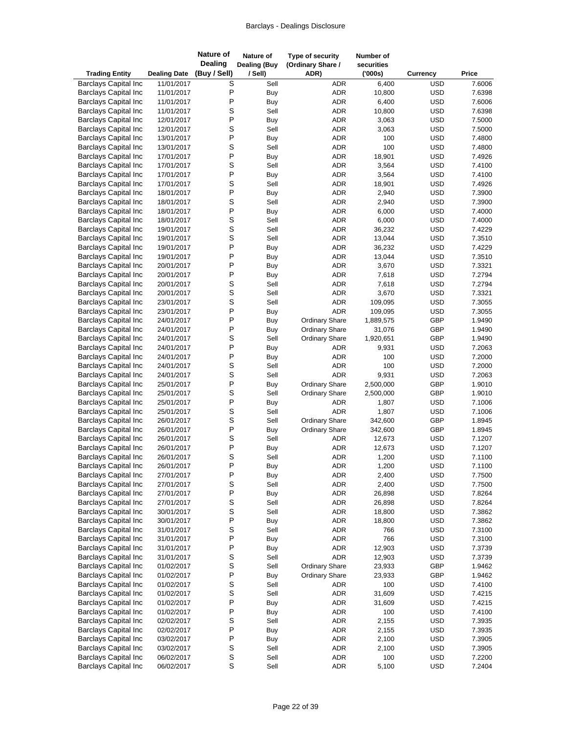| <b>Trading Entity</b>                                      | <b>Dealing Date</b>      | <b>Nature of</b><br><b>Dealing</b><br>(Buy / Sell) | Nature of<br><b>Dealing (Buy</b><br>/ Sell) | Type of security<br>(Ordinary Share /<br>ADR) | Number of<br>securities<br>(000s) | <b>Currency</b>          | Price            |
|------------------------------------------------------------|--------------------------|----------------------------------------------------|---------------------------------------------|-----------------------------------------------|-----------------------------------|--------------------------|------------------|
| <b>Barclays Capital Inc</b>                                | 11/01/2017               | S                                                  | Sell                                        | <b>ADR</b>                                    | 6,400                             | <b>USD</b>               | 7.6006           |
| <b>Barclays Capital Inc</b>                                | 11/01/2017               | P                                                  | Buy                                         | <b>ADR</b>                                    | 10,800                            | <b>USD</b>               | 7.6398           |
| <b>Barclays Capital Inc</b>                                | 11/01/2017               | P                                                  | Buy                                         | <b>ADR</b>                                    | 6,400                             | <b>USD</b>               | 7.6006           |
| <b>Barclays Capital Inc</b>                                | 11/01/2017               | S                                                  | Sell                                        | <b>ADR</b>                                    | 10,800                            | <b>USD</b>               | 7.6398           |
| <b>Barclays Capital Inc</b>                                | 12/01/2017               | P                                                  | Buy                                         | <b>ADR</b>                                    | 3,063                             | <b>USD</b>               | 7.5000           |
| <b>Barclays Capital Inc</b>                                | 12/01/2017               | $\mathsf S$                                        | Sell                                        | <b>ADR</b>                                    | 3,063                             | <b>USD</b>               | 7.5000           |
| <b>Barclays Capital Inc</b>                                | 13/01/2017               | P                                                  | Buy                                         | <b>ADR</b>                                    | 100                               | <b>USD</b>               | 7.4800           |
| <b>Barclays Capital Inc</b>                                | 13/01/2017               | S                                                  | Sell                                        | <b>ADR</b>                                    | 100                               | <b>USD</b>               | 7.4800           |
| <b>Barclays Capital Inc</b>                                | 17/01/2017               | P                                                  | Buy                                         | <b>ADR</b>                                    | 18,901                            | <b>USD</b>               | 7.4926           |
| <b>Barclays Capital Inc</b>                                | 17/01/2017               | S                                                  | Sell                                        | <b>ADR</b>                                    | 3,564                             | <b>USD</b>               | 7.4100           |
| <b>Barclays Capital Inc</b>                                | 17/01/2017               | P                                                  | Buy                                         | <b>ADR</b>                                    | 3,564                             | <b>USD</b>               | 7.4100           |
| <b>Barclays Capital Inc</b><br><b>Barclays Capital Inc</b> | 17/01/2017               | S<br>P                                             | Sell                                        | <b>ADR</b><br><b>ADR</b>                      | 18,901                            | <b>USD</b><br><b>USD</b> | 7.4926<br>7.3900 |
| <b>Barclays Capital Inc</b>                                | 18/01/2017<br>18/01/2017 | $\mathsf S$                                        | Buy<br>Sell                                 | <b>ADR</b>                                    | 2,940<br>2,940                    | <b>USD</b>               | 7.3900           |
| <b>Barclays Capital Inc</b>                                | 18/01/2017               | P                                                  | Buy                                         | <b>ADR</b>                                    | 6,000                             | <b>USD</b>               | 7.4000           |
| <b>Barclays Capital Inc</b>                                | 18/01/2017               | S                                                  | Sell                                        | <b>ADR</b>                                    | 6,000                             | <b>USD</b>               | 7.4000           |
| <b>Barclays Capital Inc</b>                                | 19/01/2017               | S                                                  | Sell                                        | <b>ADR</b>                                    | 36,232                            | <b>USD</b>               | 7.4229           |
| <b>Barclays Capital Inc</b>                                | 19/01/2017               | S                                                  | Sell                                        | <b>ADR</b>                                    | 13,044                            | <b>USD</b>               | 7.3510           |
| <b>Barclays Capital Inc</b>                                | 19/01/2017               | P                                                  | Buy                                         | <b>ADR</b>                                    | 36,232                            | <b>USD</b>               | 7.4229           |
| <b>Barclays Capital Inc</b>                                | 19/01/2017               | P                                                  | Buy                                         | <b>ADR</b>                                    | 13,044                            | <b>USD</b>               | 7.3510           |
| <b>Barclays Capital Inc</b>                                | 20/01/2017               | P                                                  | <b>Buy</b>                                  | <b>ADR</b>                                    | 3,670                             | <b>USD</b>               | 7.3321           |
| <b>Barclays Capital Inc</b>                                | 20/01/2017               | P                                                  | Buy                                         | <b>ADR</b>                                    | 7,618                             | <b>USD</b>               | 7.2794           |
| <b>Barclays Capital Inc</b>                                | 20/01/2017               | S                                                  | Sell                                        | <b>ADR</b>                                    | 7,618                             | <b>USD</b>               | 7.2794           |
| <b>Barclays Capital Inc</b>                                | 20/01/2017               | S                                                  | Sell                                        | <b>ADR</b>                                    | 3,670                             | <b>USD</b>               | 7.3321           |
| <b>Barclays Capital Inc</b>                                | 23/01/2017               | $\mathsf S$                                        | Sell                                        | <b>ADR</b>                                    | 109,095                           | <b>USD</b>               | 7.3055           |
| <b>Barclays Capital Inc</b>                                | 23/01/2017               | P                                                  | Buy                                         | <b>ADR</b>                                    | 109,095                           | <b>USD</b>               | 7.3055           |
| <b>Barclays Capital Inc</b>                                | 24/01/2017               | P                                                  | Buy                                         | <b>Ordinary Share</b>                         | 1,889,575                         | GBP                      | 1.9490           |
| <b>Barclays Capital Inc</b>                                | 24/01/2017               | P                                                  | Buy                                         | <b>Ordinary Share</b>                         | 31,076                            | GBP                      | 1.9490           |
| <b>Barclays Capital Inc</b>                                | 24/01/2017               | S                                                  | Sell                                        | <b>Ordinary Share</b>                         | 1,920,651                         | GBP                      | 1.9490           |
| <b>Barclays Capital Inc</b>                                | 24/01/2017               | P                                                  | Buy                                         | ADR                                           | 9,931                             | <b>USD</b>               | 7.2063           |
| <b>Barclays Capital Inc</b>                                | 24/01/2017               | P                                                  | Buy                                         | <b>ADR</b>                                    | 100                               | <b>USD</b>               | 7.2000           |
| <b>Barclays Capital Inc</b>                                | 24/01/2017               | S                                                  | Sell                                        | <b>ADR</b>                                    | 100                               | <b>USD</b>               | 7.2000           |
| <b>Barclays Capital Inc</b>                                | 24/01/2017               | S                                                  | Sell                                        | <b>ADR</b>                                    | 9,931                             | <b>USD</b>               | 7.2063           |
| <b>Barclays Capital Inc</b>                                | 25/01/2017               | P                                                  | Buy                                         | Ordinary Share                                | 2,500,000                         | GBP                      | 1.9010           |
| <b>Barclays Capital Inc</b>                                | 25/01/2017               | S<br>P                                             | Sell                                        | <b>Ordinary Share</b>                         | 2,500,000                         | GBP<br><b>USD</b>        | 1.9010           |
| <b>Barclays Capital Inc</b><br><b>Barclays Capital Inc</b> | 25/01/2017<br>25/01/2017 | S                                                  | Buy<br>Sell                                 | <b>ADR</b><br><b>ADR</b>                      | 1,807<br>1,807                    | <b>USD</b>               | 7.1006<br>7.1006 |
| <b>Barclays Capital Inc</b>                                | 26/01/2017               | S                                                  | Sell                                        | <b>Ordinary Share</b>                         | 342,600                           | GBP                      | 1.8945           |
| <b>Barclays Capital Inc</b>                                | 26/01/2017               | P                                                  | Buy                                         | <b>Ordinary Share</b>                         | 342,600                           | GBP                      | 1.8945           |
| <b>Barclays Capital Inc</b>                                | 26/01/2017               | S                                                  | Sell                                        | <b>ADR</b>                                    | 12,673                            | <b>USD</b>               | 7.1207           |
| <b>Barclays Capital Inc</b>                                | 26/01/2017               | P                                                  | Buy                                         | <b>ADR</b>                                    | 12,673                            | <b>USD</b>               | 7.1207           |
| <b>Barclays Capital Inc</b>                                | 26/01/2017               | S                                                  | Sell                                        | <b>ADR</b>                                    | 1,200                             | <b>USD</b>               | 7.1100           |
| <b>Barclays Capital Inc</b>                                | 26/01/2017               | $\sf P$                                            | Buy                                         | ADR                                           | 1,200                             | <b>USD</b>               | 7.1100           |
| <b>Barclays Capital Inc</b>                                | 27/01/2017               | P                                                  | Buy                                         | <b>ADR</b>                                    | 2,400                             | <b>USD</b>               | 7.7500           |
| <b>Barclays Capital Inc</b>                                | 27/01/2017               | $\mbox{\bf S}$                                     | Sell                                        | ADR                                           | 2,400                             | <b>USD</b>               | 7.7500           |
| <b>Barclays Capital Inc</b>                                | 27/01/2017               | P                                                  | Buy                                         | ADR                                           | 26,898                            | <b>USD</b>               | 7.8264           |
| <b>Barclays Capital Inc</b>                                | 27/01/2017               | $\mbox{\bf S}$                                     | Sell                                        | ADR                                           | 26,898                            | <b>USD</b>               | 7.8264           |
| <b>Barclays Capital Inc</b>                                | 30/01/2017               | S                                                  | Sell                                        | ADR                                           | 18,800                            | <b>USD</b>               | 7.3862           |
| <b>Barclays Capital Inc</b>                                | 30/01/2017               | P                                                  | Buy                                         | ADR                                           | 18,800                            | <b>USD</b>               | 7.3862           |
| <b>Barclays Capital Inc</b>                                | 31/01/2017               | $\mathbb S$                                        | Sell                                        | ADR                                           | 766                               | <b>USD</b>               | 7.3100           |
| <b>Barclays Capital Inc</b>                                | 31/01/2017               | P                                                  | Buy                                         | ADR                                           | 766                               | <b>USD</b>               | 7.3100           |
| <b>Barclays Capital Inc</b>                                | 31/01/2017               | P                                                  | Buy                                         | ADR                                           | 12,903                            | <b>USD</b>               | 7.3739           |
| <b>Barclays Capital Inc</b>                                | 31/01/2017               | S                                                  | Sell                                        | <b>ADR</b>                                    | 12,903                            | <b>USD</b>               | 7.3739           |
| <b>Barclays Capital Inc</b>                                | 01/02/2017               | $\mbox{\bf S}$                                     | Sell                                        | <b>Ordinary Share</b>                         | 23,933                            | GBP                      | 1.9462           |
| <b>Barclays Capital Inc</b>                                | 01/02/2017               | P                                                  | Buy                                         | <b>Ordinary Share</b>                         | 23,933                            | GBP                      | 1.9462           |
| <b>Barclays Capital Inc</b>                                | 01/02/2017               | S                                                  | Sell                                        | ADR                                           | 100                               | <b>USD</b>               | 7.4100           |
| <b>Barclays Capital Inc</b>                                | 01/02/2017               | $\mbox{\bf S}$<br>$\sf P$                          | Sell                                        | ADR                                           | 31,609                            | <b>USD</b>               | 7.4215           |
| <b>Barclays Capital Inc</b>                                | 01/02/2017               | P                                                  | Buy                                         | ADR                                           | 31,609<br>100                     | <b>USD</b><br><b>USD</b> | 7.4215           |
| <b>Barclays Capital Inc</b><br><b>Barclays Capital Inc</b> | 01/02/2017<br>02/02/2017 | S                                                  | Buy<br>Sell                                 | ADR<br>ADR                                    | 2,155                             | <b>USD</b>               | 7.4100<br>7.3935 |
| <b>Barclays Capital Inc</b>                                | 02/02/2017               | $\sf P$                                            | Buy                                         | ADR                                           | 2,155                             | <b>USD</b>               | 7.3935           |
| <b>Barclays Capital Inc</b>                                | 03/02/2017               | P                                                  | Buy                                         | ADR                                           | 2,100                             | <b>USD</b>               | 7.3905           |
| <b>Barclays Capital Inc</b>                                | 03/02/2017               | S                                                  | Sell                                        | ADR                                           | 2,100                             | <b>USD</b>               | 7.3905           |
| <b>Barclays Capital Inc</b>                                | 06/02/2017               | $\mathbb S$                                        | Sell                                        | ADR                                           | 100                               | <b>USD</b>               | 7.2200           |
| <b>Barclays Capital Inc</b>                                | 06/02/2017               | $\mathsf S$                                        | Sell                                        | ADR                                           | 5,100                             | <b>USD</b>               | 7.2404           |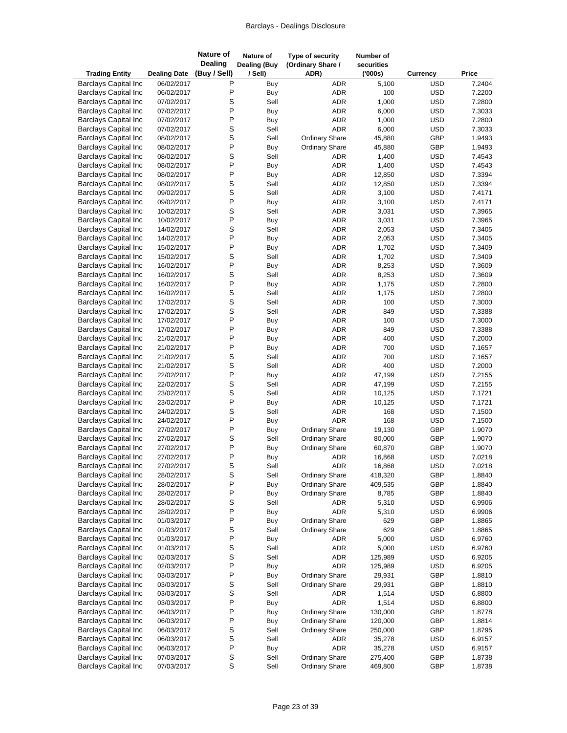| <b>Trading Entity</b>                                      | <b>Dealing Date</b>      | <b>Nature of</b><br><b>Dealing</b><br>(Buy / Sell) | Nature of<br><b>Dealing (Buy</b><br>/ Sell) | Type of security<br>(Ordinary Share /<br>ADR) | Number of<br>securities<br>(000s) | Currency                 | Price            |
|------------------------------------------------------------|--------------------------|----------------------------------------------------|---------------------------------------------|-----------------------------------------------|-----------------------------------|--------------------------|------------------|
| <b>Barclays Capital Inc</b>                                | 06/02/2017               | Ρ                                                  | Buy                                         | <b>ADR</b>                                    | 5,100                             | <b>USD</b>               | 7.2404           |
| <b>Barclays Capital Inc</b>                                | 06/02/2017               | P                                                  | Buy                                         | <b>ADR</b>                                    | 100                               | <b>USD</b>               | 7.2200           |
| <b>Barclays Capital Inc</b>                                | 07/02/2017               | S                                                  | Sell                                        | <b>ADR</b>                                    | 1,000                             | <b>USD</b>               | 7.2800           |
| <b>Barclays Capital Inc</b>                                | 07/02/2017               | P                                                  | Buy                                         | <b>ADR</b>                                    | 6,000                             | <b>USD</b>               | 7.3033           |
| <b>Barclays Capital Inc</b>                                | 07/02/2017               | P                                                  | Buy                                         | ADR                                           | 1,000                             | <b>USD</b>               | 7.2800           |
| <b>Barclays Capital Inc</b>                                | 07/02/2017               | S                                                  | Sell                                        | <b>ADR</b>                                    | 6,000                             | <b>USD</b>               | 7.3033           |
| <b>Barclays Capital Inc</b>                                | 08/02/2017               | S                                                  | Sell                                        | <b>Ordinary Share</b>                         | 45,880                            | GBP                      | 1.9493           |
| <b>Barclays Capital Inc</b>                                | 08/02/2017               | P                                                  | Buy                                         | <b>Ordinary Share</b>                         | 45,880                            | GBP                      | 1.9493           |
| <b>Barclays Capital Inc</b>                                | 08/02/2017               | S                                                  | Sell                                        | ADR                                           | 1,400                             | <b>USD</b>               | 7.4543           |
| <b>Barclays Capital Inc</b>                                | 08/02/2017               | P                                                  | Buy                                         | <b>ADR</b>                                    | 1,400                             | <b>USD</b>               | 7.4543           |
| <b>Barclays Capital Inc</b>                                | 08/02/2017               | P                                                  | Buy                                         | <b>ADR</b>                                    | 12,850                            | <b>USD</b>               | 7.3394           |
| <b>Barclays Capital Inc</b>                                | 08/02/2017               | S                                                  | Sell                                        | <b>ADR</b>                                    | 12,850                            | <b>USD</b>               | 7.3394           |
| <b>Barclays Capital Inc</b>                                | 09/02/2017               | S                                                  | Sell                                        | <b>ADR</b>                                    | 3,100                             | <b>USD</b>               | 7.4171           |
| <b>Barclays Capital Inc</b>                                | 09/02/2017               | P                                                  | Buy                                         | <b>ADR</b>                                    | 3,100                             | <b>USD</b>               | 7.4171           |
| <b>Barclays Capital Inc</b>                                | 10/02/2017               | S                                                  | Sell                                        | <b>ADR</b>                                    | 3,031                             | <b>USD</b>               | 7.3965           |
| <b>Barclays Capital Inc</b><br><b>Barclays Capital Inc</b> | 10/02/2017<br>14/02/2017 | P<br>S                                             | <b>Buy</b><br>Sell                          | <b>ADR</b><br><b>ADR</b>                      | 3,031                             | <b>USD</b><br><b>USD</b> | 7.3965           |
| <b>Barclays Capital Inc</b>                                | 14/02/2017               | P                                                  | Buy                                         | <b>ADR</b>                                    | 2,053<br>2,053                    | <b>USD</b>               | 7.3405<br>7.3405 |
| <b>Barclays Capital Inc</b>                                | 15/02/2017               | P                                                  | Buy                                         | ADR                                           | 1,702                             | <b>USD</b>               | 7.3409           |
| <b>Barclays Capital Inc</b>                                | 15/02/2017               | S                                                  | Sell                                        | <b>ADR</b>                                    | 1,702                             | <b>USD</b>               | 7.3409           |
| <b>Barclays Capital Inc</b>                                | 16/02/2017               | P                                                  | Buy                                         | <b>ADR</b>                                    | 8,253                             | <b>USD</b>               | 7.3609           |
| <b>Barclays Capital Inc</b>                                | 16/02/2017               | S                                                  | Sell                                        | ADR                                           | 8,253                             | <b>USD</b>               | 7.3609           |
| <b>Barclays Capital Inc</b>                                | 16/02/2017               | P                                                  | Buy                                         | <b>ADR</b>                                    | 1,175                             | <b>USD</b>               | 7.2800           |
| <b>Barclays Capital Inc</b>                                | 16/02/2017               | S                                                  | Sell                                        | <b>ADR</b>                                    | 1,175                             | <b>USD</b>               | 7.2800           |
| <b>Barclays Capital Inc</b>                                | 17/02/2017               | S                                                  | Sell                                        | <b>ADR</b>                                    | 100                               | <b>USD</b>               | 7.3000           |
| <b>Barclays Capital Inc</b>                                | 17/02/2017               | S                                                  | Sell                                        | <b>ADR</b>                                    | 849                               | <b>USD</b>               | 7.3388           |
| <b>Barclays Capital Inc</b>                                | 17/02/2017               | P                                                  | Buy                                         | <b>ADR</b>                                    | 100                               | <b>USD</b>               | 7.3000           |
| <b>Barclays Capital Inc</b>                                | 17/02/2017               | P                                                  | Buy                                         | ADR                                           | 849                               | <b>USD</b>               | 7.3388           |
| <b>Barclays Capital Inc</b>                                | 21/02/2017               | P                                                  | Buy                                         | <b>ADR</b>                                    | 400                               | <b>USD</b>               | 7.2000           |
| <b>Barclays Capital Inc</b>                                | 21/02/2017               | P                                                  | Buy                                         | <b>ADR</b>                                    | 700                               | <b>USD</b>               | 7.1657           |
| <b>Barclays Capital Inc</b>                                | 21/02/2017               | S                                                  | Sell                                        | ADR                                           | 700                               | <b>USD</b>               | 7.1657           |
| <b>Barclays Capital Inc</b>                                | 21/02/2017               | S                                                  | Sell                                        | <b>ADR</b>                                    | 400                               | <b>USD</b>               | 7.2000           |
| <b>Barclays Capital Inc</b>                                | 22/02/2017               | $\mathsf{P}$                                       | Buy                                         | ADR                                           | 47,199                            | <b>USD</b>               | 7.2155           |
| <b>Barclays Capital Inc</b>                                | 22/02/2017               | S                                                  | Sell                                        | ADR                                           | 47,199                            | <b>USD</b>               | 7.2155           |
| <b>Barclays Capital Inc</b>                                | 23/02/2017               | S                                                  | Sell                                        | <b>ADR</b>                                    | 10,125                            | <b>USD</b>               | 7.1721           |
| <b>Barclays Capital Inc</b>                                | 23/02/2017               | $\mathsf{P}$                                       | Buy                                         | ADR                                           | 10,125                            | <b>USD</b>               | 7.1721           |
| <b>Barclays Capital Inc</b>                                | 24/02/2017               | S                                                  | Sell                                        | <b>ADR</b>                                    | 168                               | <b>USD</b>               | 7.1500           |
| <b>Barclays Capital Inc</b>                                | 24/02/2017               | P                                                  | Buy                                         | <b>ADR</b>                                    | 168                               | <b>USD</b>               | 7.1500           |
| <b>Barclays Capital Inc</b>                                | 27/02/2017               | P                                                  | Buy                                         | <b>Ordinary Share</b>                         | 19,130                            | GBP                      | 1.9070           |
| <b>Barclays Capital Inc</b>                                | 27/02/2017               | S                                                  | Sell                                        | <b>Ordinary Share</b>                         | 80,000                            | GBP                      | 1.9070           |
| <b>Barclays Capital Inc</b>                                | 27/02/2017               | P                                                  | <b>Buy</b>                                  | <b>Ordinary Share</b>                         | 60,870                            | GBP                      | 1.9070           |
| <b>Barclays Capital Inc</b>                                | 27/02/2017               | P                                                  | Buy                                         | <b>ADR</b>                                    | 16,868                            | <b>USD</b>               | 7.0218           |
| <b>Barclays Capital Inc</b>                                | 27/02/2017               | S                                                  | Sell                                        | ADR                                           | 16,868                            | <b>USD</b>               | 7.0218           |
| <b>Barclays Capital Inc</b>                                | 28/02/2017               | S                                                  | Sell                                        | <b>Ordinary Share</b>                         | 418,320                           | GBP                      | 1.8840           |
| <b>Barclays Capital Inc</b>                                | 28/02/2017               | P                                                  | Buy                                         | <b>Ordinary Share</b>                         | 409,535                           | GBP                      | 1.8840           |
| <b>Barclays Capital Inc</b><br><b>Barclays Capital Inc</b> | 28/02/2017               | P<br>S                                             | Buy<br>Sell                                 | <b>Ordinary Share</b>                         | 8,785<br>5,310                    | GBP<br><b>USD</b>        | 1.8840<br>6.9906 |
| <b>Barclays Capital Inc</b>                                | 28/02/2017               | $\mathsf{P}$                                       |                                             | ADR<br>ADR                                    |                                   | <b>USD</b>               | 6.9906           |
| <b>Barclays Capital Inc</b>                                | 28/02/2017<br>01/03/2017 | P                                                  | Buy                                         | <b>Ordinary Share</b>                         | 5,310<br>629                      | GBP                      | 1.8865           |
| <b>Barclays Capital Inc</b>                                | 01/03/2017               | S                                                  | Buy<br>Sell                                 | <b>Ordinary Share</b>                         | 629                               | GBP                      | 1.8865           |
| <b>Barclays Capital Inc</b>                                | 01/03/2017               | $\mathsf{P}$                                       | Buy                                         | ADR                                           | 5,000                             | <b>USD</b>               | 6.9760           |
| <b>Barclays Capital Inc</b>                                | 01/03/2017               | S                                                  | Sell                                        | ADR                                           | 5,000                             | <b>USD</b>               | 6.9760           |
| <b>Barclays Capital Inc</b>                                | 02/03/2017               | S                                                  | Sell                                        | ADR                                           | 125,989                           | <b>USD</b>               | 6.9205           |
| <b>Barclays Capital Inc</b>                                | 02/03/2017               | P                                                  | Buy                                         | <b>ADR</b>                                    | 125,989                           | <b>USD</b>               | 6.9205           |
| <b>Barclays Capital Inc</b>                                | 03/03/2017               | $\mathsf{P}$                                       | Buy                                         | <b>Ordinary Share</b>                         | 29,931                            | GBP                      | 1.8810           |
| <b>Barclays Capital Inc</b>                                | 03/03/2017               | S                                                  | Sell                                        | <b>Ordinary Share</b>                         | 29,931                            | GBP                      | 1.8810           |
| <b>Barclays Capital Inc</b>                                | 03/03/2017               | S                                                  | Sell                                        | ADR                                           | 1,514                             | <b>USD</b>               | 6.8800           |
| <b>Barclays Capital Inc</b>                                | 03/03/2017               | $\mathsf{P}$                                       | Buy                                         | <b>ADR</b>                                    | 1,514                             | <b>USD</b>               | 6.8800           |
| <b>Barclays Capital Inc</b>                                | 06/03/2017               | $\mathsf{P}$                                       | Buy                                         | <b>Ordinary Share</b>                         | 130,000                           | GBP                      | 1.8778           |
| <b>Barclays Capital Inc</b>                                | 06/03/2017               | P                                                  | Buy                                         | <b>Ordinary Share</b>                         | 120,000                           | GBP                      | 1.8814           |
| <b>Barclays Capital Inc</b>                                | 06/03/2017               | S                                                  | Sell                                        | <b>Ordinary Share</b>                         | 250,000                           | GBP                      | 1.8795           |
| <b>Barclays Capital Inc</b>                                | 06/03/2017               | S                                                  | Sell                                        | ADR                                           | 35,278                            | <b>USD</b>               | 6.9157           |
| <b>Barclays Capital Inc</b>                                | 06/03/2017               | P                                                  | Buy                                         | ADR                                           | 35,278                            | <b>USD</b>               | 6.9157           |
| <b>Barclays Capital Inc</b>                                | 07/03/2017               | $\mathbb S$                                        | Sell                                        | <b>Ordinary Share</b>                         | 275,400                           | GBP                      | 1.8738           |
| Barclays Capital Inc                                       | 07/03/2017               | $\mathbf S$                                        | Sell                                        | <b>Ordinary Share</b>                         | 469,800                           | GBP                      | 1.8738           |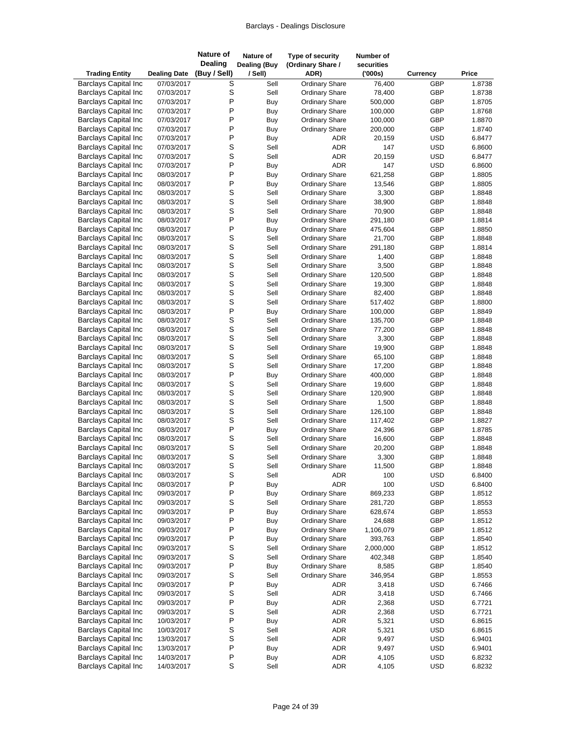| <b>Trading Entity</b>                                      | <b>Dealing Date</b>      | Nature of<br>Dealing<br>(Buy / Sell) | Nature of<br><b>Dealing (Buy</b><br>/ Sell) | Type of security<br>(Ordinary Share /<br>ADR)  | Number of<br>securities<br>(000s) | <b>Currency</b>          | Price            |
|------------------------------------------------------------|--------------------------|--------------------------------------|---------------------------------------------|------------------------------------------------|-----------------------------------|--------------------------|------------------|
| <b>Barclays Capital Inc</b>                                | 07/03/2017               | S                                    | Sell                                        | <b>Ordinary Share</b>                          | 76,400                            | <b>GBP</b>               | 1.8738           |
| <b>Barclays Capital Inc</b>                                | 07/03/2017               | S                                    | Sell                                        | <b>Ordinary Share</b>                          | 78,400                            | GBP                      | 1.8738           |
| <b>Barclays Capital Inc</b>                                | 07/03/2017               | P                                    | Buy                                         | <b>Ordinary Share</b>                          | 500,000                           | GBP                      | 1.8705           |
| <b>Barclays Capital Inc</b>                                | 07/03/2017               | Ρ                                    | <b>Buy</b>                                  | <b>Ordinary Share</b>                          | 100,000                           | <b>GBP</b>               | 1.8768           |
| <b>Barclays Capital Inc</b>                                | 07/03/2017               | P                                    | Buy                                         | <b>Ordinary Share</b>                          | 100,000                           | GBP                      | 1.8870           |
| <b>Barclays Capital Inc</b>                                | 07/03/2017               | P                                    | Buy                                         | <b>Ordinary Share</b>                          | 200,000                           | GBP                      | 1.8740           |
| <b>Barclays Capital Inc</b>                                | 07/03/2017               | P                                    | Buy                                         | <b>ADR</b>                                     | 20,159                            | <b>USD</b>               | 6.8477           |
| <b>Barclays Capital Inc</b>                                | 07/03/2017               | S                                    | Sell                                        | ADR                                            | 147                               | <b>USD</b>               | 6.8600           |
| <b>Barclays Capital Inc</b>                                | 07/03/2017               | S                                    | Sell                                        | ADR                                            | 20,159                            | <b>USD</b>               | 6.8477           |
| <b>Barclays Capital Inc</b>                                | 07/03/2017               | P                                    | Buy                                         | <b>ADR</b>                                     | 147                               | <b>USD</b>               | 6.8600           |
| <b>Barclays Capital Inc</b>                                | 08/03/2017               | P                                    | Buy                                         | Ordinary Share                                 | 621,258                           | GBP                      | 1.8805           |
| <b>Barclays Capital Inc</b>                                | 08/03/2017               | P                                    | Buy                                         | <b>Ordinary Share</b>                          | 13,546                            | GBP                      | 1.8805           |
| <b>Barclays Capital Inc</b>                                | 08/03/2017               | S                                    | Sell                                        | <b>Ordinary Share</b>                          | 3,300                             | GBP                      | 1.8848           |
| <b>Barclays Capital Inc</b>                                | 08/03/2017               | S                                    | Sell                                        | <b>Ordinary Share</b>                          | 38,900                            | GBP                      | 1.8848           |
| <b>Barclays Capital Inc</b>                                | 08/03/2017               | S                                    | Sell                                        | <b>Ordinary Share</b>                          | 70,900                            | <b>GBP</b>               | 1.8848           |
| <b>Barclays Capital Inc</b>                                | 08/03/2017               | P                                    | Buy                                         | <b>Ordinary Share</b>                          | 291,180                           | GBP                      | 1.8814           |
| <b>Barclays Capital Inc</b>                                | 08/03/2017               | P                                    | Buy                                         | <b>Ordinary Share</b>                          | 475,604                           | GBP                      | 1.8850           |
| <b>Barclays Capital Inc</b>                                | 08/03/2017               | S                                    | Sell                                        | <b>Ordinary Share</b>                          | 21,700                            | GBP                      | 1.8848           |
| <b>Barclays Capital Inc</b>                                | 08/03/2017               | S                                    | Sell                                        | <b>Ordinary Share</b>                          | 291,180                           | GBP                      | 1.8814           |
| <b>Barclays Capital Inc</b>                                | 08/03/2017               | S                                    | Sell                                        | <b>Ordinary Share</b>                          | 1,400                             | <b>GBP</b>               | 1.8848           |
| <b>Barclays Capital Inc</b>                                | 08/03/2017               | S                                    | Sell                                        | <b>Ordinary Share</b>                          | 3,500                             | GBP                      | 1.8848           |
| <b>Barclays Capital Inc</b>                                | 08/03/2017               | S                                    | Sell                                        | <b>Ordinary Share</b>                          | 120,500                           | GBP                      | 1.8848           |
| <b>Barclays Capital Inc</b>                                | 08/03/2017               | S                                    | Sell                                        | <b>Ordinary Share</b>                          | 19,300                            | <b>GBP</b>               | 1.8848           |
| <b>Barclays Capital Inc</b>                                | 08/03/2017               | S                                    | Sell                                        | <b>Ordinary Share</b>                          | 82,400                            | <b>GBP</b>               | 1.8848           |
| <b>Barclays Capital Inc</b>                                | 08/03/2017               | S                                    | Sell                                        | <b>Ordinary Share</b>                          | 517,402                           | <b>GBP</b>               | 1.8800           |
| <b>Barclays Capital Inc</b>                                | 08/03/2017               | P                                    | Buy                                         | <b>Ordinary Share</b>                          | 100,000                           | <b>GBP</b>               | 1.8849           |
| <b>Barclays Capital Inc</b>                                | 08/03/2017               | S                                    | Sell                                        | <b>Ordinary Share</b>                          | 135,700                           | <b>GBP</b>               | 1.8848           |
| <b>Barclays Capital Inc</b>                                | 08/03/2017               | S                                    | Sell                                        | <b>Ordinary Share</b>                          | 77,200                            | <b>GBP</b>               | 1.8848           |
| <b>Barclays Capital Inc</b>                                | 08/03/2017               | S                                    | Sell                                        | <b>Ordinary Share</b>                          | 3,300                             | GBP                      | 1.8848           |
| <b>Barclays Capital Inc</b>                                | 08/03/2017               | S                                    | Sell                                        | <b>Ordinary Share</b>                          | 19,900                            | <b>GBP</b>               | 1.8848           |
| <b>Barclays Capital Inc</b>                                | 08/03/2017               | S                                    | Sell                                        | <b>Ordinary Share</b>                          | 65,100                            | <b>GBP</b>               | 1.8848           |
| <b>Barclays Capital Inc</b>                                | 08/03/2017               | S                                    | Sell                                        | <b>Ordinary Share</b>                          | 17,200                            | <b>GBP</b>               | 1.8848           |
| <b>Barclays Capital Inc</b>                                | 08/03/2017               | P                                    | Buy                                         | <b>Ordinary Share</b>                          | 400,000                           | <b>GBP</b>               | 1.8848           |
| <b>Barclays Capital Inc</b>                                | 08/03/2017               | S                                    | Sell                                        | Ordinary Share                                 | 19,600                            | <b>GBP</b>               | 1.8848           |
| <b>Barclays Capital Inc</b><br><b>Barclays Capital Inc</b> | 08/03/2017               | S<br>S                               | Sell<br>Sell                                | <b>Ordinary Share</b>                          | 120,900<br>1,500                  | <b>GBP</b><br><b>GBP</b> | 1.8848<br>1.8848 |
| <b>Barclays Capital Inc</b>                                | 08/03/2017<br>08/03/2017 | S                                    | Sell                                        | <b>Ordinary Share</b><br><b>Ordinary Share</b> | 126,100                           | <b>GBP</b>               | 1.8848           |
| <b>Barclays Capital Inc</b>                                | 08/03/2017               | S                                    | Sell                                        |                                                |                                   | <b>GBP</b>               | 1.8827           |
| <b>Barclays Capital Inc</b>                                | 08/03/2017               | P                                    |                                             | <b>Ordinary Share</b>                          | 117,402<br>24,396                 | <b>GBP</b>               | 1.8785           |
| <b>Barclays Capital Inc</b>                                | 08/03/2017               | S                                    | Buy<br>Sell                                 | <b>Ordinary Share</b><br><b>Ordinary Share</b> | 16,600                            | <b>GBP</b>               | 1.8848           |
| <b>Barclays Capital Inc</b>                                | 08/03/2017               | S                                    | Sell                                        | <b>Ordinary Share</b>                          | 20,200                            | <b>GBP</b>               | 1.8848           |
| <b>Barclays Capital Inc</b>                                | 08/03/2017               | S                                    | Sell                                        | <b>Ordinary Share</b>                          | 3,300                             | <b>GBP</b>               | 1.8848           |
| <b>Barclays Capital Inc</b>                                | 08/03/2017               | S                                    | Sell                                        | <b>Ordinary Share</b>                          | 11,500                            | <b>GBP</b>               | 1.8848           |
| <b>Barclays Capital Inc</b>                                | 08/03/2017               | S                                    | Sell                                        | ADR                                            | 100                               | <b>USD</b>               | 6.8400           |
| <b>Barclays Capital Inc</b>                                | 08/03/2017               | P                                    | Buy                                         | <b>ADR</b>                                     | 100                               | <b>USD</b>               | 6.8400           |
| <b>Barclays Capital Inc</b>                                | 09/03/2017               | P                                    | Buy                                         | <b>Ordinary Share</b>                          | 869,233                           | GBP                      | 1.8512           |
| <b>Barclays Capital Inc</b>                                | 09/03/2017               | S                                    | Sell                                        | <b>Ordinary Share</b>                          | 281,720                           | GBP                      | 1.8553           |
| <b>Barclays Capital Inc</b>                                | 09/03/2017               | P                                    | Buy                                         | <b>Ordinary Share</b>                          | 628,674                           | GBP                      | 1.8553           |
| <b>Barclays Capital Inc</b>                                | 09/03/2017               | P                                    | Buy                                         | <b>Ordinary Share</b>                          | 24,688                            | <b>GBP</b>               | 1.8512           |
| <b>Barclays Capital Inc</b>                                | 09/03/2017               | P                                    | Buy                                         | <b>Ordinary Share</b>                          | 1,106,079                         | GBP                      | 1.8512           |
| <b>Barclays Capital Inc</b>                                | 09/03/2017               | P                                    | Buy                                         | <b>Ordinary Share</b>                          | 393,763                           | GBP                      | 1.8540           |
| <b>Barclays Capital Inc</b>                                | 09/03/2017               | S                                    | Sell                                        | <b>Ordinary Share</b>                          | 2,000,000                         | GBP                      | 1.8512           |
| <b>Barclays Capital Inc</b>                                | 09/03/2017               | S                                    | Sell                                        | <b>Ordinary Share</b>                          | 402,348                           | GBP                      | 1.8540           |
| <b>Barclays Capital Inc</b>                                | 09/03/2017               | P                                    | Buy                                         | <b>Ordinary Share</b>                          | 8,585                             | <b>GBP</b>               | 1.8540           |
| <b>Barclays Capital Inc</b>                                | 09/03/2017               | S                                    | Sell                                        | <b>Ordinary Share</b>                          | 346,954                           | GBP                      | 1.8553           |
| <b>Barclays Capital Inc</b>                                | 09/03/2017               | P                                    | Buy                                         | ADR                                            | 3,418                             | <b>USD</b>               | 6.7466           |
| <b>Barclays Capital Inc</b>                                | 09/03/2017               | S                                    | Sell                                        | ADR                                            | 3,418                             | <b>USD</b>               | 6.7466           |
| <b>Barclays Capital Inc</b>                                | 09/03/2017               | P                                    | Buy                                         | ADR                                            | 2,368                             | <b>USD</b>               | 6.7721           |
| <b>Barclays Capital Inc</b>                                | 09/03/2017               | S                                    | Sell                                        | ADR                                            | 2,368                             | <b>USD</b>               | 6.7721           |
| <b>Barclays Capital Inc</b>                                | 10/03/2017               | P                                    | Buy                                         | ADR                                            | 5,321                             | <b>USD</b>               | 6.8615           |
| <b>Barclays Capital Inc</b>                                | 10/03/2017               | S                                    | Sell                                        | ADR                                            | 5,321                             | <b>USD</b>               | 6.8615           |
| <b>Barclays Capital Inc</b>                                | 13/03/2017               | S                                    | Sell                                        | ADR                                            | 9,497                             | <b>USD</b>               | 6.9401           |
| <b>Barclays Capital Inc</b>                                | 13/03/2017               | P                                    | Buy                                         | ADR                                            | 9,497                             | <b>USD</b>               | 6.9401           |
| <b>Barclays Capital Inc</b>                                | 14/03/2017               | $\sf P$                              | Buy                                         | ADR                                            | 4,105                             | <b>USD</b>               | 6.8232           |
| <b>Barclays Capital Inc</b>                                | 14/03/2017               | $\mathsf S$                          | Sell                                        | ADR                                            | 4,105                             | <b>USD</b>               | 6.8232           |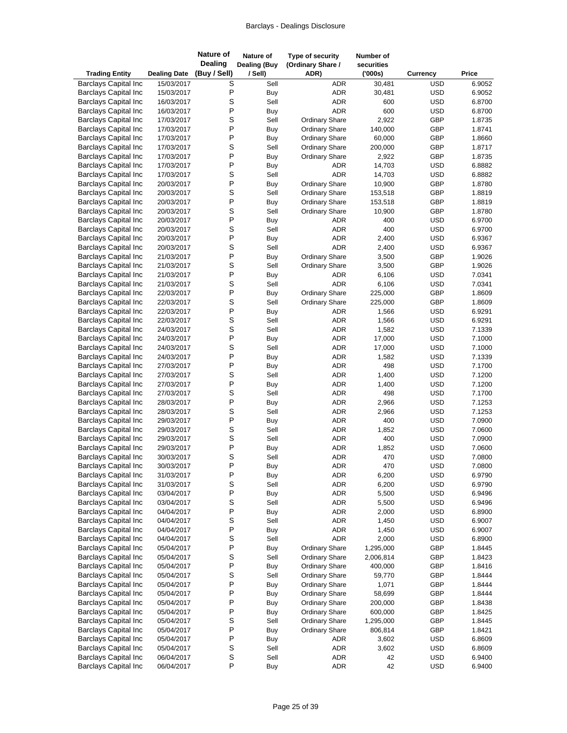| <b>Trading Entity</b>                                      | <b>Dealing Date</b>      | Nature of<br><b>Dealing</b><br>(Buy / Sell) | <b>Nature of</b><br><b>Dealing (Buy</b><br>/ Sell) | Type of security<br>(Ordinary Share /<br>ADR)  | Number of<br>securities<br>(000s) | <b>Currency</b>          | Price            |
|------------------------------------------------------------|--------------------------|---------------------------------------------|----------------------------------------------------|------------------------------------------------|-----------------------------------|--------------------------|------------------|
| <b>Barclays Capital Inc</b>                                | 15/03/2017               | $\overline{s}$                              | Sell                                               | <b>ADR</b>                                     | 30,481                            | <b>USD</b>               | 6.9052           |
| <b>Barclays Capital Inc.</b>                               | 15/03/2017               | P                                           | Buy                                                | <b>ADR</b>                                     | 30,481                            | <b>USD</b>               | 6.9052           |
| <b>Barclays Capital Inc</b>                                | 16/03/2017               | S                                           | Sell                                               | ADR                                            | 600                               | <b>USD</b>               | 6.8700           |
| <b>Barclays Capital Inc</b>                                | 16/03/2017               | P                                           | Buy                                                | <b>ADR</b>                                     | 600                               | <b>USD</b>               | 6.8700           |
| <b>Barclays Capital Inc</b>                                | 17/03/2017               | $\mathbb S$                                 | Sell                                               | <b>Ordinary Share</b>                          | 2,922                             | GBP                      | 1.8735           |
| <b>Barclays Capital Inc</b>                                | 17/03/2017               | $\sf P$                                     | Buy                                                | <b>Ordinary Share</b>                          | 140,000                           | GBP                      | 1.8741           |
| <b>Barclays Capital Inc</b>                                | 17/03/2017               | P                                           | Buy                                                | <b>Ordinary Share</b>                          | 60,000                            | <b>GBP</b>               | 1.8660           |
| <b>Barclays Capital Inc</b>                                | 17/03/2017               | $\mathbb S$                                 | Sell                                               | <b>Ordinary Share</b>                          | 200,000                           | GBP                      | 1.8717           |
| <b>Barclays Capital Inc</b>                                | 17/03/2017               | $\sf P$<br>P                                | Buy                                                | <b>Ordinary Share</b>                          | 2,922                             | GBP                      | 1.8735           |
| <b>Barclays Capital Inc</b><br><b>Barclays Capital Inc</b> | 17/03/2017<br>17/03/2017 | $\mathbb S$                                 | Buy<br>Sell                                        | ADR<br><b>ADR</b>                              | 14,703                            | <b>USD</b><br><b>USD</b> | 6.8882<br>6.8882 |
| <b>Barclays Capital Inc</b>                                | 20/03/2017               | $\sf P$                                     | Buy                                                | <b>Ordinary Share</b>                          | 14,703<br>10,900                  | <b>GBP</b>               | 1.8780           |
| <b>Barclays Capital Inc</b>                                | 20/03/2017               | $\mathsf S$                                 | Sell                                               | <b>Ordinary Share</b>                          | 153,518                           | GBP                      | 1.8819           |
| <b>Barclays Capital Inc.</b>                               | 20/03/2017               | $\mathsf{P}$                                | Buy                                                | <b>Ordinary Share</b>                          | 153,518                           | GBP                      | 1.8819           |
| <b>Barclays Capital Inc</b>                                | 20/03/2017               | $\mathbb S$                                 | Sell                                               | <b>Ordinary Share</b>                          | 10,900                            | GBP                      | 1.8780           |
| <b>Barclays Capital Inc</b>                                | 20/03/2017               | $\sf P$                                     | Buy                                                | ADR                                            | 400                               | <b>USD</b>               | 6.9700           |
| <b>Barclays Capital Inc</b>                                | 20/03/2017               | S                                           | Sell                                               | <b>ADR</b>                                     | 400                               | <b>USD</b>               | 6.9700           |
| <b>Barclays Capital Inc</b>                                | 20/03/2017               | P                                           | Buy                                                | <b>ADR</b>                                     | 2,400                             | <b>USD</b>               | 6.9367           |
| <b>Barclays Capital Inc</b>                                | 20/03/2017               | $\mathsf S$                                 | Sell                                               | <b>ADR</b>                                     | 2,400                             | <b>USD</b>               | 6.9367           |
| <b>Barclays Capital Inc</b>                                | 21/03/2017               | $\sf P$                                     | Buy                                                | <b>Ordinary Share</b>                          | 3,500                             | GBP                      | 1.9026           |
| <b>Barclays Capital Inc</b>                                | 21/03/2017               | $\mathbb S$                                 | Sell                                               | <b>Ordinary Share</b>                          | 3,500                             | GBP                      | 1.9026           |
| <b>Barclays Capital Inc</b>                                | 21/03/2017               | $\sf P$                                     | Buy                                                | ADR                                            | 6,106                             | <b>USD</b>               | 7.0341           |
| <b>Barclays Capital Inc</b>                                | 21/03/2017               | $\mathsf S$                                 | Sell                                               | <b>ADR</b>                                     | 6,106                             | <b>USD</b>               | 7.0341           |
| <b>Barclays Capital Inc</b>                                | 22/03/2017               | P                                           | Buy                                                | Ordinary Share                                 | 225,000                           | GBP                      | 1.8609           |
| <b>Barclays Capital Inc</b>                                | 22/03/2017               | $\mathbb S$                                 | Sell                                               | <b>Ordinary Share</b>                          | 225,000                           | GBP                      | 1.8609           |
| <b>Barclays Capital Inc</b>                                | 22/03/2017               | $\sf P$                                     | Buy                                                | <b>ADR</b>                                     | 1,566                             | <b>USD</b>               | 6.9291           |
| <b>Barclays Capital Inc</b>                                | 22/03/2017               | $\mathsf S$                                 | Sell                                               | <b>ADR</b>                                     | 1,566                             | <b>USD</b>               | 6.9291           |
| <b>Barclays Capital Inc</b>                                | 24/03/2017               | S                                           | Sell                                               | <b>ADR</b>                                     | 1,582                             | <b>USD</b>               | 7.1339           |
| <b>Barclays Capital Inc</b>                                | 24/03/2017               | P                                           | Buy                                                | <b>ADR</b>                                     | 17,000                            | <b>USD</b>               | 7.1000           |
| <b>Barclays Capital Inc</b>                                | 24/03/2017               | $\mathsf S$                                 | Sell                                               | <b>ADR</b>                                     | 17,000                            | <b>USD</b>               | 7.1000           |
| <b>Barclays Capital Inc</b>                                | 24/03/2017               | $\sf P$                                     | Buy                                                | ADR                                            | 1,582                             | <b>USD</b>               | 7.1339           |
| <b>Barclays Capital Inc</b>                                | 27/03/2017               | P                                           | Buy                                                | <b>ADR</b>                                     | 498                               | <b>USD</b>               | 7.1700           |
| <b>Barclays Capital Inc</b><br><b>Barclays Capital Inc</b> | 27/03/2017               | $\mathbb S$<br>$\sf P$                      | Sell                                               | <b>ADR</b>                                     | 1,400                             | <b>USD</b>               | 7.1200           |
| <b>Barclays Capital Inc</b>                                | 27/03/2017<br>27/03/2017 | S                                           | Buy<br>Sell                                        | <b>ADR</b><br><b>ADR</b>                       | 1,400<br>498                      | <b>USD</b><br><b>USD</b> | 7.1200<br>7.1700 |
| <b>Barclays Capital Inc</b>                                | 28/03/2017               | $\sf P$                                     | Buy                                                | <b>ADR</b>                                     | 2,966                             | <b>USD</b>               | 7.1253           |
| <b>Barclays Capital Inc</b>                                | 28/03/2017               | $\mathbb S$                                 | Sell                                               | <b>ADR</b>                                     | 2,966                             | <b>USD</b>               | 7.1253           |
| <b>Barclays Capital Inc</b>                                | 29/03/2017               | $\sf P$                                     | Buy                                                | <b>ADR</b>                                     | 400                               | <b>USD</b>               | 7.0900           |
| <b>Barclays Capital Inc</b>                                | 29/03/2017               | $\mbox{\bf S}$                              | Sell                                               | ADR                                            | 1,852                             | <b>USD</b>               | 7.0600           |
| <b>Barclays Capital Inc</b>                                | 29/03/2017               | $\mathsf S$                                 | Sell                                               | <b>ADR</b>                                     | 400                               | <b>USD</b>               | 7.0900           |
| <b>Barclays Capital Inc</b>                                | 29/03/2017               | $\mathsf{P}$                                | Buy                                                | <b>ADR</b>                                     | 1,852                             | <b>USD</b>               | 7.0600           |
| <b>Barclays Capital Inc</b>                                | 30/03/2017               | S                                           | Sell                                               | <b>ADR</b>                                     | 470                               | <b>USD</b>               | 7.0800           |
| <b>Barclays Capital Inc</b>                                | 30/03/2017               | P                                           | Buy                                                | <b>ADR</b>                                     | 470                               | <b>USD</b>               | 7.0800           |
| <b>Barclays Capital Inc</b>                                | 31/03/2017               | $\sf P$                                     | Buy                                                | ADR                                            | 6,200                             | <b>USD</b>               | 6.9790           |
| <b>Barclays Capital Inc</b>                                | 31/03/2017               | S                                           | Sell                                               | ADR                                            | 6,200                             | <b>USD</b>               | 6.9790           |
| <b>Barclays Capital Inc</b>                                | 03/04/2017               | $\sf P$                                     | Buy                                                | ADR                                            | 5,500                             | <b>USD</b>               | 6.9496           |
| <b>Barclays Capital Inc</b>                                | 03/04/2017               | $\mbox{\bf S}$                              | Sell                                               | ADR                                            | 5,500                             | <b>USD</b>               | 6.9496           |
| <b>Barclays Capital Inc</b>                                | 04/04/2017               | $\sf P$                                     | Buy                                                | <b>ADR</b>                                     | 2,000                             | <b>USD</b>               | 6.8900           |
| <b>Barclays Capital Inc</b>                                | 04/04/2017               | S                                           | Sell                                               | ADR                                            | 1,450                             | <b>USD</b>               | 6.9007           |
| <b>Barclays Capital Inc</b>                                | 04/04/2017               | $\sf P$                                     | Buy                                                | ADR                                            | 1,450                             | <b>USD</b>               | 6.9007           |
| <b>Barclays Capital Inc</b>                                | 04/04/2017               | S                                           | Sell                                               | ADR                                            | 2,000                             | <b>USD</b>               | 6.8900           |
| <b>Barclays Capital Inc</b>                                | 05/04/2017               | $\sf P$                                     | Buy                                                | Ordinary Share                                 | 1,295,000                         | GBP                      | 1.8445           |
| <b>Barclays Capital Inc</b>                                | 05/04/2017               | $\mbox{\bf S}$                              | Sell                                               | Ordinary Share                                 | 2,006,814                         | GBP                      | 1.8423           |
| <b>Barclays Capital Inc</b>                                | 05/04/2017               | $\sf P$<br>$\mathsf S$                      | Buy                                                | <b>Ordinary Share</b>                          | 400,000                           | GBP                      | 1.8416           |
| <b>Barclays Capital Inc</b>                                | 05/04/2017               | $\sf P$                                     | Sell                                               | Ordinary Share                                 | 59,770                            | GBP                      | 1.8444           |
| <b>Barclays Capital Inc</b><br><b>Barclays Capital Inc</b> | 05/04/2017               | P                                           | Buy                                                | <b>Ordinary Share</b>                          | 1,071                             | GBP<br>GBP               | 1.8444           |
| <b>Barclays Capital Inc</b>                                | 05/04/2017<br>05/04/2017 | $\sf P$                                     | Buy<br>Buy                                         | <b>Ordinary Share</b><br><b>Ordinary Share</b> | 58,699<br>200,000                 | GBP                      | 1.8444<br>1.8438 |
| <b>Barclays Capital Inc</b>                                | 05/04/2017               | $\sf P$                                     | Buy                                                | <b>Ordinary Share</b>                          | 600,000                           | GBP                      | 1.8425           |
| <b>Barclays Capital Inc</b>                                | 05/04/2017               | S                                           | Sell                                               | <b>Ordinary Share</b>                          | 1,295,000                         | GBP                      | 1.8445           |
| <b>Barclays Capital Inc</b>                                | 05/04/2017               | $\sf P$                                     | Buy                                                | <b>Ordinary Share</b>                          | 806,814                           | GBP                      | 1.8421           |
| <b>Barclays Capital Inc</b>                                | 05/04/2017               | $\sf P$                                     | Buy                                                | ADR                                            | 3,602                             | <b>USD</b>               | 6.8609           |
| <b>Barclays Capital Inc</b>                                | 05/04/2017               | $\mbox{\bf S}$                              | Sell                                               | ADR                                            | 3,602                             | <b>USD</b>               | 6.8609           |
| <b>Barclays Capital Inc</b>                                | 06/04/2017               | $\mathbb S$                                 | Sell                                               | ADR                                            | 42                                | <b>USD</b>               | 6.9400           |
| <b>Barclays Capital Inc</b>                                | 06/04/2017               | $\sf P$                                     | <b>Buy</b>                                         | ADR                                            | 42                                | <b>USD</b>               | 6.9400           |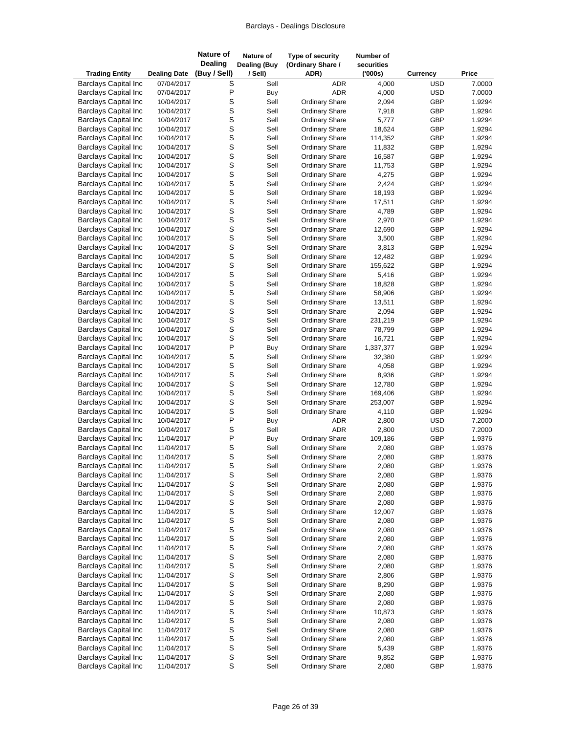| <b>Trading Entity</b>                                      | <b>Dealing Date</b>      | <b>Nature of</b><br><b>Dealing</b><br>(Buy / Sell) | Nature of<br><b>Dealing (Buy</b><br>/ Sell) | Type of security<br>(Ordinary Share /<br>ADR)  | Number of<br>securities<br>(000s) | <b>Currency</b> | Price            |
|------------------------------------------------------------|--------------------------|----------------------------------------------------|---------------------------------------------|------------------------------------------------|-----------------------------------|-----------------|------------------|
| <b>Barclays Capital Inc</b>                                | 07/04/2017               | S                                                  | Sell                                        |                                                | <b>ADR</b><br>4,000               | USD             | 7.0000           |
| <b>Barclays Capital Inc</b>                                | 07/04/2017               | P                                                  | Buy                                         |                                                | <b>ADR</b><br>4,000               | <b>USD</b>      | 7.0000           |
| <b>Barclays Capital Inc</b>                                | 10/04/2017               | S                                                  | Sell                                        | <b>Ordinary Share</b>                          | 2,094                             | GBP             | 1.9294           |
| <b>Barclays Capital Inc</b>                                | 10/04/2017               | S                                                  | Sell                                        | <b>Ordinary Share</b>                          | 7,918                             | GBP             | 1.9294           |
| <b>Barclays Capital Inc</b>                                | 10/04/2017               | S                                                  | Sell                                        | <b>Ordinary Share</b>                          | 5,777                             | GBP             | 1.9294           |
| <b>Barclays Capital Inc</b>                                | 10/04/2017               | S                                                  | Sell                                        | <b>Ordinary Share</b>                          | 18,624                            | GBP             | 1.9294           |
| <b>Barclays Capital Inc</b>                                | 10/04/2017               | S                                                  | Sell                                        | Ordinary Share                                 | 114,352                           | GBP             | 1.9294           |
| <b>Barclays Capital Inc</b>                                | 10/04/2017               | S                                                  | Sell                                        | <b>Ordinary Share</b>                          | 11,832                            | GBP             | 1.9294           |
| <b>Barclays Capital Inc</b>                                | 10/04/2017               | S                                                  | Sell                                        | <b>Ordinary Share</b>                          | 16,587                            | GBP             | 1.9294           |
| <b>Barclays Capital Inc</b>                                | 10/04/2017               | S                                                  | Sell                                        | <b>Ordinary Share</b>                          | 11,753                            | GBP             | 1.9294           |
| <b>Barclays Capital Inc</b>                                | 10/04/2017               | S                                                  | Sell                                        | <b>Ordinary Share</b>                          | 4,275                             | GBP             | 1.9294           |
| <b>Barclays Capital Inc</b>                                | 10/04/2017               | S                                                  | Sell                                        | <b>Ordinary Share</b>                          | 2,424                             | GBP             | 1.9294           |
| <b>Barclays Capital Inc</b>                                | 10/04/2017               | S                                                  | Sell                                        | <b>Ordinary Share</b>                          | 18,193                            | GBP             | 1.9294           |
| <b>Barclays Capital Inc</b>                                | 10/04/2017               | S                                                  | Sell                                        | <b>Ordinary Share</b>                          | 17,511                            | GBP             | 1.9294           |
| <b>Barclays Capital Inc</b>                                | 10/04/2017               | S                                                  | Sell                                        | <b>Ordinary Share</b>                          | 4,789                             | GBP             | 1.9294           |
| <b>Barclays Capital Inc</b><br><b>Barclays Capital Inc</b> | 10/04/2017<br>10/04/2017 | S<br>S                                             | Sell                                        | <b>Ordinary Share</b>                          | 2,970<br>12,690                   | GBP<br>GBP      | 1.9294           |
| <b>Barclays Capital Inc</b>                                | 10/04/2017               | S                                                  | Sell<br>Sell                                | <b>Ordinary Share</b><br><b>Ordinary Share</b> | 3,500                             | GBP             | 1.9294<br>1.9294 |
| <b>Barclays Capital Inc</b>                                | 10/04/2017               | S                                                  | Sell                                        | <b>Ordinary Share</b>                          | 3,813                             | GBP             | 1.9294           |
| <b>Barclays Capital Inc</b>                                | 10/04/2017               | S                                                  | Sell                                        | <b>Ordinary Share</b>                          | 12,482                            | GBP             | 1.9294           |
| <b>Barclays Capital Inc</b>                                | 10/04/2017               | S                                                  | Sell                                        | <b>Ordinary Share</b>                          | 155,622                           | GBP             | 1.9294           |
| <b>Barclays Capital Inc</b>                                | 10/04/2017               | S                                                  | Sell                                        | <b>Ordinary Share</b>                          | 5,416                             | GBP             | 1.9294           |
| <b>Barclays Capital Inc</b>                                | 10/04/2017               | S                                                  | Sell                                        | <b>Ordinary Share</b>                          | 18,828                            | GBP             | 1.9294           |
| <b>Barclays Capital Inc</b>                                | 10/04/2017               | S                                                  | Sell                                        | <b>Ordinary Share</b>                          | 58,906                            | GBP             | 1.9294           |
| <b>Barclays Capital Inc</b>                                | 10/04/2017               | S                                                  | Sell                                        | <b>Ordinary Share</b>                          | 13,511                            | GBP             | 1.9294           |
| <b>Barclays Capital Inc</b>                                | 10/04/2017               | S                                                  | Sell                                        | <b>Ordinary Share</b>                          | 2,094                             | GBP             | 1.9294           |
| <b>Barclays Capital Inc</b>                                | 10/04/2017               | S                                                  | Sell                                        | <b>Ordinary Share</b>                          | 231,219                           | GBP             | 1.9294           |
| <b>Barclays Capital Inc</b>                                | 10/04/2017               | S                                                  | Sell                                        | <b>Ordinary Share</b>                          | 78,799                            | GBP             | 1.9294           |
| <b>Barclays Capital Inc</b>                                | 10/04/2017               | S                                                  | Sell                                        | <b>Ordinary Share</b>                          | 16,721                            | GBP             | 1.9294           |
| <b>Barclays Capital Inc</b>                                | 10/04/2017               | P                                                  | Buy                                         | <b>Ordinary Share</b>                          | 1,337,377                         | GBP             | 1.9294           |
| <b>Barclays Capital Inc</b>                                | 10/04/2017               | S                                                  | Sell                                        | <b>Ordinary Share</b>                          | 32,380                            | GBP             | 1.9294           |
| <b>Barclays Capital Inc</b>                                | 10/04/2017               | S                                                  | Sell                                        | <b>Ordinary Share</b>                          | 4,058                             | GBP             | 1.9294           |
| <b>Barclays Capital Inc</b>                                | 10/04/2017               | S                                                  | Sell                                        | <b>Ordinary Share</b>                          | 8,936                             | GBP             | 1.9294           |
| <b>Barclays Capital Inc</b>                                | 10/04/2017               | S                                                  | Sell                                        | <b>Ordinary Share</b>                          | 12,780                            | GBP             | 1.9294           |
| <b>Barclays Capital Inc</b>                                | 10/04/2017               | S                                                  | Sell                                        | <b>Ordinary Share</b>                          | 169,406                           | GBP             | 1.9294           |
| <b>Barclays Capital Inc</b>                                | 10/04/2017               | S                                                  | Sell                                        | <b>Ordinary Share</b>                          | 253,007                           | GBP             | 1.9294           |
| <b>Barclays Capital Inc</b>                                | 10/04/2017               | S                                                  | Sell                                        | <b>Ordinary Share</b>                          | 4,110                             | GBP             | 1.9294           |
| <b>Barclays Capital Inc</b>                                | 10/04/2017               | P                                                  | Buy                                         |                                                | ADR<br>2,800                      | <b>USD</b>      | 7.2000           |
| <b>Barclays Capital Inc</b>                                | 10/04/2017               | S                                                  | Sell                                        |                                                | <b>ADR</b><br>2,800               | <b>USD</b>      | 7.2000           |
| <b>Barclays Capital Inc</b>                                | 11/04/2017               | P                                                  | Buy                                         | <b>Ordinary Share</b>                          | 109,186                           | GBP             | 1.9376           |
| <b>Barclays Capital Inc</b>                                | 11/04/2017               | S                                                  | Sell                                        | <b>Ordinary Share</b>                          | 2,080                             | GBP             | 1.9376           |
| <b>Barclays Capital Inc</b>                                | 11/04/2017               | S                                                  | Sell                                        | <b>Ordinary Share</b>                          | 2,080                             | GBP             | 1.9376           |
| <b>Barclays Capital Inc</b>                                | 11/04/2017               | S                                                  | Sell                                        | <b>Ordinary Share</b>                          | 2,080                             | GBP             | 1.9376           |
| <b>Barclays Capital Inc</b>                                | 11/04/2017               | S                                                  | Sell                                        | <b>Ordinary Share</b>                          | 2,080                             | GBP             | 1.9376           |
| <b>Barclays Capital Inc</b>                                | 11/04/2017               | S                                                  | Sell                                        | <b>Ordinary Share</b><br><b>Ordinary Share</b> | 2,080                             | GBP             | 1.9376<br>1.9376 |
| <b>Barclays Capital Inc</b>                                | 11/04/2017               | S<br>S                                             | Sell                                        |                                                | 2,080                             | GBP             |                  |
| <b>Barclays Capital Inc</b><br><b>Barclays Capital Inc</b> | 11/04/2017<br>11/04/2017 | S                                                  | Sell<br>Sell                                | <b>Ordinary Share</b><br><b>Ordinary Share</b> | 2,080<br>12,007                   | GBP<br>GBP      | 1.9376<br>1.9376 |
| <b>Barclays Capital Inc</b>                                | 11/04/2017               | S                                                  | Sell                                        | <b>Ordinary Share</b>                          | 2,080                             | GBP             | 1.9376           |
| <b>Barclays Capital Inc</b>                                | 11/04/2017               | S                                                  | Sell                                        | <b>Ordinary Share</b>                          | 2,080                             | GBP             | 1.9376           |
| <b>Barclays Capital Inc</b>                                | 11/04/2017               | S                                                  | Sell                                        | <b>Ordinary Share</b>                          | 2,080                             | GBP             | 1.9376           |
| <b>Barclays Capital Inc</b>                                | 11/04/2017               | S                                                  | Sell                                        | <b>Ordinary Share</b>                          | 2,080                             | GBP             | 1.9376           |
| <b>Barclays Capital Inc</b>                                | 11/04/2017               | S                                                  | Sell                                        | <b>Ordinary Share</b>                          | 2,080                             | GBP             | 1.9376           |
| <b>Barclays Capital Inc</b>                                | 11/04/2017               |                                                    | Sell                                        | <b>Ordinary Share</b>                          | 2,080                             | GBP             | 1.9376           |
| <b>Barclays Capital Inc</b>                                | 11/04/2017               |                                                    | Sell                                        | <b>Ordinary Share</b>                          | 2,806                             | GBP             | 1.9376           |
| <b>Barclays Capital Inc</b>                                | 11/04/2017               | s<br>s<br>s                                        | Sell                                        | <b>Ordinary Share</b>                          | 8,290                             | GBP             | 1.9376           |
| <b>Barclays Capital Inc</b>                                | 11/04/2017               | S                                                  | Sell                                        | <b>Ordinary Share</b>                          | 2,080                             | GBP             | 1.9376           |
| <b>Barclays Capital Inc</b>                                | 11/04/2017               | S                                                  | Sell                                        | <b>Ordinary Share</b>                          | 2,080                             | GBP             | 1.9376           |
| <b>Barclays Capital Inc</b>                                | 11/04/2017               | S                                                  | Sell                                        | <b>Ordinary Share</b>                          | 10,873                            | GBP             | 1.9376           |
| <b>Barclays Capital Inc</b>                                | 11/04/2017               | S                                                  | Sell                                        | <b>Ordinary Share</b>                          | 2,080                             | GBP             | 1.9376           |
| <b>Barclays Capital Inc</b>                                | 11/04/2017               | S                                                  | Sell                                        | <b>Ordinary Share</b>                          | 2,080                             | GBP             | 1.9376           |
| <b>Barclays Capital Inc</b>                                | 11/04/2017               |                                                    | Sell                                        | <b>Ordinary Share</b>                          | 2,080                             | GBP             | 1.9376           |
| <b>Barclays Capital Inc</b>                                | 11/04/2017               | s<br>s                                             | Sell                                        | <b>Ordinary Share</b>                          | 5,439                             | GBP             | 1.9376           |
| <b>Barclays Capital Inc</b>                                | 11/04/2017               | S                                                  | Sell                                        | <b>Ordinary Share</b>                          | 9,852                             | GBP             | 1.9376           |
| <b>Barclays Capital Inc</b>                                | 11/04/2017               | $\mathsf S$                                        | Sell                                        | <b>Ordinary Share</b>                          | 2,080                             | GBP             | 1.9376           |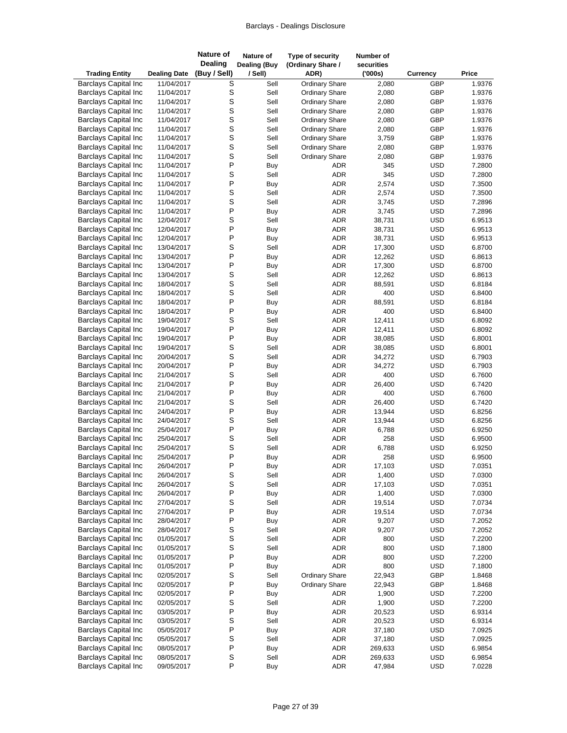| <b>Trading Entity</b>                                      | <b>Dealing Date</b>      | <b>Nature of</b><br><b>Dealing</b><br>(Buy / Sell) | Nature of<br><b>Dealing (Buy</b><br>/ Sell) | Type of security<br>(Ordinary Share /<br>ADR) | Number of<br>securities<br>(000s) | <b>Currency</b>          | Price            |
|------------------------------------------------------------|--------------------------|----------------------------------------------------|---------------------------------------------|-----------------------------------------------|-----------------------------------|--------------------------|------------------|
| <b>Barclays Capital Inc</b>                                | 11/04/2017               | S                                                  | Sell                                        | <b>Ordinary Share</b>                         | 2,080                             | GBP                      | 1.9376           |
| <b>Barclays Capital Inc</b>                                | 11/04/2017               | S                                                  | Sell                                        | <b>Ordinary Share</b>                         | 2,080                             | GBP                      | 1.9376           |
| <b>Barclays Capital Inc</b>                                | 11/04/2017               | S                                                  | Sell                                        | <b>Ordinary Share</b>                         | 2,080                             | GBP                      | 1.9376           |
| <b>Barclays Capital Inc</b>                                | 11/04/2017               | S                                                  | Sell                                        | <b>Ordinary Share</b>                         | 2,080                             | GBP                      | 1.9376           |
| <b>Barclays Capital Inc</b>                                | 11/04/2017               | S                                                  | Sell                                        | <b>Ordinary Share</b>                         | 2,080                             | GBP                      | 1.9376           |
| <b>Barclays Capital Inc</b>                                | 11/04/2017               | s<br>s                                             | Sell                                        | <b>Ordinary Share</b>                         | 2,080                             | GBP                      | 1.9376           |
| <b>Barclays Capital Inc</b>                                | 11/04/2017               |                                                    | Sell                                        | <b>Ordinary Share</b>                         | 3,759                             | GBP                      | 1.9376           |
| <b>Barclays Capital Inc</b>                                | 11/04/2017               | $\mathbf{s}$                                       | Sell                                        | <b>Ordinary Share</b>                         | 2,080                             | GBP                      | 1.9376           |
| <b>Barclays Capital Inc</b>                                | 11/04/2017               | S                                                  | Sell                                        | <b>Ordinary Share</b>                         | 2,080                             | GBP                      | 1.9376           |
| <b>Barclays Capital Inc</b><br><b>Barclays Capital Inc</b> | 11/04/2017               | P<br>S                                             | Buy                                         | <b>ADR</b><br>ADR                             | 345<br>345                        | <b>USD</b><br><b>USD</b> | 7.2800           |
| <b>Barclays Capital Inc</b>                                | 11/04/2017<br>11/04/2017 | P                                                  | Sell<br>Buy                                 | <b>ADR</b>                                    | 2,574                             | <b>USD</b>               | 7.2800<br>7.3500 |
| <b>Barclays Capital Inc</b>                                | 11/04/2017               | $\mathsf S$                                        | Sell                                        | ADR                                           | 2,574                             | <b>USD</b>               | 7.3500           |
| <b>Barclays Capital Inc</b>                                | 11/04/2017               | S                                                  | Sell                                        | ADR                                           | 3,745                             | <b>USD</b>               | 7.2896           |
| <b>Barclays Capital Inc</b>                                | 11/04/2017               | P                                                  | Buy                                         | <b>ADR</b>                                    | 3,745                             | <b>USD</b>               | 7.2896           |
| <b>Barclays Capital Inc</b>                                | 12/04/2017               | S                                                  | Sell                                        | <b>ADR</b>                                    | 38,731                            | <b>USD</b>               | 6.9513           |
| <b>Barclays Capital Inc</b>                                | 12/04/2017               | P                                                  | Buy                                         | ADR                                           | 38,731                            | <b>USD</b>               | 6.9513           |
| <b>Barclays Capital Inc</b>                                | 12/04/2017               | P                                                  | Buy                                         | <b>ADR</b>                                    | 38,731                            | <b>USD</b>               | 6.9513           |
| <b>Barclays Capital Inc</b>                                | 13/04/2017               | S                                                  | Sell                                        | <b>ADR</b>                                    | 17,300                            | <b>USD</b>               | 6.8700           |
| <b>Barclays Capital Inc</b>                                | 13/04/2017               | P                                                  | Buy                                         | <b>ADR</b>                                    | 12,262                            | <b>USD</b>               | 6.8613           |
| <b>Barclays Capital Inc</b>                                | 13/04/2017               | P                                                  | Buy                                         | <b>ADR</b>                                    | 17,300                            | <b>USD</b>               | 6.8700           |
| <b>Barclays Capital Inc</b>                                | 13/04/2017               | S                                                  | Sell                                        | <b>ADR</b>                                    | 12,262                            | <b>USD</b>               | 6.8613           |
| <b>Barclays Capital Inc</b>                                | 18/04/2017               | S                                                  | Sell                                        | <b>ADR</b>                                    | 88,591                            | <b>USD</b>               | 6.8184           |
| <b>Barclays Capital Inc</b>                                | 18/04/2017               | S                                                  | Sell                                        | <b>ADR</b>                                    | 400                               | <b>USD</b>               | 6.8400           |
| <b>Barclays Capital Inc</b>                                | 18/04/2017               | P<br>P                                             | Buy                                         | ADR                                           | 88,591                            | <b>USD</b>               | 6.8184           |
| <b>Barclays Capital Inc</b><br><b>Barclays Capital Inc</b> | 18/04/2017<br>19/04/2017 | S                                                  | Buy<br>Sell                                 | <b>ADR</b><br><b>ADR</b>                      | 400<br>12,411                     | <b>USD</b><br><b>USD</b> | 6.8400<br>6.8092 |
| <b>Barclays Capital Inc</b>                                | 19/04/2017               | P                                                  | Buy                                         | ADR                                           | 12,411                            | <b>USD</b>               | 6.8092           |
| <b>Barclays Capital Inc</b>                                | 19/04/2017               | P                                                  | Buy                                         | <b>ADR</b>                                    | 38,085                            | <b>USD</b>               | 6.8001           |
| <b>Barclays Capital Inc</b>                                | 19/04/2017               | S                                                  | Sell                                        | <b>ADR</b>                                    | 38,085                            | <b>USD</b>               | 6.8001           |
| <b>Barclays Capital Inc</b>                                | 20/04/2017               | $\mathsf S$                                        | Sell                                        | <b>ADR</b>                                    | 34,272                            | <b>USD</b>               | 6.7903           |
| <b>Barclays Capital Inc</b>                                | 20/04/2017               | P                                                  | Buy                                         | <b>ADR</b>                                    | 34,272                            | <b>USD</b>               | 6.7903           |
| <b>Barclays Capital Inc</b>                                | 21/04/2017               | S                                                  | Sell                                        | <b>ADR</b>                                    | 400                               | <b>USD</b>               | 6.7600           |
| <b>Barclays Capital Inc</b>                                | 21/04/2017               | P                                                  | Buy                                         | <b>ADR</b>                                    | 26,400                            | <b>USD</b>               | 6.7420           |
| <b>Barclays Capital Inc</b>                                | 21/04/2017               | P                                                  | Buy                                         | <b>ADR</b>                                    | 400                               | <b>USD</b>               | 6.7600           |
| <b>Barclays Capital Inc</b>                                | 21/04/2017               | S                                                  | Sell                                        | <b>ADR</b>                                    | 26,400                            | <b>USD</b>               | 6.7420           |
| <b>Barclays Capital Inc</b>                                | 24/04/2017               | P                                                  | Buy                                         | <b>ADR</b>                                    | 13,944                            | <b>USD</b>               | 6.8256           |
| <b>Barclays Capital Inc</b>                                | 24/04/2017               | S                                                  | Sell                                        | <b>ADR</b>                                    | 13,944                            | <b>USD</b>               | 6.8256           |
| <b>Barclays Capital Inc</b>                                | 25/04/2017               | P                                                  | Buy                                         | ADR                                           | 6,788                             | <b>USD</b>               | 6.9250           |
| <b>Barclays Capital Inc</b>                                | 25/04/2017               | S                                                  | Sell                                        | <b>ADR</b>                                    | 258                               | <b>USD</b>               | 6.9500           |
| <b>Barclays Capital Inc</b><br><b>Barclays Capital Inc</b> | 25/04/2017<br>25/04/2017 | S<br>P                                             | Sell<br>Buy                                 | <b>ADR</b><br><b>ADR</b>                      | 6,788<br>258                      | <b>USD</b><br><b>USD</b> | 6.9250<br>6.9500 |
| <b>Barclays Capital Inc</b>                                | 26/04/2017               | P                                                  | Buy                                         | ADR                                           | 17,103                            | <b>USD</b>               | 7.0351           |
| <b>Barclays Capital Inc</b>                                | 26/04/2017               | S                                                  | Sell                                        | <b>ADR</b>                                    | 1,400                             | <b>USD</b>               | 7.0300           |
| <b>Barclays Capital Inc</b>                                | 26/04/2017               | S                                                  | Sell                                        | ADR                                           | 17,103                            | <b>USD</b>               | 7.0351           |
| <b>Barclays Capital Inc</b>                                | 26/04/2017               | P                                                  | Buy                                         | ADR                                           | 1,400                             | <b>USD</b>               | 7.0300           |
| <b>Barclays Capital Inc</b>                                | 27/04/2017               | $\mathsf S$                                        | Sell                                        | ADR                                           | 19,514                            | <b>USD</b>               | 7.0734           |
| <b>Barclays Capital Inc</b>                                | 27/04/2017               | P                                                  | Buy                                         | ADR                                           | 19,514                            | <b>USD</b>               | 7.0734           |
| <b>Barclays Capital Inc</b>                                | 28/04/2017               | P                                                  | Buy                                         | ADR                                           | 9,207                             | <b>USD</b>               | 7.2052           |
| <b>Barclays Capital Inc</b>                                | 28/04/2017               | $\mbox{\bf S}$                                     | Sell                                        | ADR                                           | 9,207                             | <b>USD</b>               | 7.2052           |
| <b>Barclays Capital Inc</b>                                | 01/05/2017               | S                                                  | Sell                                        | ADR                                           | 800                               | <b>USD</b>               | 7.2200           |
| <b>Barclays Capital Inc</b>                                | 01/05/2017               | $\mbox{\bf S}$                                     | Sell                                        | ADR                                           | 800                               | <b>USD</b>               | 7.1800           |
| <b>Barclays Capital Inc</b>                                | 01/05/2017               | P                                                  | Buy                                         | ADR                                           | 800                               | USD                      | 7.2200           |
| <b>Barclays Capital Inc</b>                                | 01/05/2017               | P                                                  | Buy                                         | <b>ADR</b>                                    | 800                               | <b>USD</b>               | 7.1800           |
| <b>Barclays Capital Inc</b>                                | 02/05/2017               | S                                                  | Sell                                        | <b>Ordinary Share</b>                         | 22,943                            | GBP                      | 1.8468           |
| <b>Barclays Capital Inc</b>                                | 02/05/2017               | P                                                  | Buy                                         | <b>Ordinary Share</b>                         | 22,943                            | GBP                      | 1.8468           |
| <b>Barclays Capital Inc</b><br><b>Barclays Capital Inc</b> | 02/05/2017               | P<br>$\mbox{\bf S}$                                | Buy                                         | ADR                                           | 1,900                             | <b>USD</b>               | 7.2200           |
| <b>Barclays Capital Inc</b>                                | 02/05/2017<br>03/05/2017 | P                                                  | Sell<br>Buy                                 | ADR<br>ADR                                    | 1,900<br>20,523                   | <b>USD</b><br><b>USD</b> | 7.2200<br>6.9314 |
| <b>Barclays Capital Inc</b>                                | 03/05/2017               | S                                                  | Sell                                        | ADR                                           | 20,523                            | <b>USD</b>               | 6.9314           |
| <b>Barclays Capital Inc</b>                                | 05/05/2017               | $\sf P$                                            | Buy                                         | ADR                                           | 37,180                            | <b>USD</b>               | 7.0925           |
| <b>Barclays Capital Inc</b>                                | 05/05/2017               | S                                                  | Sell                                        | ADR                                           | 37,180                            | <b>USD</b>               | 7.0925           |
| <b>Barclays Capital Inc</b>                                | 08/05/2017               | $\sf P$                                            | Buy                                         | ADR                                           | 269,633                           | <b>USD</b>               | 6.9854           |
| <b>Barclays Capital Inc</b>                                | 08/05/2017               | $\mbox{\bf S}$                                     | Sell                                        | ADR                                           | 269,633                           | <b>USD</b>               | 6.9854           |
| <b>Barclays Capital Inc</b>                                | 09/05/2017               | P                                                  | Buy                                         | ADR                                           | 47,984                            | <b>USD</b>               | 7.0228           |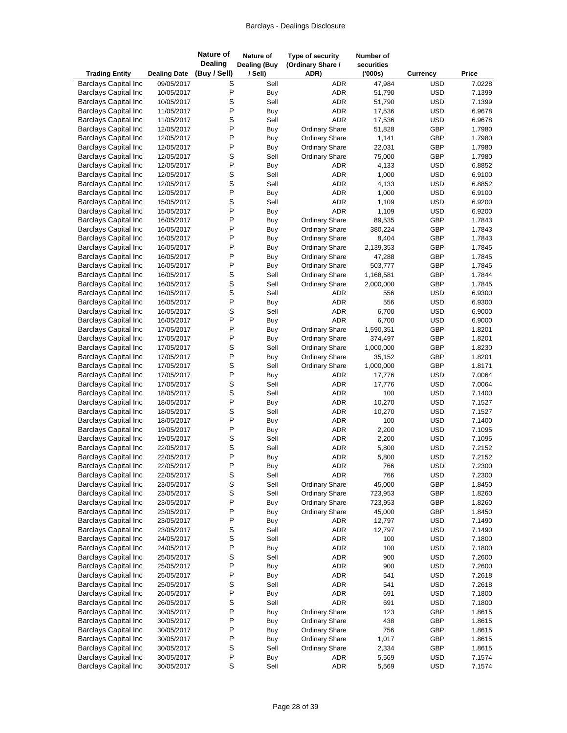| <b>Trading Entity</b>                                      | <b>Dealing Date</b>      | <b>Nature of</b><br><b>Dealing</b><br>(Buy / Sell) | Nature of<br><b>Dealing (Buy</b><br>/ Sell) | Type of security<br>(Ordinary Share /<br>ADR) | Number of<br>securities<br>(000s) | <b>Currency</b>          | Price            |
|------------------------------------------------------------|--------------------------|----------------------------------------------------|---------------------------------------------|-----------------------------------------------|-----------------------------------|--------------------------|------------------|
| <b>Barclays Capital Inc</b>                                | 09/05/2017               | S                                                  | Sell                                        | <b>ADR</b>                                    | 47,984                            | <b>USD</b>               | 7.0228           |
| <b>Barclays Capital Inc</b>                                | 10/05/2017               | P                                                  | Buy                                         | <b>ADR</b>                                    | 51,790                            | <b>USD</b>               | 7.1399           |
| <b>Barclays Capital Inc</b>                                | 10/05/2017               | S                                                  | Sell                                        | <b>ADR</b>                                    | 51,790                            | <b>USD</b>               | 7.1399           |
| <b>Barclays Capital Inc</b>                                | 11/05/2017               | P                                                  | <b>Buy</b>                                  | <b>ADR</b>                                    | 17,536                            | <b>USD</b>               | 6.9678           |
| <b>Barclays Capital Inc</b>                                | 11/05/2017               | S                                                  | Sell                                        | <b>ADR</b>                                    | 17,536                            | <b>USD</b>               | 6.9678           |
| <b>Barclays Capital Inc</b>                                | 12/05/2017               | P                                                  | Buy                                         | <b>Ordinary Share</b>                         | 51,828                            | GBP                      | 1.7980           |
| <b>Barclays Capital Inc</b>                                | 12/05/2017               | P                                                  | Buy                                         | <b>Ordinary Share</b>                         | 1,141                             | GBP                      | 1.7980           |
| <b>Barclays Capital Inc</b>                                | 12/05/2017               | P                                                  | Buy                                         | <b>Ordinary Share</b>                         | 22,031                            | GBP                      | 1.7980           |
| <b>Barclays Capital Inc</b>                                | 12/05/2017               | S                                                  | Sell                                        | <b>Ordinary Share</b>                         | 75,000                            | GBP                      | 1.7980           |
| <b>Barclays Capital Inc</b>                                | 12/05/2017               | P                                                  | Buy                                         | ADR                                           | 4,133                             | <b>USD</b>               | 6.8852           |
| <b>Barclays Capital Inc</b>                                | 12/05/2017               | S                                                  | Sell                                        | <b>ADR</b>                                    | 1,000                             | <b>USD</b>               | 6.9100           |
| <b>Barclays Capital Inc</b>                                | 12/05/2017               | S                                                  | Sell                                        | <b>ADR</b>                                    | 4,133                             | <b>USD</b>               | 6.8852           |
| <b>Barclays Capital Inc</b>                                | 12/05/2017               | P                                                  | Buy                                         | ADR                                           | 1,000                             | <b>USD</b>               | 6.9100           |
| <b>Barclays Capital Inc</b>                                | 15/05/2017               | S                                                  | Sell                                        | <b>ADR</b>                                    | 1,109                             | <b>USD</b>               | 6.9200           |
| <b>Barclays Capital Inc</b>                                | 15/05/2017               | P                                                  | Buy                                         | <b>ADR</b>                                    | 1,109                             | <b>USD</b>               | 6.9200           |
| <b>Barclays Capital Inc</b>                                | 16/05/2017               | P                                                  | Buy                                         | <b>Ordinary Share</b>                         | 89,535                            | GBP                      | 1.7843           |
| <b>Barclays Capital Inc</b>                                | 16/05/2017               | P                                                  | <b>Buy</b>                                  | <b>Ordinary Share</b>                         | 380,224                           | GBP                      | 1.7843           |
| <b>Barclays Capital Inc</b>                                | 16/05/2017               | P                                                  | Buy                                         | <b>Ordinary Share</b>                         | 8,404                             | GBP                      | 1.7843           |
| <b>Barclays Capital Inc</b>                                | 16/05/2017               | P                                                  | Buy                                         | Ordinary Share                                | 2,139,353                         | GBP                      | 1.7845           |
| <b>Barclays Capital Inc</b>                                | 16/05/2017               | P                                                  | Buy                                         | <b>Ordinary Share</b>                         | 47,288                            | GBP                      | 1.7845           |
| <b>Barclays Capital Inc</b>                                | 16/05/2017               | P                                                  | Buy                                         | <b>Ordinary Share</b>                         | 503,777                           | GBP                      | 1.7845           |
| <b>Barclays Capital Inc</b>                                | 16/05/2017               | S                                                  | Sell                                        | <b>Ordinary Share</b>                         | 1,168,581                         | GBP                      | 1.7844           |
| <b>Barclays Capital Inc</b>                                | 16/05/2017               | S                                                  | Sell                                        | <b>Ordinary Share</b>                         | 2,000,000                         | GBP                      | 1.7845           |
| <b>Barclays Capital Inc</b>                                | 16/05/2017               | S                                                  | Sell                                        | ADR                                           | 556                               | <b>USD</b>               | 6.9300           |
| <b>Barclays Capital Inc</b>                                | 16/05/2017               | $\mathsf{P}$                                       | Buy                                         | <b>ADR</b>                                    | 556                               | <b>USD</b>               | 6.9300           |
| <b>Barclays Capital Inc</b>                                | 16/05/2017               | S                                                  | Sell                                        | <b>ADR</b>                                    | 6,700                             | <b>USD</b>               | 6.9000           |
| <b>Barclays Capital Inc</b>                                | 16/05/2017               | P                                                  | Buy                                         | <b>ADR</b>                                    | 6,700                             | <b>USD</b>               | 6.9000           |
| <b>Barclays Capital Inc</b>                                | 17/05/2017               | P                                                  | Buy                                         | <b>Ordinary Share</b>                         | 1,590,351                         | GBP                      | 1.8201           |
| <b>Barclays Capital Inc</b>                                | 17/05/2017               | P                                                  | Buy                                         | <b>Ordinary Share</b>                         | 374,497                           | GBP                      | 1.8201           |
| <b>Barclays Capital Inc</b>                                | 17/05/2017               | S                                                  | Sell                                        | <b>Ordinary Share</b>                         | 1,000,000                         | GBP                      | 1.8230           |
| <b>Barclays Capital Inc</b>                                | 17/05/2017               | P                                                  | Buy                                         | <b>Ordinary Share</b>                         | 35,152                            | GBP                      | 1.8201           |
| <b>Barclays Capital Inc</b>                                | 17/05/2017               | S                                                  | Sell                                        | <b>Ordinary Share</b>                         | 1,000,000                         | GBP                      | 1.8171           |
| <b>Barclays Capital Inc</b>                                | 17/05/2017               | P                                                  | Buy                                         | ADR                                           | 17,776                            | <b>USD</b>               | 7.0064           |
| <b>Barclays Capital Inc</b>                                | 17/05/2017               | S                                                  | Sell                                        | <b>ADR</b>                                    | 17,776                            | <b>USD</b>               | 7.0064           |
| <b>Barclays Capital Inc</b>                                | 18/05/2017               | S<br>P                                             | Sell                                        | <b>ADR</b><br><b>ADR</b>                      | 100                               | <b>USD</b>               | 7.1400           |
| <b>Barclays Capital Inc</b><br><b>Barclays Capital Inc</b> | 18/05/2017<br>18/05/2017 | S                                                  | Buy<br>Sell                                 |                                               | 10,270                            | <b>USD</b><br><b>USD</b> | 7.1527<br>7.1527 |
| <b>Barclays Capital Inc</b>                                | 18/05/2017               | P                                                  |                                             | <b>ADR</b><br><b>ADR</b>                      | 10,270<br>100                     | <b>USD</b>               | 7.1400           |
| <b>Barclays Capital Inc</b>                                | 19/05/2017               | P                                                  | Buy                                         | <b>ADR</b>                                    | 2,200                             | <b>USD</b>               | 7.1095           |
| <b>Barclays Capital Inc</b>                                | 19/05/2017               | S                                                  | Buy<br>Sell                                 | <b>ADR</b>                                    | 2,200                             | <b>USD</b>               | 7.1095           |
| <b>Barclays Capital Inc</b>                                | 22/05/2017               | S                                                  | Sell                                        | <b>ADR</b>                                    | 5,800                             | <b>USD</b>               | 7.2152           |
| <b>Barclays Capital Inc</b>                                | 22/05/2017               | P                                                  | Buy                                         | <b>ADR</b>                                    | 5,800                             | <b>USD</b>               | 7.2152           |
| <b>Barclays Capital Inc</b>                                | 22/05/2017               | P                                                  | Buy                                         | ADR                                           | 766                               | <b>USD</b>               | 7.2300           |
| <b>Barclays Capital Inc</b>                                | 22/05/2017               | S                                                  | Sell                                        | ADR                                           | 766                               | <b>USD</b>               | 7.2300           |
| <b>Barclays Capital Inc</b>                                | 23/05/2017               | S                                                  | Sell                                        | <b>Ordinary Share</b>                         | 45,000                            | GBP                      | 1.8450           |
| <b>Barclays Capital Inc</b>                                | 23/05/2017               | S                                                  | Sell                                        | <b>Ordinary Share</b>                         | 723,953                           | GBP                      | 1.8260           |
| <b>Barclays Capital Inc</b>                                | 23/05/2017               | P                                                  | Buy                                         | <b>Ordinary Share</b>                         | 723,953                           | GBP                      | 1.8260           |
| <b>Barclays Capital Inc</b>                                | 23/05/2017               | P                                                  | Buy                                         | <b>Ordinary Share</b>                         | 45,000                            | GBP                      | 1.8450           |
| <b>Barclays Capital Inc</b>                                | 23/05/2017               | P                                                  | Buy                                         | ADR                                           | 12,797                            | <b>USD</b>               | 7.1490           |
| <b>Barclays Capital Inc</b>                                | 23/05/2017               | S                                                  | Sell                                        | ADR                                           | 12,797                            | <b>USD</b>               | 7.1490           |
| <b>Barclays Capital Inc</b>                                | 24/05/2017               | S                                                  | Sell                                        | <b>ADR</b>                                    | 100                               | <b>USD</b>               | 7.1800           |
| <b>Barclays Capital Inc</b>                                | 24/05/2017               | $\mathsf{P}$                                       | Buy                                         | ADR                                           | 100                               | <b>USD</b>               | 7.1800           |
| <b>Barclays Capital Inc</b>                                | 25/05/2017               | S                                                  | Sell                                        | ADR                                           | 900                               | <b>USD</b>               | 7.2600           |
| <b>Barclays Capital Inc</b>                                | 25/05/2017               | P                                                  | <b>Buy</b>                                  | ADR                                           | 900                               | <b>USD</b>               | 7.2600           |
| <b>Barclays Capital Inc</b>                                | 25/05/2017               | P                                                  | Buy                                         | ADR                                           | 541                               | <b>USD</b>               | 7.2618           |
| <b>Barclays Capital Inc</b>                                | 25/05/2017               | S                                                  | Sell                                        | ADR                                           | 541                               | <b>USD</b>               | 7.2618           |
| <b>Barclays Capital Inc</b>                                | 26/05/2017               | P                                                  | <b>Buy</b>                                  | ADR                                           | 691                               | <b>USD</b>               | 7.1800           |
| <b>Barclays Capital Inc</b>                                | 26/05/2017               | S                                                  | Sell                                        | <b>ADR</b>                                    | 691                               | <b>USD</b>               | 7.1800           |
| <b>Barclays Capital Inc</b>                                | 30/05/2017               | P                                                  | Buy                                         | <b>Ordinary Share</b>                         | 123                               | GBP                      | 1.8615           |
| <b>Barclays Capital Inc</b>                                | 30/05/2017               | P                                                  | Buy                                         | <b>Ordinary Share</b>                         | 438                               | GBP                      | 1.8615           |
| <b>Barclays Capital Inc</b>                                | 30/05/2017               | P                                                  | Buy                                         | <b>Ordinary Share</b>                         | 756                               | GBP                      | 1.8615           |
| <b>Barclays Capital Inc</b>                                | 30/05/2017               | P                                                  | Buy                                         | <b>Ordinary Share</b>                         | 1,017                             | GBP                      | 1.8615           |
| <b>Barclays Capital Inc</b>                                | 30/05/2017               | S                                                  | Sell                                        | <b>Ordinary Share</b>                         | 2,334                             | GBP                      | 1.8615           |
| <b>Barclays Capital Inc</b>                                | 30/05/2017               | $\sf P$                                            | Buy                                         | ADR                                           | 5,569                             | <b>USD</b>               | 7.1574           |
| <b>Barclays Capital Inc</b>                                | 30/05/2017               | $\mathsf S$                                        | Sell                                        | <b>ADR</b>                                    | 5,569                             | <b>USD</b>               | 7.1574           |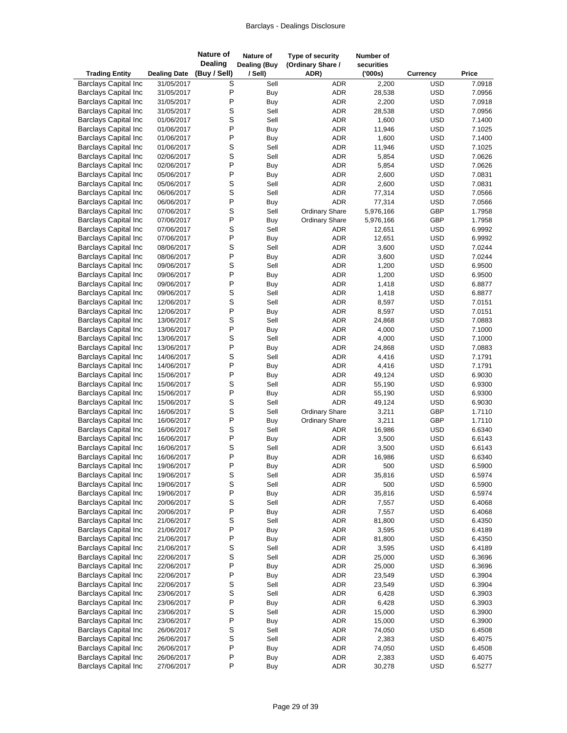| <b>Trading Entity</b>                                      | <b>Dealing Date</b>      | <b>Nature of</b><br><b>Dealing</b><br>(Buy / Sell) | Nature of<br><b>Dealing (Buy</b><br>/ Sell) | Type of security<br>(Ordinary Share /<br>ADR) | Number of<br>securities<br>(000s) | Currency                 | Price            |
|------------------------------------------------------------|--------------------------|----------------------------------------------------|---------------------------------------------|-----------------------------------------------|-----------------------------------|--------------------------|------------------|
| <b>Barclays Capital Inc</b>                                | 31/05/2017               | S                                                  | Sell                                        | ADR                                           | 2,200                             | <b>USD</b>               | 7.0918           |
| <b>Barclays Capital Inc</b>                                | 31/05/2017               | P                                                  | <b>Buy</b>                                  | <b>ADR</b>                                    | 28,538                            | <b>USD</b>               | 7.0956           |
| <b>Barclays Capital Inc</b>                                | 31/05/2017               | P                                                  | Buy                                         | <b>ADR</b>                                    | 2,200                             | <b>USD</b>               | 7.0918           |
| <b>Barclays Capital Inc</b>                                | 31/05/2017               | S                                                  | Sell                                        | <b>ADR</b>                                    | 28,538                            | <b>USD</b>               | 7.0956           |
| <b>Barclays Capital Inc</b>                                | 01/06/2017               | S                                                  | Sell                                        | ADR                                           | 1,600                             | <b>USD</b>               | 7.1400           |
| <b>Barclays Capital Inc</b>                                | 01/06/2017               | P                                                  | Buy                                         | ADR                                           | 11,946                            | <b>USD</b>               | 7.1025           |
| <b>Barclays Capital Inc</b>                                | 01/06/2017               | P                                                  | Buy                                         | <b>ADR</b>                                    | 1,600                             | <b>USD</b>               | 7.1400           |
| <b>Barclays Capital Inc</b>                                | 01/06/2017               | S                                                  | Sell                                        | <b>ADR</b>                                    | 11,946                            | <b>USD</b>               | 7.1025           |
| <b>Barclays Capital Inc</b>                                | 02/06/2017               | S                                                  | Sell                                        | <b>ADR</b>                                    | 5,854                             | <b>USD</b>               | 7.0626           |
| <b>Barclays Capital Inc</b>                                | 02/06/2017               | P                                                  | <b>Buy</b>                                  | <b>ADR</b>                                    | 5,854                             | <b>USD</b>               | 7.0626           |
| <b>Barclays Capital Inc</b>                                | 05/06/2017               | P                                                  | <b>Buy</b>                                  | <b>ADR</b>                                    | 2,600                             | <b>USD</b>               | 7.0831           |
| <b>Barclays Capital Inc</b><br><b>Barclays Capital Inc</b> | 05/06/2017               | S<br>S                                             | Sell                                        | <b>ADR</b><br><b>ADR</b>                      | 2,600                             | <b>USD</b>               | 7.0831           |
| <b>Barclays Capital Inc</b>                                | 06/06/2017<br>06/06/2017 | P                                                  | Sell                                        | <b>ADR</b>                                    | 77,314<br>77,314                  | <b>USD</b><br><b>USD</b> | 7.0566<br>7.0566 |
| <b>Barclays Capital Inc</b>                                | 07/06/2017               | S                                                  | Buy<br>Sell                                 | <b>Ordinary Share</b>                         | 5,976,166                         | GBP                      | 1.7958           |
| <b>Barclays Capital Inc</b>                                | 07/06/2017               | P                                                  | Buy                                         | <b>Ordinary Share</b>                         | 5,976,166                         | GBP                      | 1.7958           |
| <b>Barclays Capital Inc</b>                                | 07/06/2017               | S                                                  | Sell                                        | ADR                                           | 12,651                            | <b>USD</b>               | 6.9992           |
| <b>Barclays Capital Inc</b>                                | 07/06/2017               | P                                                  | Buy                                         | <b>ADR</b>                                    | 12,651                            | <b>USD</b>               | 6.9992           |
| <b>Barclays Capital Inc</b>                                | 08/06/2017               | S                                                  | Sell                                        | ADR                                           | 3,600                             | <b>USD</b>               | 7.0244           |
| <b>Barclays Capital Inc</b>                                | 08/06/2017               | P                                                  | Buy                                         | <b>ADR</b>                                    | 3,600                             | <b>USD</b>               | 7.0244           |
| <b>Barclays Capital Inc</b>                                | 09/06/2017               | S                                                  | Sell                                        | <b>ADR</b>                                    | 1,200                             | <b>USD</b>               | 6.9500           |
| <b>Barclays Capital Inc</b>                                | 09/06/2017               | P                                                  | Buy                                         | ADR                                           | 1,200                             | <b>USD</b>               | 6.9500           |
| <b>Barclays Capital Inc</b>                                | 09/06/2017               | P                                                  | Buy                                         | ADR                                           | 1,418                             | <b>USD</b>               | 6.8877           |
| <b>Barclays Capital Inc</b>                                | 09/06/2017               | S                                                  | Sell                                        | <b>ADR</b>                                    | 1,418                             | <b>USD</b>               | 6.8877           |
| <b>Barclays Capital Inc</b>                                | 12/06/2017               | S                                                  | Sell                                        | <b>ADR</b>                                    | 8,597                             | <b>USD</b>               | 7.0151           |
| <b>Barclays Capital Inc</b>                                | 12/06/2017               | P                                                  | Buy                                         | ADR                                           | 8,597                             | <b>USD</b>               | 7.0151           |
| <b>Barclays Capital Inc</b>                                | 13/06/2017               | S                                                  | Sell                                        | ADR                                           | 24,868                            | <b>USD</b>               | 7.0883           |
| <b>Barclays Capital Inc</b>                                | 13/06/2017               | P                                                  | Buy                                         | ADR                                           | 4,000                             | <b>USD</b>               | 7.1000           |
| <b>Barclays Capital Inc</b>                                | 13/06/2017               | S                                                  | Sell                                        | <b>ADR</b>                                    | 4,000                             | <b>USD</b>               | 7.1000           |
| <b>Barclays Capital Inc</b>                                | 13/06/2017               | P                                                  | Buy                                         | ADR                                           | 24,868                            | <b>USD</b>               | 7.0883           |
| <b>Barclays Capital Inc</b>                                | 14/06/2017               | S                                                  | Sell                                        | ADR                                           | 4,416                             | <b>USD</b>               | 7.1791           |
| <b>Barclays Capital Inc</b>                                | 14/06/2017               | Ρ                                                  | Buy                                         | <b>ADR</b>                                    | 4,416                             | <b>USD</b>               | 7.1791           |
| <b>Barclays Capital Inc</b>                                | 15/06/2017               | P                                                  | Buy                                         | ADR                                           | 49,124                            | <b>USD</b>               | 6.9030           |
| <b>Barclays Capital Inc</b>                                | 15/06/2017               | S                                                  | Sell                                        | ADR                                           | 55,190                            | <b>USD</b>               | 6.9300           |
| <b>Barclays Capital Inc</b>                                | 15/06/2017               | P                                                  | Buy                                         | <b>ADR</b>                                    | 55,190                            | <b>USD</b>               | 6.9300           |
| <b>Barclays Capital Inc</b><br><b>Barclays Capital Inc</b> | 15/06/2017               | S<br>S                                             | Sell                                        | <b>ADR</b>                                    | 49,124                            | <b>USD</b>               | 6.9030           |
|                                                            | 16/06/2017<br>16/06/2017 | P                                                  | Sell                                        | <b>Ordinary Share</b>                         | 3,211                             | GBP<br>GBP               | 1.7110<br>1.7110 |
| <b>Barclays Capital Inc</b><br><b>Barclays Capital Inc</b> | 16/06/2017               | S                                                  | Buy<br>Sell                                 | <b>Ordinary Share</b><br>ADR                  | 3,211<br>16,986                   | <b>USD</b>               | 6.6340           |
| <b>Barclays Capital Inc</b>                                | 16/06/2017               | P                                                  | Buy                                         | <b>ADR</b>                                    | 3,500                             | <b>USD</b>               | 6.6143           |
| <b>Barclays Capital Inc</b>                                | 16/06/2017               | S                                                  | Sell                                        | <b>ADR</b>                                    | 3,500                             | <b>USD</b>               | 6.6143           |
| <b>Barclays Capital Inc</b>                                | 16/06/2017               | P                                                  | Buy                                         | <b>ADR</b>                                    | 16,986                            | <b>USD</b>               | 6.6340           |
| <b>Barclays Capital Inc</b>                                | 19/06/2017               | P                                                  | Buy                                         | ADR                                           | 500                               | <b>USD</b>               | 6.5900           |
| <b>Barclays Capital Inc</b>                                | 19/06/2017               | S                                                  | Sell                                        | ADR                                           | 35,816                            | <b>USD</b>               | 6.5974           |
| <b>Barclays Capital Inc</b>                                | 19/06/2017               | S                                                  | Sell                                        | ADR                                           | 500                               | <b>USD</b>               | 6.5900           |
| <b>Barclays Capital Inc</b>                                | 19/06/2017               | P                                                  | <b>Buy</b>                                  | ADR                                           | 35,816                            | <b>USD</b>               | 6.5974           |
| <b>Barclays Capital Inc</b>                                | 20/06/2017               | S                                                  | Sell                                        | ADR                                           | 7,557                             | <b>USD</b>               | 6.4068           |
| <b>Barclays Capital Inc</b>                                | 20/06/2017               | P                                                  | <b>Buy</b>                                  | ADR                                           | 7,557                             | <b>USD</b>               | 6.4068           |
| <b>Barclays Capital Inc</b>                                | 21/06/2017               | S                                                  | Sell                                        | ADR                                           | 81,800                            | <b>USD</b>               | 6.4350           |
| <b>Barclays Capital Inc</b>                                | 21/06/2017               | P                                                  | <b>Buy</b>                                  | ADR                                           | 3,595                             | <b>USD</b>               | 6.4189           |
| <b>Barclays Capital Inc</b>                                | 21/06/2017               | P                                                  | Buy                                         | ADR                                           | 81,800                            | <b>USD</b>               | 6.4350           |
| <b>Barclays Capital Inc</b>                                | 21/06/2017               | S                                                  | Sell                                        | ADR                                           | 3,595                             | <b>USD</b>               | 6.4189           |
| <b>Barclays Capital Inc</b>                                | 22/06/2017               | S                                                  | Sell                                        | ADR                                           | 25,000                            | <b>USD</b>               | 6.3696           |
| <b>Barclays Capital Inc</b>                                | 22/06/2017               | P                                                  | <b>Buy</b>                                  | ADR                                           | 25,000                            | <b>USD</b>               | 6.3696           |
| <b>Barclays Capital Inc</b>                                | 22/06/2017               | P                                                  | Buy                                         | ADR                                           | 23,549                            | <b>USD</b>               | 6.3904           |
| <b>Barclays Capital Inc</b>                                | 22/06/2017               | S                                                  | Sell                                        | ADR                                           | 23,549                            | <b>USD</b>               | 6.3904           |
| <b>Barclays Capital Inc</b>                                | 23/06/2017               | S                                                  | Sell                                        | ADR                                           | 6,428                             | <b>USD</b>               | 6.3903           |
| <b>Barclays Capital Inc</b>                                | 23/06/2017               | $\mathsf{P}$                                       | Buy                                         | ADR                                           | 6,428                             | <b>USD</b>               | 6.3903           |
| <b>Barclays Capital Inc</b>                                | 23/06/2017               | S                                                  | Sell                                        | ADR                                           | 15,000                            | <b>USD</b>               | 6.3900           |
| <b>Barclays Capital Inc</b>                                | 23/06/2017               | P<br>S                                             | Buy                                         | ADR                                           | 15,000                            | <b>USD</b>               | 6.3900           |
| <b>Barclays Capital Inc</b>                                | 26/06/2017               | S                                                  | Sell                                        | ADR                                           | 74,050                            | <b>USD</b>               | 6.4508           |
| <b>Barclays Capital Inc</b><br><b>Barclays Capital Inc</b> | 26/06/2017<br>26/06/2017 | P                                                  | Sell<br>Buy                                 | ADR<br>ADR                                    | 2,383<br>74,050                   | <b>USD</b><br><b>USD</b> | 6.4075<br>6.4508 |
| <b>Barclays Capital Inc</b>                                | 26/06/2017               | $\mathsf{P}$                                       | Buy                                         | ADR                                           | 2,383                             | <b>USD</b>               | 6.4075           |
| <b>Barclays Capital Inc</b>                                | 27/06/2017               | P                                                  | Buy                                         | ADR                                           | 30,278                            | <b>USD</b>               | 6.5277           |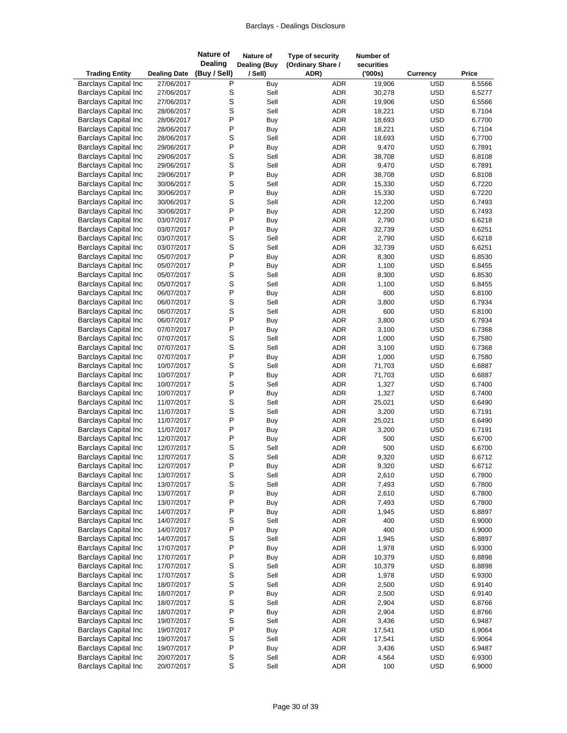| <b>Trading Entity</b>                                      | <b>Dealing Date</b>      | <b>Nature of</b><br><b>Dealing</b><br>(Buy / Sell) | Nature of<br><b>Dealing (Buy</b><br>/ Sell) | Type of security<br>(Ordinary Share /<br>ADR) |                          | Number of<br>securities<br>(000s) | <b>Currency</b>          | Price            |
|------------------------------------------------------------|--------------------------|----------------------------------------------------|---------------------------------------------|-----------------------------------------------|--------------------------|-----------------------------------|--------------------------|------------------|
| <b>Barclays Capital Inc</b>                                | 27/06/2017               | Ρ                                                  | Buy                                         |                                               | <b>ADR</b>               | 19,906                            | <b>USD</b>               | 6.5566           |
| <b>Barclays Capital Inc</b>                                | 27/06/2017               | S                                                  | Sell                                        |                                               | <b>ADR</b>               | 30,278                            | <b>USD</b>               | 6.5277           |
| <b>Barclays Capital Inc</b>                                | 27/06/2017               | S                                                  | Sell                                        |                                               | <b>ADR</b>               | 19,906                            | <b>USD</b>               | 6.5566           |
| <b>Barclays Capital Inc</b>                                | 28/06/2017               | S                                                  | Sell                                        |                                               | <b>ADR</b>               | 18,221                            | <b>USD</b>               | 6.7104           |
| <b>Barclays Capital Inc</b>                                | 28/06/2017               | P                                                  | Buy                                         |                                               | ADR                      | 18,693                            | <b>USD</b>               | 6.7700           |
| <b>Barclays Capital Inc</b>                                | 28/06/2017               | P                                                  | Buy                                         |                                               | ADR                      | 18,221                            | <b>USD</b>               | 6.7104           |
| <b>Barclays Capital Inc</b>                                | 28/06/2017               | S                                                  | Sell                                        |                                               | <b>ADR</b>               | 18,693                            | <b>USD</b>               | 6.7700           |
| <b>Barclays Capital Inc</b>                                | 29/06/2017               | P                                                  | Buy                                         |                                               | <b>ADR</b>               | 9,470                             | <b>USD</b>               | 6.7891           |
| <b>Barclays Capital Inc</b>                                | 29/06/2017               | S                                                  | Sell                                        |                                               | <b>ADR</b>               | 38,708                            | <b>USD</b>               | 6.8108           |
| <b>Barclays Capital Inc</b>                                | 29/06/2017               | S                                                  | Sell                                        |                                               | ADR                      | 9,470                             | <b>USD</b>               | 6.7891           |
| <b>Barclays Capital Inc</b>                                | 29/06/2017               | P                                                  | Buy                                         |                                               | ADR                      | 38,708                            | <b>USD</b>               | 6.8108           |
| <b>Barclays Capital Inc</b>                                | 30/06/2017               | S                                                  | Sell                                        |                                               | <b>ADR</b>               | 15,330                            | <b>USD</b>               | 6.7220           |
| <b>Barclays Capital Inc</b>                                | 30/06/2017               | P                                                  | Buy                                         |                                               | ADR                      | 15,330                            | <b>USD</b>               | 6.7220           |
| <b>Barclays Capital Inc</b>                                | 30/06/2017               | S                                                  | Sell                                        |                                               | <b>ADR</b>               | 12,200                            | <b>USD</b>               | 6.7493           |
| <b>Barclays Capital Inc</b>                                | 30/06/2017               | P                                                  | Buy                                         |                                               | <b>ADR</b>               | 12,200                            | <b>USD</b>               | 6.7493           |
| <b>Barclays Capital Inc</b>                                | 03/07/2017               | P                                                  | Buy                                         |                                               | <b>ADR</b>               | 2,790                             | <b>USD</b>               | 6.6218           |
| <b>Barclays Capital Inc</b>                                | 03/07/2017               | P                                                  | <b>Buy</b>                                  |                                               | <b>ADR</b>               | 32,739                            | <b>USD</b>               | 6.6251           |
| <b>Barclays Capital Inc</b>                                | 03/07/2017               | S                                                  | Sell                                        |                                               | <b>ADR</b>               | 2,790                             | <b>USD</b>               | 6.6218           |
| <b>Barclays Capital Inc</b>                                | 03/07/2017               | S                                                  | Sell                                        |                                               | ADR                      | 32,739                            | <b>USD</b>               | 6.6251           |
| <b>Barclays Capital Inc</b>                                | 05/07/2017               | P                                                  | Buy                                         |                                               | <b>ADR</b>               | 8,300                             | <b>USD</b>               | 6.8530           |
| <b>Barclays Capital Inc</b>                                | 05/07/2017               | P                                                  | Buy                                         |                                               | <b>ADR</b>               | 1,100                             | <b>USD</b>               | 6.8455           |
| <b>Barclays Capital Inc</b>                                | 05/07/2017               | S                                                  | Sell                                        |                                               | ADR                      | 8,300                             | <b>USD</b>               | 6.8530           |
| <b>Barclays Capital Inc</b>                                | 05/07/2017               | S                                                  | Sell                                        |                                               | ADR                      | 1,100                             | <b>USD</b>               | 6.8455           |
| <b>Barclays Capital Inc</b>                                | 06/07/2017               | P                                                  | Buy                                         |                                               | <b>ADR</b>               | 600                               | <b>USD</b>               | 6.8100           |
| <b>Barclays Capital Inc</b>                                | 06/07/2017               | S                                                  | Sell                                        |                                               | <b>ADR</b>               | 3,800                             | <b>USD</b>               | 6.7934           |
| <b>Barclays Capital Inc</b>                                | 06/07/2017               | S                                                  | Sell                                        |                                               | <b>ADR</b>               | 600                               | <b>USD</b>               | 6.8100           |
| <b>Barclays Capital Inc</b>                                | 06/07/2017               | P                                                  | Buy                                         |                                               | <b>ADR</b>               | 3,800                             | <b>USD</b>               | 6.7934           |
| <b>Barclays Capital Inc</b>                                | 07/07/2017               | P                                                  | Buy                                         |                                               | ADR                      | 3,100                             | <b>USD</b>               | 6.7368           |
| <b>Barclays Capital Inc</b>                                | 07/07/2017               | S                                                  | Sell                                        |                                               | <b>ADR</b>               | 1,000                             | <b>USD</b>               | 6.7580           |
| <b>Barclays Capital Inc</b>                                | 07/07/2017               | S                                                  | Sell                                        |                                               | <b>ADR</b>               | 3,100                             | <b>USD</b>               | 6.7368           |
| <b>Barclays Capital Inc</b>                                | 07/07/2017               | P                                                  | Buy                                         |                                               | ADR                      | 1,000                             | <b>USD</b>               | 6.7580           |
| <b>Barclays Capital Inc</b>                                | 10/07/2017               | S                                                  | Sell                                        |                                               | <b>ADR</b>               | 71,703                            | <b>USD</b>               | 6.6887           |
| <b>Barclays Capital Inc</b>                                | 10/07/2017               | P                                                  | Buy                                         |                                               | <b>ADR</b>               | 71,703                            | <b>USD</b>               | 6.6887           |
| <b>Barclays Capital Inc</b>                                | 10/07/2017               | S<br>P                                             | Sell                                        |                                               | <b>ADR</b>               | 1,327                             | <b>USD</b>               | 6.7400           |
| <b>Barclays Capital Inc</b>                                | 10/07/2017               | S                                                  | Buy                                         |                                               | <b>ADR</b><br><b>ADR</b> | 1,327                             | <b>USD</b>               | 6.7400           |
| <b>Barclays Capital Inc</b><br><b>Barclays Capital Inc</b> | 11/07/2017<br>11/07/2017 | S                                                  | Sell<br>Sell                                |                                               |                          | 25,021<br>3,200                   | <b>USD</b><br><b>USD</b> | 6.6490<br>6.7191 |
| <b>Barclays Capital Inc</b>                                | 11/07/2017               | P                                                  | <b>Buy</b>                                  |                                               | ADR<br>ADR               | 25,021                            | <b>USD</b>               | 6.6490           |
| <b>Barclays Capital Inc</b>                                | 11/07/2017               | P                                                  | <b>Buy</b>                                  |                                               | <b>ADR</b>               | 3,200                             | <b>USD</b>               | 6.7191           |
| <b>Barclays Capital Inc</b>                                | 12/07/2017               | P                                                  | Buy                                         |                                               | <b>ADR</b>               | 500                               | <b>USD</b>               | 6.6700           |
| <b>Barclays Capital Inc</b>                                | 12/07/2017               | S                                                  | Sell                                        |                                               | <b>ADR</b>               | 500                               | <b>USD</b>               | 6.6700           |
| <b>Barclays Capital Inc</b>                                | 12/07/2017               | S                                                  | Sell                                        |                                               | <b>ADR</b>               | 9,320                             | <b>USD</b>               | 6.6712           |
| <b>Barclays Capital Inc</b>                                | 12/07/2017               | P                                                  | Buy                                         |                                               | ADR                      | 9,320                             | <b>USD</b>               | 6.6712           |
| <b>Barclays Capital Inc</b>                                | 13/07/2017               | S                                                  | Sell                                        |                                               | ADR                      | 2,610                             | <b>USD</b>               | 6.7800           |
| <b>Barclays Capital Inc</b>                                | 13/07/2017               | S                                                  | Sell                                        |                                               | ADR                      | 7,493                             | <b>USD</b>               | 6.7800           |
| <b>Barclays Capital Inc</b>                                | 13/07/2017               | P                                                  | <b>Buy</b>                                  |                                               | ADR                      | 2,610                             | <b>USD</b>               | 6.7800           |
| <b>Barclays Capital Inc</b>                                | 13/07/2017               | P                                                  | <b>Buy</b>                                  |                                               | ADR                      | 7,493                             | <b>USD</b>               | 6.7800           |
| <b>Barclays Capital Inc</b>                                | 14/07/2017               | P                                                  | Buy                                         |                                               | ADR                      | 1,945                             | <b>USD</b>               | 6.8897           |
| <b>Barclays Capital Inc</b>                                | 14/07/2017               | S                                                  | Sell                                        |                                               | ADR                      | 400                               | <b>USD</b>               | 6.9000           |
| <b>Barclays Capital Inc</b>                                | 14/07/2017               | P                                                  | Buy                                         |                                               | ADR                      | 400                               | <b>USD</b>               | 6.9000           |
| <b>Barclays Capital Inc</b>                                | 14/07/2017               | S                                                  | Sell                                        |                                               | ADR                      | 1,945                             | <b>USD</b>               | 6.8897           |
| <b>Barclays Capital Inc</b>                                | 17/07/2017               | P                                                  | Buy                                         |                                               | ADR                      | 1,978                             | <b>USD</b>               | 6.9300           |
| <b>Barclays Capital Inc</b>                                | 17/07/2017               | P                                                  | Buy                                         |                                               | ADR                      | 10,379                            | <b>USD</b>               | 6.8898           |
| <b>Barclays Capital Inc</b>                                | 17/07/2017               | S                                                  | Sell                                        |                                               | ADR                      | 10,379                            | <b>USD</b>               | 6.8898           |
| <b>Barclays Capital Inc</b>                                | 17/07/2017               | S                                                  | Sell                                        |                                               | ADR                      | 1,978                             | <b>USD</b>               | 6.9300           |
| <b>Barclays Capital Inc</b>                                | 18/07/2017               | S                                                  | Sell                                        |                                               | ADR                      | 2,500                             | <b>USD</b>               | 6.9140           |
| <b>Barclays Capital Inc</b>                                | 18/07/2017               | P                                                  | Buy                                         |                                               | ADR                      | 2,500                             | <b>USD</b>               | 6.9140           |
| <b>Barclays Capital Inc</b>                                | 18/07/2017               | S                                                  | Sell                                        |                                               | ADR                      | 2,904                             | <b>USD</b>               | 6.8766           |
| <b>Barclays Capital Inc</b>                                | 18/07/2017               | P                                                  | Buy                                         |                                               | ADR                      | 2,904                             | <b>USD</b>               | 6.8766           |
| <b>Barclays Capital Inc</b>                                | 19/07/2017               | S                                                  | Sell                                        |                                               | ADR                      | 3,436                             | <b>USD</b>               | 6.9487           |
| <b>Barclays Capital Inc</b>                                | 19/07/2017               | $\mathsf{P}$                                       | Buy                                         |                                               | ADR                      | 17,541                            | <b>USD</b>               | 6.9064           |
| <b>Barclays Capital Inc</b>                                | 19/07/2017               | S                                                  | Sell                                        |                                               | ADR                      | 17,541                            | <b>USD</b>               | 6.9064           |
| <b>Barclays Capital Inc</b>                                | 19/07/2017               | P                                                  | Buy                                         |                                               | ADR                      | 3,436                             | <b>USD</b>               | 6.9487           |
| <b>Barclays Capital Inc</b>                                | 20/07/2017               | S                                                  | Sell                                        |                                               | ADR                      | 4,564                             | <b>USD</b>               | 6.9300           |
| <b>Barclays Capital Inc</b>                                | 20/07/2017               | $\mathsf S$                                        | Sell                                        |                                               | ADR                      | 100                               | <b>USD</b>               | 6.9000           |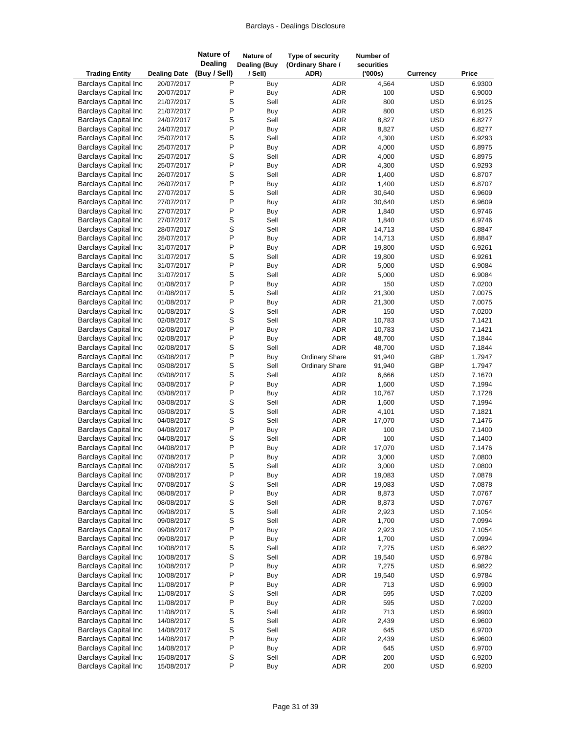| <b>Trading Entity</b>                                      | <b>Dealing Date</b>      | <b>Nature of</b><br><b>Dealing</b><br>(Buy / Sell) | Nature of<br><b>Dealing (Buy</b><br>/ Sell) | Type of security<br>(Ordinary Share /<br>ADR) | Number of<br>securities<br>(000s) | Currency                 | Price            |
|------------------------------------------------------------|--------------------------|----------------------------------------------------|---------------------------------------------|-----------------------------------------------|-----------------------------------|--------------------------|------------------|
| <b>Barclays Capital Inc</b>                                | 20/07/2017               | Ρ                                                  | Buy                                         | <b>ADR</b>                                    | 4,564                             | <b>USD</b>               | 6.9300           |
| <b>Barclays Capital Inc</b>                                | 20/07/2017               | P                                                  | Buy                                         | <b>ADR</b>                                    | 100                               | <b>USD</b>               | 6.9000           |
| <b>Barclays Capital Inc</b>                                | 21/07/2017               | S                                                  | Sell                                        | <b>ADR</b>                                    | 800                               | <b>USD</b>               | 6.9125           |
| <b>Barclays Capital Inc</b>                                | 21/07/2017               | P                                                  | <b>Buy</b>                                  | <b>ADR</b>                                    | 800                               | <b>USD</b>               | 6.9125           |
| <b>Barclays Capital Inc</b>                                | 24/07/2017               | S                                                  | Sell                                        | <b>ADR</b>                                    | 8,827                             | <b>USD</b>               | 6.8277           |
| <b>Barclays Capital Inc</b>                                | 24/07/2017               | P                                                  | Buy                                         | ADR                                           | 8,827                             | <b>USD</b>               | 6.8277           |
| <b>Barclays Capital Inc</b>                                | 25/07/2017               | S                                                  | Sell                                        | <b>ADR</b>                                    | 4,300                             | <b>USD</b>               | 6.9293           |
| <b>Barclays Capital Inc</b>                                | 25/07/2017               | P                                                  | Buy                                         | <b>ADR</b>                                    | 4,000                             | <b>USD</b>               | 6.8975           |
| <b>Barclays Capital Inc</b>                                | 25/07/2017               | S                                                  | Sell                                        | <b>ADR</b>                                    | 4,000                             | <b>USD</b>               | 6.8975           |
| <b>Barclays Capital Inc</b>                                | 25/07/2017               | P                                                  | Buy                                         | <b>ADR</b>                                    | 4,300                             | <b>USD</b>               | 6.9293           |
| <b>Barclays Capital Inc</b>                                | 26/07/2017               | S                                                  | Sell                                        | <b>ADR</b>                                    | 1,400                             | <b>USD</b>               | 6.8707           |
| <b>Barclays Capital Inc</b>                                | 26/07/2017               | P                                                  | Buy                                         | <b>ADR</b>                                    | 1,400                             | <b>USD</b>               | 6.8707           |
| <b>Barclays Capital Inc</b>                                | 27/07/2017               | S                                                  | Sell                                        | ADR                                           | 30,640                            | <b>USD</b>               | 6.9609           |
| <b>Barclays Capital Inc</b>                                | 27/07/2017               | P                                                  | Buy                                         | <b>ADR</b>                                    | 30,640                            | <b>USD</b>               | 6.9609           |
| <b>Barclays Capital Inc</b>                                | 27/07/2017               | P                                                  | Buy                                         | <b>ADR</b>                                    | 1,840                             | <b>USD</b>               | 6.9746           |
| <b>Barclays Capital Inc</b>                                | 27/07/2017               | S                                                  | Sell                                        | <b>ADR</b>                                    | 1,840                             | <b>USD</b>               | 6.9746           |
| <b>Barclays Capital Inc</b><br><b>Barclays Capital Inc</b> | 28/07/2017               | S<br>P                                             | Sell                                        | <b>ADR</b><br><b>ADR</b>                      | 14,713                            | <b>USD</b><br><b>USD</b> | 6.8847           |
| <b>Barclays Capital Inc</b>                                | 28/07/2017               | P                                                  | <b>Buy</b>                                  | ADR                                           | 14,713                            | <b>USD</b>               | 6.8847<br>6.9261 |
| <b>Barclays Capital Inc</b>                                | 31/07/2017<br>31/07/2017 | S                                                  | Buy<br>Sell                                 | <b>ADR</b>                                    | 19,800<br>19,800                  | <b>USD</b>               | 6.9261           |
| <b>Barclays Capital Inc</b>                                | 31/07/2017               | P                                                  | <b>Buy</b>                                  | <b>ADR</b>                                    | 5,000                             | <b>USD</b>               | 6.9084           |
| <b>Barclays Capital Inc</b>                                | 31/07/2017               | S                                                  | Sell                                        | <b>ADR</b>                                    | 5,000                             | <b>USD</b>               | 6.9084           |
| <b>Barclays Capital Inc</b>                                | 01/08/2017               | P                                                  | Buy                                         | <b>ADR</b>                                    | 150                               | <b>USD</b>               | 7.0200           |
| <b>Barclays Capital Inc</b>                                | 01/08/2017               | S                                                  | Sell                                        | <b>ADR</b>                                    | 21,300                            | <b>USD</b>               | 7.0075           |
| <b>Barclays Capital Inc</b>                                | 01/08/2017               | P                                                  | Buy                                         | <b>ADR</b>                                    | 21,300                            | <b>USD</b>               | 7.0075           |
| <b>Barclays Capital Inc</b>                                | 01/08/2017               | S                                                  | Sell                                        | <b>ADR</b>                                    | 150                               | <b>USD</b>               | 7.0200           |
| <b>Barclays Capital Inc</b>                                | 02/08/2017               | S                                                  | Sell                                        | <b>ADR</b>                                    | 10,783                            | <b>USD</b>               | 7.1421           |
| <b>Barclays Capital Inc</b>                                | 02/08/2017               | P                                                  | Buy                                         | ADR                                           | 10,783                            | <b>USD</b>               | 7.1421           |
| <b>Barclays Capital Inc</b>                                | 02/08/2017               | P                                                  | <b>Buy</b>                                  | <b>ADR</b>                                    | 48,700                            | <b>USD</b>               | 7.1844           |
| <b>Barclays Capital Inc</b>                                | 02/08/2017               | S                                                  | Sell                                        | <b>ADR</b>                                    | 48,700                            | <b>USD</b>               | 7.1844           |
| <b>Barclays Capital Inc</b>                                | 03/08/2017               | P                                                  | Buy                                         | <b>Ordinary Share</b>                         | 91,940                            | GBP                      | 1.7947           |
| <b>Barclays Capital Inc</b>                                | 03/08/2017               | S                                                  | Sell                                        | <b>Ordinary Share</b>                         | 91,940                            | GBP                      | 1.7947           |
| <b>Barclays Capital Inc</b>                                | 03/08/2017               | S                                                  | Sell                                        | ADR                                           | 6,666                             | <b>USD</b>               | 7.1670           |
| <b>Barclays Capital Inc</b>                                | 03/08/2017               | P                                                  | Buy                                         | ADR                                           | 1,600                             | <b>USD</b>               | 7.1994           |
| <b>Barclays Capital Inc</b>                                | 03/08/2017               | P                                                  | Buy                                         | <b>ADR</b>                                    | 10,767                            | <b>USD</b>               | 7.1728           |
| <b>Barclays Capital Inc</b>                                | 03/08/2017               | S                                                  | Sell                                        | <b>ADR</b>                                    | 1,600                             | <b>USD</b>               | 7.1994           |
| <b>Barclays Capital Inc</b>                                | 03/08/2017               | S                                                  | Sell                                        | ADR                                           | 4,101                             | <b>USD</b>               | 7.1821           |
| <b>Barclays Capital Inc</b>                                | 04/08/2017               | S                                                  | Sell                                        | <b>ADR</b>                                    | 17,070                            | <b>USD</b>               | 7.1476           |
| <b>Barclays Capital Inc</b>                                | 04/08/2017               | P                                                  | Buy                                         | <b>ADR</b>                                    | 100                               | <b>USD</b>               | 7.1400           |
| <b>Barclays Capital Inc</b>                                | 04/08/2017               | S                                                  | Sell                                        | <b>ADR</b>                                    | 100                               | <b>USD</b>               | 7.1400           |
| <b>Barclays Capital Inc</b>                                | 04/08/2017               | P                                                  | <b>Buy</b>                                  | <b>ADR</b>                                    | 17,070                            | <b>USD</b>               | 7.1476           |
| <b>Barclays Capital Inc</b>                                | 07/08/2017               | P                                                  | Buy                                         | <b>ADR</b>                                    | 3,000                             | <b>USD</b>               | 7.0800           |
| <b>Barclays Capital Inc</b>                                | 07/08/2017               | S                                                  | Sell                                        | ADR                                           | 3,000                             | <b>USD</b>               | 7.0800           |
| <b>Barclays Capital Inc</b>                                | 07/08/2017               | P                                                  | Buy                                         | ADR                                           | 19,083                            | <b>USD</b>               | 7.0878           |
| <b>Barclays Capital Inc</b>                                | 07/08/2017               | S                                                  | Sell                                        | ADR                                           | 19,083                            | <b>USD</b>               | 7.0878           |
| <b>Barclays Capital Inc</b>                                | 08/08/2017               | P                                                  | Buy                                         | ADR                                           | 8,873                             | <b>USD</b>               | 7.0767           |
| <b>Barclays Capital Inc</b>                                | 08/08/2017               | S<br>S                                             | Sell                                        | ADR                                           | 8,873                             | <b>USD</b>               | 7.0767           |
| <b>Barclays Capital Inc</b><br><b>Barclays Capital Inc</b> | 09/08/2017               | S                                                  | Sell<br>Sell                                | ADR<br>ADR                                    | 2,923<br>1,700                    | <b>USD</b><br><b>USD</b> | 7.1054<br>7.0994 |
| <b>Barclays Capital Inc</b>                                | 09/08/2017<br>09/08/2017 | $\mathsf{P}$                                       | Buy                                         | ADR                                           | 2,923                             | <b>USD</b>               | 7.1054           |
| <b>Barclays Capital Inc</b>                                | 09/08/2017               | P                                                  | Buy                                         | ADR                                           | 1,700                             | <b>USD</b>               | 7.0994           |
| <b>Barclays Capital Inc</b>                                | 10/08/2017               | S                                                  | Sell                                        | ADR                                           | 7,275                             | <b>USD</b>               | 6.9822           |
| <b>Barclays Capital Inc</b>                                | 10/08/2017               | S                                                  | Sell                                        | ADR                                           | 19,540                            | <b>USD</b>               | 6.9784           |
| <b>Barclays Capital Inc</b>                                | 10/08/2017               | P                                                  | <b>Buy</b>                                  | ADR                                           | 7,275                             | <b>USD</b>               | 6.9822           |
| <b>Barclays Capital Inc</b>                                | 10/08/2017               | P                                                  | Buy                                         | ADR                                           | 19,540                            | <b>USD</b>               | 6.9784           |
| <b>Barclays Capital Inc</b>                                | 11/08/2017               | P                                                  | Buy                                         | ADR                                           | 713                               | <b>USD</b>               | 6.9900           |
| <b>Barclays Capital Inc</b>                                | 11/08/2017               | S                                                  | Sell                                        | ADR                                           | 595                               | <b>USD</b>               | 7.0200           |
| <b>Barclays Capital Inc</b>                                | 11/08/2017               | $\mathsf{P}$                                       | Buy                                         | ADR                                           | 595                               | <b>USD</b>               | 7.0200           |
| <b>Barclays Capital Inc</b>                                | 11/08/2017               | S                                                  | Sell                                        | ADR                                           | 713                               | <b>USD</b>               | 6.9900           |
| <b>Barclays Capital Inc</b>                                | 14/08/2017               | S                                                  | Sell                                        | ADR                                           | 2,439                             | <b>USD</b>               | 6.9600           |
| <b>Barclays Capital Inc</b>                                | 14/08/2017               | S                                                  | Sell                                        | ADR                                           | 645                               | <b>USD</b>               | 6.9700           |
| <b>Barclays Capital Inc</b>                                | 14/08/2017               | P                                                  | Buy                                         | ADR                                           | 2,439                             | <b>USD</b>               | 6.9600           |
| <b>Barclays Capital Inc</b>                                | 14/08/2017               | P                                                  | Buy                                         | ADR                                           | 645                               | <b>USD</b>               | 6.9700           |
| <b>Barclays Capital Inc</b>                                | 15/08/2017               | S                                                  | Sell                                        | ADR                                           | 200                               | <b>USD</b>               | 6.9200           |
| <b>Barclays Capital Inc</b>                                | 15/08/2017               | P                                                  | Buy                                         | ADR                                           | 200                               | <b>USD</b>               | 6.9200           |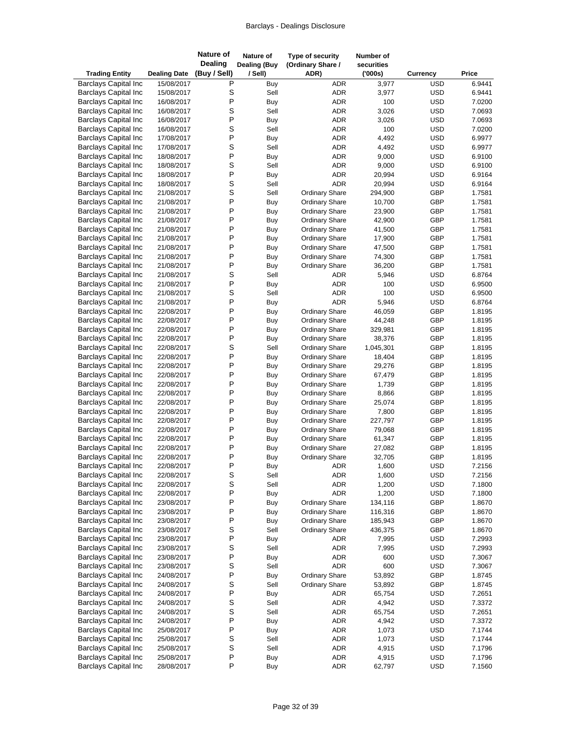| <b>Trading Entity</b>                                      | <b>Dealing Date</b>      | <b>Nature of</b><br><b>Dealing</b><br>(Buy / Sell) | Nature of<br><b>Dealing (Buy</b><br>/ Sell) | Type of security<br>(Ordinary Share /<br>ADR)  | Number of<br>securities<br>(000s) | Currency          | Price            |
|------------------------------------------------------------|--------------------------|----------------------------------------------------|---------------------------------------------|------------------------------------------------|-----------------------------------|-------------------|------------------|
| <b>Barclays Capital Inc</b>                                | 15/08/2017               | Ρ                                                  | Buy                                         | ADR                                            | 3,977                             | <b>USD</b>        | 6.9441           |
| <b>Barclays Capital Inc</b>                                | 15/08/2017               | S                                                  | Sell                                        | ADR                                            | 3,977                             | <b>USD</b>        | 6.9441           |
| <b>Barclays Capital Inc</b>                                | 16/08/2017               | P                                                  | Buy                                         | <b>ADR</b>                                     | 100                               | <b>USD</b>        | 7.0200           |
| <b>Barclays Capital Inc</b>                                | 16/08/2017               | S                                                  | Sell                                        | <b>ADR</b>                                     | 3,026                             | <b>USD</b>        | 7.0693           |
| <b>Barclays Capital Inc</b>                                | 16/08/2017               | P                                                  | Buy                                         | ADR                                            | 3,026                             | <b>USD</b>        | 7.0693           |
| <b>Barclays Capital Inc</b>                                | 16/08/2017               | S                                                  | Sell                                        | ADR                                            | 100                               | <b>USD</b>        | 7.0200           |
| <b>Barclays Capital Inc</b>                                | 17/08/2017               | P                                                  | Buy                                         | <b>ADR</b>                                     | 4,492                             | <b>USD</b>        | 6.9977           |
| <b>Barclays Capital Inc</b>                                | 17/08/2017               | S                                                  | Sell                                        | ADR                                            | 4,492                             | <b>USD</b>        | 6.9977           |
| <b>Barclays Capital Inc</b>                                | 18/08/2017               | P                                                  | Buy                                         | ADR                                            | 9,000                             | <b>USD</b>        | 6.9100           |
| <b>Barclays Capital Inc</b>                                | 18/08/2017               | S                                                  | Sell                                        | ADR                                            | 9,000                             | <b>USD</b>        | 6.9100           |
| <b>Barclays Capital Inc</b>                                | 18/08/2017               | P<br>S                                             | Buy                                         | ADR                                            | 20,994                            | <b>USD</b>        | 6.9164           |
| <b>Barclays Capital Inc</b><br><b>Barclays Capital Inc</b> | 18/08/2017               | S                                                  | Sell<br>Sell                                | <b>ADR</b>                                     | 20,994                            | <b>USD</b><br>GBP | 6.9164<br>1.7581 |
| <b>Barclays Capital Inc</b>                                | 21/08/2017<br>21/08/2017 | P                                                  | <b>Buy</b>                                  | <b>Ordinary Share</b><br><b>Ordinary Share</b> | 294,900<br>10,700                 | GBP               | 1.7581           |
| <b>Barclays Capital Inc</b>                                | 21/08/2017               | P                                                  | Buy                                         | <b>Ordinary Share</b>                          | 23,900                            | GBP               | 1.7581           |
| <b>Barclays Capital Inc</b>                                | 21/08/2017               | P                                                  | Buy                                         | <b>Ordinary Share</b>                          | 42,900                            | GBP               | 1.7581           |
| <b>Barclays Capital Inc</b>                                | 21/08/2017               | P                                                  | <b>Buy</b>                                  | <b>Ordinary Share</b>                          | 41,500                            | GBP               | 1.7581           |
| <b>Barclays Capital Inc</b>                                | 21/08/2017               | P                                                  | Buy                                         | <b>Ordinary Share</b>                          | 17,900                            | GBP               | 1.7581           |
| <b>Barclays Capital Inc</b>                                | 21/08/2017               | P                                                  | Buy                                         | <b>Ordinary Share</b>                          | 47,500                            | GBP               | 1.7581           |
| <b>Barclays Capital Inc</b>                                | 21/08/2017               | P                                                  | Buy                                         | <b>Ordinary Share</b>                          | 74,300                            | GBP               | 1.7581           |
| <b>Barclays Capital Inc</b>                                | 21/08/2017               | P                                                  | Buy                                         | <b>Ordinary Share</b>                          | 36,200                            | GBP               | 1.7581           |
| <b>Barclays Capital Inc</b>                                | 21/08/2017               | S                                                  | Sell                                        | ADR                                            | 5,946                             | <b>USD</b>        | 6.8764           |
| <b>Barclays Capital Inc</b>                                | 21/08/2017               | P                                                  | Buy                                         | ADR                                            | 100                               | <b>USD</b>        | 6.9500           |
| <b>Barclays Capital Inc</b>                                | 21/08/2017               | S                                                  | Sell                                        | <b>ADR</b>                                     | 100                               | <b>USD</b>        | 6.9500           |
| <b>Barclays Capital Inc</b>                                | 21/08/2017               | P                                                  | Buy                                         | <b>ADR</b>                                     | 5,946                             | <b>USD</b>        | 6.8764           |
| <b>Barclays Capital Inc</b>                                | 22/08/2017               | P                                                  | Buy                                         | <b>Ordinary Share</b>                          | 46,059                            | GBP               | 1.8195           |
| <b>Barclays Capital Inc</b>                                | 22/08/2017               | P                                                  | Buy                                         | <b>Ordinary Share</b>                          | 44,248                            | GBP               | 1.8195           |
| <b>Barclays Capital Inc</b>                                | 22/08/2017               | P                                                  | Buy                                         | <b>Ordinary Share</b>                          | 329,981                           | GBP               | 1.8195           |
| <b>Barclays Capital Inc</b>                                | 22/08/2017               | P                                                  | <b>Buy</b>                                  | <b>Ordinary Share</b>                          | 38,376                            | GBP               | 1.8195           |
| <b>Barclays Capital Inc</b>                                | 22/08/2017               | S                                                  | Sell                                        | <b>Ordinary Share</b>                          | 1,045,301                         | GBP               | 1.8195           |
| <b>Barclays Capital Inc</b>                                | 22/08/2017               | P                                                  | Buy                                         | <b>Ordinary Share</b>                          | 18,404                            | GBP               | 1.8195           |
| <b>Barclays Capital Inc</b>                                | 22/08/2017               | P                                                  | Buy                                         | <b>Ordinary Share</b>                          | 29,276                            | GBP               | 1.8195           |
| <b>Barclays Capital Inc</b>                                | 22/08/2017               | P<br>P                                             | Buy                                         | <b>Ordinary Share</b>                          | 67,479                            | GBP               | 1.8195           |
| <b>Barclays Capital Inc</b>                                | 22/08/2017               | P                                                  | Buy                                         | <b>Ordinary Share</b>                          | 1,739                             | GBP<br>GBP        | 1.8195           |
| <b>Barclays Capital Inc</b><br><b>Barclays Capital Inc</b> | 22/08/2017<br>22/08/2017 | P                                                  | Buy<br>Buy                                  | <b>Ordinary Share</b><br><b>Ordinary Share</b> | 8,866<br>25,074                   | GBP               | 1.8195<br>1.8195 |
| <b>Barclays Capital Inc</b>                                | 22/08/2017               | P                                                  | Buy                                         | <b>Ordinary Share</b>                          | 7,800                             | GBP               | 1.8195           |
| <b>Barclays Capital Inc</b>                                | 22/08/2017               | P                                                  | Buy                                         | <b>Ordinary Share</b>                          | 227,797                           | GBP               | 1.8195           |
| <b>Barclays Capital Inc</b>                                | 22/08/2017               | P                                                  | Buy                                         | <b>Ordinary Share</b>                          | 79,068                            | GBP               | 1.8195           |
| <b>Barclays Capital Inc</b>                                | 22/08/2017               | P                                                  | Buy                                         | <b>Ordinary Share</b>                          | 61,347                            | GBP               | 1.8195           |
| <b>Barclays Capital Inc</b>                                | 22/08/2017               | P                                                  | Buy                                         | <b>Ordinary Share</b>                          | 27,082                            | GBP               | 1.8195           |
| <b>Barclays Capital Inc</b>                                | 22/08/2017               | P                                                  | Buy                                         | <b>Ordinary Share</b>                          | 32,705                            | GBP               | 1.8195           |
| <b>Barclays Capital Inc</b>                                | 22/08/2017               | $\mathsf{P}$                                       | Buy                                         | ADR                                            | 1,600                             | <b>USD</b>        | 7.2156           |
| <b>Barclays Capital Inc</b>                                | 22/08/2017               | S                                                  | Sell                                        | ADR                                            | 1,600                             | <b>USD</b>        | 7.2156           |
| <b>Barclays Capital Inc</b>                                | 22/08/2017               | S                                                  | Sell                                        | ADR                                            | 1,200                             | <b>USD</b>        | 7.1800           |
| <b>Barclays Capital Inc</b>                                | 22/08/2017               | P                                                  | Buy                                         | ADR                                            | 1,200                             | <b>USD</b>        | 7.1800           |
| <b>Barclays Capital Inc</b>                                | 23/08/2017               | P                                                  | Buy                                         | <b>Ordinary Share</b>                          | 134,116                           | GBP               | 1.8670           |
| <b>Barclays Capital Inc</b>                                | 23/08/2017               | P                                                  | Buy                                         | <b>Ordinary Share</b>                          | 116,316                           | GBP               | 1.8670           |
| <b>Barclays Capital Inc</b>                                | 23/08/2017               | P                                                  | Buy                                         | <b>Ordinary Share</b>                          | 185,943                           | GBP               | 1.8670           |
| <b>Barclays Capital Inc</b>                                | 23/08/2017               | S                                                  | Sell                                        | <b>Ordinary Share</b>                          | 436,375                           | GBP               | 1.8670           |
| <b>Barclays Capital Inc</b>                                | 23/08/2017               | P                                                  | Buy                                         | ADR                                            | 7,995                             | <b>USD</b>        | 7.2993           |
| <b>Barclays Capital Inc</b>                                | 23/08/2017               | S                                                  | Sell                                        | ADR                                            | 7,995                             | <b>USD</b>        | 7.2993           |
| <b>Barclays Capital Inc</b>                                | 23/08/2017               | P                                                  | <b>Buy</b>                                  | ADR                                            | 600                               | <b>USD</b>        | 7.3067           |
| <b>Barclays Capital Inc</b>                                | 23/08/2017               | S<br>$\mathsf{P}$                                  | Sell                                        | <b>ADR</b>                                     | 600                               | <b>USD</b>        | 7.3067<br>1.8745 |
| <b>Barclays Capital Inc</b><br><b>Barclays Capital Inc</b> | 24/08/2017               | S                                                  | Buy<br>Sell                                 | <b>Ordinary Share</b><br><b>Ordinary Share</b> | 53,892                            | GBP<br>GBP        | 1.8745           |
| <b>Barclays Capital Inc</b>                                | 24/08/2017<br>24/08/2017 | P                                                  | Buy                                         | ADR                                            | 53,892<br>65,754                  | <b>USD</b>        | 7.2651           |
| <b>Barclays Capital Inc</b>                                | 24/08/2017               | S                                                  | Sell                                        | ADR                                            | 4,942                             | <b>USD</b>        | 7.3372           |
| <b>Barclays Capital Inc</b>                                | 24/08/2017               | S                                                  | Sell                                        | ADR                                            | 65,754                            | <b>USD</b>        | 7.2651           |
| <b>Barclays Capital Inc</b>                                | 24/08/2017               | P                                                  | Buy                                         | ADR                                            | 4,942                             | <b>USD</b>        | 7.3372           |
| <b>Barclays Capital Inc</b>                                | 25/08/2017               | $\mathsf{P}$                                       | Buy                                         | ADR                                            | 1,073                             | <b>USD</b>        | 7.1744           |
| <b>Barclays Capital Inc</b>                                | 25/08/2017               | S                                                  | Sell                                        | ADR                                            | 1,073                             | <b>USD</b>        | 7.1744           |
| <b>Barclays Capital Inc</b>                                | 25/08/2017               | S                                                  | Sell                                        | ADR                                            | 4,915                             | <b>USD</b>        | 7.1796           |
| <b>Barclays Capital Inc</b>                                | 25/08/2017               | $\sf P$                                            | Buy                                         | ADR                                            | 4,915                             | <b>USD</b>        | 7.1796           |
| <b>Barclays Capital Inc</b>                                | 28/08/2017               | P                                                  | Buy                                         | ADR                                            | 62,797                            | <b>USD</b>        | 7.1560           |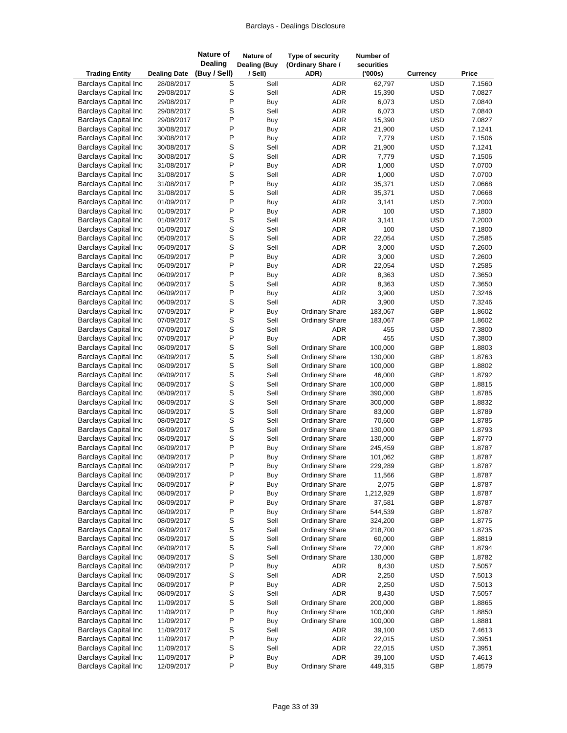| <b>Trading Entity</b>                                      | <b>Dealing Date</b>      | Nature of<br><b>Dealing</b><br>(Buy / Sell) | Nature of<br><b>Dealing (Buy</b><br>/ Sell) | Type of security<br>(Ordinary Share /<br>ADR)  | Number of<br>securities<br>(000s) | <b>Currency</b>   | Price            |
|------------------------------------------------------------|--------------------------|---------------------------------------------|---------------------------------------------|------------------------------------------------|-----------------------------------|-------------------|------------------|
| <b>Barclays Capital Inc</b>                                | 28/08/2017               | S                                           | Sell                                        | <b>ADR</b>                                     | 62,797                            | <b>USD</b>        | 7.1560           |
| <b>Barclays Capital Inc</b>                                | 29/08/2017               | S                                           | Sell                                        | <b>ADR</b>                                     | 15,390                            | <b>USD</b>        | 7.0827           |
| <b>Barclays Capital Inc</b>                                | 29/08/2017               | P                                           | Buy                                         | <b>ADR</b>                                     | 6,073                             | <b>USD</b>        | 7.0840           |
| <b>Barclays Capital Inc</b>                                | 29/08/2017               | S                                           | Sell                                        | <b>ADR</b>                                     | 6,073                             | <b>USD</b>        | 7.0840           |
| <b>Barclays Capital Inc</b>                                | 29/08/2017               | P                                           | Buy                                         | <b>ADR</b>                                     | 15,390                            | <b>USD</b>        | 7.0827           |
| <b>Barclays Capital Inc</b>                                | 30/08/2017               | P                                           | Buy                                         | <b>ADR</b>                                     | 21,900                            | <b>USD</b>        | 7.1241           |
| <b>Barclays Capital Inc</b>                                | 30/08/2017               | P                                           | Buy                                         | <b>ADR</b>                                     | 7,779                             | <b>USD</b>        | 7.1506           |
| <b>Barclays Capital Inc</b>                                | 30/08/2017               | S                                           | Sell                                        | <b>ADR</b>                                     | 21,900                            | <b>USD</b>        | 7.1241           |
| <b>Barclays Capital Inc</b>                                | 30/08/2017               | S                                           | Sell                                        | ADR                                            | 7,779                             | <b>USD</b>        | 7.1506           |
| <b>Barclays Capital Inc</b>                                | 31/08/2017               | P                                           | Buy                                         | ADR                                            | 1,000                             | <b>USD</b>        | 7.0700           |
| <b>Barclays Capital Inc</b>                                | 31/08/2017               | S                                           | Sell                                        | <b>ADR</b>                                     | 1,000                             | <b>USD</b>        | 7.0700           |
| <b>Barclays Capital Inc</b>                                | 31/08/2017               | P                                           | Buy                                         | <b>ADR</b>                                     | 35,371                            | <b>USD</b>        | 7.0668           |
| <b>Barclays Capital Inc</b>                                | 31/08/2017               | S                                           | Sell                                        | ADR                                            | 35,371                            | <b>USD</b>        | 7.0668           |
| <b>Barclays Capital Inc</b>                                | 01/09/2017               | P                                           | Buy                                         | <b>ADR</b>                                     | 3,141                             | <b>USD</b>        | 7.2000           |
| <b>Barclays Capital Inc</b>                                | 01/09/2017               | P                                           | Buy                                         | <b>ADR</b>                                     | 100                               | <b>USD</b>        | 7.1800           |
| <b>Barclays Capital Inc</b>                                | 01/09/2017               | S                                           | Sell                                        | ADR                                            | 3,141                             | <b>USD</b>        | 7.2000           |
| <b>Barclays Capital Inc</b>                                | 01/09/2017               | S                                           | Sell                                        | <b>ADR</b>                                     | 100                               | <b>USD</b>        | 7.1800           |
| <b>Barclays Capital Inc</b>                                | 05/09/2017               | S                                           | Sell                                        | <b>ADR</b>                                     | 22,054                            | <b>USD</b>        | 7.2585           |
| <b>Barclays Capital Inc</b>                                | 05/09/2017               | S                                           | Sell                                        | <b>ADR</b>                                     | 3,000                             | <b>USD</b>        | 7.2600           |
| <b>Barclays Capital Inc</b>                                | 05/09/2017               | P                                           | Buy                                         | <b>ADR</b>                                     | 3,000                             | <b>USD</b>        | 7.2600           |
| <b>Barclays Capital Inc</b>                                | 05/09/2017               | P                                           | Buy                                         | ADR                                            | 22,054                            | <b>USD</b>        | 7.2585           |
| <b>Barclays Capital Inc</b>                                | 06/09/2017               | P                                           | Buy                                         | <b>ADR</b>                                     | 8,363                             | <b>USD</b>        | 7.3650           |
| <b>Barclays Capital Inc</b>                                | 06/09/2017               | S                                           | Sell                                        | <b>ADR</b>                                     | 8,363                             | <b>USD</b>        | 7.3650           |
| <b>Barclays Capital Inc</b>                                | 06/09/2017               | P                                           | Buy                                         | <b>ADR</b>                                     | 3,900                             | <b>USD</b>        | 7.3246           |
| <b>Barclays Capital Inc</b>                                | 06/09/2017               | S                                           | Sell                                        | <b>ADR</b>                                     | 3,900                             | <b>USD</b>        | 7.3246           |
| <b>Barclays Capital Inc</b>                                | 07/09/2017               | P                                           | Buy                                         | <b>Ordinary Share</b>                          | 183,067                           | GBP               | 1.8602           |
| <b>Barclays Capital Inc</b>                                | 07/09/2017               | S                                           | Sell                                        | <b>Ordinary Share</b>                          | 183,067                           | GBP               | 1.8602           |
| <b>Barclays Capital Inc</b>                                | 07/09/2017               | S<br>P                                      | Sell                                        | ADR                                            | 455                               | <b>USD</b>        | 7.3800           |
| <b>Barclays Capital Inc</b><br><b>Barclays Capital Inc</b> | 07/09/2017               | S                                           | <b>Buy</b>                                  | <b>ADR</b>                                     | 455                               | <b>USD</b><br>GBP | 7.3800           |
| <b>Barclays Capital Inc</b>                                | 08/09/2017               | S                                           | Sell<br>Sell                                | <b>Ordinary Share</b><br><b>Ordinary Share</b> | 100,000<br>130,000                | GBP               | 1.8803<br>1.8763 |
| <b>Barclays Capital Inc</b>                                | 08/09/2017<br>08/09/2017 | S                                           | Sell                                        | <b>Ordinary Share</b>                          | 100,000                           | GBP               | 1.8802           |
| <b>Barclays Capital Inc</b>                                | 08/09/2017               | S                                           | Sell                                        | <b>Ordinary Share</b>                          | 46,000                            | GBP               | 1.8792           |
| <b>Barclays Capital Inc</b>                                | 08/09/2017               | S                                           | Sell                                        | <b>Ordinary Share</b>                          | 100,000                           | GBP               | 1.8815           |
| <b>Barclays Capital Inc</b>                                | 08/09/2017               | S                                           | Sell                                        | <b>Ordinary Share</b>                          | 390,000                           | GBP               | 1.8785           |
| <b>Barclays Capital Inc</b>                                | 08/09/2017               | S                                           | Sell                                        | <b>Ordinary Share</b>                          | 300,000                           | GBP               | 1.8832           |
| <b>Barclays Capital Inc</b>                                | 08/09/2017               | S                                           | Sell                                        | <b>Ordinary Share</b>                          | 83,000                            | GBP               | 1.8789           |
| <b>Barclays Capital Inc</b>                                | 08/09/2017               | S                                           | Sell                                        | <b>Ordinary Share</b>                          | 70,600                            | GBP               | 1.8785           |
| <b>Barclays Capital Inc</b>                                | 08/09/2017               | S                                           | Sell                                        | <b>Ordinary Share</b>                          | 130,000                           | GBP               | 1.8793           |
| <b>Barclays Capital Inc</b>                                | 08/09/2017               | S                                           | Sell                                        | Ordinary Share                                 | 130,000                           | GBP               | 1.8770           |
| <b>Barclays Capital Inc</b>                                | 08/09/2017               | P                                           | Buy                                         | <b>Ordinary Share</b>                          | 245,459                           | GBP               | 1.8787           |
| <b>Barclays Capital Inc</b>                                | 08/09/2017               | P                                           | Buy                                         | <b>Ordinary Share</b>                          | 101,062                           | GBP               | 1.8787           |
| <b>Barclays Capital Inc</b>                                | 08/09/2017               | P                                           | Buy                                         | <b>Ordinary Share</b>                          | 229,289                           | GBP               | 1.8787           |
| <b>Barclays Capital Inc</b>                                | 08/09/2017               | P                                           | Buy                                         | <b>Ordinary Share</b>                          | 11,566                            | GBP               | 1.8787           |
| <b>Barclays Capital Inc</b>                                | 08/09/2017               | P                                           | Buy                                         | <b>Ordinary Share</b>                          | 2,075                             | GBP               | 1.8787           |
| <b>Barclays Capital Inc</b>                                | 08/09/2017               | P                                           | Buy                                         | <b>Ordinary Share</b>                          | 1,212,929                         | GBP               | 1.8787           |
| <b>Barclays Capital Inc</b>                                | 08/09/2017               | P                                           | Buy                                         | <b>Ordinary Share</b>                          | 37,581                            | GBP               | 1.8787           |
| <b>Barclays Capital Inc</b>                                | 08/09/2017               | P                                           | Buy                                         | <b>Ordinary Share</b>                          | 544,539                           | GBP               | 1.8787           |
| <b>Barclays Capital Inc</b>                                | 08/09/2017               | S                                           | Sell                                        | <b>Ordinary Share</b>                          | 324,200                           | GBP               | 1.8775           |
| <b>Barclays Capital Inc</b>                                | 08/09/2017               | S                                           | Sell                                        | <b>Ordinary Share</b>                          | 218,700                           | GBP               | 1.8735           |
| <b>Barclays Capital Inc</b>                                | 08/09/2017               | S                                           | Sell                                        | <b>Ordinary Share</b>                          | 60,000                            | GBP               | 1.8819           |
| <b>Barclays Capital Inc</b>                                | 08/09/2017               | S                                           | Sell                                        | Ordinary Share                                 | 72,000                            | GBP               | 1.8794           |
| <b>Barclays Capital Inc</b>                                | 08/09/2017               | S                                           | Sell                                        | <b>Ordinary Share</b>                          | 130,000                           | GBP               | 1.8782           |
| <b>Barclays Capital Inc</b>                                | 08/09/2017               | P                                           | Buy                                         | ADR                                            | 8,430                             | <b>USD</b>        | 7.5057           |
| <b>Barclays Capital Inc</b>                                | 08/09/2017               | S                                           | Sell                                        | ADR                                            | 2,250                             | <b>USD</b>        | 7.5013           |
| <b>Barclays Capital Inc</b>                                | 08/09/2017               | P                                           | Buy                                         | ADR                                            | 2,250                             | <b>USD</b>        | 7.5013           |
| <b>Barclays Capital Inc</b>                                | 08/09/2017               | S                                           | Sell                                        | ADR                                            | 8,430                             | <b>USD</b>        | 7.5057           |
| <b>Barclays Capital Inc</b>                                | 11/09/2017               | S                                           | Sell                                        | Ordinary Share                                 | 200,000                           | GBP               | 1.8865           |
| <b>Barclays Capital Inc</b>                                | 11/09/2017               | P                                           | Buy                                         | <b>Ordinary Share</b>                          | 100,000                           | GBP               | 1.8850           |
| <b>Barclays Capital Inc</b>                                | 11/09/2017               | P                                           | Buy                                         | <b>Ordinary Share</b>                          | 100,000                           | GBP               | 1.8881           |
| <b>Barclays Capital Inc</b>                                | 11/09/2017               | S                                           | Sell                                        | ADR                                            | 39,100                            | <b>USD</b>        | 7.4613           |
| <b>Barclays Capital Inc</b>                                | 11/09/2017               | P                                           | Buy                                         | ADR                                            | 22,015                            | <b>USD</b>        | 7.3951           |
| <b>Barclays Capital Inc</b>                                | 11/09/2017               | S                                           | Sell                                        | ADR                                            | 22,015                            | <b>USD</b>        | 7.3951           |
| <b>Barclays Capital Inc</b>                                | 11/09/2017               | $\mathsf{P}$                                | Buy                                         | <b>ADR</b>                                     | 39,100                            | <b>USD</b>        | 7.4613           |
| <b>Barclays Capital Inc</b>                                | 12/09/2017               | ${\sf P}$                                   | Buy                                         | <b>Ordinary Share</b>                          | 449,315                           | GBP               | 1.8579           |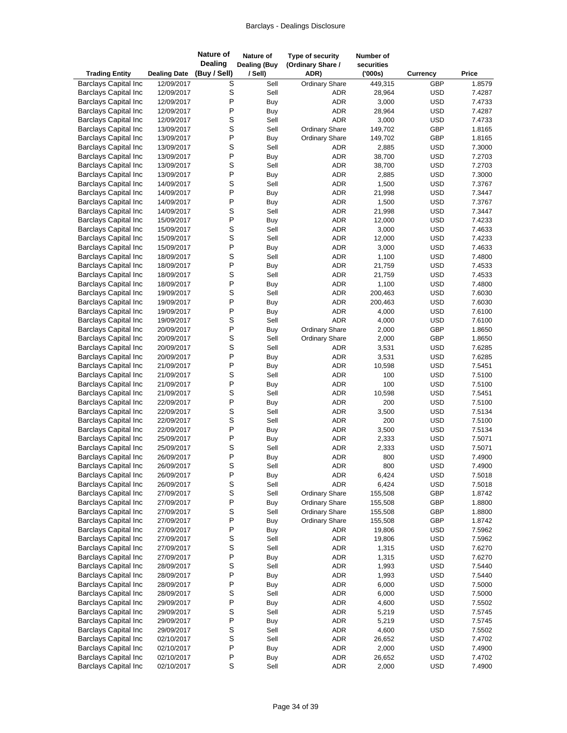| <b>Trading Entity</b>                                      | <b>Dealing Date</b>      | <b>Nature of</b><br><b>Dealing</b><br>(Buy / Sell) | Nature of<br><b>Dealing (Buy</b><br>/ Sell) | Type of security<br>(Ordinary Share /<br>ADR) | Number of<br>securities<br>(000s) | Currency                 | Price            |
|------------------------------------------------------------|--------------------------|----------------------------------------------------|---------------------------------------------|-----------------------------------------------|-----------------------------------|--------------------------|------------------|
| <b>Barclays Capital Inc</b>                                | 12/09/2017               | S                                                  | Sell                                        | <b>Ordinary Share</b>                         | 449,315                           | GBP                      | 1.8579           |
| <b>Barclays Capital Inc</b>                                | 12/09/2017               | S                                                  | Sell                                        | ADR                                           | 28,964                            | <b>USD</b>               | 7.4287           |
| <b>Barclays Capital Inc</b>                                | 12/09/2017               | P                                                  | Buy                                         | <b>ADR</b>                                    | 3,000                             | <b>USD</b>               | 7.4733           |
| <b>Barclays Capital Inc</b>                                | 12/09/2017               | P                                                  | <b>Buy</b>                                  | <b>ADR</b>                                    | 28,964                            | <b>USD</b>               | 7.4287           |
| <b>Barclays Capital Inc</b>                                | 12/09/2017               | S                                                  | Sell                                        | <b>ADR</b>                                    | 3,000                             | <b>USD</b>               | 7.4733           |
| <b>Barclays Capital Inc</b>                                | 13/09/2017               | S                                                  | Sell                                        | <b>Ordinary Share</b>                         | 149,702                           | GBP                      | 1.8165           |
| <b>Barclays Capital Inc</b>                                | 13/09/2017               | P                                                  | Buy                                         | <b>Ordinary Share</b>                         | 149,702                           | GBP                      | 1.8165           |
| <b>Barclays Capital Inc</b>                                | 13/09/2017               | S                                                  | Sell                                        | ADR                                           | 2,885                             | <b>USD</b>               | 7.3000           |
| <b>Barclays Capital Inc</b>                                | 13/09/2017               | P                                                  | Buy                                         | <b>ADR</b>                                    | 38,700                            | <b>USD</b>               | 7.2703           |
| <b>Barclays Capital Inc</b><br><b>Barclays Capital Inc</b> | 13/09/2017               | S<br>P                                             | Sell                                        | ADR<br><b>ADR</b>                             | 38,700<br>2,885                   | <b>USD</b><br><b>USD</b> | 7.2703<br>7.3000 |
| <b>Barclays Capital Inc</b>                                | 13/09/2017<br>14/09/2017 | S                                                  | Buy<br>Sell                                 | <b>ADR</b>                                    | 1,500                             | <b>USD</b>               | 7.3767           |
| <b>Barclays Capital Inc</b>                                | 14/09/2017               | P                                                  | Buy                                         | <b>ADR</b>                                    | 21,998                            | <b>USD</b>               | 7.3447           |
| <b>Barclays Capital Inc</b>                                | 14/09/2017               | P                                                  | Buy                                         | <b>ADR</b>                                    | 1,500                             | <b>USD</b>               | 7.3767           |
| <b>Barclays Capital Inc</b>                                | 14/09/2017               | S                                                  | Sell                                        | <b>ADR</b>                                    | 21,998                            | <b>USD</b>               | 7.3447           |
| <b>Barclays Capital Inc</b>                                | 15/09/2017               | P                                                  | <b>Buy</b>                                  | <b>ADR</b>                                    | 12,000                            | <b>USD</b>               | 7.4233           |
| <b>Barclays Capital Inc</b>                                | 15/09/2017               | S                                                  | Sell                                        | <b>ADR</b>                                    | 3,000                             | <b>USD</b>               | 7.4633           |
| <b>Barclays Capital Inc</b>                                | 15/09/2017               | S                                                  | Sell                                        | <b>ADR</b>                                    | 12,000                            | <b>USD</b>               | 7.4233           |
| <b>Barclays Capital Inc</b>                                | 15/09/2017               | P                                                  | Buy                                         | ADR                                           | 3,000                             | <b>USD</b>               | 7.4633           |
| <b>Barclays Capital Inc</b>                                | 18/09/2017               | S                                                  | Sell                                        | <b>ADR</b>                                    | 1,100                             | <b>USD</b>               | 7.4800           |
| <b>Barclays Capital Inc</b>                                | 18/09/2017               | P                                                  | <b>Buy</b>                                  | <b>ADR</b>                                    | 21,759                            | <b>USD</b>               | 7.4533           |
| <b>Barclays Capital Inc</b>                                | 18/09/2017               | S                                                  | Sell                                        | <b>ADR</b>                                    | 21,759                            | <b>USD</b>               | 7.4533           |
| <b>Barclays Capital Inc</b>                                | 18/09/2017               | P                                                  | Buy                                         | ADR                                           | 1,100                             | <b>USD</b>               | 7.4800           |
| <b>Barclays Capital Inc</b>                                | 19/09/2017               | S                                                  | Sell                                        | <b>ADR</b>                                    | 200,463                           | <b>USD</b>               | 7.6030           |
| <b>Barclays Capital Inc</b>                                | 19/09/2017               | P<br>P                                             | Buy                                         | <b>ADR</b>                                    | 200,463                           | <b>USD</b>               | 7.6030           |
| <b>Barclays Capital Inc</b><br><b>Barclays Capital Inc</b> | 19/09/2017<br>19/09/2017 | S                                                  | Buy<br>Sell                                 | <b>ADR</b><br><b>ADR</b>                      | 4,000<br>4,000                    | <b>USD</b><br><b>USD</b> | 7.6100<br>7.6100 |
| <b>Barclays Capital Inc</b>                                | 20/09/2017               | P                                                  | Buy                                         | <b>Ordinary Share</b>                         | 2,000                             | GBP                      | 1.8650           |
| <b>Barclays Capital Inc</b>                                | 20/09/2017               | S                                                  | Sell                                        | <b>Ordinary Share</b>                         | 2,000                             | GBP                      | 1.8650           |
| <b>Barclays Capital Inc</b>                                | 20/09/2017               | S                                                  | Sell                                        | ADR                                           | 3,531                             | <b>USD</b>               | 7.6285           |
| <b>Barclays Capital Inc</b>                                | 20/09/2017               | P                                                  | Buy                                         | ADR                                           | 3,531                             | <b>USD</b>               | 7.6285           |
| <b>Barclays Capital Inc</b>                                | 21/09/2017               | Ρ                                                  | Buy                                         | ADR                                           | 10,598                            | <b>USD</b>               | 7.5451           |
| <b>Barclays Capital Inc</b>                                | 21/09/2017               | S                                                  | Sell                                        | <b>ADR</b>                                    | 100                               | <b>USD</b>               | 7.5100           |
| <b>Barclays Capital Inc</b>                                | 21/09/2017               | P                                                  | Buy                                         | <b>ADR</b>                                    | 100                               | <b>USD</b>               | 7.5100           |
| <b>Barclays Capital Inc</b>                                | 21/09/2017               | S                                                  | Sell                                        | <b>ADR</b>                                    | 10,598                            | <b>USD</b>               | 7.5451           |
| <b>Barclays Capital Inc</b>                                | 22/09/2017               | P                                                  | Buy                                         | <b>ADR</b>                                    | 200                               | <b>USD</b>               | 7.5100           |
| <b>Barclays Capital Inc</b>                                | 22/09/2017               | S                                                  | Sell                                        | <b>ADR</b>                                    | 3,500                             | <b>USD</b>               | 7.5134           |
| <b>Barclays Capital Inc</b>                                | 22/09/2017               | S                                                  | Sell                                        | ADR                                           | 200                               | <b>USD</b>               | 7.5100           |
| <b>Barclays Capital Inc</b>                                | 22/09/2017               | P                                                  | Buy                                         | <b>ADR</b>                                    | 3,500                             | <b>USD</b>               | 7.5134           |
| <b>Barclays Capital Inc</b>                                | 25/09/2017               | P                                                  | Buy                                         | <b>ADR</b>                                    | 2,333                             | <b>USD</b>               | 7.5071           |
| <b>Barclays Capital Inc</b><br><b>Barclays Capital Inc</b> | 25/09/2017<br>26/09/2017 | S<br>P                                             | Sell                                        | <b>ADR</b><br><b>ADR</b>                      | 2,333<br>800                      | <b>USD</b><br><b>USD</b> | 7.5071<br>7.4900 |
| <b>Barclays Capital Inc</b>                                | 26/09/2017               | S                                                  | Buy<br>Sell                                 | ADR                                           | 800                               | <b>USD</b>               | 7.4900           |
| <b>Barclays Capital Inc</b>                                | 26/09/2017               | P                                                  | Buy                                         | ADR                                           | 6,424                             | <b>USD</b>               | 7.5018           |
| <b>Barclays Capital Inc</b>                                | 26/09/2017               | S                                                  | Sell                                        | <b>ADR</b>                                    | 6,424                             | <b>USD</b>               | 7.5018           |
| <b>Barclays Capital Inc</b>                                | 27/09/2017               | S                                                  | Sell                                        | <b>Ordinary Share</b>                         | 155,508                           | GBP                      | 1.8742           |
| <b>Barclays Capital Inc</b>                                | 27/09/2017               | P                                                  | Buy                                         | <b>Ordinary Share</b>                         | 155,508                           | GBP                      | 1.8800           |
| <b>Barclays Capital Inc</b>                                | 27/09/2017               | S                                                  | Sell                                        | <b>Ordinary Share</b>                         | 155,508                           | GBP                      | 1.8800           |
| <b>Barclays Capital Inc</b>                                | 27/09/2017               | P                                                  | Buy                                         | <b>Ordinary Share</b>                         | 155,508                           | GBP                      | 1.8742           |
| <b>Barclays Capital Inc</b>                                | 27/09/2017               | $\mathsf{P}$                                       | Buy                                         | ADR                                           | 19,806                            | <b>USD</b>               | 7.5962           |
| <b>Barclays Capital Inc</b>                                | 27/09/2017               | S                                                  | Sell                                        | ADR                                           | 19,806                            | <b>USD</b>               | 7.5962           |
| <b>Barclays Capital Inc</b>                                | 27/09/2017               | S                                                  | Sell                                        | ADR                                           | 1,315                             | <b>USD</b>               | 7.6270           |
| <b>Barclays Capital Inc</b>                                | 27/09/2017               | P                                                  | <b>Buy</b>                                  | ADR                                           | 1,315                             | <b>USD</b>               | 7.6270           |
| <b>Barclays Capital Inc</b>                                | 28/09/2017               | S                                                  | Sell                                        | ADR                                           | 1,993                             | <b>USD</b>               | 7.5440           |
| <b>Barclays Capital Inc</b>                                | 28/09/2017               | $\mathsf{P}$                                       | Buy                                         | ADR                                           | 1,993                             | <b>USD</b>               | 7.5440           |
| <b>Barclays Capital Inc</b>                                | 28/09/2017               | P                                                  | Buy                                         | ADR                                           | 6,000                             | <b>USD</b>               | 7.5000           |
| <b>Barclays Capital Inc</b><br><b>Barclays Capital Inc</b> | 28/09/2017               | S<br>$\mathsf{P}$                                  | Sell                                        | ADR                                           | 6,000<br>4,600                    | <b>USD</b><br><b>USD</b> | 7.5000           |
| <b>Barclays Capital Inc</b>                                | 29/09/2017<br>29/09/2017 | S                                                  | Buy<br>Sell                                 | ADR<br>ADR                                    | 5,219                             | <b>USD</b>               | 7.5502<br>7.5745 |
| <b>Barclays Capital Inc</b>                                | 29/09/2017               | P                                                  | Buy                                         | ADR                                           | 5,219                             | <b>USD</b>               | 7.5745           |
| <b>Barclays Capital Inc</b>                                | 29/09/2017               | S                                                  | Sell                                        | ADR                                           | 4,600                             | <b>USD</b>               | 7.5502           |
| <b>Barclays Capital Inc</b>                                | 02/10/2017               | S                                                  | Sell                                        | ADR                                           | 26,652                            | <b>USD</b>               | 7.4702           |
| <b>Barclays Capital Inc</b>                                | 02/10/2017               | P                                                  | Buy                                         | ADR                                           | 2,000                             | <b>USD</b>               | 7.4900           |
| <b>Barclays Capital Inc</b>                                | 02/10/2017               | $\sf P$                                            | Buy                                         | ADR                                           | 26,652                            | <b>USD</b>               | 7.4702           |
| Barclays Capital Inc                                       | 02/10/2017               | $\mathbf S$                                        | Sell                                        | ADR                                           | 2,000                             | <b>USD</b>               | 7.4900           |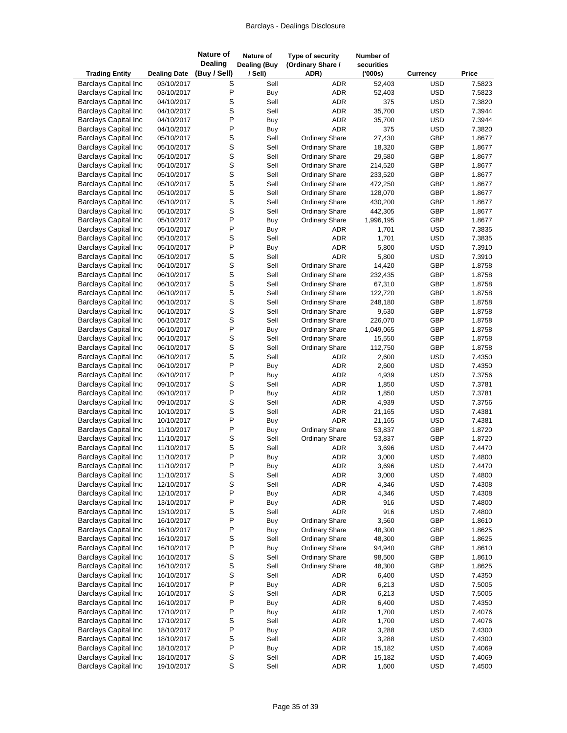| <b>Trading Entity</b>                                      | <b>Dealing Date</b>      | <b>Nature of</b><br><b>Dealing</b><br>(Buy / Sell) | Nature of<br><b>Dealing (Buy</b><br>/ Sell) | Type of security<br>(Ordinary Share /<br>ADR)  | Number of<br>securities<br>(000s) | Currency                 | Price            |
|------------------------------------------------------------|--------------------------|----------------------------------------------------|---------------------------------------------|------------------------------------------------|-----------------------------------|--------------------------|------------------|
| <b>Barclays Capital Inc</b>                                | 03/10/2017               | S                                                  | Sell                                        | <b>ADR</b>                                     | 52,403                            | <b>USD</b>               | 7.5823           |
| <b>Barclays Capital Inc</b>                                | 03/10/2017               | P                                                  | Buy                                         | <b>ADR</b>                                     | 52,403                            | <b>USD</b>               | 7.5823           |
| <b>Barclays Capital Inc</b>                                | 04/10/2017               | S                                                  | Sell                                        | <b>ADR</b>                                     | 375                               | <b>USD</b>               | 7.3820           |
| <b>Barclays Capital Inc</b>                                | 04/10/2017               | S                                                  | Sell                                        | <b>ADR</b>                                     | 35,700                            | <b>USD</b>               | 7.3944           |
| <b>Barclays Capital Inc</b>                                | 04/10/2017               | P                                                  | Buy                                         | ADR                                            | 35,700                            | <b>USD</b>               | 7.3944           |
| <b>Barclays Capital Inc</b>                                | 04/10/2017               | P                                                  | Buy                                         | <b>ADR</b>                                     | 375                               | <b>USD</b>               | 7.3820           |
| <b>Barclays Capital Inc</b>                                | 05/10/2017               | S                                                  | Sell                                        | <b>Ordinary Share</b>                          | 27,430                            | GBP                      | 1.8677           |
| <b>Barclays Capital Inc</b>                                | 05/10/2017               | S                                                  | Sell                                        | <b>Ordinary Share</b>                          | 18,320                            | GBP                      | 1.8677           |
| <b>Barclays Capital Inc</b>                                | 05/10/2017               | S                                                  | Sell                                        | <b>Ordinary Share</b>                          | 29,580                            | GBP                      | 1.8677           |
| <b>Barclays Capital Inc</b>                                | 05/10/2017               | S                                                  | Sell                                        | <b>Ordinary Share</b>                          | 214,520                           | GBP                      | 1.8677           |
| <b>Barclays Capital Inc</b>                                | 05/10/2017               | S                                                  | Sell                                        | <b>Ordinary Share</b>                          | 233,520                           | GBP                      | 1.8677           |
| <b>Barclays Capital Inc</b>                                | 05/10/2017               | S<br>S                                             | Sell<br>Sell                                | <b>Ordinary Share</b>                          | 472,250                           | GBP<br>GBP               | 1.8677<br>1.8677 |
| <b>Barclays Capital Inc</b><br><b>Barclays Capital Inc</b> | 05/10/2017<br>05/10/2017 | S                                                  | Sell                                        | <b>Ordinary Share</b><br><b>Ordinary Share</b> | 128,070<br>430,200                | GBP                      | 1.8677           |
| <b>Barclays Capital Inc</b>                                | 05/10/2017               | S                                                  | Sell                                        | <b>Ordinary Share</b>                          | 442,305                           | GBP                      | 1.8677           |
| <b>Barclays Capital Inc</b>                                | 05/10/2017               | P                                                  | Buy                                         | <b>Ordinary Share</b>                          | 1,996,195                         | GBP                      | 1.8677           |
| <b>Barclays Capital Inc</b>                                | 05/10/2017               | P                                                  | Buy                                         | ADR                                            | 1,701                             | <b>USD</b>               | 7.3835           |
| <b>Barclays Capital Inc</b>                                | 05/10/2017               | S                                                  | Sell                                        | <b>ADR</b>                                     | 1,701                             | <b>USD</b>               | 7.3835           |
| <b>Barclays Capital Inc</b>                                | 05/10/2017               | P                                                  | Buy                                         | ADR                                            | 5,800                             | <b>USD</b>               | 7.3910           |
| <b>Barclays Capital Inc</b>                                | 05/10/2017               | S                                                  | Sell                                        | <b>ADR</b>                                     | 5,800                             | <b>USD</b>               | 7.3910           |
| <b>Barclays Capital Inc</b>                                | 06/10/2017               | S                                                  | Sell                                        | <b>Ordinary Share</b>                          | 14,420                            | GBP                      | 1.8758           |
| <b>Barclays Capital Inc</b>                                | 06/10/2017               | S                                                  | Sell                                        | <b>Ordinary Share</b>                          | 232,435                           | GBP                      | 1.8758           |
| <b>Barclays Capital Inc</b>                                | 06/10/2017               | S                                                  | Sell                                        | <b>Ordinary Share</b>                          | 67,310                            | GBP                      | 1.8758           |
| <b>Barclays Capital Inc</b>                                | 06/10/2017               | S                                                  | Sell                                        | <b>Ordinary Share</b>                          | 122,720                           | GBP                      | 1.8758           |
| <b>Barclays Capital Inc</b>                                | 06/10/2017               | S                                                  | Sell                                        | <b>Ordinary Share</b>                          | 248,180                           | GBP                      | 1.8758           |
| <b>Barclays Capital Inc</b>                                | 06/10/2017               | S                                                  | Sell                                        | <b>Ordinary Share</b>                          | 9,630                             | GBP                      | 1.8758           |
| <b>Barclays Capital Inc</b>                                | 06/10/2017               | S                                                  | Sell                                        | <b>Ordinary Share</b>                          | 226,070                           | GBP                      | 1.8758           |
| <b>Barclays Capital Inc</b>                                | 06/10/2017               | P                                                  | Buy                                         | <b>Ordinary Share</b>                          | 1,049,065                         | GBP                      | 1.8758           |
| <b>Barclays Capital Inc</b>                                | 06/10/2017               | S                                                  | Sell                                        | <b>Ordinary Share</b>                          | 15,550                            | GBP                      | 1.8758           |
| <b>Barclays Capital Inc</b>                                | 06/10/2017               | S                                                  | Sell                                        | <b>Ordinary Share</b>                          | 112,750                           | GBP                      | 1.8758           |
| <b>Barclays Capital Inc</b>                                | 06/10/2017               | S                                                  | Sell                                        | ADR                                            | 2,600                             | <b>USD</b>               | 7.4350           |
| <b>Barclays Capital Inc</b>                                | 06/10/2017               | P                                                  | <b>Buy</b>                                  | <b>ADR</b>                                     | 2,600                             | <b>USD</b>               | 7.4350           |
| <b>Barclays Capital Inc</b>                                | 09/10/2017               | P                                                  | Buy                                         | ADR                                            | 4,939                             | <b>USD</b>               | 7.3756           |
| <b>Barclays Capital Inc</b>                                | 09/10/2017               | S<br>P                                             | Sell                                        | ADR<br>ADR                                     | 1,850                             | <b>USD</b>               | 7.3781           |
| <b>Barclays Capital Inc</b><br><b>Barclays Capital Inc</b> | 09/10/2017<br>09/10/2017 | S                                                  | Buy<br>Sell                                 | ADR                                            | 1,850<br>4,939                    | <b>USD</b><br><b>USD</b> | 7.3781<br>7.3756 |
| <b>Barclays Capital Inc</b>                                | 10/10/2017               | S                                                  | Sell                                        | <b>ADR</b>                                     | 21,165                            | <b>USD</b>               | 7.4381           |
| <b>Barclays Capital Inc</b>                                | 10/10/2017               | P                                                  | Buy                                         | ADR                                            | 21,165                            | <b>USD</b>               | 7.4381           |
| <b>Barclays Capital Inc</b>                                | 11/10/2017               | P                                                  | Buy                                         | <b>Ordinary Share</b>                          | 53,837                            | GBP                      | 1.8720           |
| <b>Barclays Capital Inc</b>                                | 11/10/2017               | S                                                  | Sell                                        | <b>Ordinary Share</b>                          | 53,837                            | GBP                      | 1.8720           |
| <b>Barclays Capital Inc</b>                                | 11/10/2017               | S                                                  | Sell                                        | ADR                                            | 3,696                             | <b>USD</b>               | 7.4470           |
| <b>Barclays Capital Inc</b>                                | 11/10/2017               | P                                                  | Buy                                         | <b>ADR</b>                                     | 3,000                             | <b>USD</b>               | 7.4800           |
| <b>Barclays Capital Inc</b>                                | 11/10/2017               | P                                                  | Buy                                         | ADR                                            | 3,696                             | <b>USD</b>               | 7.4470           |
| <b>Barclays Capital Inc</b>                                | 11/10/2017               | S                                                  | Sell                                        | ADR                                            | 3,000                             | <b>USD</b>               | 7.4800           |
| <b>Barclays Capital Inc</b>                                | 12/10/2017               | S                                                  | Sell                                        | ADR                                            | 4,346                             | <b>USD</b>               | 7.4308           |
| <b>Barclays Capital Inc</b>                                | 12/10/2017               | P                                                  | Buy                                         | ADR                                            | 4,346                             | <b>USD</b>               | 7.4308           |
| <b>Barclays Capital Inc</b>                                | 13/10/2017               | P                                                  | Buy                                         | ADR                                            | 916                               | <b>USD</b>               | 7.4800           |
| <b>Barclays Capital Inc</b>                                | 13/10/2017               | S                                                  | Sell                                        | ADR                                            | 916                               | <b>USD</b>               | 7.4800           |
| <b>Barclays Capital Inc</b>                                | 16/10/2017               | P                                                  | Buy                                         | <b>Ordinary Share</b>                          | 3,560                             | GBP                      | 1.8610           |
| <b>Barclays Capital Inc</b>                                | 16/10/2017               | $\mathsf{P}$                                       | Buy                                         | <b>Ordinary Share</b>                          | 48,300                            | GBP                      | 1.8625           |
| <b>Barclays Capital Inc</b>                                | 16/10/2017               | S                                                  | Sell                                        | <b>Ordinary Share</b>                          | 48,300                            | GBP                      | 1.8625           |
| <b>Barclays Capital Inc</b>                                | 16/10/2017               | P                                                  | Buy                                         | <b>Ordinary Share</b>                          | 94,940                            | GBP                      | 1.8610           |
| <b>Barclays Capital Inc</b>                                | 16/10/2017               | S                                                  | Sell                                        | <b>Ordinary Share</b>                          | 98,500                            | GBP                      | 1.8610           |
| <b>Barclays Capital Inc</b>                                | 16/10/2017               | S                                                  | Sell                                        | <b>Ordinary Share</b>                          | 48,300                            | GBP                      | 1.8625           |
| <b>Barclays Capital Inc</b>                                | 16/10/2017               | S                                                  | Sell                                        | ADR                                            | 6,400                             | <b>USD</b>               | 7.4350           |
| <b>Barclays Capital Inc</b><br><b>Barclays Capital Inc</b> | 16/10/2017               | P<br>S                                             | Buy<br>Sell                                 | <b>ADR</b><br>ADR                              | 6,213<br>6,213                    | <b>USD</b><br><b>USD</b> | 7.5005<br>7.5005 |
| <b>Barclays Capital Inc</b>                                | 16/10/2017               | $\mathsf{P}$                                       | Buy                                         |                                                | 6,400                             | <b>USD</b>               |                  |
| <b>Barclays Capital Inc</b>                                | 16/10/2017<br>17/10/2017 | P                                                  | Buy                                         | ADR<br>ADR                                     | 1,700                             | <b>USD</b>               | 7.4350<br>7.4076 |
| <b>Barclays Capital Inc</b>                                | 17/10/2017               | S                                                  | Sell                                        | ADR                                            | 1,700                             | <b>USD</b>               | 7.4076           |
| <b>Barclays Capital Inc</b>                                | 18/10/2017               | $\mathsf{P}$                                       | Buy                                         | ADR                                            | 3,288                             | <b>USD</b>               | 7.4300           |
| <b>Barclays Capital Inc</b>                                | 18/10/2017               | S                                                  | Sell                                        | ADR                                            | 3,288                             | <b>USD</b>               | 7.4300           |
| <b>Barclays Capital Inc</b>                                | 18/10/2017               | P                                                  | Buy                                         | ADR                                            | 15,182                            | <b>USD</b>               | 7.4069           |
| <b>Barclays Capital Inc</b>                                | 18/10/2017               | $\mathbb S$                                        | Sell                                        | ADR                                            | 15,182                            | <b>USD</b>               | 7.4069           |
| Barclays Capital Inc                                       | 19/10/2017               | $\mathbf S$                                        | Sell                                        | ADR                                            | 1,600                             | <b>USD</b>               | 7.4500           |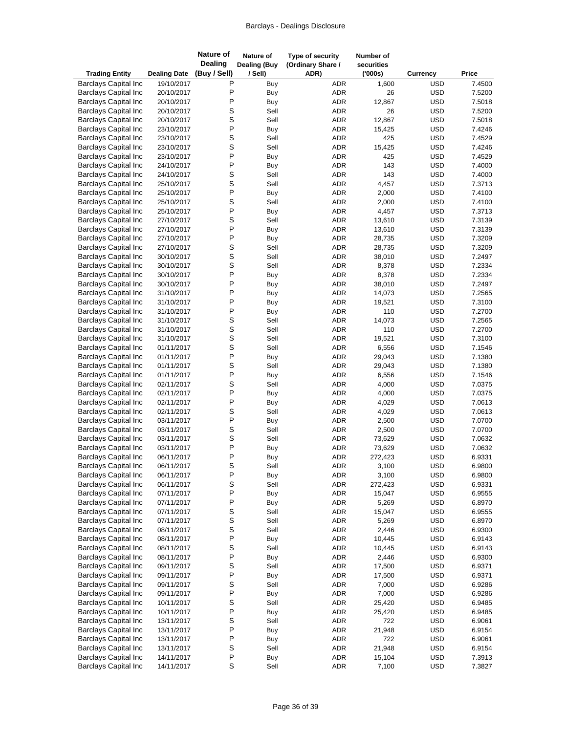| <b>Trading Entity</b>                                      | <b>Dealing Date</b>      | <b>Nature of</b><br><b>Dealing</b><br>(Buy / Sell) | Nature of<br><b>Dealing (Buy</b><br>/ Sell) | Type of security<br>(Ordinary Share /<br>ADR) | Number of<br>securities<br>(000s) | <b>Currency</b>          | Price            |
|------------------------------------------------------------|--------------------------|----------------------------------------------------|---------------------------------------------|-----------------------------------------------|-----------------------------------|--------------------------|------------------|
| <b>Barclays Capital Inc</b>                                | 19/10/2017               | Ρ                                                  | Buy                                         | ADR                                           | 1,600                             | <b>USD</b>               | 7.4500           |
| <b>Barclays Capital Inc</b>                                | 20/10/2017               | P                                                  | Buy                                         | ADR                                           | 26                                | <b>USD</b>               | 7.5200           |
| <b>Barclays Capital Inc</b>                                | 20/10/2017               | P                                                  | Buy                                         | ADR                                           | 12,867                            | <b>USD</b>               | 7.5018           |
| <b>Barclays Capital Inc</b>                                | 20/10/2017               | S                                                  | Sell                                        | ADR                                           | 26                                | <b>USD</b>               | 7.5200           |
| <b>Barclays Capital Inc</b>                                | 20/10/2017               | S                                                  | Sell                                        | ADR                                           | 12,867                            | <b>USD</b>               | 7.5018           |
| <b>Barclays Capital Inc</b>                                | 23/10/2017               | P                                                  | Buy                                         | ADR                                           | 15,425                            | <b>USD</b>               | 7.4246           |
| <b>Barclays Capital Inc</b>                                | 23/10/2017               | S                                                  | Sell                                        | ADR                                           | 425                               | <b>USD</b>               | 7.4529           |
| <b>Barclays Capital Inc</b>                                | 23/10/2017               | S                                                  | Sell                                        | ADR                                           | 15,425                            | <b>USD</b>               | 7.4246           |
| <b>Barclays Capital Inc</b>                                | 23/10/2017               | P                                                  | Buy                                         | ADR                                           | 425                               | <b>USD</b>               | 7.4529           |
| <b>Barclays Capital Inc</b>                                | 24/10/2017               | P                                                  | Buy                                         | ADR                                           | 143                               | <b>USD</b>               | 7.4000           |
| <b>Barclays Capital Inc</b>                                | 24/10/2017               | S                                                  | Sell                                        | ADR                                           | 143                               | <b>USD</b>               | 7.4000           |
| <b>Barclays Capital Inc</b>                                | 25/10/2017               | S                                                  | Sell                                        | <b>ADR</b>                                    | 4,457                             | <b>USD</b>               | 7.3713           |
| <b>Barclays Capital Inc</b>                                | 25/10/2017               | P                                                  | Buy                                         | ADR                                           | 2,000                             | <b>USD</b>               | 7.4100           |
| <b>Barclays Capital Inc</b>                                | 25/10/2017               | S                                                  | Sell                                        | ADR                                           | 2,000                             | <b>USD</b>               | 7.4100           |
| <b>Barclays Capital Inc</b>                                | 25/10/2017               | P                                                  | Buy                                         | ADR                                           | 4,457                             | <b>USD</b>               | 7.3713           |
| <b>Barclays Capital Inc</b>                                | 27/10/2017               | S                                                  | Sell                                        | ADR                                           | 13,610                            | <b>USD</b>               | 7.3139           |
| <b>Barclays Capital Inc</b>                                | 27/10/2017               | P                                                  | Buy                                         | <b>ADR</b>                                    | 13,610                            | <b>USD</b>               | 7.3139           |
| <b>Barclays Capital Inc</b>                                | 27/10/2017               | P                                                  | <b>Buy</b>                                  | <b>ADR</b>                                    | 28,735                            | <b>USD</b>               | 7.3209           |
| <b>Barclays Capital Inc</b>                                | 27/10/2017               | S                                                  | Sell                                        | ADR                                           | 28,735                            | <b>USD</b>               | 7.3209           |
| <b>Barclays Capital Inc</b>                                | 30/10/2017               | S                                                  | Sell                                        | <b>ADR</b>                                    | 38,010                            | <b>USD</b>               | 7.2497           |
| <b>Barclays Capital Inc</b>                                | 30/10/2017               | S                                                  | Sell                                        | <b>ADR</b>                                    | 8,378                             | <b>USD</b>               | 7.2334           |
| <b>Barclays Capital Inc</b>                                | 30/10/2017               | P                                                  | Buy                                         | ADR                                           | 8,378                             | <b>USD</b>               | 7.2334           |
| <b>Barclays Capital Inc</b>                                | 30/10/2017               | P                                                  | <b>Buy</b>                                  | ADR                                           | 38,010                            | <b>USD</b>               | 7.2497           |
| <b>Barclays Capital Inc</b>                                | 31/10/2017               | P                                                  | Buy                                         | <b>ADR</b>                                    | 14,073                            | <b>USD</b>               | 7.2565           |
| <b>Barclays Capital Inc</b>                                | 31/10/2017               | P                                                  | Buy                                         | <b>ADR</b>                                    | 19,521                            | <b>USD</b>               | 7.3100           |
| <b>Barclays Capital Inc</b>                                | 31/10/2017               | P                                                  | Buy                                         | <b>ADR</b>                                    | 110                               | <b>USD</b>               | 7.2700           |
| <b>Barclays Capital Inc</b>                                | 31/10/2017               | S                                                  | Sell                                        | <b>ADR</b>                                    | 14,073                            | <b>USD</b>               | 7.2565           |
| <b>Barclays Capital Inc</b>                                | 31/10/2017               | S                                                  | Sell                                        | <b>ADR</b>                                    | 110                               | <b>USD</b>               | 7.2700           |
| <b>Barclays Capital Inc</b>                                | 31/10/2017               | S<br>S                                             | Sell                                        | <b>ADR</b>                                    | 19,521                            | <b>USD</b>               | 7.3100           |
| <b>Barclays Capital Inc</b>                                | 01/11/2017               | P                                                  | Sell                                        | ADR                                           | 6,556                             | <b>USD</b>               | 7.1546           |
| <b>Barclays Capital Inc</b><br><b>Barclays Capital Inc</b> | 01/11/2017<br>01/11/2017 | S                                                  | Buy<br>Sell                                 | ADR<br><b>ADR</b>                             | 29,043<br>29,043                  | <b>USD</b><br><b>USD</b> | 7.1380<br>7.1380 |
| <b>Barclays Capital Inc</b>                                |                          | P                                                  |                                             | ADR                                           | 6,556                             | <b>USD</b>               | 7.1546           |
| <b>Barclays Capital Inc</b>                                | 01/11/2017<br>02/11/2017 | S                                                  | Buy<br>Sell                                 | ADR                                           | 4,000                             | <b>USD</b>               | 7.0375           |
| <b>Barclays Capital Inc</b>                                | 02/11/2017               | P                                                  | Buy                                         | <b>ADR</b>                                    | 4,000                             | <b>USD</b>               | 7.0375           |
| <b>Barclays Capital Inc</b>                                | 02/11/2017               | $\mathsf{P}$                                       | Buy                                         | <b>ADR</b>                                    | 4,029                             | <b>USD</b>               | 7.0613           |
| <b>Barclays Capital Inc</b>                                | 02/11/2017               | S                                                  | Sell                                        | <b>ADR</b>                                    | 4,029                             | <b>USD</b>               | 7.0613           |
| <b>Barclays Capital Inc</b>                                | 03/11/2017               | P                                                  | Buy                                         | ADR                                           | 2,500                             | <b>USD</b>               | 7.0700           |
| <b>Barclays Capital Inc</b>                                | 03/11/2017               | S                                                  | Sell                                        | <b>ADR</b>                                    | 2,500                             | <b>USD</b>               | 7.0700           |
| <b>Barclays Capital Inc</b>                                | 03/11/2017               | S                                                  | Sell                                        | ADR                                           | 73,629                            | <b>USD</b>               | 7.0632           |
| <b>Barclays Capital Inc</b>                                | 03/11/2017               | P                                                  | <b>Buy</b>                                  | <b>ADR</b>                                    | 73,629                            | <b>USD</b>               | 7.0632           |
| <b>Barclays Capital Inc</b>                                | 06/11/2017               | P                                                  | Buy                                         | <b>ADR</b>                                    | 272,423                           | <b>USD</b>               | 6.9331           |
| <b>Barclays Capital Inc</b>                                | 06/11/2017               | S                                                  | Sell                                        | ADR                                           | 3,100                             | <b>USD</b>               | 6.9800           |
| <b>Barclays Capital Inc</b>                                | 06/11/2017               | P                                                  | Buy                                         | ADR                                           | 3,100                             | <b>USD</b>               | 6.9800           |
| <b>Barclays Capital Inc</b>                                | 06/11/2017               | S                                                  | Sell                                        | ADR                                           | 272,423                           | <b>USD</b>               | 6.9331           |
| <b>Barclays Capital Inc</b>                                | 07/11/2017               | P                                                  | Buy                                         | ADR                                           | 15,047                            | <b>USD</b>               | 6.9555           |
| <b>Barclays Capital Inc</b>                                | 07/11/2017               | P                                                  | Buy                                         | ADR                                           | 5,269                             | <b>USD</b>               | 6.8970           |
| <b>Barclays Capital Inc</b>                                | 07/11/2017               | S                                                  | Sell                                        | ADR                                           | 15,047                            | <b>USD</b>               | 6.9555           |
| <b>Barclays Capital Inc</b>                                | 07/11/2017               | S                                                  | Sell                                        | ADR                                           | 5,269                             | <b>USD</b>               | 6.8970           |
| <b>Barclays Capital Inc</b>                                | 08/11/2017               | S                                                  | Sell                                        | ADR                                           | 2,446                             | <b>USD</b>               | 6.9300           |
| <b>Barclays Capital Inc</b>                                | 08/11/2017               | P                                                  | Buy                                         | ADR                                           | 10,445                            | <b>USD</b>               | 6.9143           |
| <b>Barclays Capital Inc</b>                                | 08/11/2017               | S                                                  | Sell                                        | ADR                                           | 10,445                            | <b>USD</b>               | 6.9143           |
| <b>Barclays Capital Inc</b>                                | 08/11/2017               | P                                                  | <b>Buy</b>                                  | ADR                                           | 2,446                             | <b>USD</b>               | 6.9300           |
| <b>Barclays Capital Inc</b>                                | 09/11/2017               | S                                                  | Sell                                        | ADR                                           | 17,500                            | <b>USD</b>               | 6.9371           |
| <b>Barclays Capital Inc</b>                                | 09/11/2017               | P                                                  | Buy                                         | ADR                                           | 17,500                            | <b>USD</b>               | 6.9371           |
| <b>Barclays Capital Inc</b>                                | 09/11/2017               | S                                                  | Sell                                        | ADR                                           | 7,000                             | <b>USD</b>               | 6.9286           |
| <b>Barclays Capital Inc</b>                                | 09/11/2017               | P                                                  | Buy                                         | ADR                                           | 7,000                             | <b>USD</b>               | 6.9286           |
| <b>Barclays Capital Inc</b>                                | 10/11/2017               | S                                                  | Sell                                        | ADR                                           | 25,420                            | <b>USD</b>               | 6.9485           |
| <b>Barclays Capital Inc</b>                                | 10/11/2017               | P                                                  | Buy                                         | ADR                                           | 25,420                            | <b>USD</b>               | 6.9485           |
| <b>Barclays Capital Inc</b>                                | 13/11/2017               | S                                                  | Sell                                        | ADR                                           | 722                               | <b>USD</b>               | 6.9061           |
| <b>Barclays Capital Inc</b>                                | 13/11/2017               | $\mathsf{P}$                                       | Buy                                         | ADR                                           | 21,948                            | <b>USD</b>               | 6.9154           |
| <b>Barclays Capital Inc</b>                                | 13/11/2017               | P                                                  | Buy                                         | ADR                                           | 722                               | <b>USD</b>               | 6.9061           |
| <b>Barclays Capital Inc</b>                                | 13/11/2017               | S                                                  | Sell                                        | ADR                                           | 21,948                            | <b>USD</b>               | 6.9154           |
| <b>Barclays Capital Inc</b>                                | 14/11/2017               | $\sf P$                                            | <b>Buy</b>                                  | ADR                                           | 15,104                            | <b>USD</b>               | 7.3913           |
| <b>Barclays Capital Inc</b>                                | 14/11/2017               | $\mathbf S$                                        | Sell                                        | ADR                                           | 7,100                             | <b>USD</b>               | 7.3827           |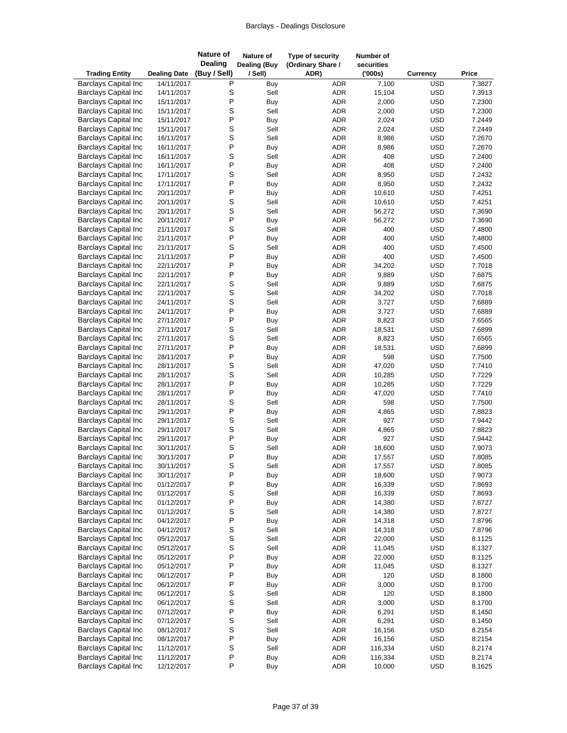| <b>Trading Entity</b>                                      | <b>Dealing Date</b>      | Nature of<br><b>Dealing</b><br>(Buy / Sell) | Nature of<br><b>Dealing (Buy</b><br>/ Sell) | Type of security<br>(Ordinary Share /<br>ADR) | Number of<br>securities<br>(000s) | <b>Currency</b>          | Price            |
|------------------------------------------------------------|--------------------------|---------------------------------------------|---------------------------------------------|-----------------------------------------------|-----------------------------------|--------------------------|------------------|
| <b>Barclays Capital Inc</b>                                | 14/11/2017               | P                                           | Buy                                         | <b>ADR</b>                                    | 7,100                             | <b>USD</b>               | 7.3827           |
| <b>Barclays Capital Inc</b>                                | 14/11/2017               | S                                           | Sell                                        | <b>ADR</b>                                    | 15,104                            | <b>USD</b>               | 7.3913           |
| <b>Barclays Capital Inc</b>                                | 15/11/2017               | P                                           | Buy                                         | <b>ADR</b>                                    | 2,000                             | <b>USD</b>               | 7.2300           |
| <b>Barclays Capital Inc</b>                                | 15/11/2017               | S                                           | Sell                                        | <b>ADR</b>                                    | 2,000                             | <b>USD</b>               | 7.2300           |
| <b>Barclays Capital Inc</b>                                | 15/11/2017               | P                                           | Buy                                         | <b>ADR</b>                                    | 2,024                             | <b>USD</b>               | 7.2449           |
| <b>Barclays Capital Inc</b>                                | 15/11/2017               | S                                           | Sell                                        | <b>ADR</b>                                    | 2,024                             | <b>USD</b>               | 7.2449           |
| <b>Barclays Capital Inc</b>                                | 16/11/2017               | S                                           | Sell                                        | <b>ADR</b>                                    | 8,986                             | <b>USD</b>               | 7.2670           |
| <b>Barclays Capital Inc</b>                                | 16/11/2017               | P                                           | Buy                                         | <b>ADR</b>                                    | 8,986                             | <b>USD</b>               | 7.2670           |
| <b>Barclays Capital Inc</b>                                | 16/11/2017               | S<br>P                                      | Sell                                        | <b>ADR</b>                                    | 408<br>408                        | <b>USD</b>               | 7.2400           |
| <b>Barclays Capital Inc</b><br><b>Barclays Capital Inc</b> | 16/11/2017<br>17/11/2017 | S                                           | Buy<br>Sell                                 | <b>ADR</b><br><b>ADR</b>                      | 8,950                             | <b>USD</b><br><b>USD</b> | 7.2400<br>7.2432 |
| <b>Barclays Capital Inc</b>                                | 17/11/2017               | P                                           | Buy                                         | <b>ADR</b>                                    | 8,950                             | <b>USD</b>               | 7.2432           |
| <b>Barclays Capital Inc</b>                                | 20/11/2017               | P                                           | Buy                                         | <b>ADR</b>                                    | 10,610                            | <b>USD</b>               | 7.4251           |
| <b>Barclays Capital Inc</b>                                | 20/11/2017               | S                                           | Sell                                        | <b>ADR</b>                                    | 10,610                            | <b>USD</b>               | 7.4251           |
| <b>Barclays Capital Inc</b>                                | 20/11/2017               | S                                           | Sell                                        | <b>ADR</b>                                    | 56,272                            | <b>USD</b>               | 7.3690           |
| <b>Barclays Capital Inc</b>                                | 20/11/2017               | P                                           | Buy                                         | <b>ADR</b>                                    | 56,272                            | <b>USD</b>               | 7.3690           |
| <b>Barclays Capital Inc</b>                                | 21/11/2017               | S                                           | Sell                                        | <b>ADR</b>                                    | 400                               | <b>USD</b>               | 7.4800           |
| <b>Barclays Capital Inc</b>                                | 21/11/2017               | P                                           | Buy                                         | ADR                                           | 400                               | <b>USD</b>               | 7.4800           |
| <b>Barclays Capital Inc</b>                                | 21/11/2017               | S                                           | Sell                                        | <b>ADR</b>                                    | 400                               | <b>USD</b>               | 7.4500           |
| <b>Barclays Capital Inc</b>                                | 21/11/2017               | P                                           | Buy                                         | <b>ADR</b>                                    | 400                               | <b>USD</b>               | 7.4500           |
| <b>Barclays Capital Inc</b>                                | 22/11/2017               | P                                           | Buy                                         | <b>ADR</b>                                    | 34,202                            | <b>USD</b>               | 7.7018           |
| <b>Barclays Capital Inc</b>                                | 22/11/2017               | P                                           | Buy                                         | <b>ADR</b>                                    | 9,889                             | <b>USD</b>               | 7.6875           |
| <b>Barclays Capital Inc</b>                                | 22/11/2017               | S                                           | Sell                                        | <b>ADR</b>                                    | 9,889                             | <b>USD</b>               | 7.6875           |
| <b>Barclays Capital Inc</b>                                | 22/11/2017               | S                                           | Sell                                        | <b>ADR</b>                                    | 34,202                            | <b>USD</b>               | 7.7018           |
| <b>Barclays Capital Inc</b>                                | 24/11/2017               | S                                           | Sell                                        | <b>ADR</b>                                    | 3,727                             | <b>USD</b>               | 7.6889           |
| <b>Barclays Capital Inc</b>                                | 24/11/2017               | P                                           | Buy                                         | <b>ADR</b>                                    | 3,727                             | <b>USD</b>               | 7.6889           |
| <b>Barclays Capital Inc</b>                                | 27/11/2017               | P                                           | Buy                                         | <b>ADR</b>                                    | 8,823                             | <b>USD</b>               | 7.6565           |
| <b>Barclays Capital Inc</b>                                | 27/11/2017               | S<br>S                                      | Sell                                        | <b>ADR</b>                                    | 18,531                            | <b>USD</b>               | 7.6899           |
| <b>Barclays Capital Inc</b><br><b>Barclays Capital Inc</b> | 27/11/2017<br>27/11/2017 | P                                           | Sell<br>Buy                                 | <b>ADR</b><br><b>ADR</b>                      | 8,823<br>18,531                   | <b>USD</b><br><b>USD</b> | 7.6565<br>7.6899 |
| <b>Barclays Capital Inc</b>                                | 28/11/2017               | P                                           | Buy                                         | <b>ADR</b>                                    | 598                               | <b>USD</b>               | 7.7500           |
| <b>Barclays Capital Inc</b>                                | 28/11/2017               | S                                           | Sell                                        | <b>ADR</b>                                    | 47,020                            | <b>USD</b>               | 7.7410           |
| <b>Barclays Capital Inc</b>                                | 28/11/2017               | S                                           | Sell                                        | <b>ADR</b>                                    | 10,285                            | <b>USD</b>               | 7.7229           |
| <b>Barclays Capital Inc</b>                                | 28/11/2017               | P                                           | Buy                                         | <b>ADR</b>                                    | 10,285                            | <b>USD</b>               | 7.7229           |
| <b>Barclays Capital Inc</b>                                | 28/11/2017               | P                                           | Buy                                         | <b>ADR</b>                                    | 47,020                            | <b>USD</b>               | 7.7410           |
| <b>Barclays Capital Inc</b>                                | 28/11/2017               | S                                           | Sell                                        | <b>ADR</b>                                    | 598                               | <b>USD</b>               | 7.7500           |
| <b>Barclays Capital Inc</b>                                | 29/11/2017               | P                                           | <b>Buy</b>                                  | <b>ADR</b>                                    | 4,865                             | <b>USD</b>               | 7.8823           |
| <b>Barclays Capital Inc</b>                                | 29/11/2017               | S                                           | Sell                                        | ADR                                           | 927                               | <b>USD</b>               | 7.9442           |
| <b>Barclays Capital Inc</b>                                | 29/11/2017               | S                                           | Sell                                        | <b>ADR</b>                                    | 4,865                             | <b>USD</b>               | 7.8823           |
| <b>Barclays Capital Inc</b>                                | 29/11/2017               | P                                           | <b>Buy</b>                                  | <b>ADR</b>                                    | 927                               | <b>USD</b>               | 7.9442           |
| <b>Barclays Capital Inc</b>                                | 30/11/2017               | S                                           | Sell                                        | ADR                                           | 18,600                            | <b>USD</b>               | 7.9073           |
| <b>Barclays Capital Inc</b>                                | 30/11/2017               | P                                           | Buy                                         | ADR                                           | 17,557                            | <b>USD</b>               | 7.8085           |
| <b>Barclays Capital Inc</b>                                | 30/11/2017               | S<br>P                                      | Sell                                        | ADR                                           | 17,557                            | <b>USD</b>               | 7.8085           |
| <b>Barclays Capital Inc</b>                                | 30/11/2017               | P                                           | Buy                                         | ADR                                           | 18,600                            | <b>USD</b>               | 7.9073           |
| <b>Barclays Capital Inc</b><br><b>Barclays Capital Inc</b> | 01/12/2017<br>01/12/2017 | S                                           | Buy<br>Sell                                 | ADR<br>ADR                                    | 16,339<br>16,339                  | <b>USD</b><br><b>USD</b> | 7.8693<br>7.8693 |
| <b>Barclays Capital Inc</b>                                | 01/12/2017               | P                                           | Buy                                         | ADR                                           | 14,380                            | <b>USD</b>               | 7.8727           |
| <b>Barclays Capital Inc</b>                                | 01/12/2017               | S                                           | Sell                                        | ADR                                           | 14,380                            | <b>USD</b>               | 7.8727           |
| <b>Barclays Capital Inc</b>                                | 04/12/2017               | P                                           | Buy                                         | ADR                                           | 14,318                            | <b>USD</b>               | 7.8796           |
| <b>Barclays Capital Inc</b>                                | 04/12/2017               | S                                           | Sell                                        | ADR                                           | 14,318                            | <b>USD</b>               | 7.8796           |
| <b>Barclays Capital Inc</b>                                | 05/12/2017               | S                                           | Sell                                        | ADR                                           | 22,000                            | <b>USD</b>               | 8.1125           |
| <b>Barclays Capital Inc</b>                                | 05/12/2017               | S                                           | Sell                                        | ADR                                           | 11,045                            | <b>USD</b>               | 8.1327           |
| <b>Barclays Capital Inc</b>                                | 05/12/2017               | P                                           | Buy                                         | ADR                                           | 22,000                            | <b>USD</b>               | 8.1125           |
| <b>Barclays Capital Inc</b>                                | 05/12/2017               | P                                           | Buy                                         | ADR                                           | 11,045                            | <b>USD</b>               | 8.1327           |
| <b>Barclays Capital Inc</b>                                | 06/12/2017               | P                                           | Buy                                         | ADR                                           | 120                               | <b>USD</b>               | 8.1800           |
| <b>Barclays Capital Inc</b>                                | 06/12/2017               | P                                           | Buy                                         | ADR                                           | 3,000                             | <b>USD</b>               | 8.1700           |
| <b>Barclays Capital Inc</b>                                | 06/12/2017               | S                                           | Sell                                        | ADR                                           | 120                               | <b>USD</b>               | 8.1800           |
| <b>Barclays Capital Inc</b>                                | 06/12/2017               | S                                           | Sell                                        | ADR                                           | 3,000                             | <b>USD</b>               | 8.1700           |
| <b>Barclays Capital Inc</b>                                | 07/12/2017               | P                                           | Buy                                         | ADR                                           | 6,291                             | <b>USD</b>               | 8.1450           |
| <b>Barclays Capital Inc</b>                                | 07/12/2017               | S                                           | Sell                                        | ADR                                           | 6,291                             | <b>USD</b>               | 8.1450           |
| <b>Barclays Capital Inc</b>                                | 08/12/2017               | S                                           | Sell                                        | ADR                                           | 16,156                            | <b>USD</b>               | 8.2154           |
| <b>Barclays Capital Inc</b>                                | 08/12/2017               | P<br>S                                      | Buy                                         | ADR                                           | 16,156                            | <b>USD</b>               | 8.2154           |
| <b>Barclays Capital Inc</b><br><b>Barclays Capital Inc</b> | 11/12/2017<br>11/12/2017 | $\sf P$                                     | Sell<br>Buy                                 | ADR<br>ADR                                    | 116,334<br>116,334                | <b>USD</b><br>USD        | 8.2174<br>8.2174 |
| <b>Barclays Capital Inc</b>                                | 12/12/2017               | $\sf P$                                     | Buy                                         | ADR                                           | 10,000                            | <b>USD</b>               | 8.1625           |
|                                                            |                          |                                             |                                             |                                               |                                   |                          |                  |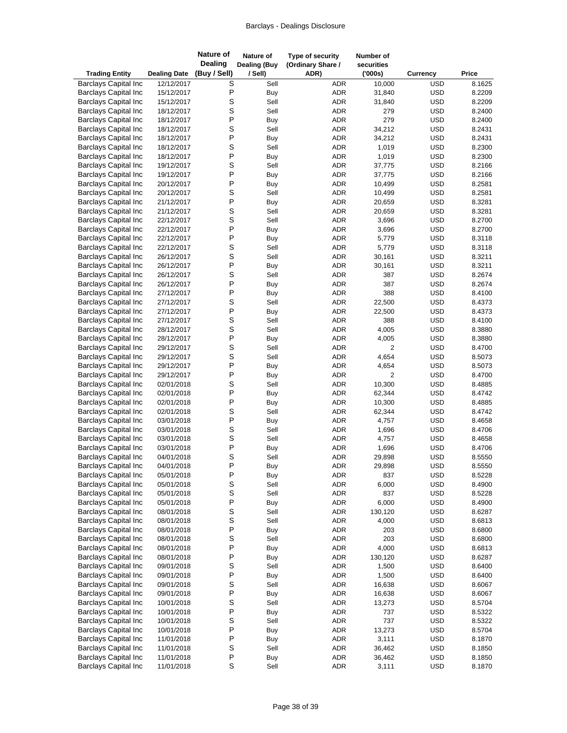| <b>Trading Entity</b>                                      | <b>Dealing Date</b>      | <b>Nature of</b><br><b>Dealing</b><br>(Buy / Sell) | Nature of<br><b>Dealing (Buy</b><br>/ Sell) | Type of security<br>(Ordinary Share /<br>ADR) |                   | Number of<br>securities<br>(000s) | <b>Currency</b>          | Price            |
|------------------------------------------------------------|--------------------------|----------------------------------------------------|---------------------------------------------|-----------------------------------------------|-------------------|-----------------------------------|--------------------------|------------------|
| <b>Barclays Capital Inc</b>                                | 12/12/2017               | S                                                  | Sell                                        |                                               | ADR               | 10,000                            | <b>USD</b>               | 8.1625           |
| <b>Barclays Capital Inc</b>                                | 15/12/2017               | P                                                  | Buy                                         |                                               | <b>ADR</b>        | 31,840                            | <b>USD</b>               | 8.2209           |
| <b>Barclays Capital Inc</b>                                | 15/12/2017               | S                                                  | Sell                                        |                                               | <b>ADR</b>        | 31,840                            | <b>USD</b>               | 8.2209           |
| <b>Barclays Capital Inc</b>                                | 18/12/2017               | S                                                  | Sell                                        |                                               | <b>ADR</b>        | 279                               | <b>USD</b>               | 8.2400           |
| <b>Barclays Capital Inc</b>                                | 18/12/2017               | P                                                  | Buy                                         |                                               | ADR               | 279                               | <b>USD</b>               | 8.2400           |
| <b>Barclays Capital Inc</b>                                | 18/12/2017               | S                                                  | Sell                                        |                                               | ADR               | 34,212                            | <b>USD</b>               | 8.2431           |
| <b>Barclays Capital Inc</b>                                | 18/12/2017               | P                                                  | Buy                                         |                                               | <b>ADR</b>        | 34,212                            | <b>USD</b>               | 8.2431           |
| <b>Barclays Capital Inc</b>                                | 18/12/2017               | S                                                  | Sell                                        |                                               | <b>ADR</b>        | 1,019                             | <b>USD</b>               | 8.2300           |
| <b>Barclays Capital Inc</b>                                | 18/12/2017               | P                                                  | Buy                                         |                                               | <b>ADR</b>        | 1,019                             | <b>USD</b>               | 8.2300           |
| <b>Barclays Capital Inc</b>                                | 19/12/2017               | S                                                  | Sell                                        |                                               | ADR               | 37,775                            | <b>USD</b>               | 8.2166           |
| <b>Barclays Capital Inc</b>                                | 19/12/2017               | P                                                  | Buy                                         |                                               | ADR               | 37,775                            | <b>USD</b>               | 8.2166           |
| <b>Barclays Capital Inc</b><br><b>Barclays Capital Inc</b> | 20/12/2017               | P<br>S                                             | Buy<br>Sell                                 |                                               | <b>ADR</b>        | 10,499<br>10,499                  | <b>USD</b>               | 8.2581<br>8.2581 |
| <b>Barclays Capital Inc</b>                                | 20/12/2017<br>21/12/2017 | P                                                  |                                             |                                               | ADR<br><b>ADR</b> |                                   | <b>USD</b><br><b>USD</b> | 8.3281           |
| <b>Barclays Capital Inc</b>                                | 21/12/2017               | S                                                  | Buy<br>Sell                                 |                                               | <b>ADR</b>        | 20,659<br>20,659                  | <b>USD</b>               | 8.3281           |
| <b>Barclays Capital Inc</b>                                | 22/12/2017               | S                                                  | Sell                                        |                                               | <b>ADR</b>        | 3,696                             | <b>USD</b>               | 8.2700           |
| <b>Barclays Capital Inc</b>                                | 22/12/2017               | P                                                  | Buy                                         |                                               | <b>ADR</b>        | 3,696                             | <b>USD</b>               | 8.2700           |
| <b>Barclays Capital Inc</b>                                | 22/12/2017               | P                                                  | <b>Buy</b>                                  |                                               | <b>ADR</b>        | 5,779                             | <b>USD</b>               | 8.3118           |
| <b>Barclays Capital Inc</b>                                | 22/12/2017               | S                                                  | Sell                                        |                                               | ADR               | 5,779                             | <b>USD</b>               | 8.3118           |
| <b>Barclays Capital Inc</b>                                | 26/12/2017               | S                                                  | Sell                                        |                                               | <b>ADR</b>        | 30,161                            | <b>USD</b>               | 8.3211           |
| <b>Barclays Capital Inc</b>                                | 26/12/2017               | P                                                  | <b>Buy</b>                                  |                                               | <b>ADR</b>        | 30,161                            | <b>USD</b>               | 8.3211           |
| <b>Barclays Capital Inc</b>                                | 26/12/2017               | S                                                  | Sell                                        |                                               | ADR               | 387                               | <b>USD</b>               | 8.2674           |
| <b>Barclays Capital Inc</b>                                | 26/12/2017               | P                                                  | Buy                                         |                                               | <b>ADR</b>        | 387                               | <b>USD</b>               | 8.2674           |
| <b>Barclays Capital Inc</b>                                | 27/12/2017               | P                                                  | Buy                                         |                                               | <b>ADR</b>        | 388                               | <b>USD</b>               | 8.4100           |
| <b>Barclays Capital Inc</b>                                | 27/12/2017               | S                                                  | Sell                                        |                                               | <b>ADR</b>        | 22,500                            | <b>USD</b>               | 8.4373           |
| <b>Barclays Capital Inc</b>                                | 27/12/2017               | P                                                  | Buy                                         |                                               | <b>ADR</b>        | 22,500                            | <b>USD</b>               | 8.4373           |
| <b>Barclays Capital Inc</b>                                | 27/12/2017               | S                                                  | Sell                                        |                                               | ADR               | 388                               | <b>USD</b>               | 8.4100           |
| <b>Barclays Capital Inc</b>                                | 28/12/2017               | S                                                  | Sell                                        |                                               | ADR               | 4,005                             | <b>USD</b>               | 8.3880           |
| <b>Barclays Capital Inc</b>                                | 28/12/2017               | P                                                  | Buy                                         |                                               | <b>ADR</b>        | 4,005                             | <b>USD</b>               | 8.3880           |
| <b>Barclays Capital Inc</b>                                | 29/12/2017               | S                                                  | Sell                                        |                                               | ADR               | 2                                 | <b>USD</b>               | 8.4700           |
| <b>Barclays Capital Inc</b>                                | 29/12/2017               | S                                                  | Sell                                        |                                               | ADR               | 4,654                             | <b>USD</b>               | 8.5073           |
| <b>Barclays Capital Inc</b>                                | 29/12/2017               | Ρ                                                  | <b>Buy</b>                                  |                                               | <b>ADR</b>        | 4,654                             | <b>USD</b>               | 8.5073           |
| <b>Barclays Capital Inc</b>                                | 29/12/2017               | P                                                  | Buy                                         |                                               | ADR               | $\overline{2}$                    | <b>USD</b>               | 8.4700           |
| <b>Barclays Capital Inc</b>                                | 02/01/2018               | S                                                  | Sell                                        |                                               | <b>ADR</b>        | 10,300                            | <b>USD</b>               | 8.4885           |
| <b>Barclays Capital Inc</b>                                | 02/01/2018               | P                                                  | Buy                                         |                                               | <b>ADR</b>        | 62,344                            | <b>USD</b>               | 8.4742           |
| <b>Barclays Capital Inc</b>                                | 02/01/2018               | P                                                  | Buy                                         |                                               | <b>ADR</b>        | 10,300                            | <b>USD</b>               | 8.4885           |
| <b>Barclays Capital Inc</b><br><b>Barclays Capital Inc</b> | 02/01/2018<br>03/01/2018 | S<br>P                                             | Sell                                        |                                               | ADR<br>ADR        | 62,344<br>4,757                   | <b>USD</b><br><b>USD</b> | 8.4742<br>8.4658 |
| <b>Barclays Capital Inc</b>                                | 03/01/2018               | S                                                  | Buy<br>Sell                                 |                                               | <b>ADR</b>        | 1,696                             | <b>USD</b>               | 8.4706           |
| <b>Barclays Capital Inc</b>                                | 03/01/2018               | S                                                  | Sell                                        |                                               | <b>ADR</b>        | 4,757                             | <b>USD</b>               | 8.4658           |
| <b>Barclays Capital Inc</b>                                | 03/01/2018               | P                                                  | <b>Buy</b>                                  |                                               | <b>ADR</b>        | 1,696                             | <b>USD</b>               | 8.4706           |
| <b>Barclays Capital Inc</b>                                | 04/01/2018               | S                                                  | Sell                                        |                                               | <b>ADR</b>        | 29,898                            | <b>USD</b>               | 8.5550           |
| <b>Barclays Capital Inc</b>                                | 04/01/2018               | $\mathsf{P}$                                       | Buy                                         |                                               | ADR               | 29,898                            | <b>USD</b>               | 8.5550           |
| <b>Barclays Capital Inc</b>                                | 05/01/2018               | P                                                  | Buy                                         |                                               | ADR               | 837                               | <b>USD</b>               | 8.5228           |
| <b>Barclays Capital Inc</b>                                | 05/01/2018               | S                                                  | Sell                                        |                                               | ADR               | 6,000                             | <b>USD</b>               | 8.4900           |
| <b>Barclays Capital Inc</b>                                | 05/01/2018               | S                                                  | Sell                                        |                                               | ADR               | 837                               | <b>USD</b>               | 8.5228           |
| <b>Barclays Capital Inc</b>                                | 05/01/2018               | P                                                  | Buy                                         |                                               | ADR               | 6,000                             | <b>USD</b>               | 8.4900           |
| <b>Barclays Capital Inc</b>                                | 08/01/2018               | S                                                  | Sell                                        |                                               | ADR               | 130,120                           | <b>USD</b>               | 8.6287           |
| <b>Barclays Capital Inc</b>                                | 08/01/2018               | S                                                  | Sell                                        |                                               | ADR               | 4,000                             | <b>USD</b>               | 8.6813           |
| <b>Barclays Capital Inc</b>                                | 08/01/2018               | P                                                  | Buy                                         |                                               | ADR               | 203                               | <b>USD</b>               | 8.6800           |
| <b>Barclays Capital Inc</b>                                | 08/01/2018               | S                                                  | Sell                                        |                                               | ADR               | 203                               | <b>USD</b>               | 8.6800           |
| <b>Barclays Capital Inc</b>                                | 08/01/2018               | P                                                  | Buy                                         |                                               | ADR               | 4,000                             | <b>USD</b>               | 8.6813           |
| <b>Barclays Capital Inc</b>                                | 08/01/2018               | P                                                  | Buy                                         |                                               | ADR               | 130,120                           | <b>USD</b>               | 8.6287           |
| <b>Barclays Capital Inc</b>                                | 09/01/2018               | S                                                  | Sell                                        |                                               | ADR               | 1,500                             | <b>USD</b>               | 8.6400           |
| <b>Barclays Capital Inc</b>                                | 09/01/2018               | P                                                  | Buy                                         |                                               | ADR               | 1,500                             | <b>USD</b>               | 8.6400           |
| <b>Barclays Capital Inc</b>                                | 09/01/2018               | S                                                  | Sell                                        |                                               | ADR               | 16,638                            | <b>USD</b>               | 8.6067           |
| <b>Barclays Capital Inc</b>                                | 09/01/2018               | P                                                  | Buy                                         |                                               | ADR               | 16,638                            | <b>USD</b>               | 8.6067           |
| <b>Barclays Capital Inc</b>                                | 10/01/2018               | S                                                  | Sell                                        |                                               | ADR               | 13,273                            | <b>USD</b>               | 8.5704           |
| <b>Barclays Capital Inc</b>                                | 10/01/2018               | P                                                  | Buy                                         |                                               | ADR               | 737                               | <b>USD</b>               | 8.5322           |
| <b>Barclays Capital Inc</b>                                | 10/01/2018               | S<br>$\mathsf{P}$                                  | Sell                                        |                                               | ADR               | 737                               | <b>USD</b>               | 8.5322           |
| <b>Barclays Capital Inc</b>                                | 10/01/2018               | P                                                  | Buy                                         |                                               | ADR               | 13,273                            | <b>USD</b>               | 8.5704           |
| <b>Barclays Capital Inc</b><br><b>Barclays Capital Inc</b> | 11/01/2018<br>11/01/2018 | S                                                  | Buy<br>Sell                                 |                                               | ADR<br>ADR        | 3,111<br>36,462                   | <b>USD</b><br><b>USD</b> | 8.1870<br>8.1850 |
| <b>Barclays Capital Inc</b>                                | 11/01/2018               | $\sf P$                                            | <b>Buy</b>                                  |                                               | ADR               | 36,462                            | <b>USD</b>               | 8.1850           |
| <b>Barclays Capital Inc</b>                                | 11/01/2018               | $\mathsf S$                                        | Sell                                        |                                               | ADR               | 3,111                             | <b>USD</b>               | 8.1870           |